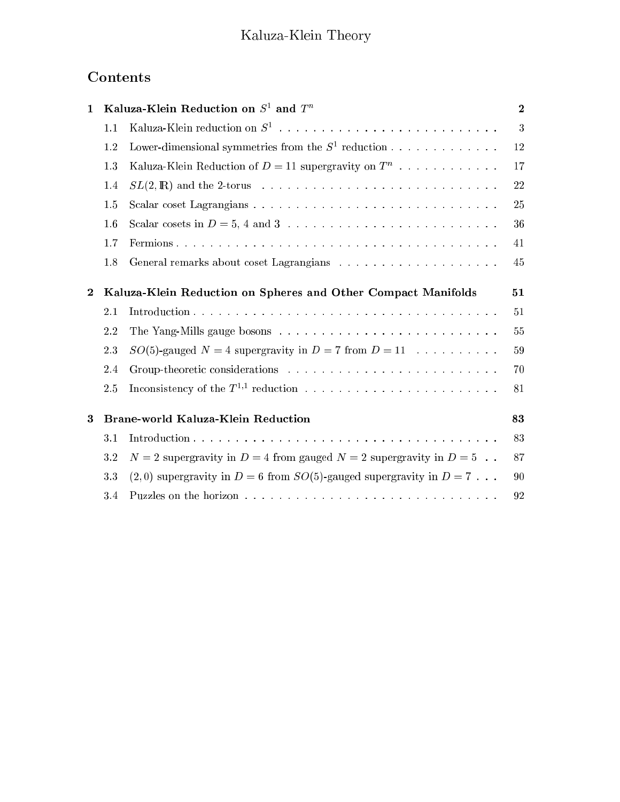# **Contents**

| $\mathbf{1}$     | Kaluza-Klein Reduction on $S^1$ and $T^n$                     |                                                                                                                                    | $\mathbf{2}$ |
|------------------|---------------------------------------------------------------|------------------------------------------------------------------------------------------------------------------------------------|--------------|
|                  | 1.1                                                           |                                                                                                                                    | 3            |
|                  | 1.2                                                           | Lower-dimensional symmetries from the $S^1$ reduction                                                                              | 12           |
|                  | 1.3                                                           | Kaluza-Klein Reduction of $D = 11$ supergravity on $T^n$                                                                           | 17           |
|                  | 1.4                                                           | $SL(2,\mathbb{R})$ and the 2-torus $\ldots \ldots \ldots \ldots \ldots \ldots \ldots \ldots \ldots \ldots$                         | 22           |
|                  | 1.5                                                           |                                                                                                                                    | 25           |
|                  | 1.6                                                           |                                                                                                                                    | 36           |
|                  | 1.7                                                           |                                                                                                                                    | 41           |
|                  | 1.8                                                           |                                                                                                                                    | 45           |
| $\boldsymbol{2}$ | Kaluza-Klein Reduction on Spheres and Other Compact Manifolds |                                                                                                                                    | 51           |
|                  | 2.1                                                           |                                                                                                                                    | 51           |
|                  | 2.2                                                           |                                                                                                                                    | 55           |
|                  | 2.3                                                           | $SO(5)$ -gauged $N = 4$ supergravity in $D = 7$ from $D = 11$                                                                      | 59           |
|                  | 2.4                                                           |                                                                                                                                    | 70           |
|                  | 2.5                                                           |                                                                                                                                    | 81           |
| $\bf{3}$         | Brane-world Kaluza-Klein Reduction                            |                                                                                                                                    | 83           |
|                  | 3.1                                                           |                                                                                                                                    | 83           |
|                  | 3.2                                                           | $N=2$ supergravity in $D=4$ from gauged $N=2$ supergravity in $D=5$                                                                | 87           |
|                  | 3.3                                                           | $(2,0)$ supergravity in $D=6$ from $SO(5)$ -gauged supergravity in $D=7$                                                           | 90           |
|                  | 3.4                                                           | Puzzles on the horizon $\ldots$ , $\ldots$ , $\ldots$ , $\ldots$ , $\ldots$ , $\ldots$ , $\ldots$ , $\ldots$ , $\ldots$ , $\ldots$ | 92           |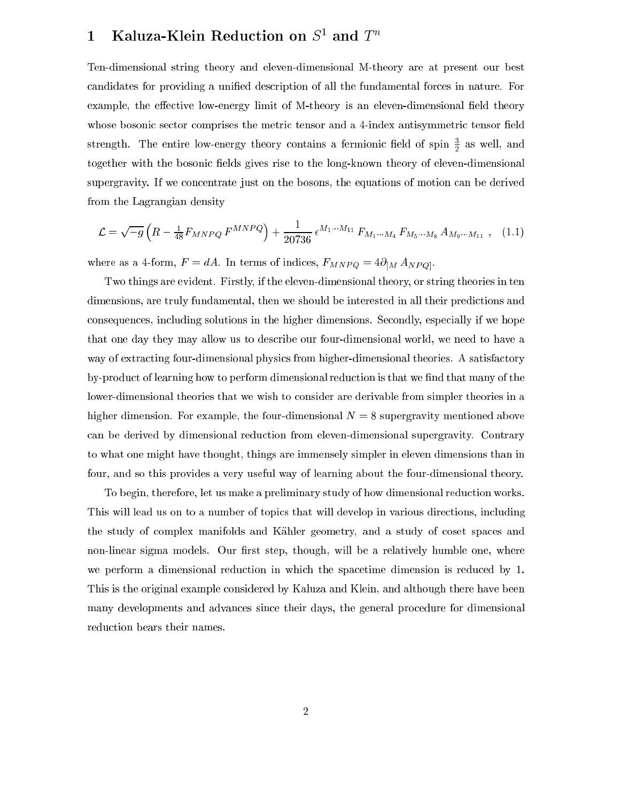## $\bf{1}$  - Kaluza-Klein Reduction on S<sup>-</sup> and T

Ten-dimensional string theory and eleven-dimensional M-theory are at present our best candidates for providing a unified description of all the fundamental forces in nature. For example, the effective low-energy limit of M-theory is an eleven-dimensional field theory whose bosonic sector comprises the metric tensor and a 4-index antisymmetric tensor field strength. The entire low-energy theory contains a fermionic field of spin  $\frac{1}{2}$  as well, and together with the bosonic fields gives rise to the long-known theory of eleven-dimensional supergravity. If we concentrate just on the bosons, the equations of motion can be derived from the Lagrangian density

$$
\mathcal{L} = \sqrt{-g} \left( R - \frac{1}{48} F_{MNPQ} F^{MNPQ} \right) + \frac{1}{20736} \epsilon^{M_1 \cdots M_{11}} F_{M_1 \cdots M_4} F_{M_5 \cdots M_8} A_{M_9 \cdots M_{11}} , \quad (1.1)
$$

where as a 4-form,  $F = dA$ . In terms of indices,  $F_{MNPQ} = 4\partial_{[M} A_{NPQ]}$ .

Two things are evident. Firstly, if the eleven-dimensional theory, or string theories in ten dimensions, are truly fundamental, then we should be interested in all their predictions and consequences, including solutions in the higher dimensions. Secondly, especially if we hope that one day they may allow us to des
ribe our four-dimensional world, we need to have a way of extracting four-dimensional physics from higher-dimensional theories. A satisfactory by-product of learning how to perform dimensional reduction is that we find that many of the lower-dimensional theories that we wish to consider are derivable from simpler theories in a higher dimension. For example, the four-dimensional  $N = 8$  supergravity mentioned above an be derived by dimensional redu
tion from eleven-dimensional supergravity. Contrary to what one might have thought, things are immensely simpler in eleven dimensions than in four, and so this provides a very useful way of learning about the four-dimensional theory.

To begin, therefore, let us make a preliminary study of how dimensional redu
tion works. This will lead us on to a number of topics that will develop in various directions, including the study of omplex manifolds and Kahler geometry, and a study of oset spa
es and non-linear sigma models. Our first step, though, will be a relatively humble one, where we perform a dimensional reduction in which the spacetime dimension is reduced by 1. This is the original example onsidered by Kaluza and Klein, and although there have been many developments and advan
es sin
e their days, the general pro
edure for dimensional reduction bears their names.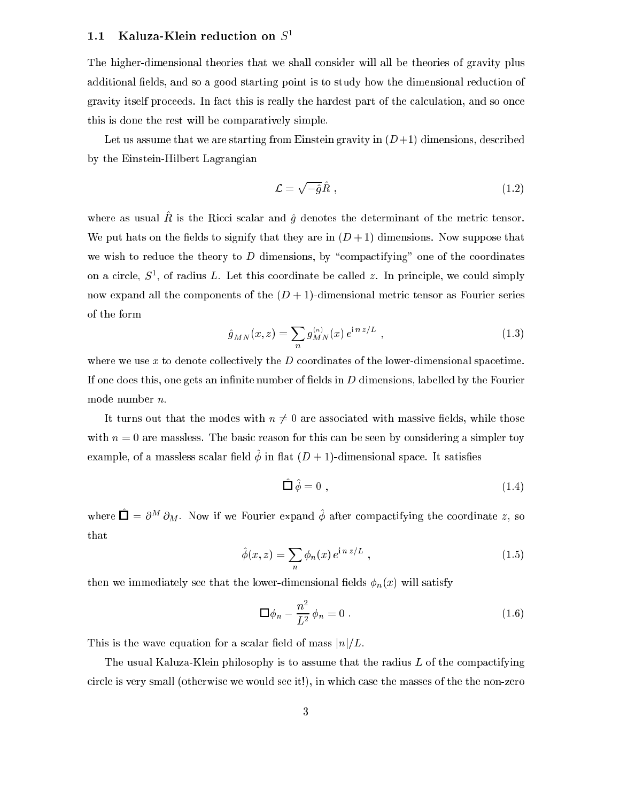## 1.1 Kaluza-Klein reduction on  $S<sup>1</sup>$

The higher-dimensional theories that we shall onsider will all be theories of gravity plus additional fields, and so a good starting point is to study how the dimensional reduction of gravity itself proceeds. In fact this is really the hardest part of the calculation, and so once this is done the rest will be omparatively simple.

Let us assume that we are starting from Einstein gravity in  $(D+1)$  dimensions, described by the Einstein-Hilbert Lagrangian

$$
\mathcal{L} = \sqrt{-\hat{g}}\hat{R} \tag{1.2}
$$

where as usual  $\mu$  is the Ricci scalar and  $q$  denotes the determinant or the metric tensor. We put hats on the fields to signify that they are in  $(D+1)$  dimensions. Now suppose that we wish to reduce the theory to  $D$  dimensions, by "compactifying" one of the coordinates on a circle,  $S^1$ , of radius L. Let this coordinate be called 2. In principle, we could simply now expand all the components of the  $(D + 1)$ -dimensional metric tensor as Fourier series of the form

$$
\hat{g}_{MN}(x,z) = \sum_{n} g_{MN}^{(n)}(x) e^{\mathrm{i} n z/L} , \qquad (1.3)
$$

where we use x to denote collectively the  $D$  coordinates of the lower-dimensional spacetime. If one does this, one gets an infinite number of fields in  $D$  dimensions, labelled by the Fourier mode number n.

It turns out that the modes with  $n \neq 0$  are associated with massive fields, while those with  $n = 0$  are massless. The basic reason for this can be seen by considering a simpler toy example, of a massless scalar field  $\varphi$  in hat  $(D + 1)$ -dimensional space. It satisfies

$$
\hat{\Box}\,\hat{\phi}=0\ ,\tag{1.4}
$$

where  $\Box = \sigma$  –  $\sigma_M$ . Now if we Fourier expand  $\varphi$  after compactifying the coordinate z, so that

$$
\hat{\phi}(x,z) = \sum_{n} \phi_n(x) e^{i n z/L}, \qquad (1.5)
$$

then we immediately see that the lower-dimensional fields  $\phi_n(x)$  will satisfy

$$
\Box \phi_n - \frac{n^2}{L^2} \phi_n = 0 \tag{1.6}
$$

This is the wave equation for a scalar field of mass  $|n|/L$ .

The usual Kaluza-Klein philosophy is to assume that the radius  $L$  of the compactifying circle is very small (otherwise we would see it!), in which case the masses of the the non-zero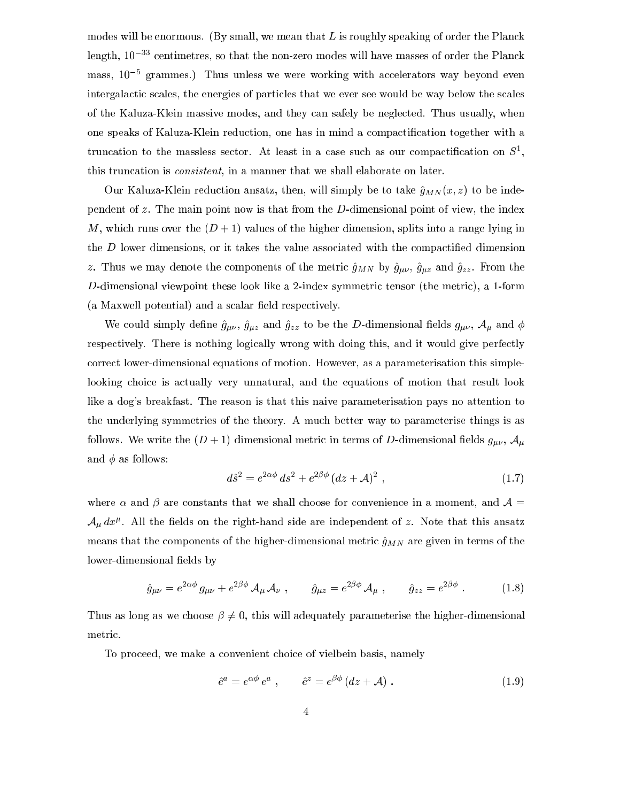modes will be enormous. (By small, we mean that  $L$  is roughly speaking of order the Planck length,  $10^{-33}$  centimetres, so that the non-zero modes will have masses of order the Planck mass, io a grammes.) Thus unless we were working with accelerators way beyond even intergalactic scales, the energies of particles that we ever see would be way below the scales of the Kaluza-Klein massive modes, and they an safely be negle
ted. Thus usually, when one speaks of Kaluza-Klein reduction, one has in mind a compactification together with a truncation to the massless sector. At least in a case such as our compactincation on  $\beta$ , this truncation is *consistent*, in a manner that we shall elaborate on later.

Our Kaluza-Klein reduction ansatz, then, will simply be to take  $\hat{g}_{MN}(x, z)$  to be independent of z. The main point now is that from the D-dimensional point of view, the index M, which runs over the  $(D+1)$  values of the higher dimension, splits into a range lying in the  $D$  lower dimensions, or it takes the value associated with the compactified dimension z. Thus we may denote the components of the metric  $\hat{g}_{MN}$  by  $\hat{g}_{\mu\nu}$ ,  $\hat{g}_{\mu z}$  and  $\hat{g}_{zz}$ . From the D-dimensional viewpoint these look like a 2-index symmetric tensor (the metric), a 1-form (a Maxwell potential) and a scalar field respectively.

We could simply define  $\hat{g}_{\mu\nu}$ ,  $\hat{g}_{\mu z}$  and  $\hat{g}_{zz}$  to be the D-dimensional fields  $g_{\mu\nu}$ ,  $\mathcal{A}_{\mu}$  and  $\phi$ respectively. There is nothing logically wrong with doing this, and it would give perfectly orre
t lower-dimensional equations of motion. However, as a parameterisation this simplelooking choice is actually very unnatural, and the equations of motion that result look like a dog's breakfast. The reason is that this naive parameterisation pays no attention to the underlying symmetries of the theory. A mu
h better way to parameterise things is as follows. We write the  $(D+1)$  dimensional metric in terms of D-dimensional fields  $g_{\mu\nu}$ ,  $\mathcal{A}_{\mu}$ and  $\phi$  as follows:

$$
d\hat{s}^2 = e^{2\alpha\phi} ds^2 + e^{2\beta\phi} (dz + \mathcal{A})^2 , \qquad (1.7)
$$

where  $\alpha$  and  $\beta$  are constants that we shall choose for convenience in a moment, and  $\mathcal{A} =$  $\mathcal{A}_{\mu}$   $ax^{\mu}$ . An the neigs on the right-hand side are independent of z. Note that this ansatz means that the components of the higher-dimensional metric  $\hat{g}_{MN}$  are given in terms of the lower-dimensional fields by

$$
\hat{g}_{\mu\nu} = e^{2\alpha\phi} g_{\mu\nu} + e^{2\beta\phi} \mathcal{A}_{\mu} \mathcal{A}_{\nu} , \qquad \hat{g}_{\mu z} = e^{2\beta\phi} \mathcal{A}_{\mu} , \qquad \hat{g}_{zz} = e^{2\beta\phi} . \qquad (1.8)
$$

Thus as long as we choose  $\beta \neq 0$ , this will adequately parameterise the higher-dimensional metric.

To pro
eed, we make a onvenient hoi
e of vielbein basis, namely

$$
\hat{e}^a = e^{\alpha \phi} e^a , \qquad \hat{e}^z = e^{\beta \phi} (dz + \mathcal{A}) . \qquad (1.9)
$$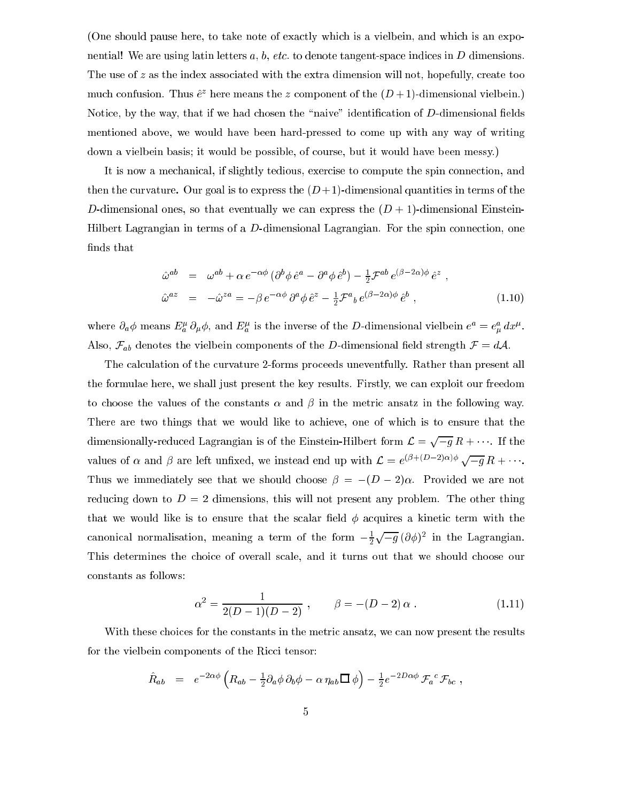(One should pause here, to take note of exactly which is a vielbein, and which is an exponential! We are using latin letters a, b, etc. to denote tangent-space indices in D dimensions. The use of  $z$  as the index associated with the extra dimension will not, hopefully, create too much confusion. Thus  $e^x$  nefe means the  $z$  component of the  $(D + 1)$ -dimensional vielbein.) Notice, by the way, that if we had chosen the "naive" identification of D-dimensional fields mentioned above, we would have been hard-pressed to ome up with any way of writing down a vielbein basis; it would be possible, of ourse, but it would have been messy.)

It is now a mechanical, if slightly tedious, exercise to compute the spin connection, and then the curvature. Our goal is to express the  $(D+1)$ -dimensional quantities in terms of the D-dimensional ones, so that eventually we can express the  $(D + 1)$ -dimensional Einstein-Hilbert Lagrangian in terms of a D-dimensional Lagrangian. For the spin connection, one finds that

$$
\hat{\omega}^{ab} = \omega^{ab} + \alpha e^{-\alpha\phi} \left( \partial^b \phi \,\hat{e}^a - \partial^a \phi \,\hat{e}^b \right) - \frac{1}{2} \mathcal{F}^{ab} \, e^{(\beta - 2\alpha)\phi} \,\hat{e}^z ,
$$
\n
$$
\hat{\omega}^{az} = -\hat{\omega}^{za} = -\beta \, e^{-\alpha\phi} \, \partial^a \phi \,\hat{e}^z - \frac{1}{2} \mathcal{F}^a{}_b \, e^{(\beta - 2\alpha)\phi} \,\hat{e}^b , \tag{1.10}
$$

where  $\partial_a \varphi$  means  $E^r_a$   $\partial_\mu \varphi$ , and  $E^r_a$  is the inverse of the D-dimensional vielbein  $e^u = e^u_\mu dx^{\mu}$ . Also,  $\mathcal{F}_{ab}$  denotes the vielbein components of the D-dimensional field strength  $\mathcal{F} = d\mathcal{A}$ .

The calculation of the curvature 2-forms proceeds uneventfully. Rather than present all the formulae here, we shall just present the key results. Firstly, we an exploit our freedom to choose the values of the constants  $\alpha$  and  $\beta$  in the metric ansatz in the following way. There are two things that we would like to achieve, one of which is to ensure that the dimensionally-reduced Lagrangian is of the Einstein-Hilbert form  $\mathcal{L} = \sqrt{-q} R + \cdots$ . If the values of  $\alpha$  and  $\beta$  are left unfixed, we instead end up with  $\mathcal{L} = e^{(\beta + (\mathcal{D}-2)\alpha)\phi} \sqrt{-g} R + \cdots$ . Thus we immediately see that we should choose  $\beta = -(D-2)\alpha$ . Provided we are not reducing down to  $D = 2$  dimensions, this will not present any problem. The other thing that we would like is to ensure that the scalar field  $\phi$  acquires a kinetic term with the canonical normalisation, meaning a term of the form  $-\frac{1}{2}$  $\sqrt{-q} (\partial \phi)^2$  in the Lagrangian. This determines the choice of overall scale, and it turns out that we should choose our onstants as follows:

$$
\alpha^2 = \frac{1}{2(D-1)(D-2)}, \qquad \beta = -(D-2)\,\alpha \; . \tag{1.11}
$$

With these choices for the constants in the metric ansatz, we can now present the results for the vielbein components of the Ricci tensor:

$$
\hat{R}_{ab} = e^{-2\alpha\phi} \left( R_{ab} - \frac{1}{2} \partial_a \phi \, \partial_b \phi - \alpha \, \eta_{ab} \Box \phi \right) - \frac{1}{2} e^{-2D\alpha\phi} \, \mathcal{F}_a{}^c \, \mathcal{F}_{bc} \ ,
$$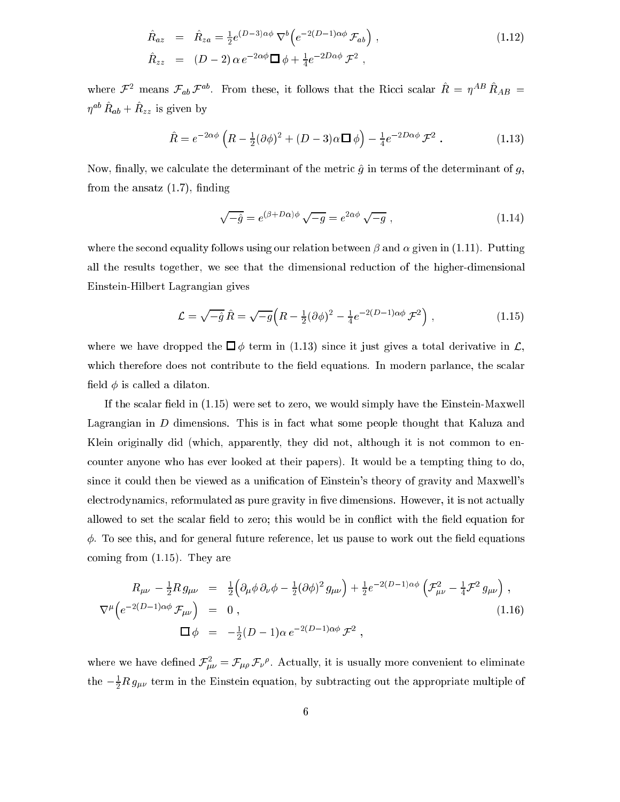$$
\hat{R}_{az} = \hat{R}_{za} = \frac{1}{2} e^{(D-3)\alpha\phi} \nabla^b \left( e^{-2(D-1)\alpha\phi} \mathcal{F}_{ab} \right) ,
$$
\n(1.12)\n
$$
\hat{R}_{zz} = (D-2) \alpha e^{-2\alpha\phi} \nabla^b \phi + \frac{1}{4} e^{-2D\alpha\phi} \mathcal{F}^2 ,
$$

where  $\mathcal{F}$  - means  $\mathcal{F}_{ab}\mathcal{F}$ . From these, it follows that the Ricci scalar  $R = \eta$  -  $R_{AB} =$  $\eta$   $n_{ab} + n_{zz}$  is given by

$$
\hat{R} = e^{-2\alpha\phi} \left( R - \frac{1}{2} (\partial \phi)^2 + (D - 3)\alpha \Box \phi \right) - \frac{1}{4} e^{-2D\alpha\phi} \mathcal{F}^2 . \tag{1.13}
$$

Now, finally, we calculate the determinant of the metric  $\hat{g}$  in terms of the determinant of g, from the ansatz  $(1.7)$ , finding

$$
\sqrt{-\hat{g}} = e^{(\beta + D\alpha)\phi} \sqrt{-g} = e^{2\alpha\phi} \sqrt{-g} , \qquad (1.14)
$$

where the second equality follows using our relation between  $\beta$  and  $\alpha$  given in (1.11). Putting all the results together, we see that the dimensional redu
tion of the higher-dimensional Einstein-Hilbert Lagrangian gives

$$
\mathcal{L} = \sqrt{-\hat{g}} \,\hat{R} = \sqrt{-g} \Big( R - \frac{1}{2} (\partial \phi)^2 - \frac{1}{4} e^{-2(D-1)\alpha \phi} \, \mathcal{F}^2 \Big) \;, \tag{1.15}
$$

where we have dropped the  $\Box \phi$  term in (1.13) since it just gives a total derivative in  $\mathcal{L}$ , which therefore does not contribute to the field equations. In modern parlance, the scalar field  $\phi$  is called a dilaton.

If the scalar field in  $(1.15)$  were set to zero, we would simply have the Einstein-Maxwell Lagrangian in D dimensions. This is in fact what some people thought that Kaluza and Klein originally did (which, apparently, they did not, although it is not common to enounter anyone who has ever looked at their papers). It would be a tempting thing to do, since it could then be viewed as a unification of Einstein's theory of gravity and Maxwell's electrodynamics, reformulated as pure gravity in five dimensions. However, it is not actually allowed to set the scalar field to zero; this would be in conflict with the field equation for  $\phi$ . To see this, and for general future reference, let us pause to work out the field equations oming from (1.15). They are

$$
R_{\mu\nu} - \frac{1}{2} R g_{\mu\nu} = \frac{1}{2} \Big( \partial_{\mu} \phi \, \partial_{\nu} \phi - \frac{1}{2} (\partial \phi)^2 g_{\mu\nu} \Big) + \frac{1}{2} e^{-2(D-1)\alpha\phi} \left( \mathcal{F}_{\mu\nu}^2 - \frac{1}{4} \mathcal{F}^2 g_{\mu\nu} \right) ,
$$
  
\n
$$
\nabla^{\mu} \Big( e^{-2(D-1)\alpha\phi} \, \mathcal{F}_{\mu\nu} \Big) = 0 ,
$$
  
\n
$$
\Box \phi = -\frac{1}{2} (D-1)\alpha \, e^{-2(D-1)\alpha\phi} \, \mathcal{F}^2 ,
$$
\n(1.16)

where we have defined  ${\cal F}_{\bar\mu\nu}^+={\cal F}_{\mu\rho}\,{\cal F}_{\nu}^{\;\;\nu}$ . Actually, it is usually more convenient to eliminate the  $-\frac{1}{2}R\,g_{\mu\nu}$  term in the Einstein equation, by subtracting out the appropriate multiple of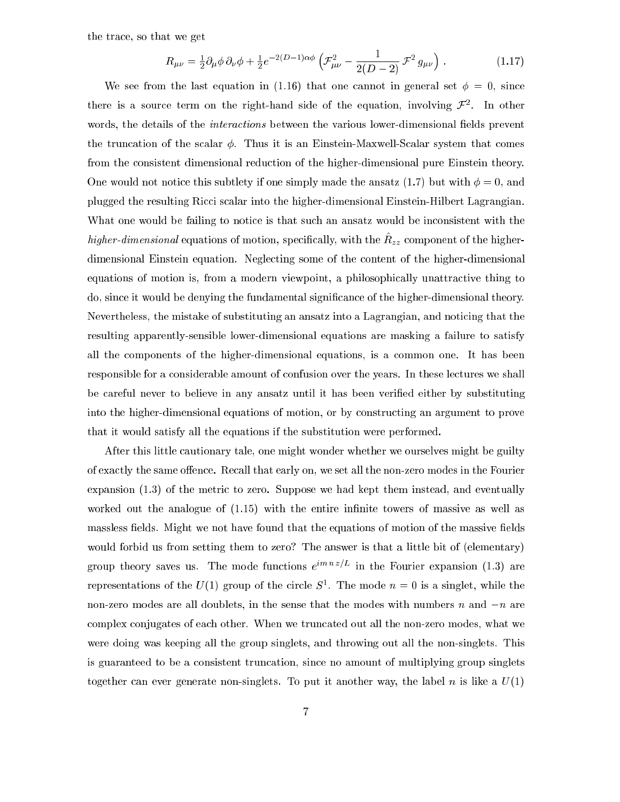the tra
e, so that we get

$$
R_{\mu\nu} = \frac{1}{2} \partial_{\mu} \phi \, \partial_{\nu} \phi + \frac{1}{2} e^{-2(D-1)\alpha\phi} \left( \mathcal{F}_{\mu\nu}^2 - \frac{1}{2(D-2)} \mathcal{F}^2 \, g_{\mu\nu} \right) \,. \tag{1.17}
$$

We see from the last equation in (1.16) that one cannot in general set  $\phi = 0$ , since there is a source term on the right-hand side of the equation, involving  $\mathcal{F}^+$ . In other words, the details of the *interactions* between the various lower-dimensional fields prevent the truncation of the scalar  $\phi$ . Thus it is an Einstein-Maxwell-Scalar system that comes from the onsistent dimensional redu
tion of the higher-dimensional pure Einstein theory. One would not notice this subtlety if one simply made the ansatz (1.7) but with  $\phi = 0$ , and plugged the resulting Ricci scalar into the higher-dimensional Einstein-Hilbert Lagrangian. What one would be failing to notice is that such an ansatz would be inconsistent with the  $n$ igher-dimensional equations of motion, specifically, with the  $n_{zz}$  component of the higherdimensional Einstein equation. Neglecting some of the content of the higher-dimensional equations of motion is, from a modern viewpoint, a philosophically unattractive thing to do, since it would be denying the fundamental significance of the higher-dimensional theory. Nevertheless, the mistake of substituting an ansatz into a Lagrangian, and noticing that the resulting apparently-sensible lower-dimensional equations are masking a failure to satisfy all the omponents of the higher-dimensional equations, is a ommon one. It has been responsible for a considerable amount of confusion over the years. In these lectures we shall be areful never to believe in any ansatz until it has been veried either by substituting into the higher-dimensional equations of motion, or by onstru
ting an argument to prove that it would satisfy all the equations if the substitution were performed.

After this little autionary tale, one might wonder whether we ourselves might be guilty of exactly the same offence. Recall that early on, we set all the non-zero modes in the Fourier expansion (1.3) of the metric to zero. Suppose we had kept them instead, and eventually worked out the analogue of  $(1.15)$  with the entire infinite towers of massive as well as massless fields. Might we not have found that the equations of motion of the massive fields would forbid us from setting them to zero? The answer is that a little bit of (elementary) group theory saves us. The mode functions  $e$  in the Fourier expansion (1.3) are representations of the  $U(1)$  group of the circle  $S^{\perp}$ . The mode  $n = 0$  is a singlet, while the non-zero modes are all doublets, in the sense that the modes with numbers  $n$  and  $-n$  are complex conjugates of each other. When we truncated out all the non-zero modes, what we were doing was keeping all the group singlets, and throwing out all the non-singlets. This is guaranteed to be a onsistent trun
ation, sin
e no amount of multiplying group singlets together can ever generate non-singlets. To put it another way, the label n is like a  $U(1)$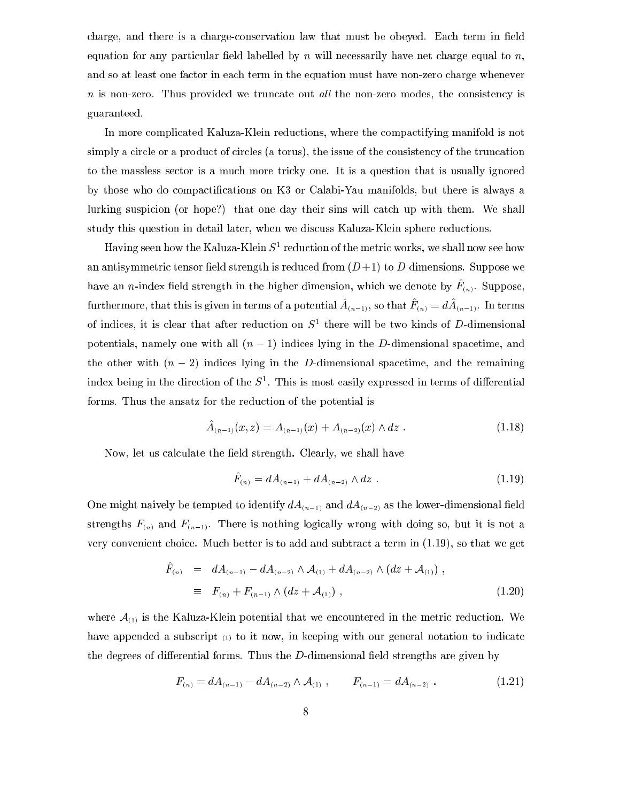charge, and there is a charge-conservation law that must be obeyed. Each term in field equation for any particular field labelled by  $n$  will necessarily have net charge equal to  $n$ , and so at least one factor in each term in the equation must have non-zero charge whenever  $n$  is non-zero. Thus provided we truncate out all the non-zero modes, the consistency is guaranteed.

In more ompli
ated Kaluza-Klein redu
tions, where the ompa
tifying manifold is not simply a circle or a product of circles (a torus), the issue of the consistency of the truncation to the massless se
tor is a mu
h more tri
ky one. It is a question that is usually ignored by those who do compactifications on K3 or Calabi-Yau manifolds, but there is always a lurking suspicion (or hope?) that one day their sins will catch up with them. We shall study this question in detail later, when we discuss Kaluza-Klein sphere reductions.

Having seen now the Kaluza-Klein  $S^\perp$  reduction of the metric works, we shall now see how an antisymmetric tensor field strength is reduced from  $(D+1)$  to D dimensions. Suppose we have an *n*-index herd strength in the higher dimension, which we denote by  $F_{(n)}$ . Suppose, furthermore, that this is given in terms of a potential  $A_{(n-1)}$ , so that  $F_{(n)} = aA_{(n-1)}$ . In terms of indices, it is clear that after reduction on  $S^+$  there will be two kinds of  $D$ -dimensional potentials, namely one with all  $(n - 1)$  indices lying in the D-dimensional spacetime, and the other with  $(n - 2)$  indices lying in the D-dimensional spacetime, and the remaining  $_{\rm{mdeg}}$  being in the direction of the  $_{\rm{5}}$  . This is most easily expressed in terms of differential forms. Thus the ansatz for the reduction of the potential is

$$
\hat{A}_{(n-1)}(x,z) = A_{(n-1)}(x) + A_{(n-2)}(x) \wedge dz . \qquad (1.18)
$$

Now, let us calculate the field strength. Clearly, we shall have

$$
\hat{F}_{(n)} = dA_{(n-1)} + dA_{(n-2)} \wedge dz \tag{1.19}
$$

One might naively be tempted to identify  $dA_{(n-1)}$  and  $dA_{(n-2)}$  as the lower-dimensional field strengths  $F_{(n)}$  and  $F_{(n-1)}$ . There is nothing logically wrong with doing so, but it is not a very onvenient hoi
e. Mu
h better is to add and subtra
t a term in (1.19), so that we get

$$
\hat{F}_{(n)} = dA_{(n-1)} - dA_{(n-2)} \wedge \mathcal{A}_{(1)} + dA_{(n-2)} \wedge (dz + \mathcal{A}_{(1)}) ,
$$
\n
$$
\equiv F_{(n)} + F_{(n-1)} \wedge (dz + \mathcal{A}_{(1)}) ,
$$
\n(1.20)

where  $A_{(1)}$  is the Kaluza-Klein potential that we encountered in the metric reduction. We have appended a subscript (1) to it now, in keeping with our general notation to indicate the degrees of differential forms. Thus the  $D$ -dimensional field strengths are given by

$$
F_{(n)} = dA_{(n-1)} - dA_{(n-2)} \wedge A_{(1)}, \qquad F_{(n-1)} = dA_{(n-2)} . \qquad (1.21)
$$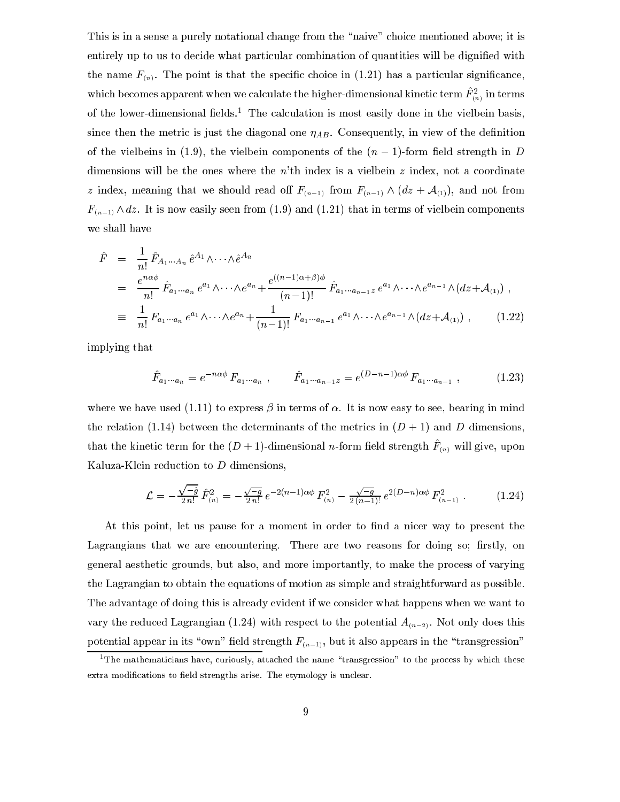This is in a sense a purely notational change from the "naive" choice mentioned above; it is entirely up to us to decide what particular combination of quantities will be dignified with the name  $F_{(n)}$ . The point is that the specific choice in (1.21) has a particular significance, which becomes apparent when we calculate the higher-dimensional kinetic term  $F^{\tau}_{(n)}$  in terms of the lower-dimensional neigs. The calculation is most easily done in the vielbein basis, since then the metric is just the diagonal one  $\eta_{AB}$ . Consequently, in view of the definition of the vielbeins in (1.9), the vielbein components of the  $(n-1)$ -form field strength in D dimensions will be the ones where the  $n<sup>th</sup>$  index is a vielbein z index, not a coordinate z index, meaning that we should read off  $F_{(n-1)}$  from  $F_{(n-1)} \wedge (dz + A_{(1)})$ , and not from  $F_{(n-1)} \wedge dz$ . It is now easily seen from (1.9) and (1.21) that in terms of vielbein components we shall have

$$
\hat{F} = \frac{1}{n!} \hat{F}_{A_1 \cdots A_n} \hat{e}^{A_1} \wedge \cdots \wedge \hat{e}^{A_n}
$$
\n
$$
= \frac{e^{n \alpha \phi}}{n!} \hat{F}_{a_1 \cdots a_n} e^{a_1} \wedge \cdots \wedge e^{a_n} + \frac{e^{((n-1)\alpha + \beta)\phi}}{(n-1)!} \hat{F}_{a_1 \cdots a_{n-1}z} e^{a_1} \wedge \cdots \wedge e^{a_{n-1}} \wedge (dz + \mathcal{A}_{(1)}) ,
$$
\n
$$
\equiv \frac{1}{n!} F_{a_1 \cdots a_n} e^{a_1} \wedge \cdots \wedge e^{a_n} + \frac{1}{(n-1)!} F_{a_1 \cdots a_{n-1}} e^{a_1} \wedge \cdots \wedge e^{a_{n-1}} \wedge (dz + \mathcal{A}_{(1)}) , \qquad (1.22)
$$

implying that

$$
\hat{F}_{a_1\cdots a_n} = e^{-n\alpha\phi} F_{a_1\cdots a_n} , \qquad \hat{F}_{a_1\cdots a_{n-1}z} = e^{(D-n-1)\alpha\phi} F_{a_1\cdots a_{n-1}} , \qquad (1.23)
$$

where we have used  $(1.11)$  to express  $\beta$  in terms of  $\alpha$ . It is now easy to see, bearing in mind the relation (1.14) between the determinants of the metrics in  $(D+1)$  and D dimensions, that the kinetic term for the  $(D+1)$ -dimensional *n*-form field strength  $T_{(n)}$  will give, upon Kaluza-Klein redu
tion to D dimensions,

$$
\mathcal{L} = -\frac{\sqrt{-\hat{g}}}{2 n!} \,\hat{F}_{(n)}^2 = -\frac{\sqrt{-g}}{2 n!} \, e^{-2(n-1)\alpha\phi} \, F_{(n)}^2 - \frac{\sqrt{-g}}{2(n-1)!} \, e^{2(D-n)\alpha\phi} \, F_{(n-1)}^2 \, . \tag{1.24}
$$

At this point, let us pause for a moment in order to find a nicer way to present the Lagrangians that we are encountering. There are two reasons for doing so; firstly, on general aestheti grounds, but also, and more importantly, to make the pro
ess of varying the Lagrangian to obtain the equations of motion as simple and straightforward as possible. The advantage of doing this is already evident if we consider what happens when we want to vary the reduced Lagrangian (1.24) with respect to the potential  $A_{(n-2)}$ . Not only does this potential appear in its "own" field strength  $F_{(n-1)}$ , but it also appears in the "transgression"

The mathematicians have, curiously, attached the name "transgression" to the process by which these  $\,$ extra modifications to field strengths arise. The etymology is unclear.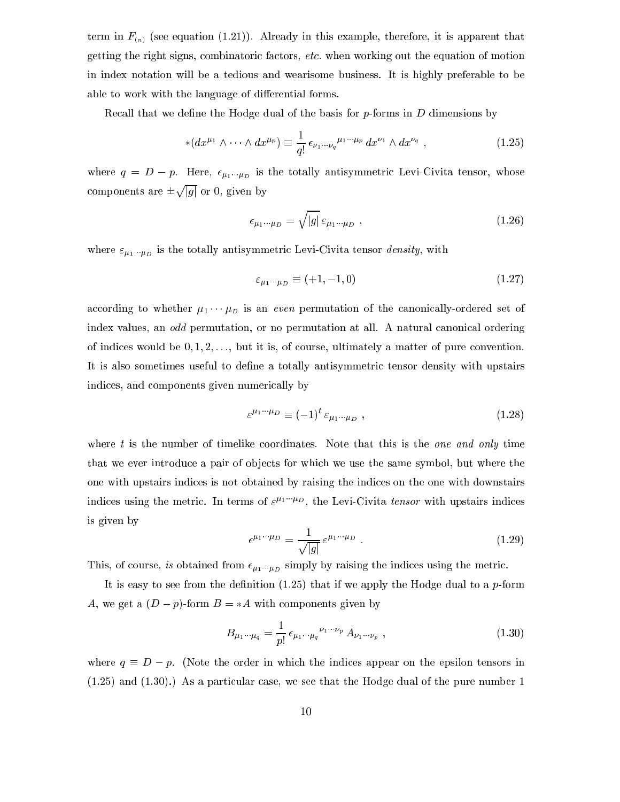term in  $F_{(n)}$  (see equation (1.21)). Already in this example, therefore, it is apparent that getting the right signs, ombinatori fa
tors, et
. when working out the equation of motion in index notation will be a tedious and wearisome business. It is highly preferable to be able to work with the language of differential forms.

Recall that we define the Hodge dual of the basis for  $p$ -forms in  $D$  dimensions by

$$
*(dx^{\mu_1} \wedge \cdots \wedge dx^{\mu_p}) \equiv \frac{1}{q!} \epsilon_{\nu_1 \cdots \nu_q}{}^{\mu_1 \cdots \mu_p} dx^{\nu_1} \wedge dx^{\nu_q} , \qquad (1.25)
$$

where  $q = D - p$ . Here,  $\epsilon_{\mu_1 \cdots \mu_D}$  is the totally antisymmetric Levi-Civita tensor, whose omponents are provided and the same jgj or 0, given by

$$
\epsilon_{\mu_1\cdots\mu_D} = \sqrt{|g|} \,\epsilon_{\mu_1\cdots\mu_D} \tag{1.26}
$$

where  $\varepsilon_{\mu_1\cdots\mu_D}$  is the totally antisymmetric Levi-Civita tensor *density*, with

$$
\varepsilon_{\mu_1\cdots\mu_D} \equiv (+1, -1, 0) \tag{1.27}
$$

according to whether  $\mu_1 \cdots \mu_D$  is an *even* permutation of the canonically-ordered set of index values, an *odd* permutation, or no permutation at all. A natural canonical ordering of indices would be  $0, 1, 2, \ldots$ , but it is, of course, ultimately a matter of pure convention. It is also sometimes useful to define a totally antisymmetric tensor density with upstairs indi
es, and omponents given numeri
ally by

$$
\varepsilon^{\mu_1\cdots\mu_D} \equiv (-1)^t \varepsilon_{\mu_1\cdots\mu_D} , \qquad (1.28)
$$

where  $t$  is the number of timelike coordinates. Note that this is the *one and only* time that we ever introduce a pair of objects for which we use the same symbol, but where the one with upstairs indi
es is not obtained by raising the indi
es on the one with downstairs indices using the metric. In terms of  $\varepsilon^{\mu_1 \cdots \mu_D}$ , the Levi-Civita tensor with upstairs indices is given by

$$
\epsilon^{\mu_1\cdots\mu_D} = \frac{1}{\sqrt{|g|}} \epsilon^{\mu_1\cdots\mu_D} \tag{1.29}
$$

This, of course, is obtained from  $\epsilon_{\mu_1\cdots\mu_D}$  simply by raising the indices using the metric.

It is easy to see from the definition  $(1.25)$  that if we apply the Hodge dual to a p-form A, we get a  $(D - p)$ -form  $B = *A$  with components given by

$$
B_{\mu_1 \cdots \mu_q} = \frac{1}{p!} \epsilon_{\mu_1 \cdots \mu_q}^{\nu_1 \cdots \nu_p} A_{\nu_1 \cdots \nu_p} , \qquad (1.30)
$$

where  $q \equiv D - p$ . (Note the order in which the indices appear on the epsilon tensors in  $(1.25)$  and  $(1.30)$ .) As a particular case, we see that the Hodge dual of the pure number 1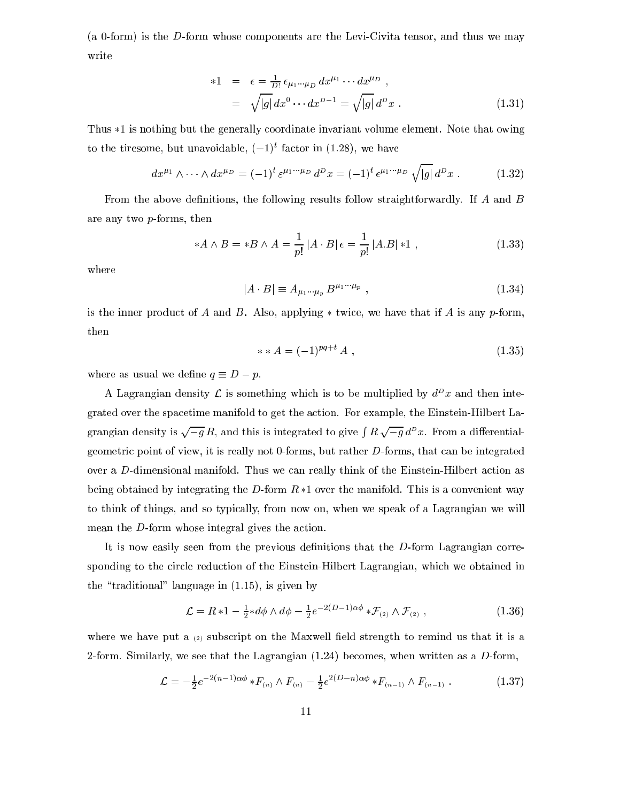(a 0-form) is the D-form whose omponents are the Levi-Civita tensor, and thus we may write

\*1 = 
$$
\epsilon = \frac{1}{D!} \epsilon_{\mu_1 \cdots \mu_D} dx^{\mu_1} \cdots dx^{\mu_D}
$$
,  
\n=  $\sqrt{|g|} dx^0 \cdots dx^{D-1} = \sqrt{|g|} d^D x$ . (1.31)

Thus  $*1$  is nothing but the generally coordinate invariant volume element. Note that owing to the tiresome, but unavoidable,  $(-1)^t$  factor in  $(1.28)$ , we have

$$
dx^{\mu_1} \wedge \cdots \wedge dx^{\mu_D} = (-1)^t \varepsilon^{\mu_1 \cdots \mu_D} d^D x = (-1)^t \varepsilon^{\mu_1 \cdots \mu_D} \sqrt{|g|} d^D x . \qquad (1.32)
$$

From the above definitions, the following results follow straightforwardly. If  $A$  and  $B$ are any two p-forms, then

$$
*A \wedge B = *B \wedge A = \frac{1}{p!} |A \cdot B| \epsilon = \frac{1}{p!} |A.B| * 1 , \qquad (1.33)
$$

where

$$
|A \cdot B| \equiv A_{\mu_1 \cdots \mu_p} B^{\mu_1 \cdots \mu_p} \tag{1.34}
$$

is the inner product of A and B. Also, applying  $*$  twice, we have that if A is any p-form, then

$$
** A = (-1)^{pq+t} A , \t\t(1.35)
$$

where as usual we define  $q \equiv D - p$ .

A Lagrangian density  $\mathcal L$  is something which is to be multiplied by  $d^D x$  and then integrated over the spa
etime manifold to get the a
tion. For example, the Einstein-Hilbert Lagrangian density is  $\sqrt{-q} R$ , and this is integrated to give  $\int R \sqrt{-q} d^D x$ . From a differentialgeometri point of view, it is really not 0-forms, but rather D-forms, that an be integrated over a D-dimensional manifold. Thus we can really think of the Einstein-Hilbert action as being obtained by integrating the D-form  $R*1$  over the manifold. This is a convenient way to think of things, and so typi
ally, from now on, when we speak of a Lagrangian we will mean the  $D$ -form whose integral gives the action.

It is now easily seen from the previous definitions that the  $D$ -form Lagrangian corresponding to the circle reduction of the Einstein-Hilbert Lagrangian, which we obtained in the "traditional" language in  $(1.15)$ , is given by

$$
\mathcal{L} = R * 1 - \frac{1}{2} * d\phi \wedge d\phi - \frac{1}{2} e^{-2(D-1)\alpha\phi} * \mathcal{F}_{(2)} \wedge \mathcal{F}_{(2)}, \qquad (1.36)
$$

where we have put a  $(2)$  subscript on the Maxwell field strength to remind us that it is a 2-form. Similarly, we see that the Lagrangian  $(1.24)$  becomes, when written as a D-form,

$$
\mathcal{L} = -\frac{1}{2}e^{-2(n-1)\alpha\phi} * F_{(n)} \wedge F_{(n)} - \frac{1}{2}e^{2(D-n)\alpha\phi} * F_{(n-1)} \wedge F_{(n-1)} . \qquad (1.37)
$$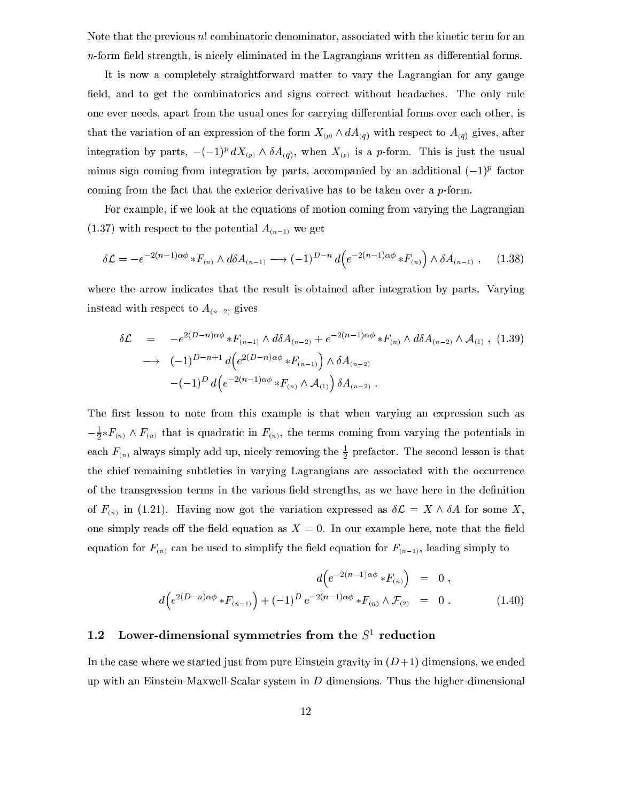Note that the previous n! combinatoric denominator, associated with the kinetic term for an  $n$ -form field strength, is nicely eliminated in the Lagrangians written as differential forms.

It is now a ompletely straightforward matter to vary the Lagrangian for any gauge field, and to get the combinatorics and signs correct without headaches. The only rule one ever needs, apart from the usual ones for carrying differential forms over each other, is that the variation of an expression of the form  $X_{(p)} \wedge dA_{(q)}$  with respect to  $A_{(q)}$  gives, after integration by parts,  $-(-1)^{\mu} a \Lambda_{(p)} \wedge o \Lambda_{(q)}$ , when  $\Lambda_{(p)}$  is a p-form. This is just the usual  $\min$ us sign coming from integration by parts, accompanied by an additional ( $-1$ ) factor coming from the fact that the exterior derivative has to be taken over a p-form.

For example, if we look at the equations of motion oming from varying the Lagrangian  $(1.37)$  with respect to the potential  $A_{(n-1)}$  we get

$$
\delta \mathcal{L} = -e^{-2(n-1)\alpha\phi} * F_{(n)} \wedge d\delta A_{(n-1)} \longrightarrow (-1)^{D-n} d\Big(e^{-2(n-1)\alpha\phi} * F_{(n)}\Big) \wedge \delta A_{(n-1)}, \quad (1.38)
$$

where the arrow indicates that the result is obtained after integration by parts. Varying instead with respect to  $A_{(n-2)}$  gives

$$
\delta \mathcal{L} = -e^{2(D-n)\alpha\phi} * F_{(n-1)} \wedge d\delta A_{(n-2)} + e^{-2(n-1)\alpha\phi} * F_{(n)} \wedge d\delta A_{(n-2)} \wedge A_{(1)} , (1.39)
$$
  
\n
$$
\longrightarrow (-1)^{D-n+1} d\Big(e^{2(D-n)\alpha\phi} * F_{(n-1)}\Big) \wedge \delta A_{(n-2)} - (-1)^D d\Big(e^{-2(n-1)\alpha\phi} * F_{(n)} \wedge A_{(1)}\Big) \delta A_{(n-2)} .
$$

The first lesson to note from this example is that when varying an expression such as  $-\frac{1}{2}$ \* $F_{(n)}$   $\wedge$   $F_{(n)}$  that is quadratic in  $F_{(n)}$ , the terms coming from varying the potentials in each  $F_{(n)}$  always simply add up, nicely removing the  $\frac{1}{2}$  prefactor. The second lesson is that the chief remaining subtleties in varying Lagrangians are associated with the occurrence of the transgression terms in the various field strengths, as we have here in the definition of  $F_{(n)}$  in (1.21). Having now got the variation expressed as  $\delta \mathcal{L} = X \wedge \delta A$  for some X, one simply reads off the field equation as  $X = 0$ . In our example here, note that the field equation for  $F_{(n)}$  can be used to simplify the field equation for  $F_{(n-1)}$ , leading simply to

$$
d\left(e^{-2(n-1)\alpha\phi} * F_{(n)}\right) = 0,
$$
  

$$
d\left(e^{2(D-n)\alpha\phi} * F_{(n-1)}\right) + (-1)^D e^{-2(n-1)\alpha\phi} * F_{(n)} \wedge \mathcal{F}_{(2)} = 0.
$$
 (1.40)

#### 1.2 Lower-dimensional symmetries from the S<sup>-</sup> reduction

In the case where we started just from pure Einstein gravity in  $(D+1)$  dimensions, we ended up with an Einstein-Maxwell-Scalar system in  $D$  dimensions. Thus the higher-dimensional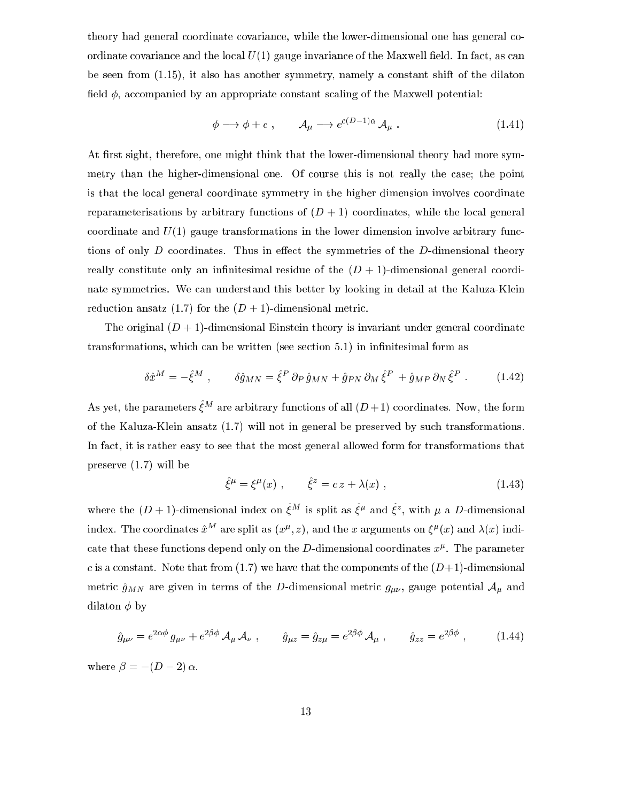theory had general oordinate ovarian
e, while the lower-dimensional one has general oordinate covariance and the local  $U(1)$  gauge invariance of the Maxwell field. In fact, as can be seen from (1.15), it also has another symmetry, namely a onstant shift of the dilaton field  $\phi$ , accompanied by an appropriate constant scaling of the Maxwell potential:

$$
\phi \longrightarrow \phi + c \;, \qquad \mathcal{A}_{\mu} \longrightarrow e^{c(D-1)\alpha} \mathcal{A}_{\mu} \; . \tag{1.41}
$$

At first sight, therefore, one might think that the lower-dimensional theory had more symmetry than the higher-dimensional one. Of course this is not really the case; the point is that the lo
al general oordinate symmetry in the higher dimension involves oordinate reparameterisations by arbitrary functions of  $(D + 1)$  coordinates, while the local general coordinate and  $U(1)$  gauge transformations in the lower dimension involve arbitrary functions of only  $D$  coordinates. Thus in effect the symmetries of the  $D$ -dimensional theory really constitute only an infinitesimal residue of the  $(D + 1)$ -dimensional general coordinate symmetries. We an understand this better by looking in detail at the Kaluza-Klein reduction ansatz (1.7) for the  $(D + 1)$ -dimensional metric.

The original  $(D+1)$ -dimensional Einstein theory is invariant under general coordinate transformations, which can be written (see section 5.1) in infinitesimal form as

$$
\delta \hat{x}^M = -\hat{\xi}^M , \qquad \delta \hat{g}_{MN} = \hat{\xi}^P \partial_P \hat{g}_{MN} + \hat{g}_{PN} \partial_M \hat{\xi}^P + \hat{g}_{MP} \partial_N \hat{\xi}^P . \qquad (1.42)
$$

As yet, the parameters  $\varepsilon^{-\alpha}$  are arbitrary functions of all ( $D + 1$ ) coordinates. Now, the form of the Kaluza-Klein ansatz (1.7) will not in general be preserved by su
h transformations. In fact, it is rather easy to see that the most general allowed form for transformations that preserve (1.7) will be

$$
\hat{\xi}^{\mu} = \xi^{\mu}(x) , \qquad \hat{\xi}^{z} = cz + \lambda(x) , \qquad (1.43)
$$

where the  $(D + 1)$ -dimensional index on  $\zeta$  is spitt as  $\zeta^{\kappa}$  and  $\zeta$  , with  $\mu$  a D-dimensional index. The coordinates  $x^{**}$  are spin as  $(x^*, z)$ , and the x arguments on  $\zeta^*(x)$  and  $\lambda(x)$  indicate that these functions depend only on the  $D$ -dimensional coordinates  $x_r$  . The parameter c is a constant. Note that from  $(1.7)$  we have that the components of the  $(D+1)$ -dimensional metric  $\hat{g}_{MN}$  are given in terms of the D-dimensional metric  $g_{\mu\nu}$ , gauge potential  $\mathcal{A}_{\mu}$  and dilaton  $\phi$  by

$$
\hat{g}_{\mu\nu} = e^{2\alpha\phi} g_{\mu\nu} + e^{2\beta\phi} \mathcal{A}_{\mu} \mathcal{A}_{\nu} , \qquad \hat{g}_{\mu z} = \hat{g}_{z\mu} = e^{2\beta\phi} \mathcal{A}_{\mu} , \qquad \hat{g}_{z z} = e^{2\beta\phi} , \qquad (1.44)
$$

where  $\beta = -(D-2)\alpha$ .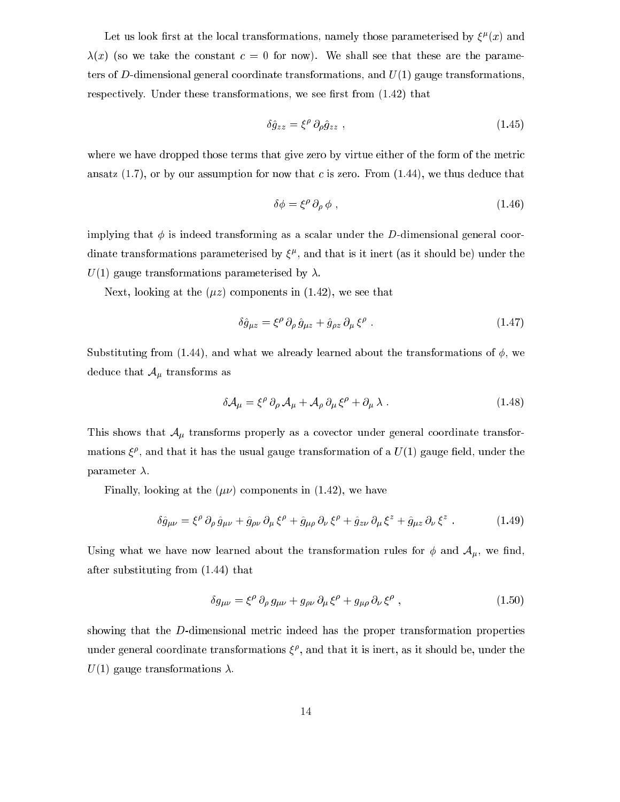Let us look hirst at the local transformations, namely those parameterised by  $\zeta^r(x)$  and  $\lambda(x)$  (so we take the constant  $c = 0$  for now). We shall see that these are the parameters of D-dimensional general coordinate transformations, and  $U(1)$  gauge transformations, respectively. Under these transformations, we see first from  $(1.42)$  that

$$
\delta \hat{g}_{zz} = \xi^{\rho} \, \partial_{\rho} \hat{g}_{zz} \,, \tag{1.45}
$$

where we have dropped those terms that give zero by virtue either of the form of the metric ansatz  $(1.7)$ , or by our assumption for now that c is zero. From  $(1.44)$ , we thus deduce that

$$
\delta \phi = \xi^{\rho} \, \partial_{\rho} \, \phi \tag{1.46}
$$

implying that  $\phi$  is indeed transforming as a scalar under the D-dimensional general coordinate transformations parameterised by  $\zeta^r$ , and that is it inert (as it should be) under the  $U(1)$  gauge transformations parameterised by  $\lambda$ .

Next, looking at the  $(\mu z)$  components in (1.42), we see that

$$
\delta \hat{g}_{\mu z} = \xi^{\rho} \partial_{\rho} \hat{g}_{\mu z} + \hat{g}_{\rho z} \partial_{\mu} \xi^{\rho} . \qquad (1.47)
$$

Substituting from (1.44), and what we already learned about the transformations of  $\phi$ , we deduce that  $\mathcal{A}_{\mu}$  transforms as

$$
\delta \mathcal{A}_{\mu} = \xi^{\rho} \, \partial_{\rho} \, \mathcal{A}_{\mu} + \mathcal{A}_{\rho} \, \partial_{\mu} \, \xi^{\rho} + \partial_{\mu} \, \lambda \ . \tag{1.48}
$$

This shows that  $A_{\mu}$  transforms properly as a covector under general coordinate transformations  $\zeta^r$ , and that it has the usual gauge transformation of a  $U(1)$  gauge held, under the parameter  $\lambda$ .

Finally, looking at the  $(\mu\nu)$  components in (1.42), we have

$$
\delta \hat{g}_{\mu\nu} = \xi^{\rho} \, \partial_{\rho} \hat{g}_{\mu\nu} + \hat{g}_{\rho\nu} \, \partial_{\mu} \, \xi^{\rho} + \hat{g}_{\mu\rho} \, \partial_{\nu} \, \xi^{\rho} + \hat{g}_{z\nu} \, \partial_{\mu} \, \xi^{z} + \hat{g}_{\mu z} \, \partial_{\nu} \, \xi^{z} \ . \tag{1.49}
$$

Using what we have now learned about the transformation rules for  $\phi$  and  $\mathcal{A}_{\mu}$ , we find, after substituting from (1.44) that

$$
\delta g_{\mu\nu} = \xi^{\rho} \, \partial_{\rho} \, g_{\mu\nu} + g_{\rho\nu} \, \partial_{\mu} \, \xi^{\rho} + g_{\mu\rho} \, \partial_{\nu} \, \xi^{\rho} \;, \tag{1.50}
$$

showing that the D-dimensional metri indeed has the proper transformation properties under general coordinate transformations  $\xi^r$ , and that it is inert, as it should be, under the  $U(1)$  gauge transformations  $\lambda$ .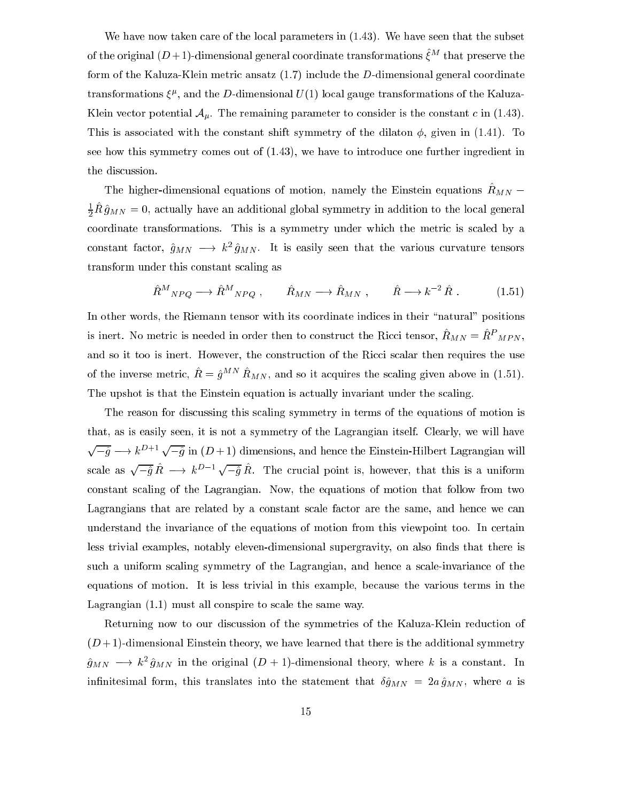We have now taken care of the local parameters in  $(1.43)$ . We have seen that the subset of the original ( $D+1$ )-dimensional general coordinate transformations  $\varepsilon^{**}$  that preserve the form of the Kaluza-Klein metric ansatz (1.7) include the D-dimensional general coordinate transformations  $\zeta^F$ , and the D-dimensional  $U(1)$  local gauge transformations of the Kaluza-Klein vector potential  $A_{\mu}$ . The remaining parameter to consider is the constant c in (1.43). This is associated with the constant shift symmetry of the dilaton  $\phi$ , given in (1.41). To see how this symmetry omes out of (1.43), we have to introdu
e one further ingredient in the discussion.

The higher-dimensional equations of motion, namely the Einstein equations  $R_{MN}$  =  $\frac{1}{2}$   $R\,g_{MN} =$  0, actually have an additional global symmetry in addition to the local general coordinate transformations. This is a symmetry under which the metric is scaled by a constant factor,  $g_{MN} \longrightarrow \kappa^2 g_{MN}$ . It is easily seen that the various curvature tensors transform under this onstant s
aling as

$$
\hat{R}^M{}_{NPQ} \longrightarrow \hat{R}^M{}_{NPQ} , \qquad \hat{R}_{MN} \longrightarrow \hat{R}_{MN} , \qquad \hat{R} \longrightarrow k^{-2} \hat{R} . \tag{1.51}
$$

In other words, the Riemann tensor with its coordinate indices in their "natural" positions is mert. No metric is needed in order then to construct the Kicci tensor,  $R_{MN} = R_{\perp MPN},$ and so it too is inert. However, the construction of the Ricci scalar then requires the use of the inverse metric,  $\kappa = g - \kappa_{MN}$ , and so it acquires the scaling given above in (1.51). The upshot is that the Einstein equation is actually invariant under the scaling.

The reason for discussing this scaling symmetry in terms of the equations of motion is that, as is easily seen, it is not a symmetry of the Lagrangian itself. Clearly, we will have  $\sqrt{-\hat{q}} \longrightarrow k^{D+1} \sqrt{-\hat{q}}$  in  $(D+1)$  dimensions, and hence the Einstein-Hilbert Lagrangian will scale as  $\sqrt{-\hat{q}} R \longrightarrow k^{D-1} \sqrt{-\hat{q}} R$ . The crucial point is, however, that this is a uniform constant scaling of the Lagrangian. Now, the equations of motion that follow from two Lagrangians that are related by a constant scale factor are the same, and hence we can understand the invarian
e of the equations of motion from this viewpoint too. In ertain less trivial examples, notably eleven-dimensional supergravity, on also finds that there is such a uniform scaling symmetry of the Lagrangian, and hence a scale-invariance of the equations of motion. It is less trivial in this example, be
ause the various terms in the Lagrangian (1.1) must all conspire to scale the same way.

Returning now to our discussion of the symmetries of the Kaluza-Klein reduction of  $(D+1)$ -dimensional Einstein theory, we have learned that there is the additional symmetry  $g_{MN} \implies \kappa^2 \ g_{MN}$  in the original ( $D$  + 1)-dimensional theory, where  $\kappa$  is a constant. In infinitesimal form, this translates into the statement that  $\delta \hat{g}_{MN} = 2a \hat{g}_{MN}$ , where a is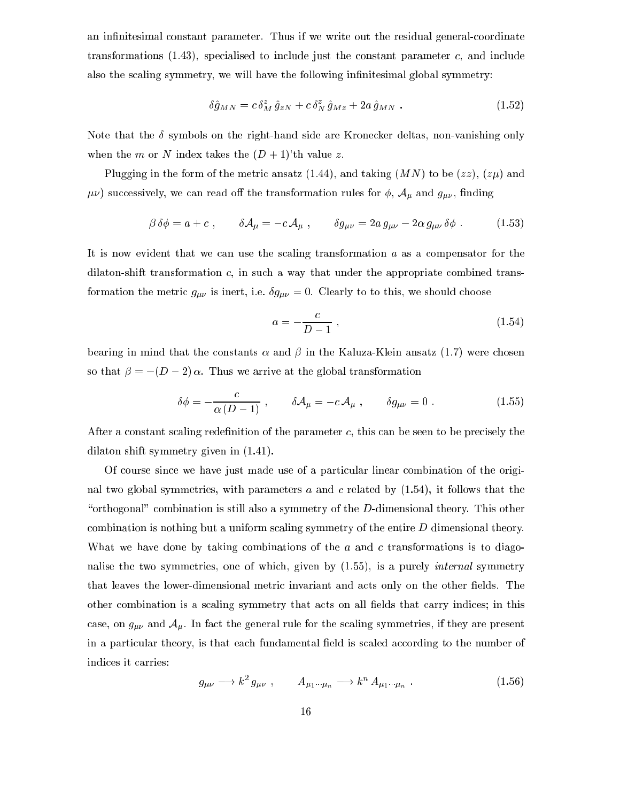an infinitesimal constant parameter. Thus if we write out the residual general-coordinate transformations  $(1.43)$ , specialised to include just the constant parameter c, and include also the scaling symmetry, we will have the following infinitesimal global symmetry:

$$
\delta \hat{g}_{MN} = c \, \delta_M^z \, \hat{g}_{zN} + c \, \delta_N^z \, \hat{g}_{Mz} + 2a \, \hat{g}_{MN} \; . \tag{1.52}
$$

Note that the  $\delta$  symbols on the right-hand side are Kronecker deltas, non-vanishing only when the m or N index takes the  $(D+1)$ 'th value z.

Plugging in the form of the metric ansatz (1.44), and taking  $(MN)$  to be  $(zz)$ ,  $(z\mu)$  and  $\mu\nu$ ) successively, we can read off the transformation rules for  $\phi$ ,  $\mathcal{A}_{\mu}$  and  $g_{\mu\nu}$ , finding

$$
\beta \delta \phi = a + c \,, \qquad \delta \mathcal{A}_{\mu} = -c \mathcal{A}_{\mu} \,, \qquad \delta g_{\mu\nu} = 2a \, g_{\mu\nu} - 2\alpha \, g_{\mu\nu} \, \delta \phi \,. \tag{1.53}
$$

It is now evident that we can use the scaling transformation  $a$  as a compensator for the dilaton-shift transformation  $c$ , in such a way that under the appropriate combined transformation the metric  $g_{\mu\nu}$  is inert, i.e.  $\delta g_{\mu\nu} = 0$ . Clearly to to this, we should choose

$$
a = -\frac{c}{D-1},\tag{1.54}
$$

bearing in mind that the constants  $\alpha$  and  $\beta$  in the Kaluza-Klein ansatz (1.7) were chosen so that  $\beta = -(D-2)\alpha$ . Thus we arrive at the global transformation

$$
\delta \phi = -\frac{c}{\alpha (D-1)}, \qquad \delta \mathcal{A}_{\mu} = -c \mathcal{A}_{\mu} , \qquad \delta g_{\mu\nu} = 0 . \qquad (1.55)
$$

After a constant scaling redefinition of the parameter  $c$ , this can be seen to be precisely the dilaton shift symmetry given in (1.41).

Of ourse sin
e we have just made use of a parti
ular linear ombination of the original two global symmetries, with parameters  $a$  and  $c$  related by  $(1.54)$ , it follows that the "orthogonal" combination is still also a symmetry of the  $D$ -dimensional theory. This other combination is nothing but a uniform scaling symmetry of the entire  $D$  dimensional theory. What we have done by taking combinations of the  $a$  and  $c$  transformations is to diagonalise the two symmetries, one of which, given by  $(1.55)$ , is a purely *internal* symmetry that leaves the lower-dimensional metric invariant and acts only on the other fields. The other combination is a scaling symmetry that acts on all fields that carry indices; in this case, on  $g_{\mu\nu}$  and  $\mathcal{A}_{\mu}$ . In fact the general rule for the scaling symmetries, if they are present in a particular theory, is that each fundamental field is scaled according to the number of indi
es it arries:

$$
g_{\mu\nu} \longrightarrow k^2 \, g_{\mu\nu} \;, \qquad A_{\mu_1 \cdots \mu_n} \longrightarrow k^n \, A_{\mu_1 \cdots \mu_n} \; . \tag{1.56}
$$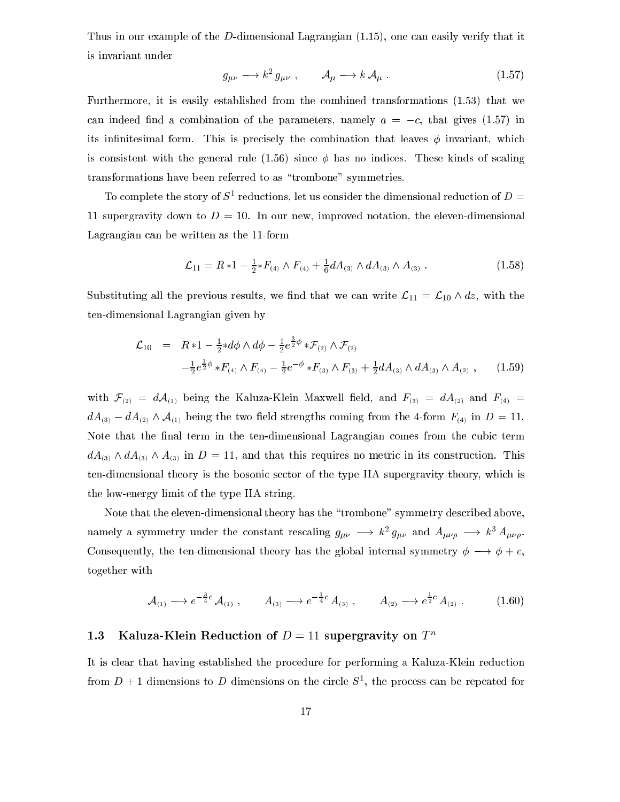Thus in our example of the  $D$ -dimensional Lagrangian  $(1.15)$ , one can easily verify that it is invariant under

$$
g_{\mu\nu} \longrightarrow k^2 \, g_{\mu\nu} \ , \qquad \mathcal{A}_{\mu} \longrightarrow k \, \mathcal{A}_{\mu} \ . \tag{1.57}
$$

Furthermore, it is easily established from the ombined transformations (1.53) that we can indeed find a combination of the parameters, namely  $a = -c$ , that gives (1.57) in its infinitesimal form. This is precisely the combination that leaves  $\phi$  invariant, which is consistent with the general rule (1.56) since  $\phi$  has no indices. These kinds of scaling transformations have been referred to as "trombone" symmetries.

To complete the story of  $S^1$  reductions, let us consider the dimensional reduction of  $D =$ 11 supergravity down to  $D = 10$ . In our new, improved notation, the eleven-dimensional Lagrangian an be written as the 11-form

$$
\mathcal{L}_{11} = R * 1 - \frac{1}{2} * F_{(4)} \wedge F_{(4)} + \frac{1}{6} dA_{(3)} \wedge dA_{(3)} \wedge A_{(3)} . \qquad (1.58)
$$

Substituting all the previous results, we find that we can write  $\mathcal{L}_{11} = \mathcal{L}_{10} \wedge dz$ , with the ten-dimensional Lagrangian given by

$$
\mathcal{L}_{10} = R * 1 - \frac{1}{2} * d\phi \wedge d\phi - \frac{1}{2} e^{\frac{3}{2}\phi} * \mathcal{F}_{(2)} \wedge \mathcal{F}_{(2)} \n- \frac{1}{2} e^{\frac{1}{2}\phi} * F_{(4)} \wedge F_{(4)} - \frac{1}{2} e^{-\phi} * F_{(3)} \wedge F_{(3)} + \frac{1}{2} dA_{(3)} \wedge dA_{(3)} \wedge A_{(2)} , \qquad (1.59)
$$

with  $\mathcal{F}_{(2)} = d\mathcal{A}_{(1)}$  being the Kaluza-Klein Maxwell field, and  $F_{(3)} = dA_{(2)}$  and  $F_{(4)} =$  $dA_{(3)} - dA_{(2)} \wedge A_{(1)}$  being the two field strengths coming from the 4-form  $F_{(4)}$  in  $D = 11$ . Note that the final term in the ten-dimensional Lagrangian comes from the cubic term  $dA_{(3)} \wedge dA_{(3)} \wedge A_{(3)}$  in  $D = 11$ , and that this requires no metric in its construction. This ten-dimensional theory is the bosonic sector of the type IIA supergravity theory, which is the low-energy limit of the type IIA string.

Note that the eleven-dimensional theory has the "trombone" symmetry described above, namely a symmetry under the constant rescalling  $g_{\mu\nu} \, \longrightarrow \, \kappa^2 \, g_{\mu\nu}$  and  $A_{\mu\nu\rho} \, \longrightarrow \, \kappa^2 \, A_{\mu\nu\rho}$ . Consequently, the ten-dimensional theory has the global internal symmetry  $\phi \longrightarrow \phi + c$ , together with

$$
\mathcal{A}_{(1)} \longrightarrow e^{-\frac{3}{4}c} \mathcal{A}_{(1)}, \qquad A_{(3)} \longrightarrow e^{-\frac{1}{4}c} A_{(3)}, \qquad A_{(2)} \longrightarrow e^{\frac{1}{2}c} A_{(2)}.
$$
 (1.60)

## 1.3 Kaluza-Klein Reduction of  $D = 11$  supergravity on  $T^n$

It is clear that having established the procedure for performing a Kaluza-Klein reduction from  $D + 1$  dimensions to D dimensions on the circle  $S^1$ , the process can be repeated for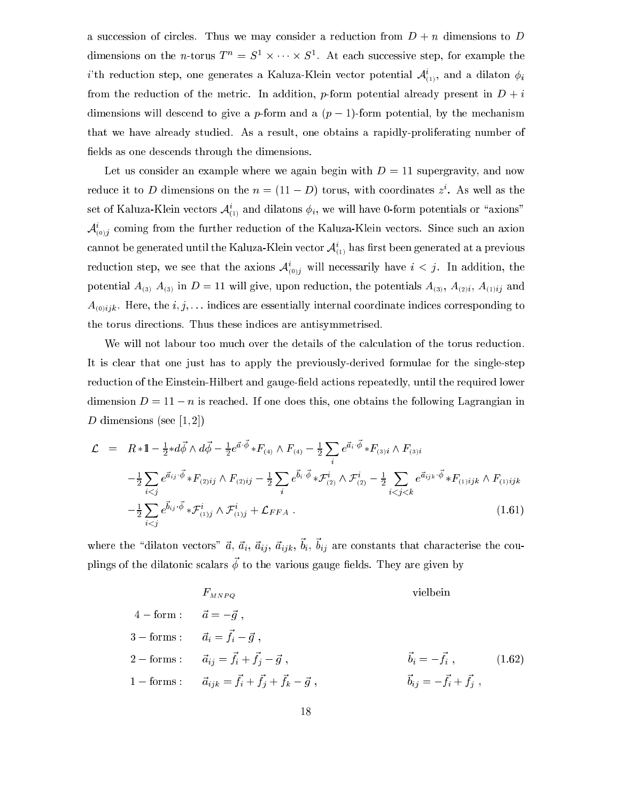a succession of circles. Thus we may consider a reduction from  $D + n$  dimensions to D dimensions on the *n*-torus  $T^* = S^* \times \cdots \times S^*$ . At each successive step, for example the i'th reduction step, one generates a Kaluza-Klein vector potential  $\mathcal{A}_{(1)}^i$ , and a dilaton  $\phi_i$ from the reduction of the metric. In addition, p-form potential already present in  $D + i$ dimensions will descend to give a p-form and a  $(p-1)$ -form potential, by the mechanism that we have already studied. As a result, one obtains a rapidly-proliferating number of fields as one descends through the dimensions.

Let us consider an example where we again begin with  $D = 11$  supergravity, and now reduce it to D dimensions on the  $n = (11 - D)$  torus, with coordinates z. As well as the set of Kaluza-Klein vectors  $A_{(1)}$  and dilatons  $\varphi_i$ , we will have 0-form potentials or axions  $A_{(0)j}$  coming from the further reduction of the Kaluza-Klein vectors. Since such an axion cannot be generated until the Kaluza-Klein vector  $\mathcal{A}_{(1)}$  has hrst been generated at a previous reduction step, we see that the axions  $A_{(0)j}$  will necessarily have  $i \leq j$ . In addition, the potential  $A_{(3)}$ ,  $A_{(3)}$  in  $D = 11$  will give, upon reduction, the potentials  $A_{(3)}$ ,  $A_{(2)i}$ ,  $A_{(1)ij}$  and  $A_{(0)ijk}$ . Here, the  $i, j, \ldots$  indices are essentially internal coordinate indices corresponding to the torus directions. Thus these indices are antisymmetrised.

We will not labour too much over the details of the calculation of the torus reduction. It is lear that one just has to apply the previously-derived formulae for the single-step reduction of the Einstein-Hilbert and gauge-field actions repeatedly, until the required lower dimension  $D = 11 - n$  is reached. If one does this, one obtains the following Lagrangian in D dimensions (see  $[1,2]$ )

$$
\mathcal{L} = R * 1 - \frac{1}{2} * d\vec{\phi} \wedge d\vec{\phi} - \frac{1}{2} e^{\vec{a} \cdot \vec{\phi}} * F_{(4)} \wedge F_{(4)} - \frac{1}{2} \sum_{i} e^{\vec{a}_{i} \cdot \vec{\phi}} * F_{(3)i} \wedge F_{(3)i}
$$
  
\n
$$
- \frac{1}{2} \sum_{i < j} e^{\vec{a}_{ij} \cdot \vec{\phi}} * F_{(2)ij} \wedge F_{(2)ij} - \frac{1}{2} \sum_{i} e^{\vec{b}_{i} \cdot \vec{\phi}} * \mathcal{F}_{(2)}^{i} \wedge \mathcal{F}_{(2)}^{i} - \frac{1}{2} \sum_{i < j < k} e^{\vec{a}_{ijk} \cdot \vec{\phi}} * F_{(1)ijk} \wedge F_{(1)ijk}
$$
  
\n
$$
- \frac{1}{2} \sum_{i < j} e^{\vec{b}_{ij} \cdot \vec{\phi}} * \mathcal{F}_{(1)j}^{i} \wedge \mathcal{F}_{(1)j}^{i} + \mathcal{L}_{FFA} .
$$
\n(1.61)

where the dilaton vectors  $u, u_i, u_{ij}, u_{ijk}, v_i, v_{ij}$  are constants that characterise the cou $p_{\text{Higgs}}$  of the dilatonic scalars  $\varphi$  to the various gauge helds. They are given by

$$
F_{MNPQ} \t\tvielbein
$$
\n
$$
4 - \text{form}: \t\t \vec{a} = -\vec{g},
$$
\n
$$
3 - \text{forms}: \t\t \vec{a}_i = \vec{f}_i - \vec{g},
$$
\n
$$
2 - \text{forms}: \t\t \vec{a}_{ij} = \vec{f}_i + \vec{f}_j - \vec{g},
$$
\n
$$
1 - \text{forms}: \t\t \vec{a}_{ijk} = \vec{f}_i + \vec{f}_j + \vec{f}_k - \vec{g},
$$
\n
$$
\vec{b}_i = -\vec{f}_i, \t\t (1.62)
$$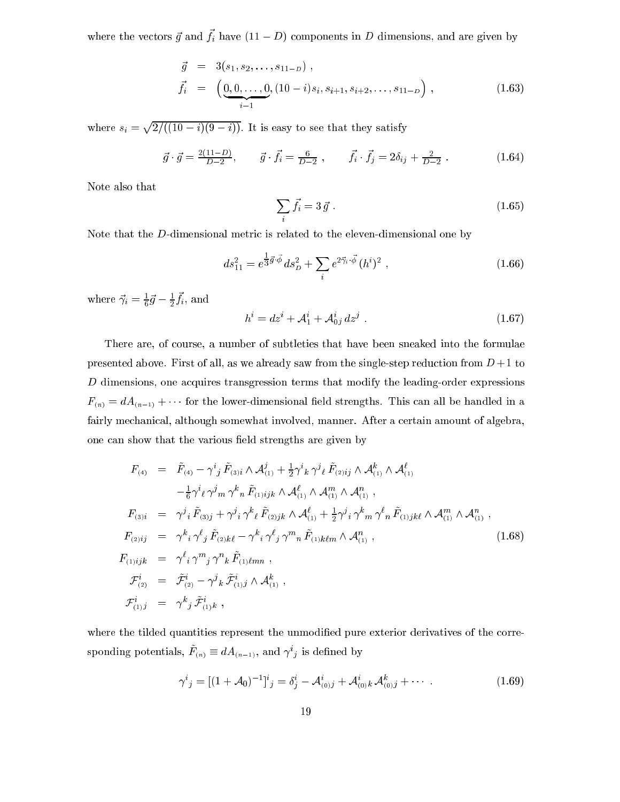where the vectors  $g$  and  $f_i$  have  $(11 - D)$  components in D dimensions, and are given by

$$
\vec{g} = 3(s_1, s_2, \dots, s_{11-D}), \n\vec{f}_i = \left( \underbrace{0, 0, \dots, 0}_{i-1}, (10-i)s_i, s_{i+1}, s_{i+2}, \dots, s_{11-D} \right),
$$
\n(1.63)

where since  $\mathbf{v}$ provided a series of the contract of  $=$ , (1 $=$   $=$   $\cdots$  ),  $\cdots$  is easy to see that the same that  $\cdots$  is easy to see that

$$
\vec{g} \cdot \vec{g} = \frac{2(11 - D)}{D - 2}, \qquad \vec{g} \cdot \vec{f}_i = \frac{6}{D - 2}, \qquad \vec{f}_i \cdot \vec{f}_j = 2\delta_{ij} + \frac{2}{D - 2}.
$$
 (1.64)

Note also that

$$
\sum_{i} \vec{f}_i = 3 \vec{g} \tag{1.65}
$$

Note that the D-dimensional metric is related to the eleven-dimensional one by

$$
ds_{11}^2 = e^{\frac{1}{3}\vec{g}\cdot\vec{\phi}}ds_D^2 + \sum_i e^{2\vec{\gamma}_i\cdot\vec{\phi}}(h^i)^2,
$$
\n(1.66)

where  $\gamma_i = \frac{1}{6}g - \frac{1}{2}J_i$ , and

$$
h^{i} = dz^{i} + A_{1}^{i} + A_{0j}^{i} dz^{j} . \qquad (1.67)
$$

There are, of course, a number of subtleties that have been sneaked into the formulae presented above. First of all, as we already saw from the single-step reduction from  $D+1$  to D dimensions, one acquires transgression terms that modify the leading-order expressions  $F_{(n)} = dA_{(n-1)} + \cdots$  for the lower-dimensional field strengths. This can all be handled in a fairly mechanical, although somewhat involved, manner. After a certain amount of algebra, one can show that the various field strengths are given by

$$
F_{(4)} = \tilde{F}_{(4)} - \gamma^{i}{}_{j} \tilde{F}_{(3)i} \wedge \mathcal{A}_{(1)}^{j} + \frac{1}{2} \gamma^{i}{}_{k} \gamma^{j}{}_{\ell} \tilde{F}_{(2)ij} \wedge \mathcal{A}_{(1)}^{k} \wedge \mathcal{A}_{(1)}^{l} -\frac{1}{6} \gamma^{i}{}_{\ell} \gamma^{j}{}_{m} \gamma^{k}{}_{n} \tilde{F}_{(1)ijk} \wedge \mathcal{A}_{(1)}^{l} \wedge \mathcal{A}_{(1)}^{m} \wedge \mathcal{A}_{(1)}^{n} \mathcal{A}_{(1)}^{n} \mathcal{F}_{(3)i} = \gamma^{j}{}_{i} \tilde{F}_{(3)j} + \gamma^{j}{}_{i} \gamma^{k}{}_{\ell} \tilde{F}_{(2)jk} \wedge \mathcal{A}_{(1)}^{l} + \frac{1}{2} \gamma^{j}{}_{i} \gamma^{k}{}_{m} \gamma^{l}{}_{n} \tilde{F}_{(1)jk\ell} \wedge \mathcal{A}_{(1)}^{m} \wedge \mathcal{A}_{(1)}^{n} \mathcal{F}_{(2)ij} = \gamma^{k}{}_{i} \gamma^{l}{}_{j} \tilde{F}_{(2)kk} - \gamma^{k}{}_{i} \gamma^{l}{}_{j} \gamma^{m}{}_{n} \tilde{F}_{(1)kkm} \wedge \mathcal{A}_{(1)}^{n} \mathcal{F}_{(1)ijk}^{i} = \gamma^{l}{}_{i} \gamma^{m}{}_{j} \gamma^{n}{}_{k} \tilde{F}_{(1)lmn} , \mathcal{F}_{(2)}^{i} = \tilde{\mathcal{F}}_{(2)}^{i} - \gamma^{j}{}_{k} \tilde{\mathcal{F}}_{(1)j}^{i} \wedge \mathcal{A}_{(1)}^{k} , \qquad (1.68)
$$

where the tilded quantities represent the unmodified pure exterior derivatives of the corresponding potentials,  $F_{(n)} = a A_{(n-1)}$ , and  $\gamma$  is defined by

$$
\gamma^{i}{}_{j} = [(1 + \mathcal{A}_{0})^{-1}]^{i}{}_{j} = \delta^{i}{}_{j} - \mathcal{A}^{i}{}_{(0)j} + \mathcal{A}^{i}{}_{(0)k} \mathcal{A}^{k}{}_{(0)j} + \cdots
$$
\n(1.69)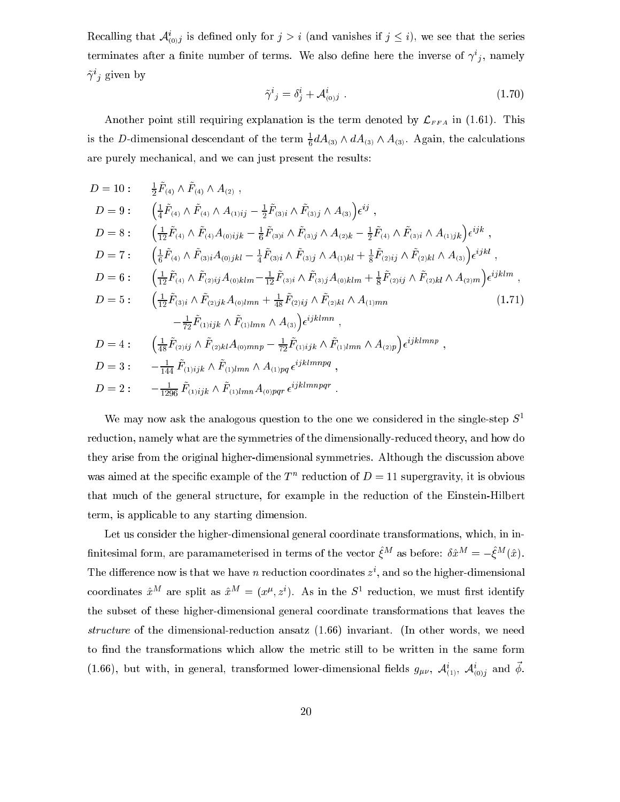Recalling that  $A_{(0)}j$  is defined only for  $j > i$  (and vanishes if  $j \leq i$ ), we see that the series terminates after a nuite number of terms. We also denne here the inverse of  $\gamma_{ij}$ , namely  $\gamma$  ; given by

$$
\tilde{\gamma}^i{}_j = \delta^i_j + \mathcal{A}^i_{(0)j} \tag{1.70}
$$

Another point still requiring explanation is the term denoted by  $\mathcal{L}_{FFA}$  in (1.61). This is the D-dimensional descendant of the term  $\frac{2}{6} a A_{(3)} \wedge a A_{(3)} \wedge A_{(3)}$ . Again, the calculations are purely me
hani
al, and we an just present the results:

$$
D = 10: \frac{1}{2}\tilde{F}_{(4)} \wedge \tilde{F}_{(4)} \wedge A_{(2)},
$$
  
\n
$$
D = 9: \left(\frac{1}{4}\tilde{F}_{(4)} \wedge \tilde{F}_{(4)} \wedge A_{(1)ij} - \frac{1}{2}\tilde{F}_{(3)i} \wedge \tilde{F}_{(3)j} \wedge A_{(3)}\right) \epsilon^{ij},
$$
  
\n
$$
D = 8: \left(\frac{1}{12}\tilde{F}_{(4)} \wedge \tilde{F}_{(4)} A_{(0)ijk} - \frac{1}{6}\tilde{F}_{(3)i} \wedge \tilde{F}_{(3)j} \wedge A_{(2)k} - \frac{1}{2}\tilde{F}_{(4)} \wedge \tilde{F}_{(3)i} \wedge A_{(1)jk}\right) \epsilon^{ijk},
$$
  
\n
$$
D = 7: \left(\frac{1}{6}\tilde{F}_{(4)} \wedge \tilde{F}_{(3)i} A_{(0)jkl} - \frac{1}{4}\tilde{F}_{(3)i} \wedge \tilde{F}_{(3)j} \wedge A_{(1)kl} + \frac{1}{8}\tilde{F}_{(2)ij} \wedge \tilde{F}_{(2)kl} \wedge A_{(3)}\right) \epsilon^{ijk},
$$
  
\n
$$
D = 6: \left(\frac{1}{12}\tilde{F}_{(4)} \wedge \tilde{F}_{(2)ij} A_{(0)klm} - \frac{1}{12}\tilde{F}_{(3)i} \wedge \tilde{F}_{(3)j} A_{(0)klm} + \frac{1}{8}\tilde{F}_{(2)ij} \wedge \tilde{F}_{(2)kl} \wedge A_{(2)m}\right) \epsilon^{ijklm},
$$
  
\n
$$
D = 5: \left(\frac{1}{12}\tilde{F}_{(3)} \wedge \tilde{F}_{(2)jk} A_{(0)lmn} + \frac{1}{48}\tilde{F}_{(2)ij} \wedge \tilde{F}_{(2)kl} \wedge A_{(1)mn}
$$
  
\n
$$
-\frac{1}{72}\tilde{F}_{(1)ijk} \wedge \tilde{F}_{(1)lmn} \wedge A_{(3)}\right) \epsilon^{ijklmn},
$$
  
\n
$$
D = 4: \left(\frac{1
$$

We may now ask the analogous question to the one we considered in the single-step  $S<sup>1</sup>$ reduction, namely what are the symmetries of the dimensionally-reduced theory, and how do they arise from the original higher-dimensional symmetries. Although the discussion above was aimed at the specific example of the  $T$  -reduction of  $D = 11$  supergravity, it is obvious that much of the general structure, for example in the reduction of the Einstein-Hilbert term, is appli
able to any starting dimension.

Let us consider the higher-dimensional general coordinate transformations, which, in in- $\min$ esimal form, are paramameterised in terms of the vector  $\zeta$  as before:  $\delta x$   $\equiv$   $-\zeta$  ( $x$ ). The difference now is that we have n reduction coordinates  $z^*$ , and so the higher-dimensional coordinates  $x^{\ldots}$  are spin as  $x^{\ldots} = (x^{\ldots}, z^{\ldots})$ . As in the  $S^{\ldots}$  reduction, we must first identify the subset of these higher-dimensional general oordinate transformations that leaves the structure of the dimensional-reduction ansatz (1.66) invariant. (In other words, we need to find the transformations which allow the metric still to be written in the same form (1.66), but with, in general, transformed lower-dimensional helds  $g_{\mu\nu}$ ,  ${\cal A}_{(1)}$ ,  ${\cal A}_{(0)j}$  and  $\phi$ .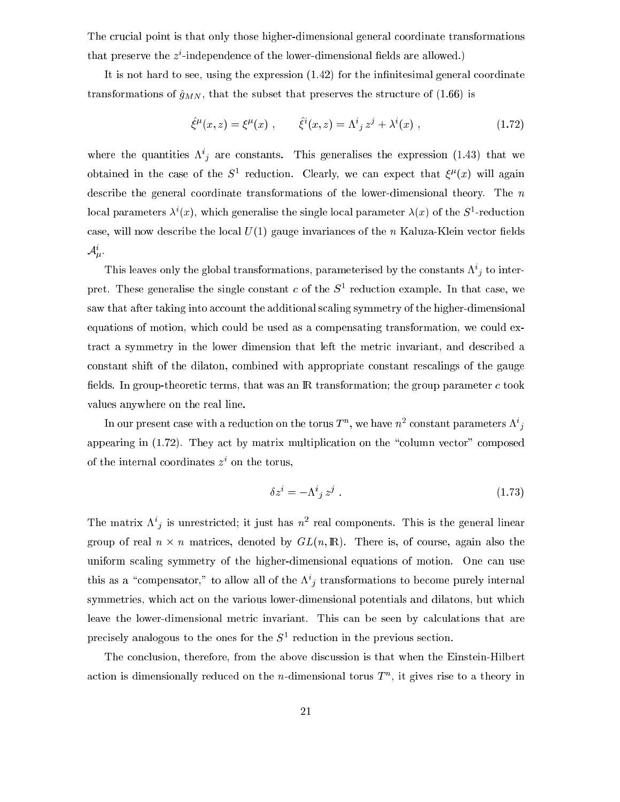The crucial point is that only those higher-dimensional general coordinate transformations that preserve the z i -independen
e of the lower-dimensional elds are allowed.)

It is not hard to see, using the expression  $(1.42)$  for the infinitesimal general coordinate transformations of  $\hat{g}_{MN}$ , that the subset that preserves the structure of (1.66) is

$$
\hat{\xi}^{\mu}(x, z) = \xi^{\mu}(x) , \qquad \hat{\xi}^{i}(x, z) = \Lambda^{i}{}_{j} z^{j} + \lambda^{i}(x) , \qquad (1.72)
$$

where the quantities  $\Lambda_{ij}$  are constants. This generalises the expression (1.45) that we obtained in the case of the  $S^+$  reduction. Clearly, we can expect that  $\xi^r(x)$  will again describe the general coordinate transformations of the lower-dimensional theory. The n local parameters  $\lambda^*(x)$ , which generalise the single local parameter  $\lambda(x)$  of the  $S$ -reduction case, will now describe the local  $U(1)$  gauge invariances of the n Kaluza-Klein vector fields  $\mathcal{A}_{\mu}$ .

This leaves only the global transformations, parameterised by the constants  $\Lambda^*_{jl}$  to interpret. These generalise the single constant  $c$  of the  $s$  -reduction example. In that case, we saw that after taking into account the additional scaling symmetry of the higher-dimensional equations of motion, which could be used as a compensating transformation, we could extract a symmetry in the lower dimension that left the metric invariant, and described a constant shift of the dilaton, combined with appropriate constant rescalings of the gauge fields. In group-theoretic terms, that was an  $\mathbb R$  transformation; the group parameter c took values anywhere on the real line.

In our present case with a reduction on the torus  $I^{\sim}$ , we have  $n^2$  constant parameters  $K^{\sim}{}_{l}$ appearing in  $(1.72)$ . They act by matrix multiplication on the "column vector" composed of the internal coordinates  $z<sup>+</sup>$  on the torus,

$$
\delta z^i = -\Lambda^i{}_j z^j \tag{1.73}
$$

The matrix  $\Lambda_j$  is unrestricted; it just has n real components. This is the general linear group of real non-thermodynamics, and is, only any real is, of the induced by any  $\alpha$ uniform scaling symmetry of the higher-dimensional equations of motion. One can use this as a compensator, to allow all of the  $\Lambda_j$  transformations to become purely internal symmetries, which act on the various lower-dimensional potentials and dilatons, but which leave the lower-dimensional metric invariant. This can be seen by calculations that are precisely analogous to the ones for the  $5^{\circ}$  reduction in the previous section.

The on
lusion, therefore, from the above dis
ussion is that when the Einstein-Hilbert action is dimensionally reduced on the  $n$ -dimensional torus  $T^{\sim}$ , it gives rise to a theory in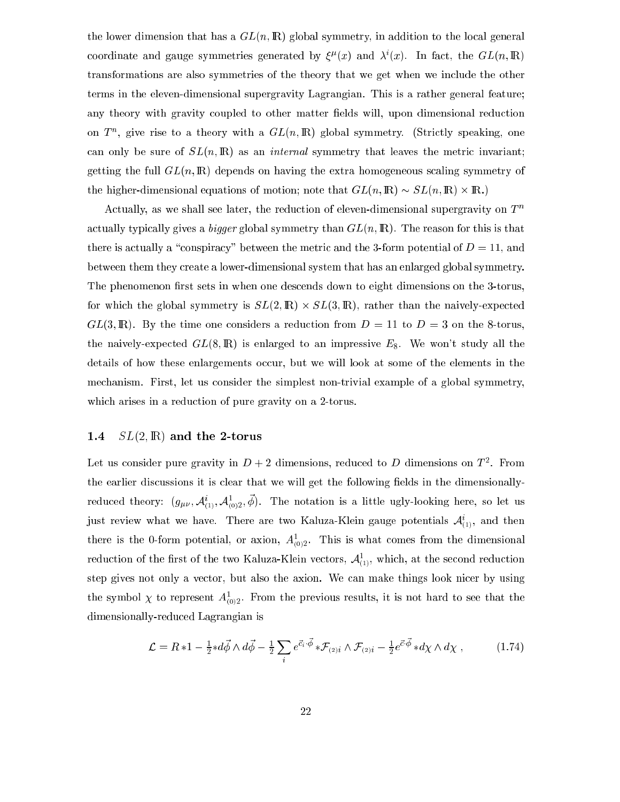the lower dimension that has a  $GL(n, \mathbb{R})$  global symmetry, in addition to the local general coordinate and gauge symmetries generated by  $\zeta^{\kappa}(x)$  and  $\lambda^{\gamma}(x)$ . In fact, the  $GL(n, \mathbb{R})$ transformations are also symmetries of the theory that we get when we in
lude the other terms in the eleven-dimensional supergravity Lagrangian. This is a rather general feature; any theory with gravity coupled to other matter fields will, upon dimensional reduction on  $I^{\prime\prime}$ , give rise to a theory with a  $GL(n, I\!N)$  global symmetry. (Strictly speaking, one can only be sure of  $SL(n,\mathbb{R})$  as an *internal* symmetry that leaves the metric invariant; getting the full  $GL(n,\mathbb{R})$  depends on having the extra homogeneous scaling symmetry of the higher-dimensional equations of motion; note that GL(n; IR) SL(n; IR) - IR.)

Actually, as we shall see later, the reduction of eleven-dimensional supergravity on  $T^n$ actually typically gives a bigger global symmetry than  $GL(n,\mathbb{R})$ . The reason for this is that there is actually a "conspiracy" between the metric and the 3-form potential of  $D = 11$ , and between them they reate a lower-dimensional system that has an enlarged global symmetry. The phenomenon first sets in when one descends down to eight dimensions on the 3-torus, for whi
h the global symmetry is SL(2; IR) - SL(3; IR), rather than the naively-expe
ted  $GL(3,\mathbb{R})$ . By the time one considers a reduction from  $D = 11$  to  $D = 3$  on the 8-torus, the naively-expected  $GL(8,\mathbb{R})$  is enlarged to an impressive  $E_8$ . We won't study all the details of how these enlargements occur, but we will look at some of the elements in the me
hanism. First, let us onsider the simplest non-trivial example of a global symmetry, which arises in a reduction of pure gravity on a 2-torus.

## 1.4  $SL(2,\mathbb{R})$  and the 2-torus

Let us consider pure gravity in  $D+2$  dimensions, reduced to  $D$  dimensions on  $T$  . From the earlier discussions it is clear that we will get the following fields in the dimensionallyreduced theory:  $(g_{\mu\nu}, \mathcal{A}_{(1)}, \mathcal{A}_{(0)2}, \varphi)$ . The notation is a little ugly-looking here, so let us just review what we have. There are two Kaluza-Klein gauge potentials  $\mathcal{A}_{(1)},$  and then there is the 0-form potential, or axion,  $A_{(0)2}^{\dagger}$ . This is what comes from the dimensional reduction of the first of the two Kaluza-Klein vectors,  ${\cal A}_{(1)}^-,$  which, at the second reduction step gives not only a ve
tor, but also the axion. We an make things look ni
er by using the symbol  $\chi$  to represent  $A_{(0)2}^-$ . From the previous results, it is not hard to see that the dimensionally-redu
ed Lagrangian is

$$
\mathcal{L} = R * 1 - \frac{1}{2} * d\vec{\phi} \wedge d\vec{\phi} - \frac{1}{2} \sum_{i} e^{\vec{c}_{i} \cdot \vec{\phi}} * \mathcal{F}_{(2)i} \wedge \mathcal{F}_{(2)i} - \frac{1}{2} e^{\vec{c} \cdot \vec{\phi}} * d\chi \wedge d\chi , \qquad (1.74)
$$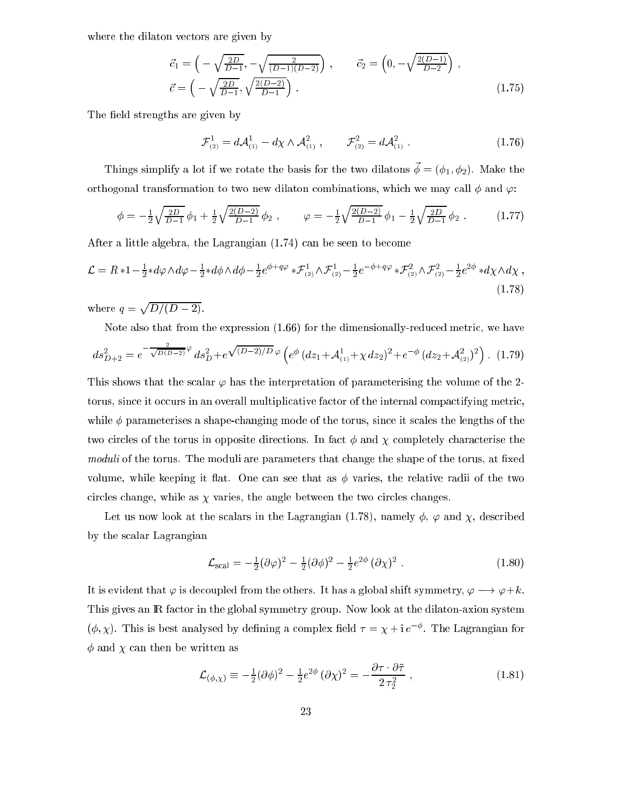where the dilaton vectors are given by

$$
\vec{c}_1 = \left( -\sqrt{\frac{2D}{D-1}}, -\sqrt{\frac{2}{(D-1)(D-2)}} \right), \qquad \vec{c}_2 = \left( 0, -\sqrt{\frac{2(D-1)}{D-2}} \right), \n\vec{c} = \left( -\sqrt{\frac{2D}{D-1}}, \sqrt{\frac{2(D-2)}{D-1}} \right).
$$
\n(1.75)

The field strengths are given by

$$
\mathcal{F}_{(2)}^1 = d\mathcal{A}_{(1)}^1 - d\chi \wedge \mathcal{A}_{(1)}^2 , \qquad \mathcal{F}_{(2)}^2 = d\mathcal{A}_{(1)}^2 . \qquad (1.76)
$$

Things simplify a lot if we rotate the basis for the two dilatons  $\vec{\phi} = (\phi_1, \phi_2)$ . Make the orthogonal transformation to two new dilaton combinations, which we may call  $\phi$  and  $\varphi$ :

$$
\phi = -\frac{1}{2}\sqrt{\frac{2D}{D-1}}\phi_1 + \frac{1}{2}\sqrt{\frac{2(D-2)}{D-1}}\phi_2 , \qquad \varphi = -\frac{1}{2}\sqrt{\frac{2(D-2)}{D-1}}\phi_1 - \frac{1}{2}\sqrt{\frac{2D}{D-1}}\phi_2 . \qquad (1.77)
$$

After a little algebra, the Lagrangian (1.74) an be seen to be
ome

$$
\mathcal{L} = R * 1 - \frac{1}{2} * d\varphi \wedge d\varphi - \frac{1}{2} * d\phi \wedge d\phi - \frac{1}{2} e^{\phi + q\varphi} * \mathcal{F}_{(2)}^1 \wedge \mathcal{F}_{(2)}^1 - \frac{1}{2} e^{-\phi + q\varphi} * \mathcal{F}_{(2)}^2 \wedge \mathcal{F}_{(2)}^2 - \frac{1}{2} e^{2\phi} * d\chi \wedge d\chi,
$$
\n(1.78)

where q = <u>participate the contract of the contract of the contract of the contract of the contract of the contract of the contract of the contract of the contract of the contract of the contract of the contract of the contract of t</u>  $\blacksquare$ 

Note also that from the expression  $(1.66)$  for the dimensionally-reduced metric, we have

$$
ds_{D+2}^2 = e^{-\frac{2}{\sqrt{D(D-2)}}\varphi} ds_D^2 + e^{\sqrt{(D-2)/D}\varphi} \left( e^{\phi} \left( dz_1 + \mathcal{A}_{(1)}^1 + \chi \, dz_2 \right)^2 + e^{-\phi} \left( dz_2 + \mathcal{A}_{(2)}^2 \right)^2 \right). \tag{1.79}
$$

This shows that the scalar  $\varphi$  has the interpretation of parameterising the volume of the 2torus, since it occurs in an overall multiplicative factor of the internal compactifying metric, while  $\phi$  parameterises a shape-changing mode of the torus, since it scales the lengths of the two circles of the torus in opposite directions. In fact  $\phi$  and  $\chi$  completely characterise the *moduli* of the torus. The moduli are parameters that change the shape of the torus, at fixed volume, while keeping it flat. One can see that as  $\phi$  varies, the relative radii of the two circles change, while as  $\chi$  varies, the angle between the two circles changes.

Let us now look at the scalars in the Lagrangian (1.78), namely  $\phi$ ,  $\varphi$  and  $\chi$ , described by the s
alar Lagrangian

$$
\mathcal{L}_{\text{scal}} = -\frac{1}{2}(\partial\varphi)^2 - \frac{1}{2}(\partial\phi)^2 - \frac{1}{2}e^{2\phi}(\partial\chi)^2.
$$
 (1.80)

It is evident that  $\varphi$  is decoupled from the others. It has a global shift symmetry,  $\varphi \longrightarrow \varphi + k$ . This gives an IR factor in the global symmetry group. Now look at the dilaton-axion system ( $\varphi, \chi$ ). This is best analysed by defining a complex field  $\tau = \chi + i e^{-\tau}$ . The Lagrangian for  $\phi$  and  $\chi$  can then be written as

$$
\mathcal{L}_{(\phi,\chi)} \equiv -\frac{1}{2} (\partial \phi)^2 - \frac{1}{2} e^{2\phi} (\partial \chi)^2 = -\frac{\partial \tau \cdot \partial \bar{\tau}}{2 \tau_2^2} , \qquad (1.81)
$$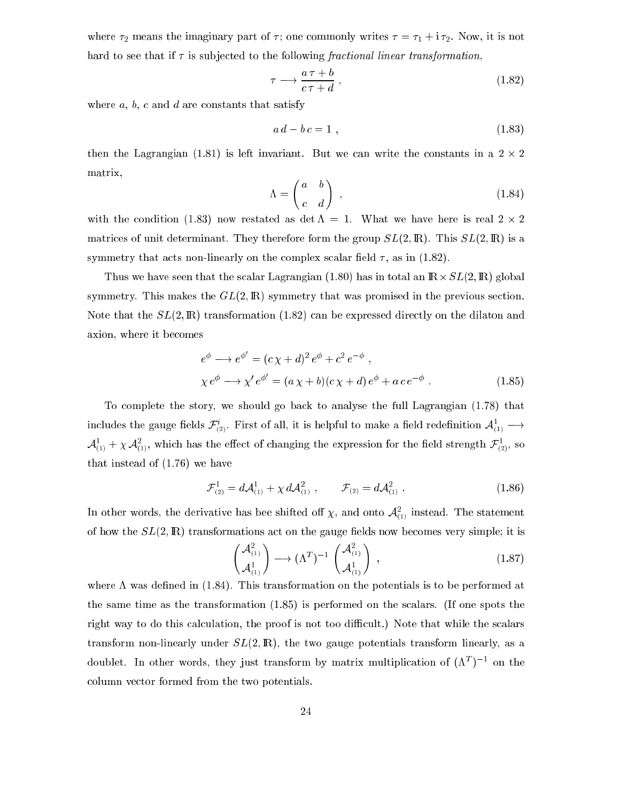where  $\tau_2$  means the imaginary part of  $\tau$ ; one commonly writes  $\tau = \tau_1 + i \tau_2$ . Now, it is not hard to see that if  $\tau$  is subjected to the following fractional linear transformation,

$$
\tau \longrightarrow \frac{a\,\tau + b}{c\,\tau + d} \,,\tag{1.82}
$$

where  $a, b, c$  and  $d$  are constants that satisfy

$$
a d - b c = 1 \tag{1.83}
$$

 $t \hbar$  is left invariant. But we have written the state the state the state the state the state the state the state of  $\hbar$ matrix,

$$
\Lambda = \begin{pmatrix} a & b \\ c & d \end{pmatrix} , \qquad (1.84)
$$

 $\cdots$  . The commentation (2.83) as  $\cdots$  restation as determined as a finite sector  $\cdots$  . Then matrices of unit determinant. They therefore form the group  $SL(2,\mathbb{R})$ . This  $SL(2,\mathbb{R})$  is a symmetry that acts non-linearly on the complex scalar field  $\tau$ , as in (1.82).

Thus we have seen that the s
alar Lagrangian (1.80) has in total an IR-SL(2; IR) global symmetry. This makes the  $GL(2,\mathbb{R})$  symmetry that was promised in the previous section. Note that the  $SL(2,\mathbb{R})$  transformation (1.82) can be expressed directly on the dilaton and axion, where it be
omes

$$
e^{\phi} \longrightarrow e^{\phi'} = (c\,\chi + d)^2 e^{\phi} + c^2 e^{-\phi} ,
$$
  
\n
$$
\chi e^{\phi} \longrightarrow \chi' e^{\phi'} = (a\,\chi + b)(c\,\chi + d) e^{\phi} + a\,c e^{-\phi} .
$$
\n(1.85)

To omplete the story, we should go ba
k to analyse the full Lagrangian (1.78) that incrudes the gauge fields  ${\cal F}_{(2)}$ . First of all, it is helpful to make a field redefinition  ${\cal A}_{(1)} \longrightarrow$  $A_{(1)}^- + \chi A_{(1)}^-$ , which has the effect of changing the expression for the held strength  ${\cal F}_{(2)}^-$ , so that instead of (1.76) we have

$$
\mathcal{F}_{(2)}^1 = d\mathcal{A}_{(1)}^1 + \chi \, d\mathcal{A}_{(1)}^2 \;, \qquad \mathcal{F}_{(2)} = d\mathcal{A}_{(1)}^2 \;.
$$
 (1.86)

In other words, the derivative has bee shifted off  $\chi$ , and onto  $\mathcal{A}_{(1)}$  instead. The statement of how the  $SL(2,\mathbb{R})$  transformations act on the gauge fields now becomes very simple; it is

$$
\begin{pmatrix} \mathcal{A}_{(1)}^2 \\ \mathcal{A}_{(1)}^1 \end{pmatrix} \longrightarrow (\Lambda^T)^{-1} \begin{pmatrix} \mathcal{A}_{(1)}^2 \\ \mathcal{A}_{(1)}^1 \end{pmatrix} , \qquad (1.87)
$$

where  $\Lambda$  was defined in (1.84). This transformation on the potentials is to be performed at the same time as the transformation (1.85) is performed on the s
alars. (If one spots the right way to do this calculation, the proof is not too difficult.) Note that while the scalars transform non-linearly under  $SL(2,\mathbb{R})$ , the two gauge potentials transform linearly, as a doublet. In other words, they just transform by matrix multiplication of  $(\Lambda^+)$  = on the olumn ve
tor formed from the two potentials.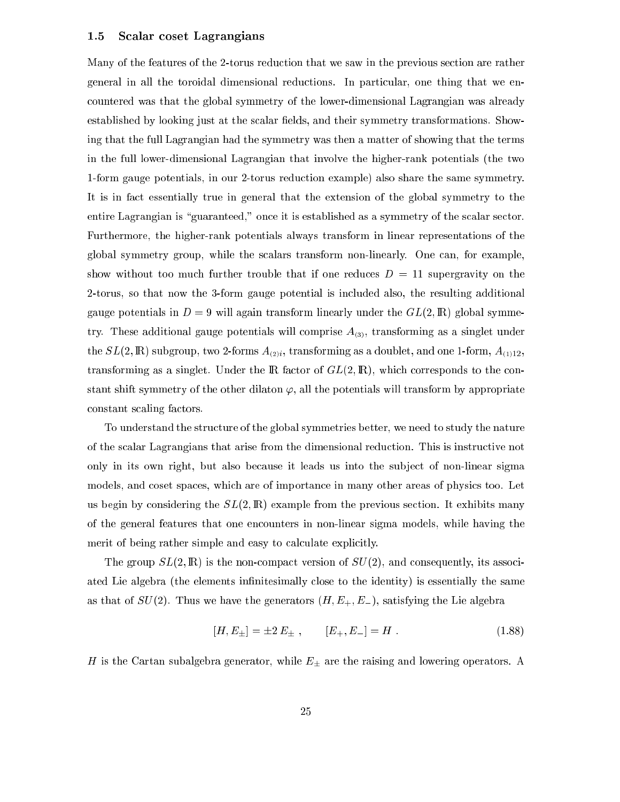#### 1.5 S
alar oset Lagrangians

Many of the features of the 2-torus reduction that we saw in the previous section are rather general in all the toroidal dimensional reductions. In particular, one thing that we enountered was that the global symmetry of the lower-dimensional Lagrangian was already established by looking just at the scalar fields, and their symmetry transformations. Showing that the full Lagrangian had the symmetry was then a matter of showing that the terms in the full lower-dimensional Lagrangian that involve the higher-rank potentials (the two 1-form gauge potentials, in our 2-torus redu
tion example) also share the same symmetry. It is in fa
t essentially true in general that the extension of the global symmetry to the entire Lagrangian is "guaranteed," once it is established as a symmetry of the scalar sector. Furthermore, the higher-rank potentials always transform in linear representations of the global symmetry group, while the s
alars transform non-linearly. One an, for example, show without too much further trouble that if one reduces  $D = 11$  supergravity on the 2-torus, so that now the 3-form gauge potential is in
luded also, the resulting additional gauge potentials in  $D = 9$  will again transform linearly under the  $GL(2,\mathbb{R})$  global symmetry. These additional gauge potentials will comprise  $A_{(3)}$ , transforming as a singlet under the  $SL(2,\mathbb{R})$  subgroup, two 2-forms  $A_{(2)i}$ , transforming as a doublet, and one 1-form,  $A_{(1)12}$ , transforming as a singlet. Under the  $\mathbb R$  factor of  $GL(2, \mathbb R)$ , which corresponds to the constant shift symmetry of the other dilaton  $\varphi$ , all the potentials will transform by appropriate onstant s
aling fa
tors.

To understand the stru
ture of the global symmetries better, we need to study the nature of the s
alar Lagrangians that arise from the dimensional redu
tion. This is instru
tive not only in its own right, but also because it leads us into the subject of non-linear sigma models, and coset spaces, which are of importance in many other areas of physics too. Let us begin by considering the  $SL(2,\mathbb{R})$  example from the previous section. It exhibits many of the general features that one en
ounters in non-linear sigma models, while having the merit of being rather simple and easy to calculate explicitly.

The group  $SL(2,\mathbb{R})$  is the non-compact version of  $SU(2)$ , and consequently, its associated Lie algebra (the elements infinitesimally close to the identity) is essentially the same as that of  $SU(2)$ . Thus we have the generators  $(H, E_+, E_-)$ , satisfying the Lie algebra

$$
[H, E_{\pm}] = \pm 2 E_{\pm} , \qquad [E_{+}, E_{-}] = H . \qquad (1.88)
$$

H is the Cartan subalgebra generator, while  $E_{\pm}$  are the raising and lowering operators. A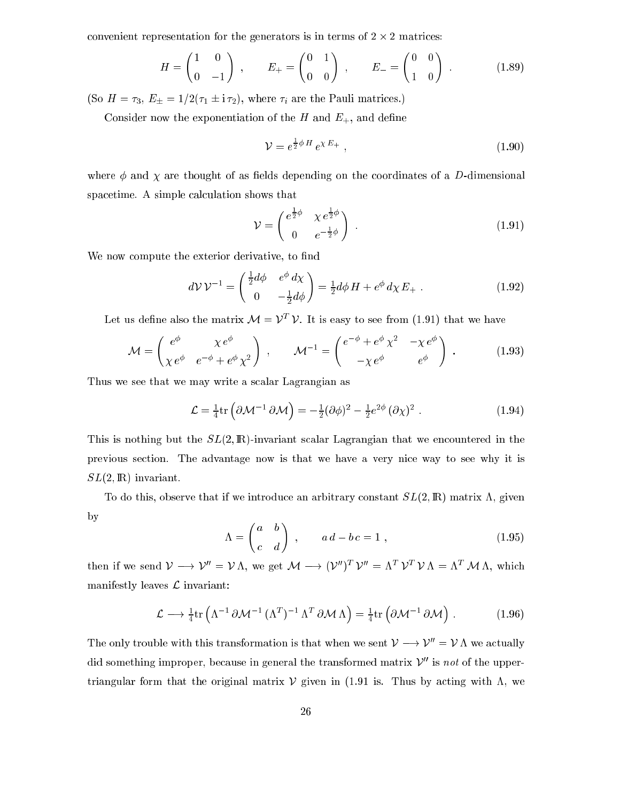onvenient representation for the generators is in terms of 2 - 2 matri
es:

$$
H = \begin{pmatrix} 1 & 0 \\ 0 & -1 \end{pmatrix}, \qquad E_+ = \begin{pmatrix} 0 & 1 \\ 0 & 0 \end{pmatrix}, \qquad E_- = \begin{pmatrix} 0 & 0 \\ 1 & 0 \end{pmatrix}.
$$
 (1.89)

(So  $H = \tau_3$ ,  $E_{\pm} = 1/2(\tau_1 \pm i \tau_2)$ , where  $\tau_i$  are the Pauli matrices.)

Consider now the exponentiation of the H and  $E_{+}$ , and define

$$
\mathcal{V} = e^{\frac{1}{2}\phi H} e^{\chi E_+} \tag{1.90}
$$

where  $\phi$  and  $\chi$  are thought of as fields depending on the coordinates of a D-dimensional spacetime. A simple calculation shows that

$$
\mathcal{V} = \begin{pmatrix} e^{\frac{1}{2}\phi} & \chi e^{\frac{1}{2}\phi} \\ 0 & e^{-\frac{1}{2}\phi} \end{pmatrix} . \tag{1.91}
$$

We now compute the exterior derivative, to find

$$
dV V^{-1} = \begin{pmatrix} \frac{1}{2} d\phi & e^{\phi} d\chi \\ 0 & -\frac{1}{2} d\phi \end{pmatrix} = \frac{1}{2} d\phi H + e^{\phi} d\chi E_+ . \qquad (1.92)
$$

Let us define also the matrix  $\mathcal{M} = \mathcal{V}^+ \mathcal{V}$ . It is easy to see from (1.91) that we have

$$
\mathcal{M} = \begin{pmatrix} e^{\phi} & \chi e^{\phi} \\ \chi e^{\phi} & e^{-\phi} + e^{\phi} \chi^2 \end{pmatrix} , \qquad \mathcal{M}^{-1} = \begin{pmatrix} e^{-\phi} + e^{\phi} \chi^2 & -\chi e^{\phi} \\ -\chi e^{\phi} & e^{\phi} \end{pmatrix} .
$$
 (1.93)

Thus we see that we may write a s
alar Lagrangian as

$$
\mathcal{L} = \frac{1}{4} \text{tr} \left( \partial \mathcal{M}^{-1} \, \partial \mathcal{M} \right) = -\frac{1}{2} (\partial \phi)^2 - \frac{1}{2} e^{2\phi} \left( \partial \chi \right)^2 \,. \tag{1.94}
$$

This is nothing but the  $SL(2,\mathbb{R})$ -invariant scalar Lagrangian that we encountered in the previous se
tion. The advantage now is that we have a very ni
e way to see why it is  $SL(2,\mathbb{R})$  invariant.

To do this, observe that if we introduce an arbitrary constant  $SL(2,\mathbb{R})$  matrix  $\Lambda$ , given by

$$
\Lambda = \begin{pmatrix} a & b \\ c & d \end{pmatrix} , \qquad a d - b c = 1 , \qquad (1.95)
$$

then if we send  $\nu \longrightarrow \nu = \nu \Lambda$ , we get  $\nu \mapsto (\nu \mapsto \nu = \Lambda^* \nu^* \nu \Lambda = \Lambda^* \nu \nu \Lambda$ , which manifestly leaves  $L$  invariant:

$$
\mathcal{L} \longrightarrow \frac{1}{4} \text{tr} \left( \Lambda^{-1} \, \partial \mathcal{M}^{-1} \, (\Lambda^{T})^{-1} \, \Lambda^{T} \, \partial \mathcal{M} \, \Lambda \right) = \frac{1}{4} \text{tr} \left( \partial \mathcal{M}^{-1} \, \partial \mathcal{M} \right) \,. \tag{1.96}
$$

The only trouble with this transformation is that when we sent  $\mathcal{V} \longrightarrow \mathcal{V}'' = \mathcal{V} \Lambda$  we actually did something improper, because in general the transformed matrix  $\mathcal{V}''$  is not of the uppertriangular form that the original matrix  $V$  given in (1.91 is. Thus by acting with  $\Lambda$ , we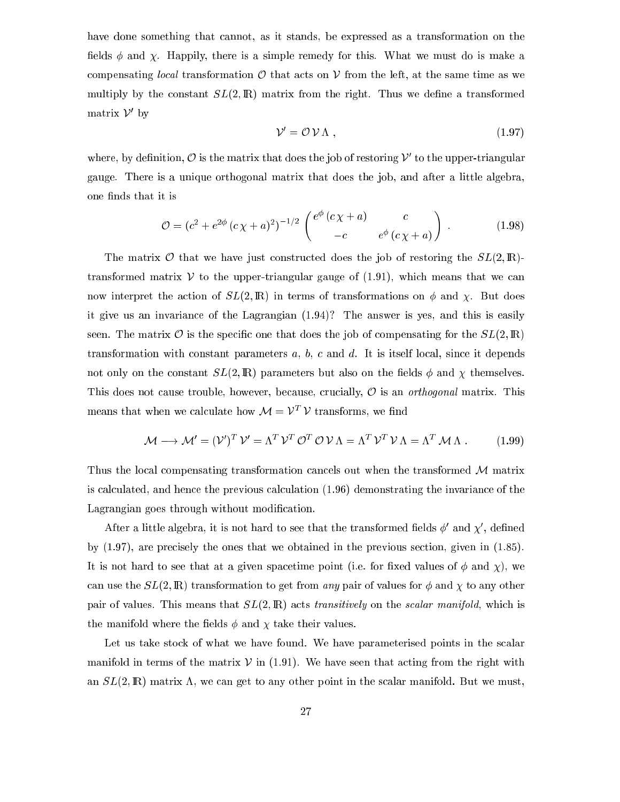have done something that cannot, as it stands, be expressed as a transformation on the fields  $\phi$  and  $\chi$ . Happily, there is a simple remedy for this. What we must do is make a compensating local transformation  $\mathcal O$  that acts on  $\mathcal V$  from the left, at the same time as we multiply by the constant  $SL(2,\mathbb{R})$  matrix from the right. Thus we define a transformed  $maxV$  by

$$
\mathcal{V}' = \mathcal{O} \mathcal{V} \Lambda , \qquad (1.97)
$$

where, by definition,  $\sigma$  is the matrix that does the job of restoring  $\nu$  to the upper-triangular gauge. There is a unique orthogonal matrix that does the job, and after a little algebra, one finds that it is

$$
\mathcal{O} = (c^2 + e^{2\phi} (c\chi + a)^2)^{-1/2} \begin{pmatrix} e^{\phi} (c\chi + a) & c \\ -c & e^{\phi} (c\chi + a) \end{pmatrix} . \tag{1.98}
$$

The matrix  $\mathcal O$  that we have just constructed does the job of restoring the  $SL(2,\mathbb R)$ transformed matrix  $V$  to the upper-triangular gauge of (1.91), which means that we can now interpret the action of  $SL(2,\mathbb{R})$  in terms of transformations on  $\phi$  and  $\chi$ . But does it give us an invarian
e of the Lagrangian (1.94)? The answer is yes, and this is easily seen. The matrix  $\mathcal O$  is the specific one that does the job of compensating for the  $SL(2,\mathbb R)$ transformation with constant parameters  $a, b, c$  and  $d$ . It is itself local, since it depends not only on the constant  $SL(2,\mathbb{R})$  parameters but also on the fields  $\phi$  and  $\chi$  themselves. This does not cause trouble, however, because, crucially,  $\mathcal O$  is an *orthogonal* matrix. This means that when we calculate how  $\mathcal{M} = V - V$  transforms, we find

$$
\mathcal{M} \longrightarrow \mathcal{M}' = (\mathcal{V}')^T \mathcal{V}' = \Lambda^T \mathcal{V}^T \mathcal{O}^T \mathcal{O} \mathcal{V} \Lambda = \Lambda^T \mathcal{V}^T \mathcal{V} \Lambda = \Lambda^T \mathcal{M} \Lambda . \tag{1.99}
$$

Thus the local compensating transformation cancels out when the transformed M matrix is al
ulated, and hen
e the previous al
ulation (1.96) demonstrating the invarian
e of the Lagrangian goes through without modification.

After a little algebra, it is not hard to see that the transformed fields  $\varphi$  and  $\chi$  , defined by (1.97), are precisely the ones that we obtained in the previous section, given in (1.85). It is not hard to see that at a given spacetime point (i.e. for fixed values of  $\phi$  and  $\chi$ ), we can use the  $SL(2,\mathbb{R})$  transformation to get from any pair of values for  $\phi$  and  $\chi$  to any other pair of values. This means that  $SL(2,\mathbb{R})$  acts transitively on the scalar manifold, which is the manifold where the fields  $\phi$  and  $\chi$  take their values.

Let us take stock of what we have found. We have parameterised points in the scalar manifold in terms of the matrix  $V$  in (1.91). We have seen that acting from the right with an  $SL(2,\mathbb{R})$  matrix  $\Lambda$ , we can get to any other point in the scalar manifold. But we must,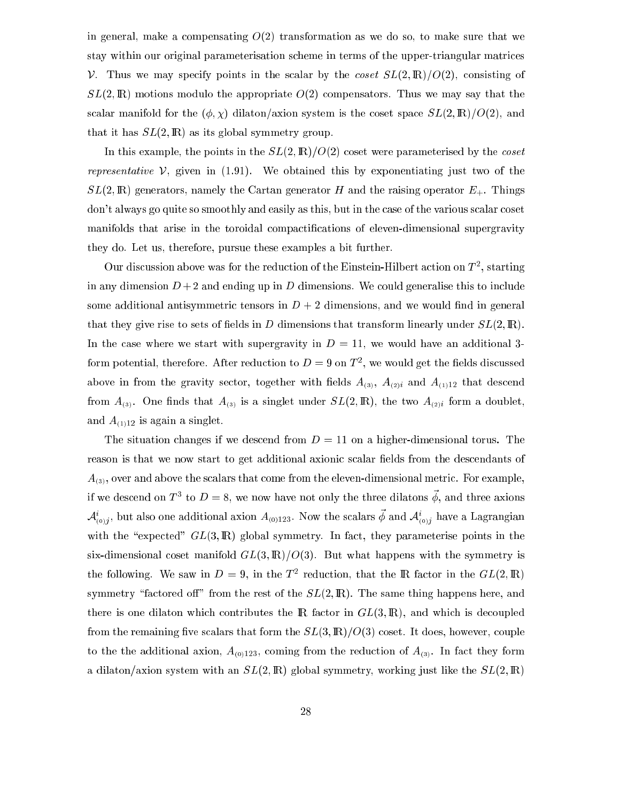in general, make a compensating  $O(2)$  transformation as we do so, to make sure that we stay within our original parameterisation s
heme in terms of the upper-triangular matri
es V. Thus we may specify points in the scalar by the  $\cos \epsilon t$   $SL(2,\mathbb{R})/O(2)$ , consisting of  $SL(2,\mathbb{R})$  motions modulo the appropriate  $O(2)$  compensators. Thus we may say that the scalar manifold for the  $(\phi, \chi)$  dilaton/axion system is the coset space  $SL(2, \mathbb{R})/O(2)$ , and that it has  $SL(2,\mathbb{R})$  as its global symmetry group.

In this example, the points in the  $SL(2,\mathbb{R})/O(2)$  coset were parameterised by the *coset* representative  $V$ , given in (1.91). We obtained this by exponentiating just two of the  $SL(2,\mathbb{R})$  generators, namely the Cartan generator H and the raising operator  $E_{+}$ . Things don't always go quite so smoothly and easily as this, but in the case of the various scalar coset manifolds that arise in the toroidal compactifications of eleven-dimensional supergravity they do. Let us, therefore, pursue these examples a bit further.

Our discussion above was for the reduction of the Einstein-Hilbert action on T <sup>-</sup>, starting in any dimension  $D+2$  and ending up in D dimensions. We could generalise this to include some additional antisymmetric tensors in  $D+2$  dimensions, and we would find in general that they give rise to sets of fields in D dimensions that transform linearly under  $SL(2,\mathbb{R})$ . In the case where we start with supergravity in  $D = 11$ , we would have an additional 3form potential, therefore. After reduction to  $D=9$  on T  $^{\circ}$ , we would get the fields discussed above in from the gravity sector, together with fields  $A_{(3)}$ ,  $A_{(2)i}$  and  $A_{(1)12}$  that descend from  $A_{(3)}$ . One finds that  $A_{(3)}$  is a singlet under  $SL(2,\mathbb{R})$ , the two  $A_{(2)i}$  form a doublet, and  $A_{(1)12}$  is again a singlet.

The situation changes if we descend from  $D = 11$  on a higher-dimensional torus. The reason is that we now start to get additional axionic scalar fields from the descendants of  $A_{(3)}$ , over and above the scalars that come from the eleven-dimensional metric. For example, If we descend on T  $_1$  to  $D = \infty$ , we now have not only the three dilatons  $\varphi$ , and three axions  ${\cal A}_{(0)}^-,$  but also one additional axion  $A_{(0)123}.$  Now the scalars  $\phi$  and  ${\cal A}_{(0)}^-,$  have a Lagrangian with the "expected"  $GL(3,\mathbb{R})$  global symmetry. In fact, they parameterise points in the six-dimensional coset manifold  $GL(3,\mathbb{R})/O(3)$ . But what happens with the symmetry is the following. We saw in  $D = 9$ , in the T -reduction, that the  $R$  factor in the  $GL(2, \mathbb{R})$ symmetry "factored off" from the rest of the  $SL(2,\mathbb{R})$ . The same thing happens here, and there is one dilaton which contributes the  $\mathbb R$  factor in  $GL(3,\mathbb R)$ , and which is decoupled from the remaining five scalars that form the  $SL(3,\mathbb{R})/O(3)$  coset. It does, however, couple to the the additional axion,  $A_{(0)123}$ , coming from the reduction of  $A_{(3)}$ . In fact they form a dilaton/axion system with an  $SL(2,\mathbb{R})$  global symmetry, working just like the  $SL(2,\mathbb{R})$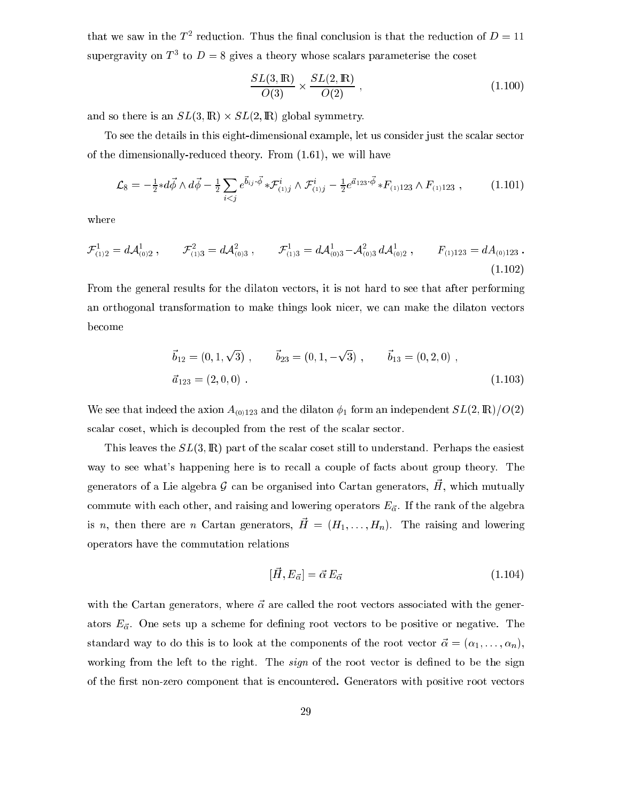that we saw in the  $T$  -reduction. Thus the final conclusion is that the reduction of  $D=11$ supergravity on  $I^+$  to  $D = \delta$  gives a theory whose scalars parameterise the coset

$$
\frac{SL(3,\mathbb{R})}{O(3)} \times \frac{SL(2,\mathbb{R})}{O(2)},\tag{1.100}
$$

and so there is an SL(3; IR) - SL(2; IR) global symmetry.

To see the details in this eight-dimensional example, let us consider just the scalar sector of the dimensionally-redu
ed theory. From (1.61), we will have

$$
\mathcal{L}_8 = -\frac{1}{2} * d\vec{\phi} \wedge d\vec{\phi} - \frac{1}{2} \sum_{i < j} e^{\vec{b}_{ij} \cdot \vec{\phi}} * \mathcal{F}_{(1)j}^i \wedge \mathcal{F}_{(1)j}^i - \frac{1}{2} e^{\vec{a}_{123} \cdot \vec{\phi}} * F_{(1)123} \wedge F_{(1)123} \,, \tag{1.101}
$$

where

$$
\mathcal{F}_{(1)2}^1 = d\mathcal{A}_{(0)2}^1, \qquad \mathcal{F}_{(1)3}^2 = d\mathcal{A}_{(0)3}^2, \qquad \mathcal{F}_{(1)3}^1 = d\mathcal{A}_{(0)3}^1 - \mathcal{A}_{(0)3}^2 d\mathcal{A}_{(0)2}^1, \qquad F_{(1)123} = dA_{(0)123} \,.
$$
\n(1.102)

From the general results for the dilaton vectors, it is not hard to see that after performing an orthogonal transformation to make things look ni
er, we an make the dilaton ve
tors be
ome

$$
\vec{b}_{12} = (0, 1, \sqrt{3}), \qquad \vec{b}_{23} = (0, 1, -\sqrt{3}), \qquad \vec{b}_{13} = (0, 2, 0),
$$
  

$$
\vec{a}_{123} = (2, 0, 0).
$$
 (1.103)

We see that indeed the axion  $A_{(0)123}$  and the dilaton  $\phi_1$  form an independent  $SL(2,\mathbb{R})/O(2)$ scalar coset, which is decoupled from the rest of the scalar sector.

This leaves the  $SL(3,\mathbb{R})$  part of the scalar coset still to understand. Perhaps the easiest way to see what's happening here is to recall a couple of facts about group theory. The generators of a Lie algebra  $g$  -can be organised moo Cartan generators,  $H$ , which mutually commute with each other, and raising and lowering operators  $E_{\vec{\alpha}}$ . If the rank of the algebra is n, then there are n Cartan generators,  $\vec{H} = (H_1, \ldots, H_n)$ . The raising and lowering operators have the ommutation relations

$$
[\vec{H}, E_{\vec{\alpha}}] = \vec{\alpha} E_{\vec{\alpha}} \tag{1.104}
$$

with the Cartan generators, where  $\vec{\alpha}$  are called the root vectors associated with the generators  $E_{\vec{\alpha}}$ . One sets up a scheme for defining root vectors to be positive or negative. The standard way to do this is to look at the components of the root vector  $\vec{\alpha} = (\alpha_1, \ldots, \alpha_n)$ , working from the left to the right. The *sign* of the root vector is defined to be the sign of the first non-zero component that is encountered. Generators with positive root vectors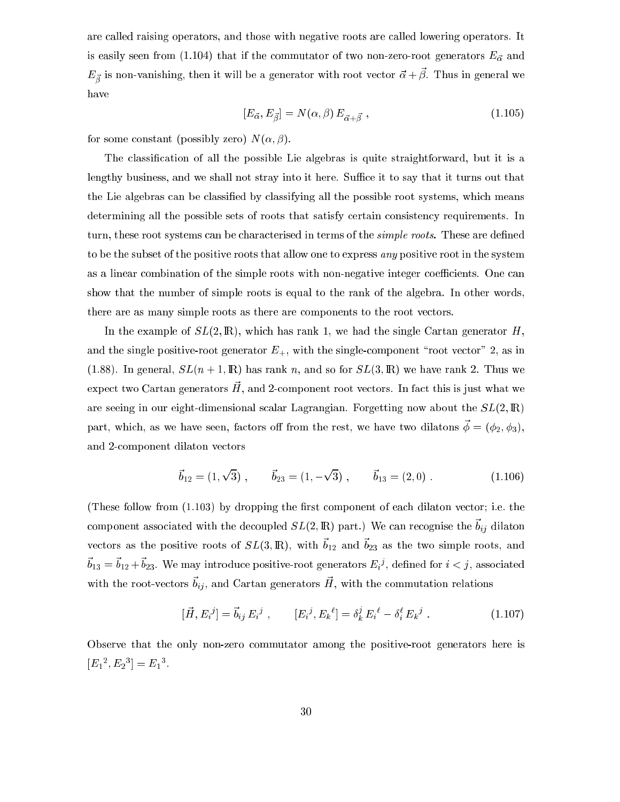are alled raising operators, and those with negative roots are alled lowering operators. It is easily seen from (1.104) that if the commutator of two non-zero-root generators  $E_{\vec{\alpha}}$  and  $E_{\vec{\beta}}$  is non-vanishing, then it will be a generator with root vector  $\alpha + \rho$ . Thus in general we have

$$
[E_{\vec{\alpha}}, E_{\vec{\beta}}] = N(\alpha, \beta) E_{\vec{\alpha} + \vec{\beta}} , \qquad (1.105)
$$

for some constant (possibly zero)  $N(\alpha, \beta)$ .

The classification of all the possible Lie algebras is quite straightforward, but it is a lengthy business, and we shall not stray into it here. Suffice it to say that it turns out that the Lie algebras can be classified by classifying all the possible root systems, which means determining all the possible sets of roots that satisfy certain consistency requirements. In turn, these root systems can be characterised in terms of the *simple roots*. These are defined to be the subset of the positive roots that allow one to express any positive root in the system as a linear combination of the simple roots with non-negative integer coefficients. One can show that the number of simple roots is equal to the rank of the algebra. In other words, there are as many simple roots as there are omponents to the root ve
tors.

In the example of  $SL(2,\mathbb{R})$ , which has rank 1, we had the single Cartan generator H, and the single positive-root generator  $E_{+}$ , with the single-component "root vector" 2, as in (1.88). In general,  $SL(n + 1, \mathbb{R})$  has rank n, and so for  $SL(3, \mathbb{R})$  we have rank 2. Thus we expect two Cartan generators H, and 2-component root vectors. In fact this is just what we are seeing in our eight-dimensional scalar Lagrangian. Forgetting now about the  $SL(2,\mathbb{R})$ part, which, as we have seen, factors off from the rest, we have two dilatons  $\vec{\phi} = (\phi_2, \phi_3)$ , and 2omponent dilaton ve
tors

$$
\vec{b}_{12} = (1, \sqrt{3}), \qquad \vec{b}_{23} = (1, -\sqrt{3}), \qquad \vec{b}_{13} = (2, 0). \tag{1.106}
$$

(These follow from  $(1.103)$  by dropping the first component of each dilaton vector; i.e. the component associated with the decoupled  $\partial D(z, \mu)$  part.) We can recognise the  $v_{ij}$  dilaton vectors as the positive roots of  $\partial L(0, \mu t)$ , with  $\sigma_{12}$  and  $\sigma_{23}$  as the two simple roots, and  $v_{13} = v_{12} + v_{23}$ . We may introduce positive-root generators  $E_i$ <sup>3</sup>, denned for  $i < j$ , associated with the root-vectors  $v_{ij}$ , and Cartan generators H, with the commutation relations

$$
[\vec{H}, E_i{}^j] = \vec{b}_{ij} E_i{}^j , \qquad [E_i{}^j, E_k{}^{\ell}] = \delta_k^j E_i{}^{\ell} - \delta_i^{\ell} E_k{}^j . \qquad (1.107)
$$

Observe that the only non-zero ommutator among the positive-root generators here is  $|E_1, E_2| = E_1$ .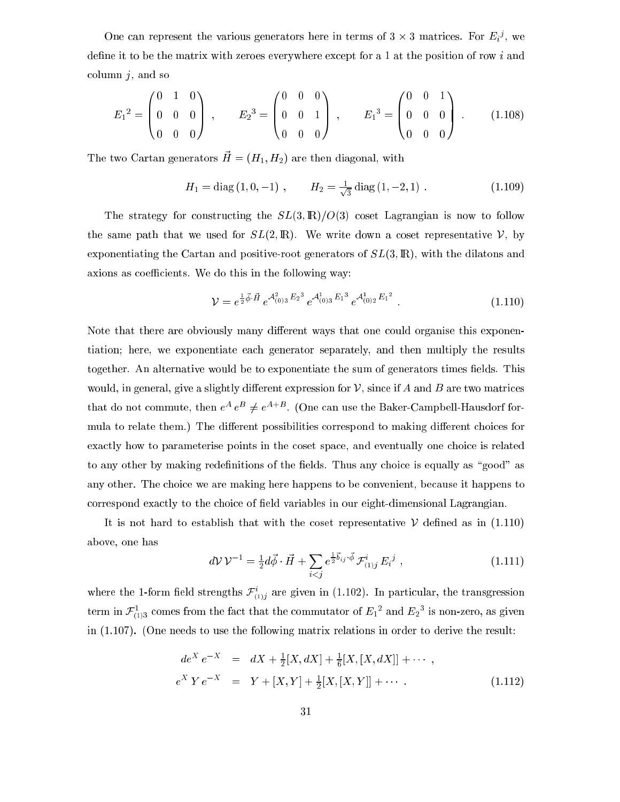One can represent the various generators here in terms of  $3 \times 3$  matrices. For  $E_i^{\sigma}$ , we define it to be the matrix with zeroes everywhere except for a 1 at the position of row i and column  $j$ , and so

$$
E_1^2 = \begin{pmatrix} 0 & 1 & 0 \\ 0 & 0 & 0 \\ 0 & 0 & 0 \end{pmatrix} , \qquad E_2^3 = \begin{pmatrix} 0 & 0 & 0 \\ 0 & 0 & 1 \\ 0 & 0 & 0 \end{pmatrix} , \qquad E_1^3 = \begin{pmatrix} 0 & 0 & 1 \\ 0 & 0 & 0 \\ 0 & 0 & 0 \end{pmatrix} . \tag{1.108}
$$

The two Cartan generators  $\vec{H} = (H_1, H_2)$  are then diagonal, with

$$
H_1 = \text{diag}(1, 0, -1) , \qquad H_2 = \frac{1}{\sqrt{3}} \text{diag}(1, -2, 1) . \qquad (1.109)
$$

The strategy for constructing the  $SL(3,\mathbb{R})/O(3)$  coset Lagrangian is now to follow the same path that we used for  $SL(2,\mathbb{R})$ . We write down a coset representative V, by exponentiating the Cartan and positive-root generators of  $SL(3,\mathbb{R})$ , with the dilatons and axions as coefficients. We do this in the following way:

$$
\mathcal{V} = e^{\frac{1}{2}\vec{\phi} \cdot \vec{H}} e^{\mathcal{A}_{(0)3}^2 E_2{}^3} e^{\mathcal{A}_{(0)3}^1 E_1{}^3} e^{\mathcal{A}_{(0)2}^1 E_1{}^2} \,. \tag{1.110}
$$

Note that there are obviously many different ways that one could organise this exponentiation; here, we exponentiate ea
h generator separately, and then multiply the results together. An alternative would be to exponentiate the sum of generators times fields. This would, in general, give a slightly different expression for  $\mathcal V$ , since if A and B are two matrices that do not commute, then  $e^+e^- \neq e^-$  . (One can use the Baker-Campbell-Hausdorf formula to relate them.) The different possibilities correspond to making different choices for exactly how to parameterise points in the coset space, and eventually one choice is related to any other by making redefinitions of the fields. Thus any choice is equally as "good" as any other. The hoi
e we are making here happens to be onvenient, be
ause it happens to correspond exactly to the choice of field variables in our eight-dimensional Lagrangian.

It is not hard to establish that with the coset representative  $\mathcal V$  defined as in (1.110) above, one has

$$
d\mathcal{V}\mathcal{V}^{-1} = \frac{1}{2}d\vec{\phi}\cdot\vec{H} + \sum_{i
$$

where the 1-form held strengths  ${\cal F}_{(1)j}$  are given in (1.102). In particular, the transgression term in  $r_{(1)3}^-$  comes from the fact that the commutator of  $E_1^-$  and  $E_2^-$  is non-zero, as given in (1.107). (One needs to use the following matrix relations in order to derive the result:

$$
de^{X} e^{-X} = dX + \frac{1}{2}[X, dX] + \frac{1}{6}[X, [X, dX]] + \cdots ,
$$
  
\n
$$
e^{X} Y e^{-X} = Y + [X, Y] + \frac{1}{2}[X, [X, Y]] + \cdots .
$$
\n(1.112)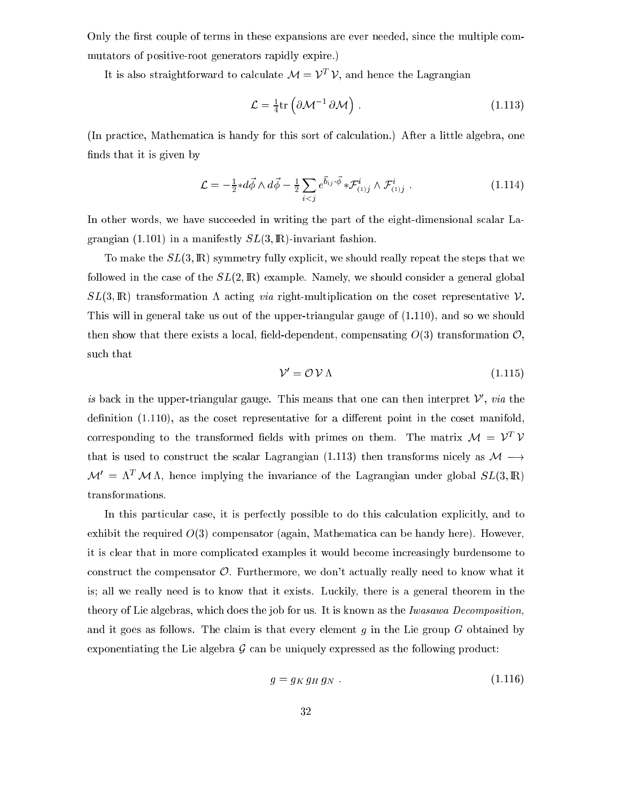Only the first couple of terms in these expansions are ever needed, since the multiple commutators of positive-root generators rapidly expire.)

It is also straightforward to calculate  $\mathcal{M} = V - V$ , and hence the Lagrangian

$$
\mathcal{L} = \frac{1}{4} \text{tr} \left( \partial \mathcal{M}^{-1} \, \partial \mathcal{M} \right) \,. \tag{1.113}
$$

(In pra
ti
e, Mathemati
a is handy for this sort of al
ulation.) After a little algebra, one finds that it is given by

$$
\mathcal{L} = -\frac{1}{2} * d\vec{\phi} \wedge d\vec{\phi} - \frac{1}{2} \sum_{i < j} e^{\vec{b}_{ij} \cdot \vec{\phi}} * \mathcal{F}_{(1)j}^i \wedge \mathcal{F}_{(1)j}^i \,. \tag{1.114}
$$

In other words, we have succeeded in writing the part of the eight-dimensional scalar Lagrangian (1.101) in a manifestly  $SL(3,\mathbb{R})$ -invariant fashion.

To make the  $SL(3,\mathbb{R})$  symmetry fully explicit, we should really repeat the steps that we followed in the case of the  $SL(2,\mathbb{R})$  example. Namely, we should consider a general global  $SL(3,\mathbb{R})$  transformation  $\Lambda$  acting via right-multiplication on the coset representative V. This will in general take us out of the upper-triangular gauge of (1.110), and so we should then show that there exists a local, field-dependent, compensating  $O(3)$  transformation  $O$ , su
h that

$$
\mathcal{V}' = \mathcal{O} \mathcal{V} \Lambda \tag{1.115}
$$

is back in the upper-triangular gauge. This means that one can then interpret  $\nu$ ,  $\it{va}$  the definition  $(1.110)$ , as the coset representative for a different point in the coset manifold, corresponding to the transformed neids with primes on them. The matrix  $\mathcal{M} = V_+ V_$ that is used to construct the scalar Lagrangian (1.113) then transforms nicely as  $M \rightarrow$  $\mathcal{M}' = \Lambda^T \mathcal{M} \Lambda$ , hence implying the invariance of the Lagrangian under global  $SL(3,\mathbb{R})$ transformations.

In this particular case, it is perfectly possible to do this calculation explicitly, and to exhibit the required  $O(3)$  compensator (again, Mathematica can be handy here). However, it is lear that in more ompli
ated examples it would be
ome in
reasingly burdensome to construct the compensator  $\mathcal{O}$ . Furthermore, we don't actually really need to know what it is; all we really need is to know that it exists. Luckily, there is a general theorem in the theory of Lie algebras, which does the job for us. It is known as the Iwasawa Decomposition, and it goes as follows. The claim is that every element  $g$  in the Lie group  $G$  obtained by exponentiating the Lie algebra  $\mathcal G$  can be uniquely expressed as the following product:

$$
g = g_K g_H g_N \tag{1.116}
$$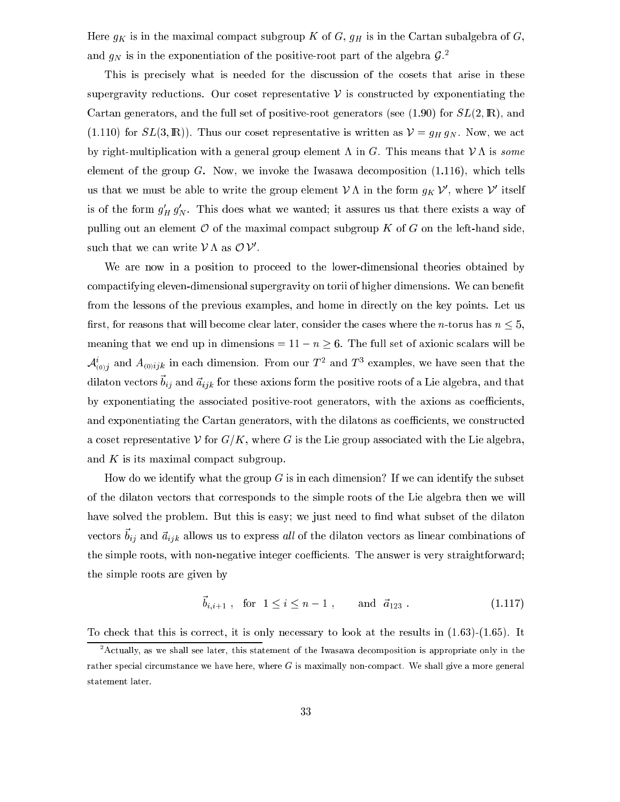Here  $g_K$  is in the maximal compact subgroup K of G,  $g_H$  is in the Cartan subalgebra of G, and  $g_N$  is in the exponentiation of the positive-root part of the algebra  $g$ .

This is precisely what is needed for the discussion of the cosets that arise in these supergravity reductions. Our coset representative  $\nu$  is constructed by exponentiating the Cartan generators, and the full set of positive-root generators (see  $(1.90)$  for  $SL(2,\mathbb{R})$ , and  $(1.110)$  for  $SL(3,\mathbb{R})$ ). Thus our coset representative is written as  $\mathcal{V} = g_H g_N$ . Now, we act by right-multiplication with a general group element  $\Lambda$  in G. This means that  $\mathcal{V}\Lambda$  is some element of the group  $G$ . Now, we invoke the Iwasawa decomposition  $(1.116)$ , which tells us that we must be able to write the group element  $V \Lambda$  in the form  $q_K V$ , where  $V$  itself is of the form  $g_H^{} \, g_N^{}$ . This does what we wanted; it assures us that there exists a way of pulling out an element  $\mathcal O$  of the maximal compact subgroup K of G on the left-hand side, such that we can write  $\nu$   $\Lambda$  as  $\cup$   $\nu$  .

We are now in a position to proceed to the lower-dimensional theories obtained by compactifying eleven-dimensional supergravity on torii of higher dimensions. We can benefit from the lessons of the previous examples, and home in directly on the key points. Let us first, for reasons that will become clear later, consider the cases where the *n*-torus has  $n \leq 5$ , meaning that we end up in dimensions =  $11 - n \ge 6$ . The full set of axionic scalars will be  $\mathcal{A}_{(0)}$  and  $A_{(0)}i_{jk}$  in each dimension. From our T  $^{\circ}$  and T  $^{\circ}$  examples, we have seen that the dilaton vectors  $v_{ij}$  and  $u_{ijk}$  for these axions form the positive roots of a Lie algebra, and that by exponentiating the associated positive-root generators, with the axions as coefficients, and exponentiating the Cartan generators, with the dilatons as coefficients, we constructed a coset representative V for  $G/K$ , where G is the Lie group associated with the Lie algebra, and  $K$  is its maximal compact subgroup.

How do we identify what the group  $G$  is in each dimension? If we can identify the subset of the dilaton ve
tors that orresponds to the simple roots of the Lie algebra then we will have solved the problem. But this is easy; we just need to find what subset of the dilaton vectors  $v_{ij}$  and  $u_{ijk}$  allows us to express all of the dilaton vectors as finear combinations of the simple roots, with non-negative integer coefficients. The answer is very straightforward; the simple roots are given by

$$
\vec{b}_{i,i+1} \text{, for } 1 \le i \le n-1 \text{, and } \vec{a}_{123} \text{.} \tag{1.117}
$$

To check that this is correct, it is only necessary to look at the results in  $(1.63)-(1.65)$ . It

<sup>-</sup>Actually, as we shall see later, this statement of the Iwasawa decomposition is appropriate only in the rather special circumstance we have here, where  $G$  is maximally non-compact. We shall give a more general statement later.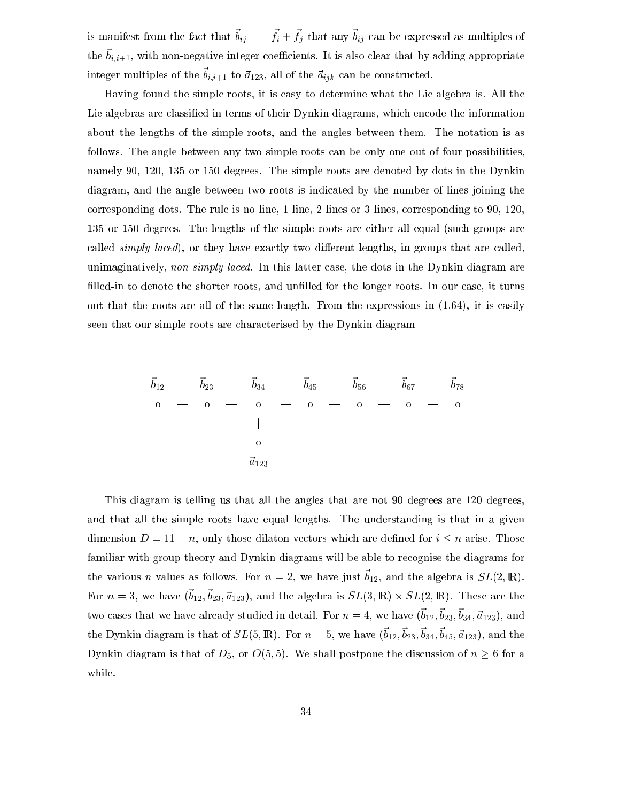is mannest from the fact that  $v_{ij} = -f_i + f_j$  that any  $v_{ij}$  can be expressed as multiples of  $v_{i,i+1}$ , with non-negative integer coefficients. It is also crear that by adding appropriate integer multiples of the  $v_{i,i+1}$  to  $a_{123}$ , an of the  $a_{ijk}$  can be constructed.

Having found the simple roots, it is easy to determine what the Lie algebra is. All the Lie algebras are classified in terms of their Dynkin diagrams, which encode the information about the lengths of the simple roots, and the angles between them. The notation is as follows. The angle between any two simple roots can be only one out of four possibilities, namely 90, 120, 135 or 150 degrees. The simple roots are denoted by dots in the Dynkin diagram, and the angle between two roots is indicated by the number of lines joining the orresponding dots. The rule is no line, 1 line, 2 lines or 3 lines, orresponding to 90, 120, 135 or 150 degrees. The lengths of the simple roots are either all equal (su
h groups are called  $\{\text{simply} \text{ } \text{laced}\}$ , or they have exactly two different lengths, in groups that are called, unimaginatively, non-simply-laced. In this latter case, the dots in the Dynkin diagram are filled-in to denote the shorter roots, and unfilled for the longer roots. In our case, it turns out that the roots are all of the same length. From the expressions in (1.64), it is easily seen that our simple roots are characterised by the Dynkin diagram

~ b12 ~ b23 ~ b34 ~ b45 ~ b56 ~ b67 ~ b78 <sup>j</sup> ~a123

This diagram is telling us that all the angles that are not 90 degrees are 120 degrees, and that all the simple roots have equal lengths. The understanding is that in a given dimension  $D = 11 - n$ , only those dilaton vectors which are defined for  $i \leq n$  arise. Those familiar with group theory and Dynkin diagrams will be able to re
ognise the diagrams for the various *n* various as follows. For  $n = 2$ , we have just  $v_{12}$ , and the algebra is  $\mathcal{D}L(2, \mu\nu)$ . For  $n = 3$ , we have  $(0.2, 0.23, 0.012)$ , and the algebra is  $\partial L(3, \mu\nu) \wedge \partial L(2, \mu\nu)$ . These are the two cases that we have already studied in detail. For  $n = 4$ , we have  $(v_12, v_{23}, v_{34}, a_{123})$ , and the Dynkin diagram is that or  $\partial D(0, \mu t)$ . For  $n = 0$ , we have  $(v_{12}, v_{23}, v_{34}, v_{45}, a_{123})$ , and the Dynkin diagram is that of  $D_5$ , or  $O(5,5)$ . We shall postpone the discussion of  $n \geq 6$  for a while.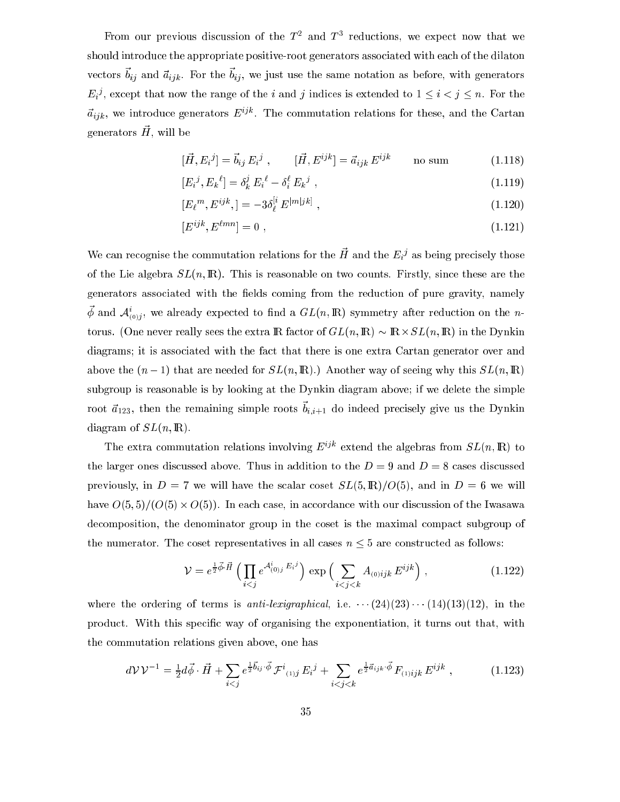From our previous discussion of the  $1^-$  and  $1^+$  reductions, we expect now that we should introduce the appropriate positive-root generators associated with each of the dilaton vectors  $v_{ij}$  and  $u_{ijk}$ . For the  $v_{ij}$ , we just use the same notation as before, with generators  $E_i$ <sup>3</sup>, except that now the range of the i and j indices is extended to  $1 \leq i \leq j \leq n$ . For the  $a_{ijk}$ , we introduce generators  $E^j$  . The commutation relations for these, and the Cartan generators *n*, will be

$$
[\vec{H}, E_i{}^j] = \vec{b}_{ij} E_i{}^j , \qquad [\vec{H}, E^{ijk}] = \vec{a}_{ijk} E^{ijk} \qquad \text{no sum} \tag{1.118}
$$

$$
[E_i{}^j, E_k{}^l] = \delta_k^j E_i{}^l - \delta_i^l E_k{}^j , \qquad (1.119)
$$

$$
[E_{\ell}^{m}, E^{ijk},] = -3\delta_{\ell}^{[i} E^{|m|jk]}, \qquad (1.120)
$$

$$
[E^{ijk}, E^{\ell mn}] = 0 \t\t(1.121)
$$

we can recognise the commutation relations for the  $\pi$  and the  $E_i^*$  as being precisely those of the Lie algebra  $SL(n,\mathbb{R})$ . This is reasonable on two counts. Firstly, since these are the generators associated with the fields coming from the reduction of pure gravity, namely  $\varphi$  and  $\mathcal{A}_{(0)}$ ;, we already expected to find a  $GL(n, \mathbb{R})$  symmetry after reduction on the *n*torus. (One never really sees the extra IR fa
tor of GL(n; IR) IR-SL(n; IR) in the Dynkin diagrams; it is asso
iated with the fa
t that there is one extra Cartan generator over and above the  $(n-1)$  that are needed for  $SL(n, \mathbb{R})$ .) Another way of seeing why this  $SL(n, \mathbb{R})$ subgroup is reasonable is by looking at the Dynkin diagram above; if we delete the simple root  $a_{123}$ , then the remaining simple roots  $v_{i,i+1}$  ao indeed precisely give us the Dynkin diagram of  $SL(n,\mathbb{R})$ .

The extra commutation relations involving  $E^{ijk}$  extend the algebras from  $SL(n, \mathbb{R})$  to the larger ones discussed above. Thus in addition to the  $D = 9$  and  $D = 8$  cases discussed previously, in  $D = 7$  we will have the scalar coset  $SL(5, \mathbb{R})/O(5)$ , and in  $D = 6$  we will have O(5; 5)=(O(5) - O(5)). In ea
h ase, in a

ordan
e with our dis
ussion of the Iwasawa decomposition, the denominator group in the coset is the maximal compact subgroup of the numerator. The coset representatives in all cases  $n \leq 5$  are constructed as follows:

$$
\mathcal{V} = e^{\frac{1}{2}\vec{\phi}\cdot\vec{H}} \left( \prod_{i < j} e^{\mathcal{A}_{(0)j}^i E_i^j} \right) \exp \left( \sum_{i < j < k} A_{(0)ijk} E^{ijk} \right), \tag{1.122}
$$

where the ordering of terms is anti-lexigraphical, i.e.  $\cdots$  (24)(23) $\cdots$  (14)(13)(12), in the product. With this specific way of organising the exponentiation, it turns out that, with the ommutation relations given above, one has

$$
d\mathcal{V}\mathcal{V}^{-1} = \frac{1}{2}d\vec{\phi}\cdot\vec{H} + \sum_{i
$$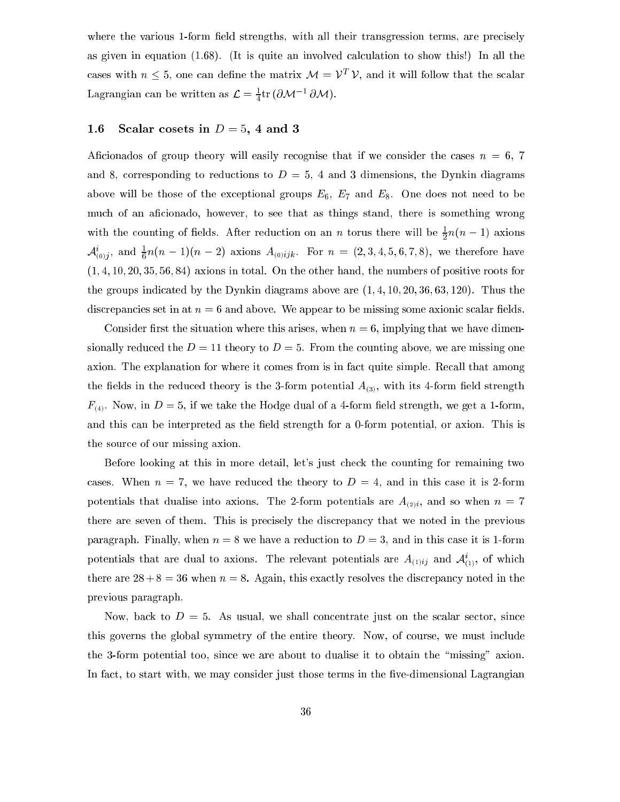where the various 1-form field strengths, with all their transgression terms, are precisely as given in equation  $(1.68)$ . (It is quite an involved calculation to show this!) In all the cases with  $n \leq 5$ , one can denne the matrix  $\mathcal{M} = V \quad V$ , and it will follow that the scalar Lagrangian can be written as  $\mathcal{L} = \frac{1}{4} \text{tr}(\partial \mathcal{M}^{-1} \partial \mathcal{M}).$ 

## 1.6 Scalar cosets in  $D = 5, 4$  and 3

Aficionados of group theory will easily recognise that if we consider the cases  $n = 6, 7$ and 8, corresponding to reductions to  $D = 5$ , 4 and 3 dimensions, the Dynkin diagrams above will be those of the exceptional groups  $E_6$ ,  $E_7$  and  $E_8$ . One does not need to be mu
h of an a
ionado, however, to see that as things stand, there is something wrong with the counting of neigs. After reduction on an n torus there will be  $\frac{1}{2}n(n-1)$  axions  $A_{(0)}^{\dagger}$ ; and  $\frac{1}{6}n(n-1)(n-2)$  axions  $A_{(0)}ijk$ . For  $n = (2,3,4,5,6,7,8)$ , we therefore have  $(1, 4, 10, 20, 35, 56, 84)$  axions in total. On the other hand, the numbers of positive roots for the groups indicated by the Dynkin diagrams above are  $(1, 4, 10, 20, 36, 63, 120)$ . Thus the discrepancies set in at  $n = 6$  and above. We appear to be missing some axionic scalar fields.

Consider first the situation where this arises, when  $n = 6$ , implying that we have dimensionally reduced the  $D = 11$  theory to  $D = 5$ . From the counting above, we are missing one axion. The explanation for where it omes from is in fa
t quite simple. Re
all that among the fields in the reduced theory is the 3-form potential  $A_{(3)}$ , with its 4-form field strength  $F_{(4)}$ . Now, in  $D=5$ , if we take the Hodge dual of a 4-form field strength, we get a 1-form, and this can be interpreted as the field strength for a 0-form potential, or axion. This is the sour
e of our missing axion.

Before looking at this in more detail, let's just check the counting for remaining two cases. When  $n = 7$ , we have reduced the theory to  $D = 4$ , and in this case it is 2-form potentials that dualise into axions. The 2-form potentials are  $A_{(2)i}$ , and so when  $n = 7$ there are seven of them. This is precisely the discrepancy that we noted in the previous paragraph. Finally, when  $n = 8$  we have a reduction to  $D = 3$ , and in this case it is 1-form potentials that are qual to axions. The relevant potentials are  $A_{(1)ij}$  and  $A_{(1)}$ , of which there are  $28 + 8 = 36$  when  $n = 8$ . Again, this exactly resolves the discrepancy noted in the previous paragraph.

Now, back to  $D = 5$ . As usual, we shall concentrate just on the scalar sector, since this governs the global symmetry of the entire theory. Now, of course, we must include the 3-form potential too, sin
e we are about to dualise it to obtain the \missing" axion. In fact, to start with, we may consider just those terms in the five-dimensional Lagrangian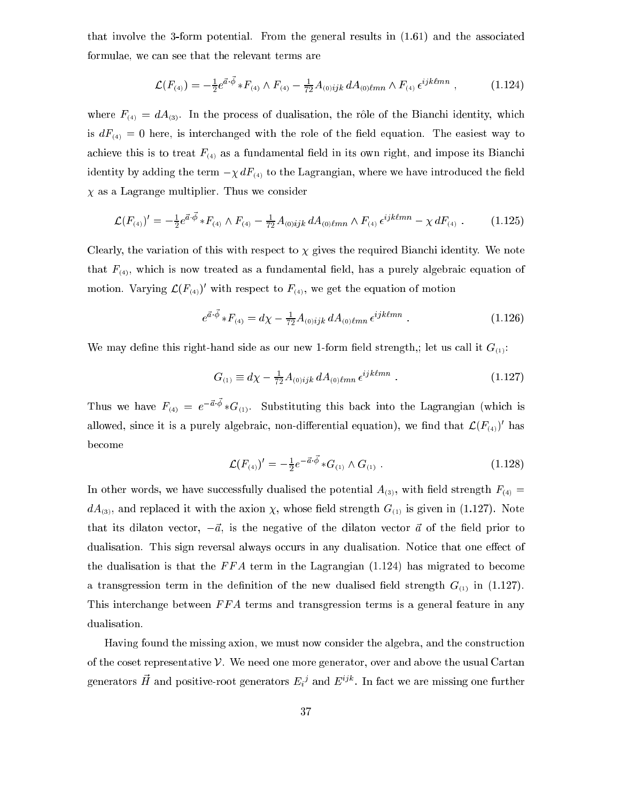that involve the 3-form potential. From the general results in (1.61) and the asso
iated formulae, we an see that the relevant terms are

$$
\mathcal{L}(F_{(4)}) = -\frac{1}{2}e^{\vec{a}\cdot\vec{\phi}} * F_{(4)} \wedge F_{(4)} - \frac{1}{72}A_{(0)ijk}dA_{(0)lmn} \wedge F_{(4)} \epsilon^{ijklmn} , \qquad (1.124)
$$

where  $F_{(4)} = dA_{(3)}$ . In the process of dualisation, the rôle of the Bianchi identity, which is  $dF_{(4)} = 0$  here, is interchanged with the role of the field equation. The easiest way to achieve this is to treat  $F_{(4)}$  as a fundamental field in its own right, and impose its Bianchi identity by adding the term  $-\chi dF_{(4)}$  to the Lagrangian, where we have introduced the field  $\chi$  as a Lagrange multiplier. Thus we consider

$$
\mathcal{L}(F_{(4)})' = -\frac{1}{2}e^{\vec{a}\cdot\vec{\phi}} * F_{(4)} \wedge F_{(4)} - \frac{1}{72}A_{(0)ijk}dA_{(0)lmn} \wedge F_{(4)}\,\epsilon^{ijklmn} - \chi\,dF_{(4)}\;.\tag{1.125}
$$

Clearly, the variation of this with respect to  $\chi$  gives the required Bianchi identity. We note that  $F_{(4)}$ , which is now treated as a fundamental field, has a purely algebraic equation of motion. Varying  $\mathcal{L}(F_{(4)})$  with respect to  $F_{(4)}$ , we get the equation of motion

$$
e^{\vec{a}\cdot\vec{\phi}} * F_{(4)} = d\chi - \frac{1}{72}A_{(0)ijk} dA_{(0) \ell mn} \epsilon^{ijk\ell mn} . \qquad (1.126)
$$

We may define this right-hand side as our new 1-form field strength,; let us call it  $G_{(1)}$ :

$$
G_{(1)} \equiv d\chi - \frac{1}{72} A_{(0)ijk} dA_{(0)lmn} \epsilon^{ijklmn} . \qquad (1.127)
$$

Thus we have  $F_{(4)} = e^{-u \cdot \varphi} * G_{(1)}$ . Substituting this back into the Lagrangian (which is ahowed, since it is a purely algebraic, non-differential equation), we find that  $\mathcal{L}(F_{(4)})$  has be
ome

$$
\mathcal{L}(F_{(4)})' = -\frac{1}{2}e^{-\vec{a}\cdot\vec{\phi}} * G_{(1)} \wedge G_{(1)} . \qquad (1.128)
$$

In other words, we have successfully dualised the potential  $A_{(3)}$ , with field strength  $F_{(4)} =$  $dA_{(3)}$ , and replaced it with the axion  $\chi$ , whose field strength  $G_{(1)}$  is given in (1.127). Note that its dilaton vector,  $-\vec{a}$ , is the negative of the dilaton vector  $\vec{a}$  of the field prior to dualisation. This sign reversal always occurs in any dualisation. Notice that one effect of the dualisation is that the  $FFA$  term in the Lagrangian  $(1.124)$  has migrated to become a transgression term in the definition of the new dualised field strength  $G_{(1)}$  in (1.127). This interchange between FFA terms and transgression terms is a general feature in any dualisation.

Having found the missing axion, we must now onsider the algebra, and the onstru
tion of the oset representative V. We need one more generator, over and above the usual Cartan generators H= and positive-root generators  $E_i{}^j$  and  $E_j{}^{j*}$  . In fact we are missing one further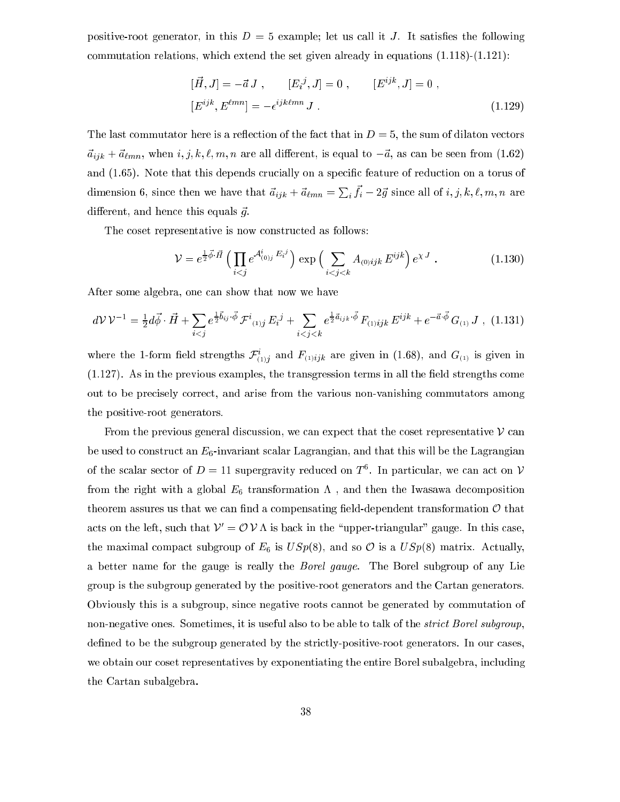positive-root generator, in this  $D = 5$  example; let us call it J. It satisfies the following commutation relations, which extend the set given already in equations  $(1.118)-(1.121)$ :

$$
[\vec{H}, J] = -\vec{a} J , [E_i{}^j, J] = 0 , [E^{ijk}, J] = 0 ,
$$
  

$$
[E^{ijk}, E^{\ell mn}] = -\epsilon^{ijk\ell mn} J .
$$
 (1.129)

The last commutator here is a reflection of the fact that in  $D = 5$ , the sum of dilaton vectors  $\vec{a}_{ijk} + \vec{a}_{\ell mn}$ , when  $i, j, k, \ell, m, n$  are all different, is equal to  $-\vec{a}$ , as can be seen from (1.62) and (1.65). Note that this depends crucially on a specific feature of reduction on a torus of dimension 6, since then we have that  $\vec{a}_{ijk} + \vec{a}_{\ell mn} = \sum_i f_i - 2\vec{g}$  since all of  $i, j, k, \ell, m, n$  are different, and hence this equals  $\vec{g}$ .

The coset representative is now constructed as follows:

$$
\mathcal{V} = e^{\frac{1}{2}\vec{\phi} \cdot \vec{H}} \left( \prod_{i < j} e^{\mathcal{A}_{(0)j}^i E_i^j} \right) \exp \left( \sum_{i < j < k} A_{(0)ijk} E^{ijk} \right) e^{\chi J} \tag{1.130}
$$

After some algebra, one can show that now we have

$$
d\mathcal{V}\mathcal{V}^{-1} = \frac{1}{2}d\vec{\phi}\cdot\vec{H} + \sum_{i
$$

where the 1-form held strengths  ${\cal F}_{(1)j}$  and  ${\cal F}_{(1)ijk}$  are given in (1.68), and  ${\cal G}_{(1)}$  is given in  $(1.127)$ . As in the previous examples, the transgression terms in all the field strengths come out to be pre
isely orre
t, and arise from the various non-vanishing ommutators among the positive-root generators.

From the previous general discussion, we can expect that the coset representative  $\nu$  can be used to construct an  $E_6$ -invariant scalar Lagrangian, and that this will be the Lagrangian of the scalar sector of  $D = 11$  supergravity reduced on T  $\cdot$  . In particular, we can act on  $\nu$ from the right with a global  $E_6$  transformation  $\Lambda$ , and then the Iwasawa decomposition theorem assures us that we can find a compensating field-dependent transformation  $\mathcal O$  that acts on the left, such that  $\mathcal{V}' = \mathcal{O} \mathcal{V} \Lambda$  is back in the "upper-triangular" gauge. In this case, the maximal compact subgroup of  $E_6$  is  $USp(8)$ , and so  $\mathcal O$  is a  $USp(8)$  matrix. Actually, a better name for the gauge is really the Borel gauge. The Borel subgroup of any Lie group is the subgroup generated by the positive-root generators and the Cartan generators. Obviously this is a subgroup, sin
e negative roots annot be generated by ommutation of non-negative ones. Sometimes, it is useful also to be able to talk of the *strict Borel subgroup*, defined to be the subgroup generated by the strictly-positive-root generators. In our cases, we obtain our coset representatives by exponentiating the entire Borel subalgebra, including the Cartan subalgebra.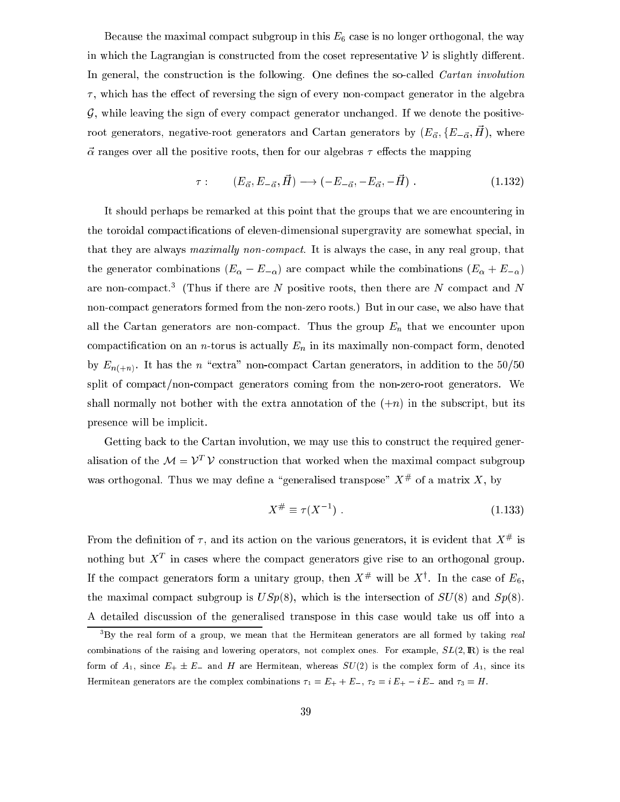Because the maximal compact subgroup in this  $E_6$  case is no longer orthogonal, the way in which the Lagrangian is constructed from the coset representative  $\nu$  is slightly different. In general, the construction is the following. One defines the so-called *Cartan involution*  $\tau$ , which has the effect of reversing the sign of every non-compact generator in the algebra  $G$ , while leaving the sign of every compact generator unchanged. If we denote the positiveroot generators, negative-root generators and Cartan generators by  $(\nu_{\vec{\alpha}}, \nu_{-\vec{\alpha}}, n)$ , where  $\vec{\alpha}$  ranges over all the positive roots, then for our algebras  $\tau$  effects the mapping

$$
\tau: \qquad (E_{\vec{\alpha}}, E_{-\vec{\alpha}}, \vec{H}) \longrightarrow (-E_{-\vec{\alpha}}, -E_{\vec{\alpha}}, -\vec{H}). \qquad (1.132)
$$

It should perhaps be remarked at this point that the groups that we are encountering in the toroidal compactifications of eleven-dimensional supergravity are somewhat special, in that they are always maximally non-compact. It is always the case, in any real group, that the generator combinations  $(E_{\alpha} - E_{-\alpha})$  are compact while the combinations  $(E_{\alpha} + E_{-\alpha})$ are non-compact. I finus if there are *i*v positive roots, then there are *i*v compact and *i*v nonompa
t generators formed from the non-zero roots.) But in our ase, we also have that all the Cartan generators are non-compact. Thus the group  $E_n$  that we encounter upon compactification on an *n*-torus is actually  $E_n$  in its maximally non-compact form, denoted by  $E_{n(+n)}$ . It has the n "extra" non-compact Cartan generators, in addition to the 50/50 split of compact/non-compact generators coming from the non-zero-root generators. We shall normally not bother with the extra annotation of the  $(+n)$  in the subscript, but its presen
e will be impli
it.

Getting back to the Cartan involution, we may use this to construct the required generalisation of the  $\mathcal{M} = \mathcal{V}^*$   $\nu$  construction that worked when the maximal compact subgroup was orthogonal. Thus we may denne a generalised transpose  $\Delta^+$  of a matrix  $\Delta$ , by

$$
X^{\#} \equiv \tau(X^{-1}) \tag{1.133}
$$

From the definition of  $\tau$ , and its action on the various generators, it is evident that  $X^{\mu}$  is nothing but  $\Lambda$  in cases where the compact generators give rise to an orthogonal group. If the compact generators form a unitary group, then  $X^{\#}$  will be  $X^{\#}$ . In the case of  $E_6,$ the maximal compact subgroup is  $USp(8)$ , which is the intersection of  $SU(8)$  and  $Sp(8)$ . A detailed discussion of the generalised transpose in this case would take us off into a

By the real form of a group, we mean that the Hermitean generators are all formed by taking  $\it real$ combinations of the raising and lowering operators, not complex ones. For example,  $SL(2,\mathbb{R})$  is the real form of  $A_1$ , since  $E_+ \pm E_-$  and H are Hermitean, whereas  $SU(2)$  is the complex form of  $A_1$ , since its Hermitean generators are the complex combinations  $\tau_1 = E_+ + E_-$ ,  $\tau_2 = i E_+ - i E_-$  and  $\tau_3 = H$ .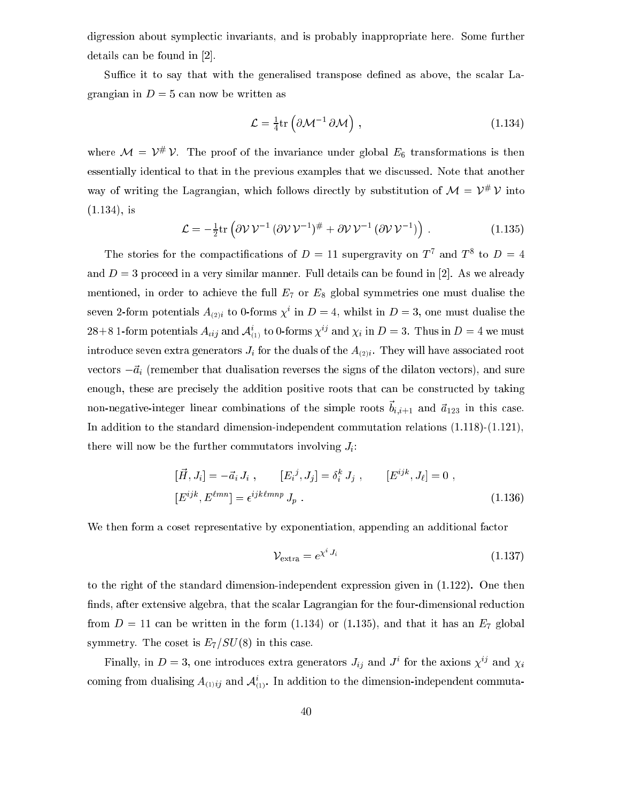digression about symplectic invariants, and is probably inappropriate here. Some further details can be found in  $[2]$ .

Suffice it to say that with the generalised transpose defined as above, the scalar Lagrangian in  $D = 5$  can now be written as

$$
\mathcal{L} = \frac{1}{4} \text{tr} \left( \partial \mathcal{M}^{-1} \, \partial \mathcal{M} \right) \,, \tag{1.134}
$$

where  $\mathcal{M} = \mathcal{V}^*$   $\mathcal{V}$ . The proof of the invariance under global  $E_6$  transformations is then essentially identi
al to that in the previous examples that we dis
ussed. Note that another way of writing the Lagrangian, which follows directly by substitution of  $\mathcal{M} = V^* V$  into  $(1.134)$ , is

$$
\mathcal{L} = -\frac{1}{2} \text{tr} \left( \partial \mathcal{V} \mathcal{V}^{-1} \left( \partial \mathcal{V} \mathcal{V}^{-1} \right)^{\#} + \partial \mathcal{V} \mathcal{V}^{-1} \left( \partial \mathcal{V} \mathcal{V}^{-1} \right) \right) . \tag{1.135}
$$

The stories for the compactifications of  $D = 11$  supergravity on T and T to  $D = 4$ and  $D=3$  proceed in a very similar manner. Full details can be found in [2]. As we already mentioned, in order to achieve the full  $E_7$  or  $E_8$  global symmetries one must dualise the seven 2-form potentials  $A_{(2)i}$  to 0-forms  $\chi^2$  in  $D = 4$ , whilst in  $D = 3$ , one must dualise the 28+8 1-form potentials  $A_{tij}$  and  $A_{(1)}$  to 0-forms  $\chi^{\beta}$  and  $\chi_i$  in  $D = 3$ . Thus in  $D = 4$  we must introduce seven extra generators  $J_i$  for the duals of the  $A_{(2)i}$ . They will have associated root vectors  $-\vec{a}_i$  (remember that dualisation reverses the signs of the dilaton vectors), and sure enough, these are precisely the addition positive roots that can be constructed by taking  $\min$ -negative-integer finear combinations of the simple roots  $v_{i,i+1}$  and  $a_{123}$  in this case. In addition to the standard dimension-independent ommutation relations (1.118)-(1.121), there will now be the further commutators involving  $J_i$ :

$$
[\vec{H}, J_i] = -\vec{a}_i J_i , \qquad [E_i^j, J_j] = \delta_i^k J_j , \qquad [E^{ijk}, J_\ell] = 0 ,
$$
  

$$
[E^{ijk}, E^{\ell mn}] = \epsilon^{ijk\ell mn} J_p .
$$
 (1.136)

We then form a coset representative by exponentiation, appending an additional factor

$$
\mathcal{V}_{\text{extra}} = e^{\chi^i J_i} \tag{1.137}
$$

to the right of the standard dimension-independent expression given in (1.122). One then finds, after extensive algebra, that the scalar Lagrangian for the four-dimensional reduction from  $D = 11$  can be written in the form (1.134) or (1.135), and that it has an  $E_7$  global symmetry. The coset is  $E_7/SU(8)$  in this case.

Finally, in  $D = 3$ , one introduces extra generators  $J_{ij}$  and  $J^+$  for the axions  $\chi^J$  and  $\chi^{}_i$ coming from quansing  $A_{(1)ij}$  and  $A_{(1)}$ . In addition to the dimension-independent commuta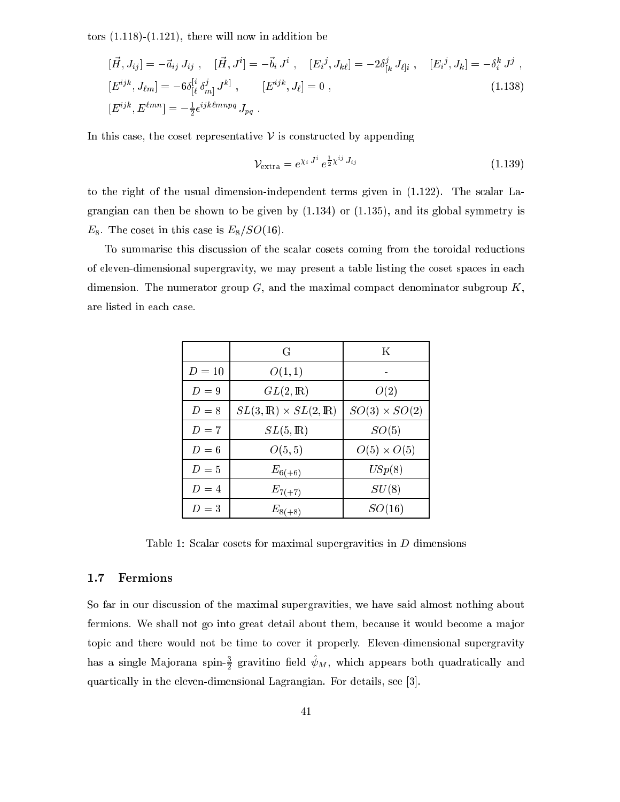tors  $(1.118)$ - $(1.121)$ , there will now in addition be

$$
[\vec{H}, J_{ij}] = -\vec{a}_{ij} J_{ij} , [ \vec{H}, J^i] = -\vec{b}_i J^i , [E_i^j, J_{k\ell}] = -2\delta^j_{[k} J_{\ell]i} , [E_i^j, J_k] = -\delta^k_i J^j ,
$$
  
\n
$$
[E^{ijk}, J_{\ell m}] = -6\delta^{[i}_{[\ell}\delta^{j}_{m]} J^{k]}, [E^{ijk}, J_{\ell}] = 0 ,
$$
  
\n
$$
[E^{ijk}, E^{\ell m n}] = -\frac{1}{2} \epsilon^{ijk\ell m n p q} J_{pq} .
$$
\n(1.138)

In this case, the coset representative  $\nu$  is constructed by appending

$$
\mathcal{V}_{\text{extra}} = e^{\chi_i J^i} e^{\frac{1}{2}\chi^{ij} J_{ij}} \tag{1.139}
$$

to the right of the usual dimension-independent terms given in (1.122). The s
alar Lagrangian can then be shown to be given by  $(1.134)$  or  $(1.135)$ , and its global symmetry is  $E_8$ . The coset in this case is  $E_8/SO(16)$ .

To summarise this discussion of the scalar cosets coming from the toroidal reductions of eleven-dimensional supergravity, we may present a table listing the coset spaces in each dimension. The numerator group  $G$ , and the maximal compact denominator subgroup  $K$ , are listed in ea
h ase.

|        | G                                         | K                    |
|--------|-------------------------------------------|----------------------|
| $D=10$ | O(1,1)                                    |                      |
| $D=9$  | $GL(2,\mathbb{R})$                        | O(2)                 |
| $D=8$  | $SL(3,\mathbb{R})\times SL(2,\mathbb{R})$ | $SO(3) \times SO(2)$ |
| $D=7$  | $SL(5,\mathbb{R})$                        | SO(5)                |
| $D=6$  | O(5, 5)                                   | $O(5) \times O(5)$   |
| $D=5$  | $E_{6(+6)}$                               | USp(8)               |
| $D=4$  | $E_{7(+7)}$                               | SU(8)                |
| $D=3$  | $E_{8(+8)}$                               | SO(16)               |

Table 1: Scalar cosets for maximal supergravities in  $D$  dimensions

## 1.7 Fermions

So far in our discussion of the maximal supergravities, we have said almost nothing about fermions. We shall not go into great detail about them, because it would become a major topi and there would not be time to over it properly. Eleven-dimensional supergravity has a single Majorana spin- $\frac{1}{2}$  gravitino neld  $\psi_M,$  which appears both quadratically and quartically in the eleven-dimensional Lagrangian. For details, see [3].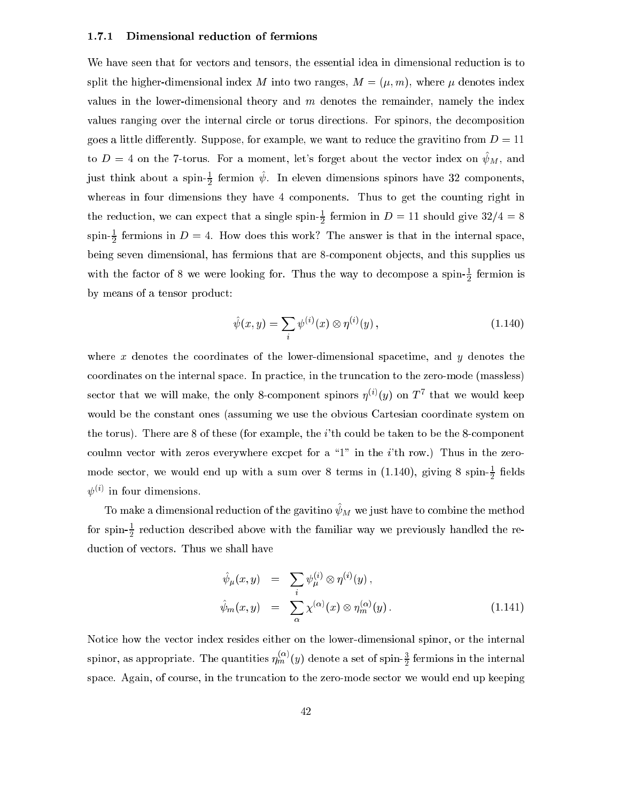#### 1.7.1 Dimensional reduction of fermions

We have seen that for vectors and tensors, the essential idea in dimensional reduction is to split the higher-dimensional index M into two ranges,  $M = (\mu, m)$ , where  $\mu$  denotes index values in the lower-dimensional theory and  $m$  denotes the remainder, namely the index values ranging over the internal circle or torus directions. For spinors, the decomposition goes a little differently. Suppose, for example, we want to reduce the gravitino from  $D = 11$ to  $D=4$  on the 7-torus. For a moment, let's forget about the vector index on  $\psi_M$ , and just think about a spin- $\frac{1}{2}$  fermion  $\psi$ . In eleven dimensions spinors have 32 components, whereas in four dimensions they have 4 components. Thus to get the counting right in the reduction, we can expect that a single spin- $\frac{1}{2}$  fermion in  $D = 11$  should give  $32/4 = 8$  ${\rm spin}$  =  $\frac{1}{2}$  refinions in  $D=4$ . How does this work? The answer is that in the internal space,  $$ being seven dimensional, has fermions that are 8-component objects, and this supplies us with the factor of  $\delta$  we were looking for. Thus the way to decompose a spin- $\frac{1}{6}$  fermion is by means of a tensor produ
t:

$$
\hat{\psi}(x, y) = \sum_{i} \psi^{(i)}(x) \otimes \eta^{(i)}(y), \qquad (1.140)
$$

where  $x$  denotes the coordinates of the lower-dimensional spacetime, and  $y$  denotes the oordinates on the internal spa
e. In pra
ti
e, in the trun
ation to the zero-mode (massless) sector that we will make, the only  $\delta$ -component spinors  $\eta \vee (\eta)$  on  $I$  -that we would keep would be the onstant ones (assuming we use the obvious Cartesian oordinate system on the torus). There are 8 of these (for example, the *i*'th could be taken to be the 8-component coulmn vector with zeros everywhere excpet for a "1" in the  $i$ 'th row.) Thus in the zeromode sector, we would end up with a sum over 8 terms in  $(1.140)$ , giving 8 spin- $\frac{1}{2}$  neids  $\psi$  $\vee$  in four dimensions.

To make a dimensional reduction of the gavitino  $\psi_M$  we just have to combine the method for spin- $\frac{1}{2}$  reduction described above with the familiar way we previously handled the re- $$ duction of vectors. Thus we shall have

$$
\hat{\psi}_{\mu}(x, y) = \sum_{i} \psi_{\mu}^{(i)} \otimes \eta^{(i)}(y),
$$
  

$$
\hat{\psi}_{m}(x, y) = \sum_{\alpha} \chi^{(\alpha)}(x) \otimes \eta_{m}^{(\alpha)}(y).
$$
\n(1.141)

Notice how the vector index resides either on the lower-dimensional spinor, or the internal spinor, as appropriate. The quantities  $\eta_m^{\sim}(y)$  denote a set of spin- $\frac{2}{2}$  fermions in the internal space. Again, of course, in the truncation to the zero-mode sector we would end up keeping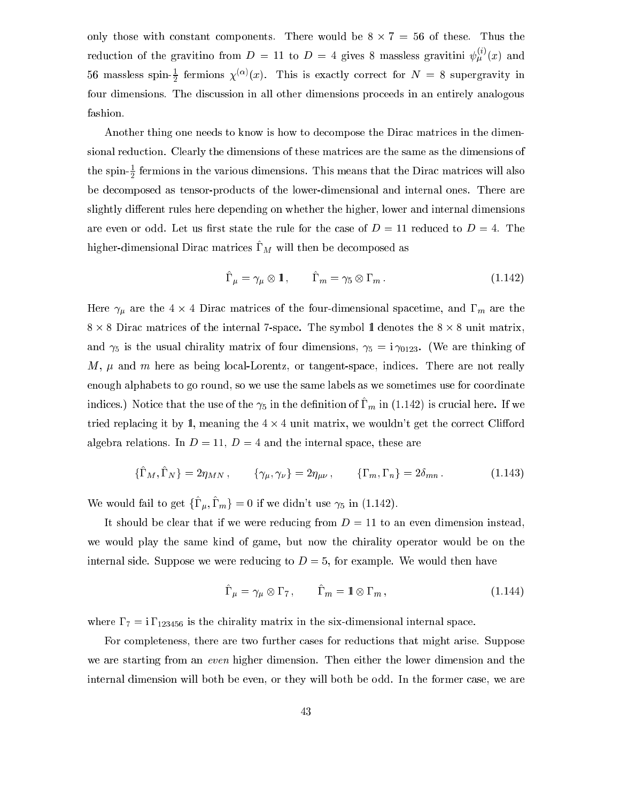only those with onstant omponents. There would be 8 - 7 = 56 of these. Thus the reduction of the gravitino from  $D = 11$  to  $D = 4$  gives 8 massless gravitini  $\psi_u^{\alpha}(x)$  and 56 massless spin- $\frac{1}{5}$  fermions  $\chi^{(0)}(x)$ . This is exactly correct for  $N = 8$  supergravity in four dimensions. The discussion in all other dimensions proceeds in an entirely analogous fashion.

Another thing one needs to know is how to decompose the Dirac matrices in the dimensional redu
tion. Clearly the dimensions of these matri
es are the same as the dimensions of the spin- $\frac{1}{2}$  fermions in the various dimensions. This means that the Dirac matrices will also be de
omposed as tensor-produ
ts of the lower-dimensional and internal ones. There are slightly different rules here depending on whether the higher, lower and internal dimensions are even or odd. Let us first state the rule for the case of  $D=11$  reduced to  $D=4$ . The  $m$ gher-dimensional Dirac matrices  $\mathbf{r}_M$  will then be decomposed as

$$
\hat{\Gamma}_{\mu} = \gamma_{\mu} \otimes \mathbb{1}, \qquad \hat{\Gamma}_{m} = \gamma_{5} \otimes \Gamma_{m}. \tag{1.142}
$$

etime, and the four-dimensional spaces of the four-dimensional space space of the four-dimensional space that 8 - 8 Dira matri
es of the internal 7-spa
e. The symbol 1l denotes the 8 - 8 unit matrix, and  $\gamma_5$  is the usual chirality matrix of four dimensions,  $\gamma_5 = i \gamma_{0123}$ . (We are thinking of  $M, \mu$  and m here as being local-Lorentz, or tangent-space, indices. There are not really enough alphabets to go round, so we use the same labels as we sometimes use for oordinate indices.) Troute that the use of the  $\gamma_5$  in the definition of  $r_m$  in (1.142) is crucial here. If we tried replacing it by 1, meaning the  $4 \times 4$  unit matrix, we wouldn't get the correct Clifford algebra relations. In  $D = 11$ ,  $D = 4$  and the internal space, these are

$$
\{\hat{\Gamma}_M, \hat{\Gamma}_N\} = 2\eta_{MN} , \qquad \{\gamma_\mu, \gamma_\nu\} = 2\eta_{\mu\nu} , \qquad \{\Gamma_m, \Gamma_n\} = 2\delta_{mn} . \tag{1.143}
$$

We would fail to get  $\{\Gamma_u, \Gamma_m\} = 0$  if we didn't use  $\gamma_5$  in (1.142).

It should be clear that if we were reducing from  $D = 11$  to an even dimension instead, we would play the same kind of game, but now the hirality operator would be on the internal side. Suppose we were reducing to  $D=5$ , for example. We would then have

$$
\hat{\Gamma}_{\mu} = \gamma_{\mu} \otimes \Gamma_{7}, \qquad \hat{\Gamma}_{m} = \mathbf{1} \otimes \Gamma_{m}, \qquad (1.144)
$$

where  $\Gamma_7 = i \Gamma_{123456}$  is the chirality matrix in the six-dimensional internal space.

For completeness, there are two further cases for reductions that might arise. Suppose we are starting from an *even* higher dimension. Then either the lower dimension and the internal dimension will both be even, or they will both be odd. In the former case, we are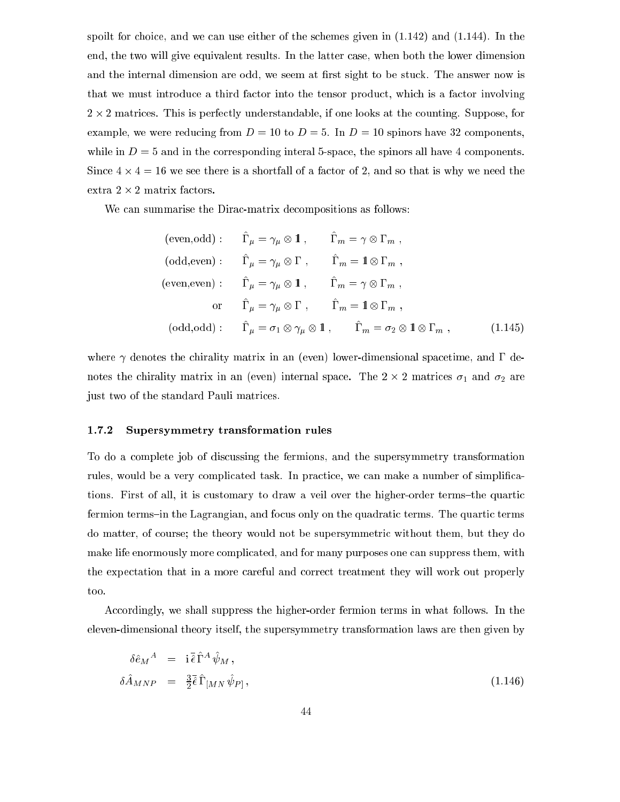spoilt for choice, and we can use either of the schemes given in  $(1.142)$  and  $(1.144)$ . In the end, the two will give equivalent results. In the latter ase, when both the lower dimension and the internal dimension are odd, we seem at first sight to be stuck. The answer now is that we must introdu
e a third fa
tor into the tensor produ
t, whi
h is a fa
tor involving 2 - 2 matri
es. This is perfe
tly understandable, if one looks at the ounting. Suppose, for example, we were reducing from  $D = 10$  to  $D = 5$ . In  $D = 10$  spinors have 32 components, while in  $D = 5$  and in the corresponding interal 5-space, the spinors all have 4 components. external the state is a shortfall of a fall of a fall of a fall of a fall of  $\alpha$  is the solution of  $\alpha$ 

We can summarise the Dirac-matrix decompositions as follows:

$$
(\text{even}, \text{odd}): \quad \hat{\Gamma}_{\mu} = \gamma_{\mu} \otimes \mathbf{1} \,, \quad \hat{\Gamma}_{m} = \gamma \otimes \Gamma_{m} \,,
$$
\n
$$
(\text{odd}, \text{even}): \quad \hat{\Gamma}_{\mu} = \gamma_{\mu} \otimes \Gamma \,, \quad \hat{\Gamma}_{m} = \mathbf{1} \otimes \Gamma_{m} \,,
$$
\n
$$
(\text{even}, \text{even}): \quad \hat{\Gamma}_{\mu} = \gamma_{\mu} \otimes \mathbf{1} \,, \quad \hat{\Gamma}_{m} = \gamma \otimes \Gamma_{m} \,,
$$
\n
$$
\text{or} \quad \hat{\Gamma}_{\mu} = \gamma_{\mu} \otimes \Gamma \,, \quad \hat{\Gamma}_{m} = \mathbf{1} \otimes \Gamma_{m} \,,
$$
\n
$$
(\text{odd}, \text{odd}): \quad \hat{\Gamma}_{\mu} = \sigma_{1} \otimes \gamma_{\mu} \otimes \mathbf{1} \,, \quad \hat{\Gamma}_{m} = \sigma_{2} \otimes \mathbf{1} \otimes \Gamma_{m} \,, \tag{1.145}
$$

where  $\gamma$  denotes the chirality matrix in an (even) lower-dimensional spacetime, and  $\Gamma$  denotes the 2 matrix in an (even) in an (even) internal space in an (even) internal space in an (even) in an (ev just two of the standard Pauli matri
es.

# 1.7.2 Supersymmetry transformation rules

To do a omplete job of dis
ussing the fermions, and the supersymmetry transformation rules, would be a very complicated task. In practice, we can make a number of simplifications. First of all, it is customary to draw a veil over the higher-order terms-the quartic fermion terms-in the Lagrangian, and focus only on the quadratic terms. The quartic terms do matter, of course; the theory would not be supersymmetric without them, but they do make life enormously more complicated, and for many purposes one can suppress them, with the expe
tation that in a more areful and orre
t treatment they will work out properly too.

Accordingly, we shall suppress the higher-order fermion terms in what follows. In the eleven-dimensional theory itself, the supersymmetry transformation laws are then given by

$$
\delta \hat{e}_M{}^A = \mathbf{i} \,\bar{\hat{\epsilon}} \,\hat{\Gamma}^A \,\hat{\psi}_M ,
$$
\n
$$
\delta \hat{A}_{MNP} = \frac{3}{2} \bar{\hat{\epsilon}} \,\hat{\Gamma}_{[MN} \,\hat{\psi}_{P]},
$$
\n(1.146)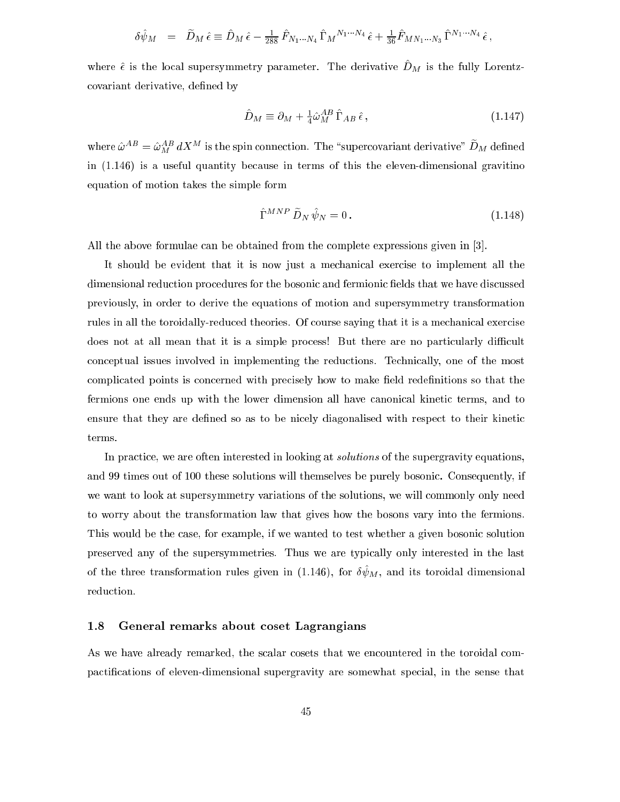$$
\delta \hat{\psi}_M = \tilde{D}_M \hat{\epsilon} \equiv \hat{D}_M \hat{\epsilon} - \frac{1}{288} \hat{F}_{N_1 \cdots N_4} \hat{\Gamma}_M{}^{N_1 \cdots N_4} \hat{\epsilon} + \frac{1}{36} \hat{F}_{MN_1 \cdots N_3} \hat{\Gamma}^{N_1 \cdots N_4} \hat{\epsilon} ,
$$

where  $\epsilon$  is the local supersymmetry parameter. The derivative  $D_M$  is the fully Lorentzcovariant derivative, defined by

$$
\hat{D}_M \equiv \partial_M + \frac{1}{4} \hat{\omega}_M^{AB} \hat{\Gamma}_{AB} \hat{\epsilon} \,, \tag{1.147}
$$

where  $\omega = \omega_M a \lambda$  is the spin connection. The supercovariant derivative  $\|\nu_M\|$  denned in  $(1.146)$  is a useful quantity because in terms of this the eleven-dimensional gravitino equation of motion takes the simple form

$$
\hat{\Gamma}^{MNP} \,\tilde{D}_N \,\hat{\psi}_N = 0 \,. \tag{1.148}
$$

All the above formulae can be obtained from the complete expressions given in [3].

It should be evident that it is now just a mechanical exercise to implement all the dimensional reduction procedures for the bosonic and fermionic fields that we have discussed previously, in order to derive the equations of motion and supersymmetry transformation rules in all the toroidally-reduced theories. Of course saying that it is a mechanical exercise does not at all mean that it is a simple process! But there are no particularly difficult on
eptual issues involved in implementing the redu
tions. Te
hni
ally, one of the most complicated points is concerned with precisely how to make field redefinitions so that the fermions one ends up with the lower dimension all have canonical kinetic terms, and to ensure that they are defined so as to be nicely diagonalised with respect to their kinetic terms.

In practice, we are often interested in looking at *solutions* of the supergravity equations, and 99 times out of 100 these solutions will themselves be purely bosoni
. Consequently, if we want to look at supersymmetry variations of the solutions, we will commonly only need to worry about the transformation law that gives how the bosons vary into the fermions. This would be the case, for example, if we wanted to test whether a given bosonic solution preserved any of the supersymmetries. Thus we are typi
ally only interested in the last of the three transformation rules given in  $(1.140)$ , for  $\sigma \psi_M$ , and its toroidal dimensional reduction.

#### General remarks about coset Lagrangians 1.8

As we have already remarked, the scalar cosets that we encountered in the toroidal compactifications of eleven-dimensional supergravity are somewhat special, in the sense that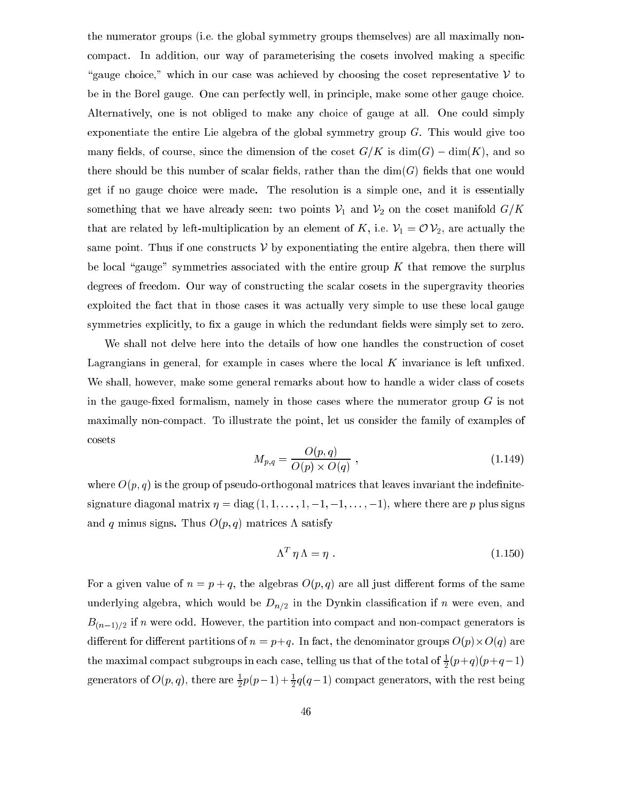the numerator groups (i.e. the global symmetry groups themselves) are all maximally non compact. In addition, our way of parameterising the cosets involved making a specific \gauge hoi
e," whi
h in our ase was a
hieved by hoosing the oset representative <sup>V</sup> to be in the Borel gauge. One can perfectly well, in principle, make some other gauge choice. Alternatively, one is not obliged to make any choice of gauge at all. One could simply exponentiate the entire Lie algebra of the global symmetry group G. This would give too many fields, of course, since the dimension of the coset  $G/K$  is  $\dim(G) - \dim(K)$ , and so there should be this number of scalar fields, rather than the  $\dim(G)$  fields that one would get if no gauge hoi
e were made. The resolution is a simple one, and it is essentially something that we have already seen: two points  $V_1$  and  $V_2$  on the coset manifold  $G/K$ that are related by left-multiplication by an element of K, i.e.  $\mathcal{V}_1 = \mathcal{O} \mathcal{V}_2$ , are actually the same point. Thus if one constructs  $\mathcal V$  by exponentiating the entire algebra, then there will be local "gauge" symmetries associated with the entire group  $K$  that remove the surplus degrees of freedom. Our way of constructing the scalar cosets in the supergravity theories exploited the fact that in those cases it was actually very simple to use these local gauge symmetries explicitly, to fix a gauge in which the redundant fields were simply set to zero.

We shall not delve here into the details of how one handles the construction of coset Lagrangians in general, for example in cases where the local  $K$  invariance is left unfixed. We shall, however, make some general remarks about how to handle a wider class of cosets in the gauge-fixed formalism, namely in those cases where the numerator group  $G$  is not maximally nonompa
t. To illustrate the point, let us onsider the family of examples of osets

$$
M_{p,q} = \frac{O(p,q)}{O(p) \times O(q)} , \qquad (1.149)
$$

where  $O(p, q)$  is the group of pseudo-orthogonal matrices that leaves invariant the indefinitesignature diagonal matrix  $\eta = \text{diag}(1, 1, \ldots, 1, -1, -1, \ldots, -1)$ , where there are p plus signs and q minus signs. Thus  $O(p, q)$  matrices  $\Lambda$  satisfy

$$
\Lambda^T \eta \Lambda = \eta \ . \tag{1.150}
$$

For a given value of  $n = p + q$ , the algebras  $O(p, q)$  are all just different forms of the same underlying algebra, which would be  $D_{n/2}$  in the Dynkin classification if n were even, and  $B_{(n-1)/2}$  if n were odd. However, the partition into compact and non-compact generators is dierent for dierent for die the dierent of the density of the diese are the denominator  $\Delta$  are depth of  $\Delta$   $\mu$   $\mu$  are denominator  $\Delta$ the maximal compact subgroups in each case, telling us that of the total of  $\frac{1}{2}(p+q)(p+q-1)$ generators of  $O(p,q)$ , there are  $\frac{1}{2}p(p-1)+\frac{1}{2}q(q-1)$  compact generators, with the rest being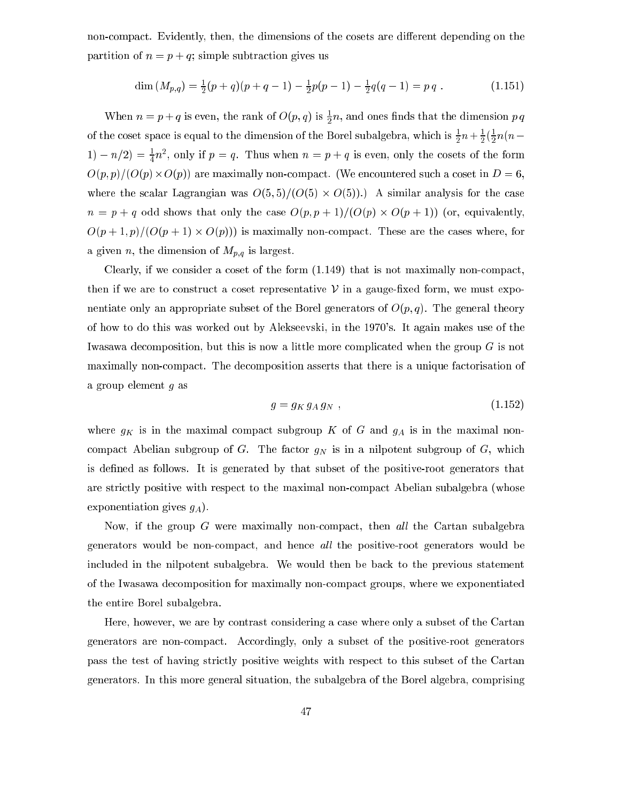non-compact. Evidently, then, the dimensions of the cosets are different depending on the partition of  $n = p + q$ ; simple subtraction gives us

$$
\dim(M_{p,q}) = \frac{1}{2}(p+q)(p+q-1) - \frac{1}{2}p(p-1) - \frac{1}{2}q(q-1) = pq.
$$
 (1.151)

when  $n = p + q$  is even, the rank of  $O(p, q)$  is  $\frac{1}{2}n$ , and ones finds that the dimension p q of the coset space is equal to the dimension of the Borel subalgebra, which is  $\frac{1}{2}n+\frac{1}{2}(\frac{1}{2}n(n-1))$  $1 - n/2 = \frac{1}{4}n^2$ , only if  $p = q$ . Thus when  $n = p + q$  is even, only the cosets of the form O(p; p)=(O(p)-O(p)) are maximally nonompa
t. (We en
ountered su
h a oset in D = 6, alar Lagrangian was O(5):  $\frac{1}{2}$  -  $\frac{1}{2}$  -  $\frac{1}{2}$  -  $\frac{1}{2}$  -  $\frac{1}{2}$  -  $\frac{1}{2}$  -  $\frac{1}{2}$  -  $\frac{1}{2}$  -  $\frac{1}{2}$  -  $\frac{1}{2}$  -  $\frac{1}{2}$  -  $\frac{1}{2}$  -  $\frac{1}{2}$  -  $\frac{1}{2}$  -  $\frac{1}{2}$  -  $\frac{1}{2}$  -  $\frac$ n = p + q odd shows that only the ase O(p; p + 1)=(O(p) - O(p + 1)) (or, equivalently,  $\mathcal{C}$  . The finite area the maximally non-the set are the set are the set are the set are the set of  $\mathcal{C}$ a given n, the dimension of  $M_{p,q}$  is largest.

Clearly, if we consider a coset of the form  $(1.149)$  that is not maximally non-compact, then if we are to construct a coset representative  $V$  in a gauge-fixed form, we must exponentiate only an appropriate subset of the Borel generators of  $O(p, q)$ . The general theory of how to do this was worked out by Alekseevski, in the 1970's. It again makes use of the Iwasawa decomposition, but this is now a little more complicated when the group G is not maximally nonompa
t. The de
omposition asserts that there is a unique fa
torisation of a group element g as

$$
g = g_K g_A g_N \t{1.152}
$$

where  $g_K$  is in the maximal compact subgroup K of G and  $g_A$  is in the maximal noncompact Abelian subgroup of G. The factor  $g_N$  is in a nilpotent subgroup of G, which is dened as follows. It is generated by that subset of the positive-root generators that are strictly positive with respect to the maximal non-compact Abelian subalgebra (whose exponentiation gives  $g_A$ ).

Now, if the group  $G$  were maximally non-compact, then all the Cartan subalgebra generators would be non-compact, and hence all the positive-root generators would be in
luded in the nilpotent subalgebra. We would then be ba
k to the previous statement of the Iwasawa de
omposition for maximally nonompa
t groups, where we exponentiated the entire Borel subalgebra.

Here, however, we are by ontrast onsidering a ase where only a subset of the Cartan generators are nonompa
t. A

ordingly, only a subset of the positive-root generators pass the test of having stri
tly positive weights with respe
t to this subset of the Cartan generators. In this more general situation, the subalgebra of the Borel algebra, omprising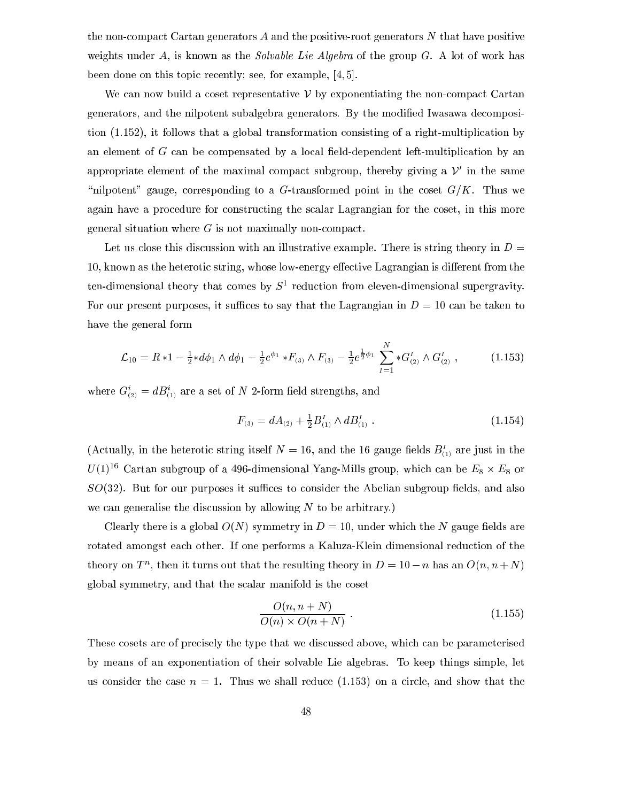the non-compact Cartan generators  $A$  and the positive-root generators  $N$  that have positive weights under  $A$ , is known as the *Solvable Lie Algebra* of the group  $G$ . A lot of work has been done on this topic recently; see, for example,  $[4, 5]$ .

We can now build a coset representative  $\mathcal V$  by exponentiating the non-compact Cartan generators, and the nilpotent subalgebra generators. By the modied Iwasawa de
omposition (1.152), it follows that a global transformation onsisting of a right-multipli
ation by an element of  $G$  can be compensated by a local field-dependent left-multiplication by an appropriate element of the maximal compact subgroup, thereby giving a  $\nu$  in the same "nilpotent" gauge, corresponding to a G-transformed point in the coset  $G/K$ . Thus we again have a procedure for constructing the scalar Lagrangian for the coset, in this more general situation where  $G$  is not maximally non-compact.

Let us close this discussion with an illustrative example. There is string theory in  $D =$ 10, known as the heterotic string, whose low-energy effective Lagrangian is different from the  $t$ en-dimensional theory that comes by  $S^+$  reduction from eleven-dimensional supergravity. For our present purposes, it suffices to say that the Lagrangian in  $D = 10$  can be taken to have the general form

$$
\mathcal{L}_{10} = R * 1 - \frac{1}{2} * d\phi_1 \wedge d\phi_1 - \frac{1}{2} e^{\phi_1} * F_{(3)} \wedge F_{(3)} - \frac{1}{2} e^{\frac{1}{2}\phi_1} \sum_{I=1}^{N} * G_{(2)}^{I} \wedge G_{(2)}^{I} , \qquad (1.153)
$$

where  $G_{(2)} = aD_{(1)}$  are a set of *I*v 2-form held strengths, and

$$
F_{(3)} = dA_{(2)} + \frac{1}{2}B_{(1)}^I \wedge dB_{(1)}^I \tag{1.154}
$$

(Actually, in the heterotic string itself  $N = 16$ , and the 16 gauge fields  $B_{(1)}^I$  are just in the  $U(1)$  – Cartan subgroup of a 496-dimensional Yang-Mills group, which can be  $E_8 \times E_8$  or  $SO(32)$ . But for our purposes it suffices to consider the Abelian subgroup fields, and also we can generalise the discussion by allowing  $N$  to be arbitrary.)

Clearly there is a global  $O(N)$  symmetry in  $D = 10$ , under which the N gauge fields are rotated amongst each other. If one performs a Kaluza-Klein dimensional reduction of the theory on T, then it turns out that the resulting theory in  $D = 10 - n$  has an  $O(n, n + N)$ global symmetry, and that the s
alar manifold is the oset

$$
\frac{O(n, n+N)}{O(n) \times O(n+N)} \tag{1.155}
$$

These cosets are of precisely the type that we discussed above, which can be parameterised by means of an exponentiation of their solvable Lie algebras. To keep things simple, let us consider the case  $n = 1$ . Thus we shall reduce (1.153) on a circle, and show that the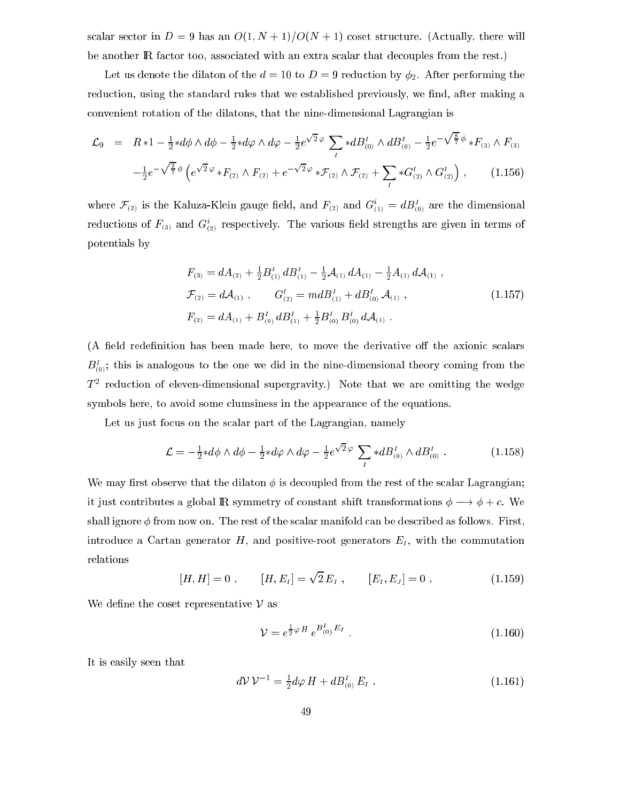scalar sector in  $D = 9$  has an  $O(1, N + 1)/O(N + 1)$  coset structure. (Actually, there will be another **IR** factor too, associated with an extra scalar that decouples from the rest.)

Let us denote the dilaton of the  $d = 10$  to  $D = 9$  reduction by  $\phi_2$ . After performing the reduction, using the standard rules that we established previously, we find, after making a onvenient rotation of the dilatons, that the nine-dimensional Lagrangian is

$$
\mathcal{L}_{9} = R * 1 - \frac{1}{2} * d\phi \wedge d\phi - \frac{1}{2} * d\varphi \wedge d\varphi - \frac{1}{2} e^{\sqrt{2}\varphi} \sum_{I} * dB_{(0)}^{I} \wedge dB_{(0)}^{I} - \frac{1}{2} e^{-\sqrt{\frac{8}{7}}\phi} * F_{(3)} \wedge F_{(3)} \n- \frac{1}{2} e^{-\sqrt{\frac{2}{7}}\phi} \left( e^{\sqrt{2}\varphi} * F_{(2)} \wedge F_{(2)} + e^{-\sqrt{2}\varphi} * \mathcal{F}_{(2)} \wedge \mathcal{F}_{(2)} + \sum_{I} * G_{(2)}^{I} \wedge G_{(2)}^{I} \right), \qquad (1.156)
$$

where  $\mathcal{F}_{(2)}$  is the Kaluza-Klein gauge field, and  $F_{(2)}$  and  $G_{(1)}^{\mu} = dB_{(0)}^{\mu}$  are the dimensional reductions of  $\mathbf{r}_{(3)}$  and  $\mathbf{G}_{(2)}$  respectively. The various neid strengths are given in terms of potentials by

$$
F_{(3)} = dA_{(2)} + \frac{1}{2}B_{(1)}^I dB_{(1)}^I - \frac{1}{2}A_{(1)} dA_{(1)} - \frac{1}{2}A_{(1)} dA_{(1)} ,
$$
  
\n
$$
\mathcal{F}_{(2)} = d\mathcal{A}_{(1)} , \qquad G_{(2)}^I = mdB_{(1)}^I + dB_{(0)}^I \mathcal{A}_{(1)} ,
$$
  
\n
$$
F_{(2)} = dA_{(1)} + B_{(0)}^I dB_{(1)}^I + \frac{1}{2}B_{(0)}^I B_{(0)}^I dA_{(1)} .
$$
\n(1.157)

(A field redefinition has been made here, to move the derivative off the axionic scalars  $B_{(0)}^I$ ; this is analogous to the one we did in the nine-dimensional theory coming from the  $\scriptstyle I$  - reduction of eleven-dimensional supergravity.) Note that we are omitting the wedge symbols here, to avoid some lumsiness in the appearan
e of the equations.

Let us just focus on the scalar part of the Lagrangian, namely

$$
\mathcal{L} = -\frac{1}{2} * d\phi \wedge d\phi - \frac{1}{2} * d\varphi \wedge d\varphi - \frac{1}{2} e^{\sqrt{2}\varphi} \sum_{I} * dB_{(0)}^{I} \wedge dB_{(0)}^{I} . \qquad (1.158)
$$

We may first observe that the dilaton  $\phi$  is decoupled from the rest of the scalar Lagrangian; it just contributes a global R symmetry of constant shift transformations  $\phi \longrightarrow \phi + c$ . We shall ignore  $\phi$  from now on. The rest of the scalar manifold can be described as follows. First, introduce a Cartan generator  $H$ , and positive-root generators  $E_I$ , with the commutation relations

$$
[H, H] = 0 , \t [H, E_I] = \sqrt{2} E_I , \t [E_I, E_J] = 0 . \t (1.159)
$$

We define the coset representative  $\nu$  as

$$
\mathcal{V} = e^{\frac{1}{2}\varphi H} e^{B_{(0)}^I E_I} \tag{1.160}
$$

It is easily seen that

$$
d\mathcal{V}\mathcal{V}^{-1} = \frac{1}{2}d\varphi H + dB_{(0)}^I E_I . \qquad (1.161)
$$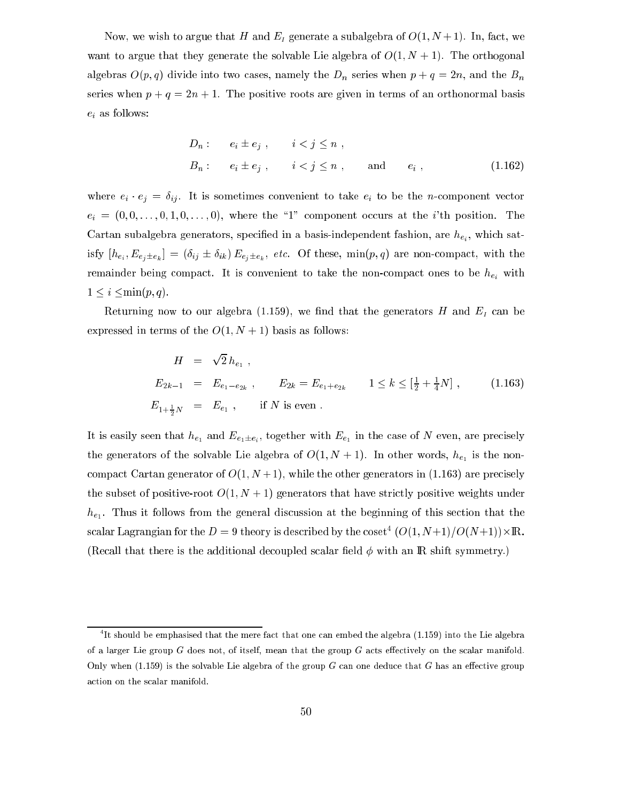Now, we wish to argue that H and  $E_I$  generate a subalgebra of  $O(1, N+1)$ . In, fact, we want to argue that they generate the solvable Lie algebra of  $O(1, N + 1)$ . The orthogonal algebras  $O(p, q)$  divide into two cases, namely the  $D_n$  series when  $p + q = 2n$ , and the  $B_n$ series when  $p + q = 2n + 1$ . The positive roots are given in terms of an orthonormal basis  $e_i$  as follows:

$$
D_n: \t e_i \pm e_j, \t i < j \le n,
$$
  
\n
$$
B_n: \t e_i \pm e_j, \t i < j \le n, \t \text{and} \t e_i,
$$
\n(1.162)

where  $e_i \cdot e_j = \delta_{ij}$ . It is sometimes convenient to take  $e_i$  to be the *n*-component vector  $e_i = (0, 0, \ldots, 0, 1, 0, \ldots, 0)$ , where the "1" component occurs at the *i*'th position. The Cartan subalgebra generators, specified in a basis-independent fashion, are  $\mathcal{P}_{e_i}^{n}$ , which sat- $\mathcal{L}_{e_i}, \mathcal{L}_{e_i} = \mathcal{L}_{e_i}$  (b)  $\mathcal{L}_{e_j} = \mathcal{L}_{e_i},$  for  $\mathcal{L}_{e_j} = \mathcal{L}_{e_i},$  for  $\mathcal{L}_{e_i}, \mathcal{L}_{e_i}$  and  $\mathcal{L}_{e_i},$  with the remainder being compact. It is convenient to take the non-compact ones to be  $h_{e_i}$  with  $1 \leq i \leq \min(p, q)$ .

Returning now to our algebra (1.159), we find that the generators  $H$  and  $E_I$  can be expressed in terms of the  $O(1, N + 1)$  basis as follows:

$$
H = \sqrt{2} h_{e_1} ,
$$
  
\n
$$
E_{2k-1} = E_{e_1 - e_{2k}}, \qquad E_{2k} = E_{e_1 + e_{2k}} \qquad 1 \le k \le \left[\frac{1}{2} + \frac{1}{4}N\right], \qquad (1.163)
$$
  
\n
$$
E_{1 + \frac{1}{2}N} = E_{e_1}, \qquad \text{if } N \text{ is even }.
$$

It is easily seen that  $he_1$  and  $e_{e_1 \pm e_i}$ , together with  $E_{e_1}$  in the ease of  $\pi$  even, are precisely the generators of the solvable Lie algebra of O(1; N <sup>+</sup> 1). In other words, he1 is the non compact Cartan generator of  $O(1, N+1)$ , while the other generators in (1.163) are precisely the subset of positive-root  $O(1, N + 1)$  generators that have strictly positive weights under he1 . Thus it follows from the general dis
ussion at the beginning of this se
tion that the scalar Lagrangian for the  $D = 9$  theory is described by the coset  $\{O(1, N+1)/O(N+1)\}\times\mathbb{R}.$ (Recall that there is the additional decoupled scalar field  $\phi$  with an  $\mathbb R$  shift symmetry.)

Tit should be emphasised that the mere fact that one can embed the algebra (1.159) into the Lie algebra of a larger Lie group  $G$  does not, of itself, mean that the group  $G$  acts effectively on the scalar manifold. Only when  $(1.159)$  is the solvable Lie algebra of the group G can one deduce that G has an effective group a
tion on the s
alar manifold.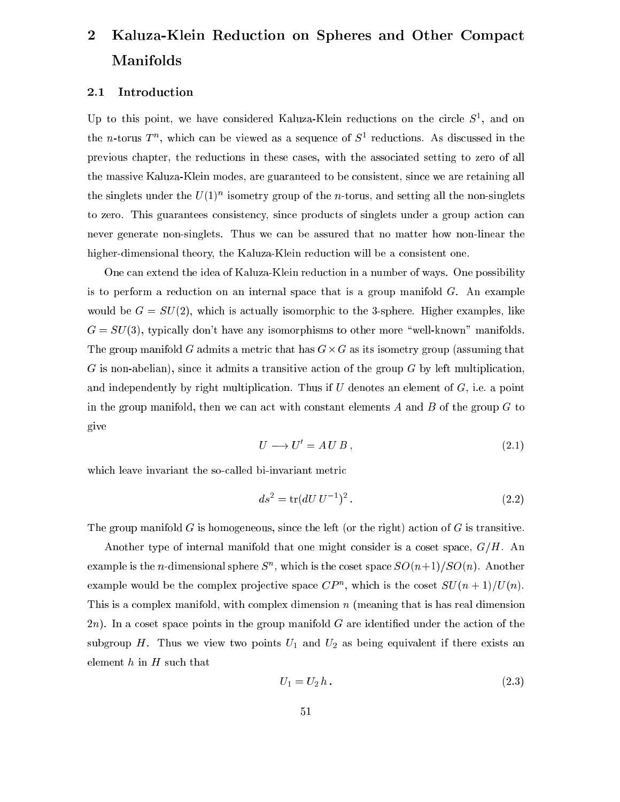# Kaluza-Klein Reduction on Spheres and Other Compact  $\overline{2}$ Manifolds

# 2.1 Introduction

Up to this point, we have considered Kaluza-Klein reductions on the circle  $5^{\circ}$ , and on the *n*-torus  $I^{\alpha}$ , which can be viewed as a sequence of  $S^{\alpha}$  reductions. As discussed in the previous hapter, the redu
tions in these ases, with the asso
iated setting to zero of all the massive Kaluza-Klein modes, are guaranteed to be onsistent, sin
e we are retaining all the singlets under the  $U(1)$  isometry group of the n-torus, and setting all the non-singlets to zero. This guarantees consistency, since products of singlets under a group action can never generate non-singlets. Thus we an be assured that no matter how non-linear the higher-dimensional theory, the Kaluza-Klein reduction will be a consistent one.

One can extend the idea of Kaluza-Klein reduction in a number of ways. One possibility is to perform a reduction on an internal space that is a group manifold  $G$ . An example would be  $G = SU(2)$ , which is actually isomorphic to the 3-sphere. Higher examples, like  $G = SU(3)$ , typically don't have any isomorphisms to other more "well-known" manifolds. The group manifold G admits a metric that many  $\sigma$  is the contract  $\sigma$  group (assuming that  $G$  is non-abelian), since it admits a transitive action of the group  $G$  by left multiplication, and independently by right multiplication. Thus if U denotes an element of  $G$ , i.e. a point in the group manifold, then we can act with constant elements  $A$  and  $B$  of the group  $G$  to give

$$
U \longrightarrow U' = A \, U \, B \,, \tag{2.1}
$$

which leave invariant the so-called bi-invariant metric

$$
ds^2 = \text{tr}(dU U^{-1})^2. \tag{2.2}
$$

The group manifold  $G$  is homogeneous, since the left (or the right) action of  $G$  is transitive.

Another type of internal manifold that one might consider is a coset space,  $G/H$ . An example is the n-dimensional sphere  $S_{\alpha}$ , which is the coset space  $SO(n+1)/SO(n)$ . Another example would be the complex projective space  $\zeta P^+,$  which is the coset  $SU(n+1)/U(n).$ This is a complex manifold, with complex dimension  $n$  (meaning that is has real dimension  $2n$ ). In a coset space points in the group manifold G are identified under the action of the subgroup H. Thus we view two points  $U_1$  and  $U_2$  as being equivalent if there exists an element  $h$  in  $H$  such that

$$
U_1 = U_2 h. \tag{2.3}
$$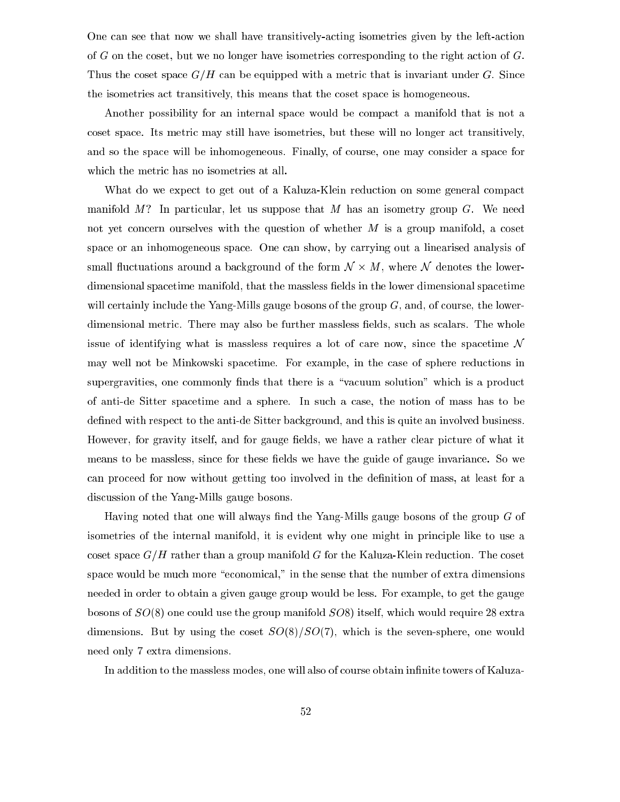One can see that now we shall have transitively-acting isometries given by the left-action of G on the oset, but we no longer have isometries orresponding to the right a
tion of G. Thus the coset space  $G/H$  can be equipped with a metric that is invariant under G. Since the isometries a
t transitively, this means that the oset spa
e is homogeneous.

Another possibility for an internal spa
e would be ompa
t a manifold that is not a coset space. Its metric may still have isometries, but these will no longer act transitively, and so the spa
e will be inhomogeneous. Finally, of ourse, one may onsider a spa
e for which the metric has no isometries at all.

What do we expect to get out of a Kaluza-Klein reduction on some general compact manifold  $M$ ? In particular, let us suppose that  $M$  has an isometry group  $G$ . We need not yet concern ourselves with the question of whether  $M$  is a group manifold, a coset space or an inhomogeneous space. One can show, by carrying out a linearised analysis of small a ball where an other notes the form N  $\alpha$  basic the form N  $\alpha$  , where  $\alpha$  is a ball  $\alpha$ dimensional spacetime manifold, that the massless fields in the lower dimensional spacetime will certainly include the Yang-Mills gauge bosons of the group  $G$ , and, of course, the lowerdimensional metric. There may also be further massless fields, such as scalars. The whole issue of identifying what is massless requires a lot of care now, since the spacetime  $\mathcal N$ may well not be Minkowski spa
etime. For example, in the ase of sphere redu
tions in supergravities, one commonly finds that there is a "vacuum solution" which is a product of anti-de Sitter spa
etime and a sphere. In su
h a ase, the notion of mass has to be defined with respect to the anti-de Sitter background, and this is quite an involved business. However, for gravity itself, and for gauge fields, we have a rather clear picture of what it means to be massless, since for these fields we have the guide of gauge invariance. So we can proceed for now without getting too involved in the definition of mass, at least for a dis
ussion of the Yang-Mills gauge bosons.

Having noted that one will always find the Yang-Mills gauge bosons of the group  $G$  of isometries of the internal manifold, it is evident why one might in principle like to use a coset space  $G/H$  rather than a group manifold G for the Kaluza-Klein reduction. The coset space would be much more "economical," in the sense that the number of extra dimensions needed in order to obtain a given gauge group would be less. For example, to get the gauge bosons of  $SO(8)$  one could use the group manifold  $SO(8)$  itself, which would require 28 extra dimensions. But by using the coset  $SO(8)/SO(7)$ , which is the seven-sphere, one would need only 7 extra dimensions.

In addition to the massless modes, one will also of course obtain infinite towers of Kaluza-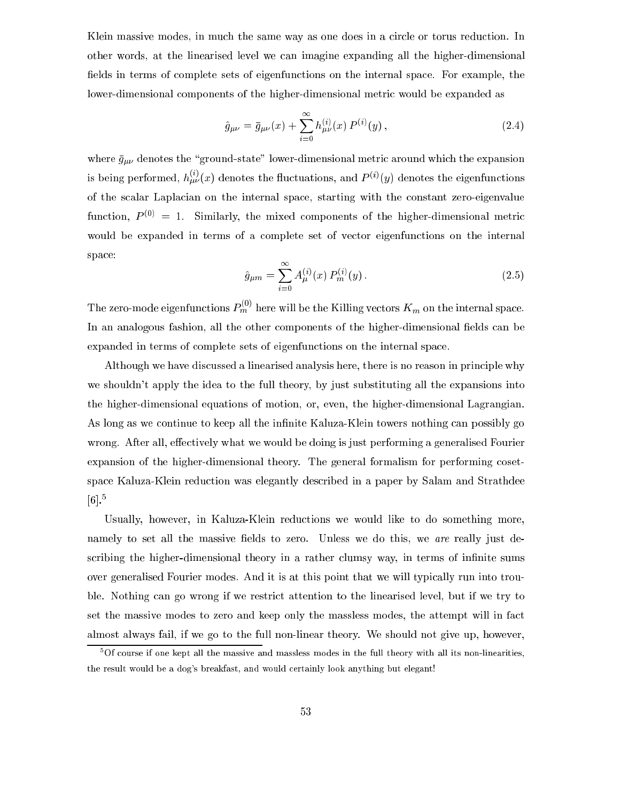Klein massive modes, in much the same way as one does in a circle or torus reduction. In other words, at the linearised level we an imagine expanding all the higher-dimensional fields in terms of complete sets of eigenfunctions on the internal space. For example, the lower-dimensional components of the higher-dimensional metric would be expanded as

$$
\hat{g}_{\mu\nu} = \bar{g}_{\mu\nu}(x) + \sum_{i=0}^{\infty} h_{\mu\nu}^{(i)}(x) P^{(i)}(y), \qquad (2.4)
$$

where  $\bar{g}_{\mu\nu}$  denotes the "ground-state" lower-dimensional metric around which the expansion is being performed,  $h_{\mu\nu}^{\gamma}(x)$  denotes the fluctuations, and  $P^{(\nu)}(y)$  denotes the eigenfunctions of the s
alar Lapla
ian on the internal spa
e, starting with the onstant zero-eigenvalue function,  $P^{(0)} = 1$ . Similarly, the mixed components of the higher-dimensional metric would be expanded in terms of a complete set of vector eigenfunctions on the internal space:

$$
\hat{g}_{\mu m} = \sum_{i=0}^{\infty} A_{\mu}^{(i)}(x) P_m^{(i)}(y). \tag{2.5}
$$

The zero-mode eigenfunctions  $P_m^{\gamma}$  here will be the Killing vectors  $K_m$  on the internal space. In an analogous fashion, all the other components of the higher-dimensional fields can be expanded in terms of omplete sets of eigenfun
tions on the internal spa
e.

Although we have discussed a linearised analysis here, there is no reason in principle why we shouldn't apply the idea to the full theory, by just substituting all the expansions into the higher-dimensional equations of motion, or, even, the higher-dimensional Lagrangian. As long as we continue to keep all the infinite Kaluza-Klein towers nothing can possibly go wrong. After all, effectively what we would be doing is just performing a generalised Fourier expansion of the higher-dimensional theory. The general formalism for performing cosetspa
e Kaluza-Klein redu
tion was elegantly des
ribed in a paper by Salam and Strathdee  $[6].^5$ 

Usually, however, in Kaluza-Klein reductions we would like to do something more, namely to set all the massive fields to zero. Unless we do this, we are really just describing the higher-dimensional theory in a rather clumsy way, in terms of infinite sums over generalised Fourier modes. And it is at this point that we will typi
ally run into trouble. Nothing can go wrong if we restrict attention to the linearised level, but if we try to set the massive modes to zero and keep only the massless modes, the attempt will in fa
t almost always fail, if we go to the full non-linear theory. We should not give up, however,

<sup>5</sup> Of ourse if one kept all the massive and massless modes in the full theory with all its non-linearities, the result would be a dog's breakfast, and would ertainly look anything but elegant!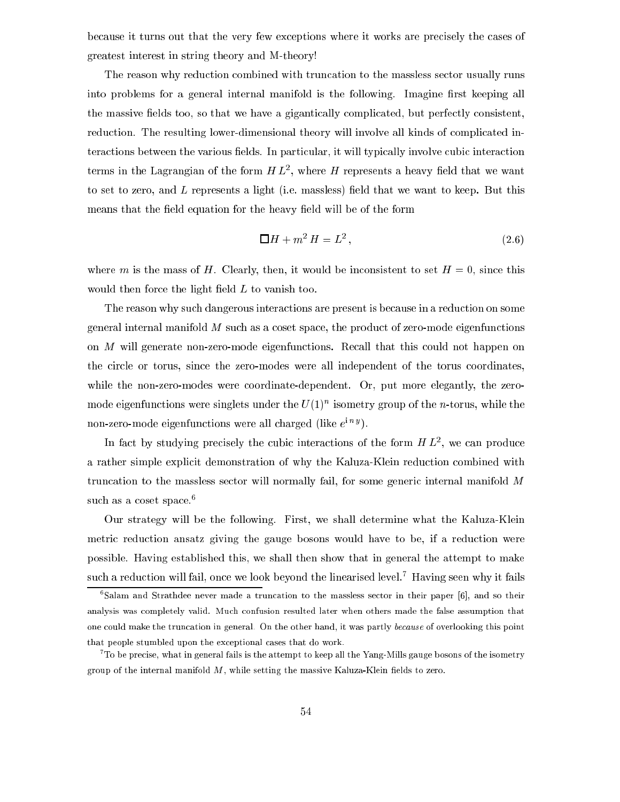because it turns out that the very few exceptions where it works are precisely the cases of greatest interest in string theory and M-theory!

The reason why redu
tion ombined with trun
ation to the massless se
tor usually runs into problems for a general internal manifold is the following. Imagine first keeping all the massive fields too, so that we have a gigantically complicated, but perfectly consistent, reduction. The resulting lower-dimensional theory will involve all kinds of complicated interactions between the various fields. In particular, it will typically involve cubic interaction terms in the Lagrangian of the form  $H L^2$ , where  $H$  represents a heavy field that we want to set to zero, and  $L$  represents a light (i.e. massless) field that we want to keep. But this means that the field equation for the heavy field will be of the form

$$
\Box H + m^2 H = L^2, \qquad (2.6)
$$

where m is the mass of H. Clearly, then, it would be inconsistent to set  $H=0$ , since this would then force the light field  $L$  to vanish too.

The reason why su
h dangerous intera
tions are present is be
ause in a redu
tion on some general internal manifold  $M$  such as a coset space, the product of zero-mode eigenfunctions on M will generate non-zero-mode eigenfunctions. Recall that this could not happen on the circle or torus, since the zero-modes were all independent of the torus coordinates, while the non-zero-modes were coordinate-dependent. Or, put more elegantly, the zeromode eigenfunctions were singlets under the  $U(1)$  -isometry group of the  $n$ -torus, while the  $\min$ -zero-mode eigenfunctions were all charged (like  $e^{i\alpha}$ ).

In fact by studying precisely the cubic interactions of the form  $H$   $L^2$ , we can produce a rather simple explicit demonstration of why the Kaluza-Klein reduction combined with truncation to the massless sector will normally fail, for some generic internal manifold M such as a coset space.<sup>6</sup>

Our strategy will be the following. First, we shall determine what the Kaluza-Klein metric reduction ansatz giving the gauge bosons would have to be, if a reduction were possible. Having established this, we shall then show that in general the attempt to make such a reduction will fail, once we look beyond the linearised level.<sup>7</sup> Having seen why it fails

Salam and Strathdee never made a truncation to the massless sector in their paper [6], and so their analysis was ompletely valid. Mu
h onfusion resulted later when others made the false assumption that one ould make the trun
ation in general. On the other hand, it was partly be
ause of overlooking this point that people stumbled upon the ex
eptional ases that do work.

 $^{\circ}$  To be precise, what in general fails is the attempt to keep all the Yang-Mills gauge bosons of the isometry group of the internal manifold  $M$ , while setting the massive Kaluza-Klein fields to zero.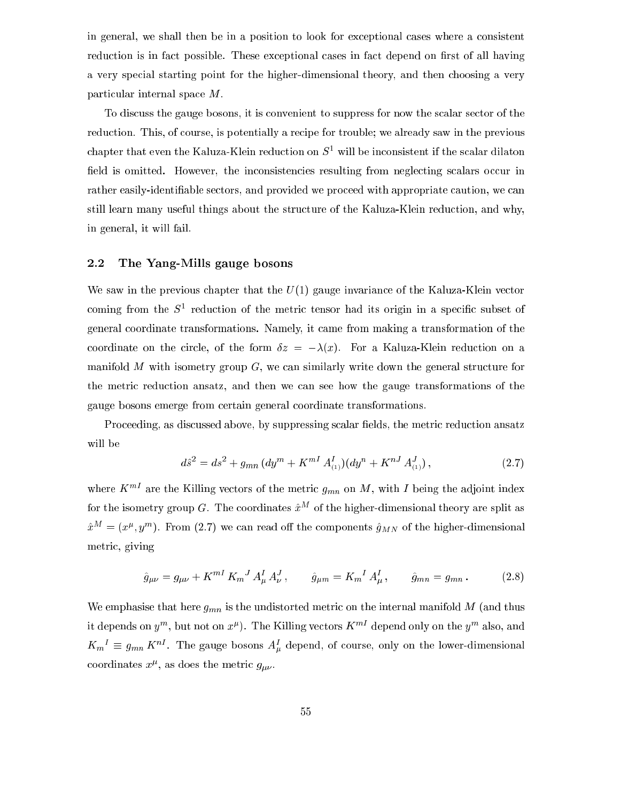in general, we shall then be in a position to look for ex
eptional ases where a onsistent reduction is in fact possible. These exceptional cases in fact depend on first of all having a very special starting point for the higher-dimensional theory, and then choosing a very parti
ular internal spa
e M.

To discuss the gauge bosons, it is convenient to suppress for now the scalar sector of the reduction. This, of course, is potentially a recipe for trouble; we already saw in the previous chapter that even the Kaluza-Klein reduction on  $S^1$  will be inconsistent if the scalar dilaton field is omitted. However, the inconsistencies resulting from neglecting scalars occur in rather easily-identifiable sectors, and provided we proceed with appropriate caution, we can still learn many useful things about the structure of the Kaluza-Klein reduction, and why, in general, it will fail.

# 2.2 The Yang-Mills gauge bosons

We saw in the previous chapter that the  $U(1)$  gauge invariance of the Kaluza-Klein vector coming from the  $S^{\pm}$  reduction of the metric tensor had its origin in a specific subset of general oordinate transformations. Namely, it ame from making a transformation of the coordinate on the circle, of the form  $\delta z = -\lambda(x)$ . For a Kaluza-Klein reduction on a manifold M with isometry group  $G$ , we can similarly write down the general structure for the metric reduction ansatz, and then we can see how the gauge transformations of the gauge bosons emerge from ertain general oordinate transformations.

Proceeding, as discussed above, by suppressing scalar fields, the metric reduction ansatz will be

$$
d\hat{s}^2 = ds^2 + g_{mn} \left( dy^m + K^{mI} A^I_{(1)} \right) \left( dy^n + K^{nJ} A^J_{(1)} \right),\tag{2.7}
$$

where  $K^{mI}$  are the Killing vectors of the metric  $g_{mn}$  on M, with I being the adjoint index for the isometry group G. The coordinates  $\hat{x}^M$  of the higher-dimensional theory are split as  $x^{\pm} = (x^{\mu}, y^{\mu})$ . From (2.7) we can read on the components  $g_{MN}$  of the higher-dimensional metri
, giving

$$
\hat{g}_{\mu\nu} = g_{\mu\nu} + K^{mI} K_m{}^J A_\mu^I A_\nu^J, \qquad \hat{g}_{\mu m} = K_m{}^I A_\mu^I, \qquad \hat{g}_{mn} = g_{mn}. \tag{2.8}
$$

We emphasise that here  $g_{mn}$  is the undistorted metric on the internal manifold M (and thus It depends on  $y$  , but not on  $x<sup>r</sup>$ ). The Killing vectors  $K$  append only on the  $y<sup>r</sup>$  also, and  $K_m^{\dagger} = g_{mn} K^{\dagger}$ . The gauge bosons  $A_{\mu}^{\dagger}$  depend, of course, only on the lower-dimensional coordinates  $x<sub>r</sub>$ , as does the metric  $g_{\mu\nu}$ .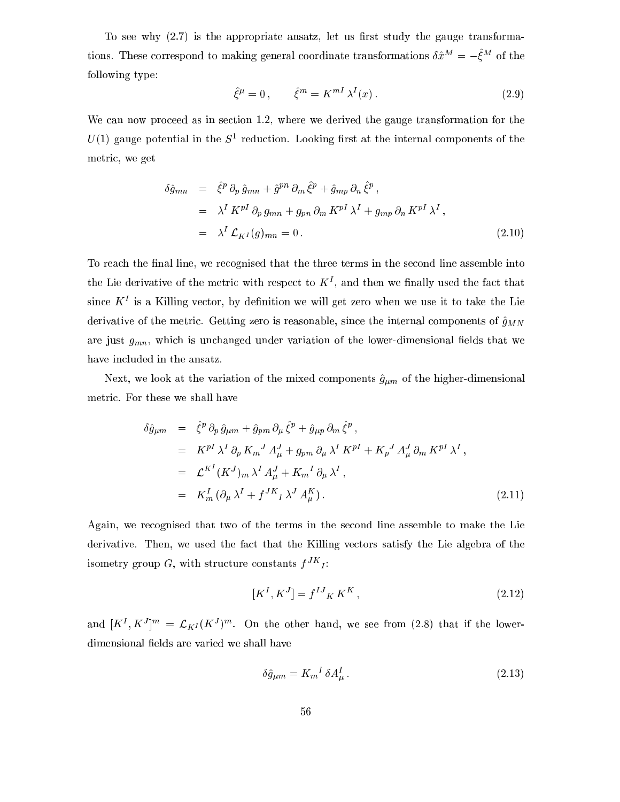To see why  $(2.7)$  is the appropriate ansatz, let us first study the gauge transformations. These correspond to making general coordinate transformations  $\theta x^{\alpha} = -\varepsilon^{n\alpha}$  of the following type:

$$
\hat{\xi}^{\mu} = 0, \qquad \hat{\xi}^{m} = K^{mI} \lambda^{I}(x). \tag{2.9}
$$

We can now proceed as in section 1.2, where we derived the gauge transformation for the  $U(1)$  gauge potential in the  $S^{\perp}$  reduction. Looking first at the internal components of the metri
, we get

$$
\delta \hat{g}_{mn} = \hat{\xi}^p \partial_p \hat{g}_{mn} + \hat{g}^{pn} \partial_m \hat{\xi}^p + \hat{g}_{mp} \partial_n \hat{\xi}^p,
$$
  
\n
$$
= \lambda^I K^{pI} \partial_p g_{mn} + g_{pn} \partial_m K^{pI} \lambda^I + g_{mp} \partial_n K^{pI} \lambda^I,
$$
  
\n
$$
= \lambda^I \mathcal{L}_{K^I}(g)_{mn} = 0.
$$
\n(2.10)

To reach the final line, we recognised that the three terms in the second line assemble into the Lie derivative of the metric with respect to  $K$  , and then we manly used the fact that  $\mathbf{s}$ ince  $\mathbf{A}^*$  is a Killing vector, by definition we will get zero when we use it to take the Lie derivative of the metric. Getting zero is reasonable, since the internal components of  $\hat{g}_{MN}$ are just  $g_{mn}$ , which is unchanged under variation of the lower-dimensional fields that we have in
luded in the ansatz.

Next, we look at the variation of the mixed components  $\hat{g}_{\mu m}$  of the higher-dimensional metri
. For these we shall have

$$
\delta \hat{g}_{\mu m} = \hat{\xi}^p \, \partial_p \, \hat{g}_{\mu m} + \hat{g}_{pm} \, \partial_\mu \, \hat{\xi}^p + \hat{g}_{\mu p} \, \partial_m \, \hat{\xi}^p ,
$$
\n
$$
= K^{pI} \, \lambda^I \, \partial_p \, K_m^J \, A_\mu^J + g_{pm} \, \partial_\mu \, \lambda^I \, K^{pI} + K_p^J \, A_\mu^J \, \partial_m \, K^{pI} \, \lambda^I ,
$$
\n
$$
= \mathcal{L}^{K^I} (K^J)_m \, \lambda^I \, A_\mu^J + K_m^I \, \partial_\mu \, \lambda^I ,
$$
\n
$$
= K_m^I \, (\partial_\mu \, \lambda^I + f^{JK}{}_I \, \lambda^J \, A_\mu^K ). \tag{2.11}
$$

Again, we re
ognised that two of the terms in the se
ond line assemble to make the Lie derivative. Then, we used the fact that the Killing vectors satisfy the Lie algebra of the isometry group  $G$ , with structure constants  $f^{++}$ :

$$
[K^I, K^J] = f^{IJ}{}_K K^K, \qquad (2.12)
$$

and  $[\mathbf{A}^{\top}, \mathbf{A}^{\top}]^{\prime\prime} = \mathcal{L}_{K}I(\mathbf{A}^{\top})^{\prime\prime}$ . On the other hand, we see from (2.8) that if the lowerdimensional fields are varied we shall have

$$
\delta \hat{g}_{\mu m} = K_m{}^I \delta A_\mu^I \,. \tag{2.13}
$$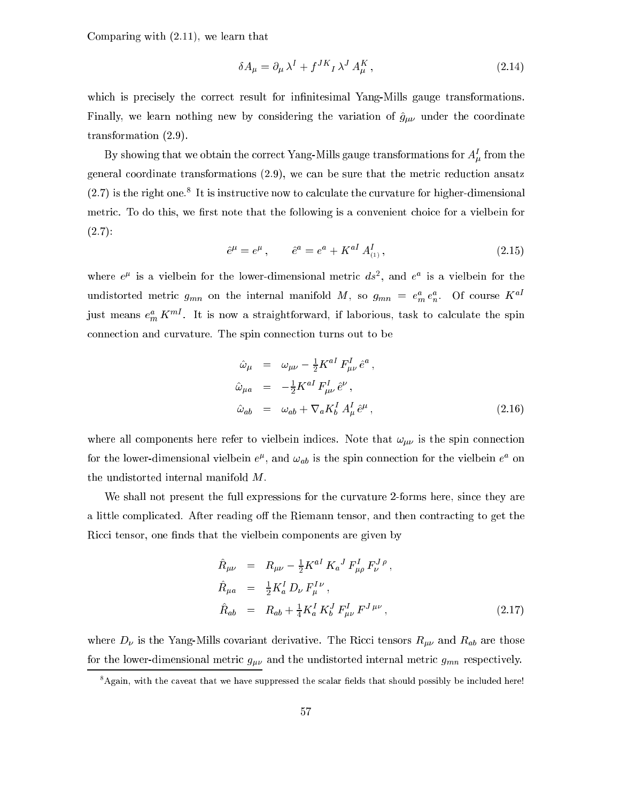Comparing with (2.11), we learn that

$$
\delta A_{\mu} = \partial_{\mu} \lambda^{I} + f^{JK}{}_{I} \lambda^{J} A_{\mu}^{K}, \qquad (2.14)
$$

which is precisely the correct result for infinitesimal Yang-Mills gauge transformations. Finally, we learn nothing new by considering the variation of  $\hat{g}_{\mu\nu}$  under the coordinate transformation (2.9).

by showing that we obtain the correct rang-mills gauge transformations for  $A_\mu$  from the general coordinate transformations  $(2.9)$ , we can be sure that the metric reduction ansatz  $(2.7)$  is the right one. This instructive now to calculate the curvature for higher-dimensional metric. To do this, we first note that the following is a convenient choice for a vielbein for  $(2.7):$ 

$$
\hat{e}^{\mu} = e^{\mu}, \qquad \hat{e}^{a} = e^{a} + K^{aI} A^{I}_{(1)}, \qquad (2.15)
$$

where  $e^{\mu}$  is a vielbein for the lower-dimensional metric  $as^{-}$ , and  $e^{-}$  is a vielbein for the undistorted metric  $g_{mn}$  on the internal manifold M, so  $g_{mn} = e_m^m e_n^m$ . Of course  $K^m$ just means  $e_m$   $K$  . It is now a straightforward, if laborious, task to calculate the spin onne
tion and urvature. The spin onne
tion turns out to be

$$
\hat{\omega}_{\mu} = \omega_{\mu\nu} - \frac{1}{2} K^{aI} F^{I}_{\mu\nu} \hat{e}^{a} ,
$$
  
\n
$$
\hat{\omega}_{\mu a} = -\frac{1}{2} K^{aI} F^{I}_{\mu\nu} \hat{e}^{\nu} ,
$$
  
\n
$$
\hat{\omega}_{ab} = \omega_{ab} + \nabla_{a} K^{I}_{b} A^{I}_{\mu} \hat{e}^{\mu} ,
$$
\n(2.16)

where all components here refer to vielbein indices. Note that  $\omega_{\mu\nu}$  is the spin connection for the lower-dimensional vielbein  $e^T$ , and  $\omega_{ab}$  is the spin connection for the vielbein  $e^-$  on the undistorted internal manifold M.

We shall not present the full expressions for the curvature 2-forms here, since they are a little complicated. After reading off the Riemann tensor, and then contracting to get the Ricci tensor, one finds that the vielbein components are given by

$$
\hat{R}_{\mu\nu} = R_{\mu\nu} - \frac{1}{2} K^{aI} K_{a}{}^{J} F^{I}_{\mu\rho} F^{J \rho}_{\nu}, \n\hat{R}_{\mu a} = \frac{1}{2} K^{I}_{a} D_{\nu} F^{I \nu}_{\mu}, \n\hat{R}_{ab} = R_{ab} + \frac{1}{4} K^{I}_{a} K^{J}_{b} F^{I}_{\mu\nu} F^{J \mu\nu},
$$
\n(2.17)

where  $D_{\nu}$  is the Yang-Mills covariant derivative. The Ricci tensors  $R_{\mu\nu}$  and  $R_{ab}$  are those for the lower-dimensional metric  $g_{\mu\nu}$  and the undistorted internal metric  $g_{mn}$  respectively.

Again, with the caveat that we have suppressed the scalar fields that should possibly be included here!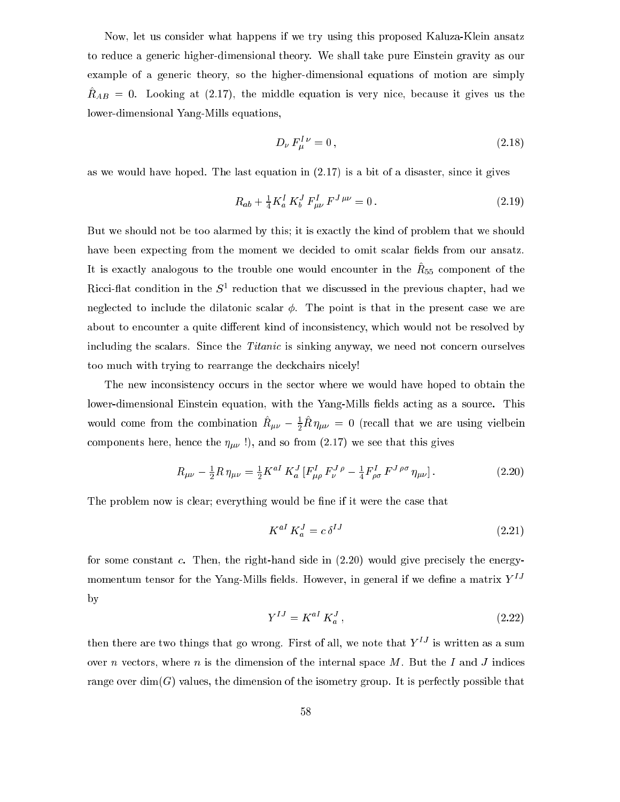Now, let us onsider what happens if we try using this proposed Kaluza-Klein ansatz to redu
e a generi higher-dimensional theory. We shall take pure Einstein gravity as our example of a generic theory, so the higher-dimensional equations of motion are simply  $\mu_{AB} = 0$ . Looking at  $(2.17)$ , the middle equation is very nice, because it gives us the lower-dimensional Yang-Mills equations,

$$
D_{\nu} F_{\mu}^{I \nu} = 0, \tag{2.18}
$$

as we would have hoped. The last equation in  $(2.17)$  is a bit of a disaster, since it gives

$$
R_{ab} + \frac{1}{4} K_a^I K_b^J F_{\mu\nu}^I F^{J\,\mu\nu} = 0.
$$
\n(2.19)

But we should not be too alarmed by this; it is exactly the kind of problem that we should have been expecting from the moment we decided to omit scalar fields from our ansatz. It is exactly analogous to the trouble one would encounter in the  $\mu_{55}$  component or the  $Riccl$ -hat condition in the  $S$  -reduction that we discussed in the previous chapter, had we neglected to include the dilatonic scalar  $\phi$ . The point is that in the present case we are about to encounter a quite different kind of inconsistency, which would not be resolved by including the scalars. Since the *Titanic* is sinking anyway, we need not concern ourselves too much with trying to rearrange the deckchairs nicely!

The new inconsistency occurs in the sector where we would have hoped to obtain the lower-dimensional Einstein equation, with the Yang-Mills fields acting as a source. This would come from the combination  $\kappa_{\mu\nu} - \frac{1}{2} \kappa \, \eta_{\mu\nu} \, = \, 0$  (recall that we are using vielbein components here, hence the  $\eta_{\mu\nu}$  !), and so from (2.17) we see that this gives

$$
R_{\mu\nu} - \frac{1}{2}R \eta_{\mu\nu} = \frac{1}{2} K^{aI} K_a^J \left[ F_{\mu\rho}^I F_{\nu}^J{}^{\rho} - \frac{1}{4} F_{\rho\sigma}^I F^{J \rho\sigma} \eta_{\mu\nu} \right]. \tag{2.20}
$$

The problem now is clear; everything would be fine if it were the case that

$$
K^{aI} K^J_a = c \,\delta^{IJ} \tag{2.21}
$$

for some constant  $c$ . Then, the right-hand side in  $(2.20)$  would give precisely the energymomentum tensor for the Yang-Mills fields. However, in general if we define a matrix  $Y^{IJ}$ by

$$
Y^{IJ} = K^{aI} K^J_a \,, \tag{2.22}
$$

then there are two things that go wrong. First of all, we note that  $Y^{IJ}$  is written as a sum over n vectors, where n is the dimension of the internal space  $M$ . But the I and J indices range over  $\dim(G)$  values, the dimension of the isometry group. It is perfectly possible that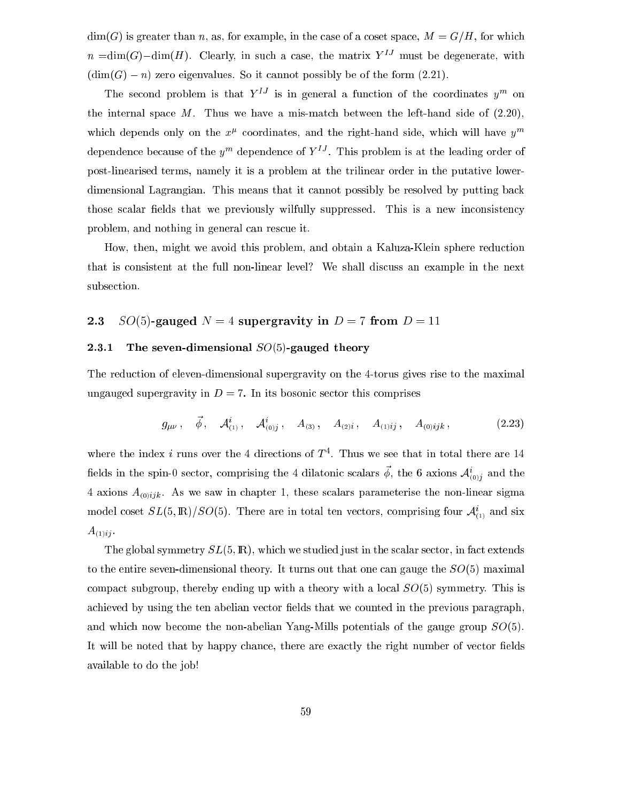$\dim(G)$  is greater than n, as, for example, in the case of a coset space,  $M = G/H$ , for which  $n = \dim(G) - \dim(H)$ . Clearly, in such a case, the matrix  $Y^{IJ}$  must be degenerate, with  $(\dim(G) - n)$  zero eigenvalues. So it cannot possibly be of the form (2.21).

The second problem is that  $Y^*$  is in general a function of the coordinates  $y^*$  on the internal space  $M$ . Thus we have a mis-match between the left-hand side of  $(2.20)$ , which depends only on the  $x^2$  coordinates, and the right-hand side, which will have  $y^{\ldots}$ dependence because of the  $y$  - dependence of  $Y$  - . This problem is at the leading order of post-linearised terms, namely it is a problem at the trilinear order in the putative lowerdimensional Lagrangian. This means that it cannot possibly be resolved by putting back those scalar fields that we previously wilfully suppressed. This is a new inconsistency problem, and nothing in general can rescue it.

How, then, might we avoid this problem, and obtain a Kaluza-Klein sphere redu
tion that is onsistent at the full non-linear level? We shall dis
uss an example in the next subse
tion.

# 2.3 SO(5)-gauged  $N = 4$  supergravity in  $D = 7$  from  $D = 11$

#### The seven-dimensional  $SO(5)$ -gauged theory  $2.3.1$

The redu
tion of eleven-dimensional supergravity on the 4-torus gives rise to the maximal ungauged supergravity in  $D = 7$ . In its bosonic sector this comprises

$$
g_{\mu\nu}, \quad \vec{\phi}, \quad \mathcal{A}_{(1)}^i, \quad \mathcal{A}_{(0)j}^i, \quad A_{(3)}, \quad A_{(2)i}, \quad A_{(1)ij}, \quad A_{(0)ijk}, \tag{2.23}
$$

where the index  $\imath$  runs over the  $4$  directions of  $I$  . Thus we see that in total there are 14 here in the spin-0 sector, comprising the 4 dilatomic scalars  $\varphi$ , the 6 axions  $\mathcal{A}_{(0)j}$  and the 4 axions  $A_{(0)ijk}$ . As we saw in chapter 1, these scalars parameterise the non-linear sigma model coset  $SL(3, m)/SO(3)$ . There are in total ten vectors, comprising four  $A_{(1)}$  and six  $A_{(1)ij}$ .

The global symmetry  $SL(5,\mathbb{R})$ , which we studied just in the scalar sector, in fact extends to the entire seven-dimensional theory. It turns out that one can gauge the  $SO(5)$  maximal compact subgroup, thereby ending up with a theory with a local  $SO(5)$  symmetry. This is achieved by using the ten abelian vector fields that we counted in the previous paragraph, and whi
h now be
ome the non-abelian Yang-Mills potentials of the gauge group SO(5). It will be noted that by happy chance, there are exactly the right number of vector fields available to do the job!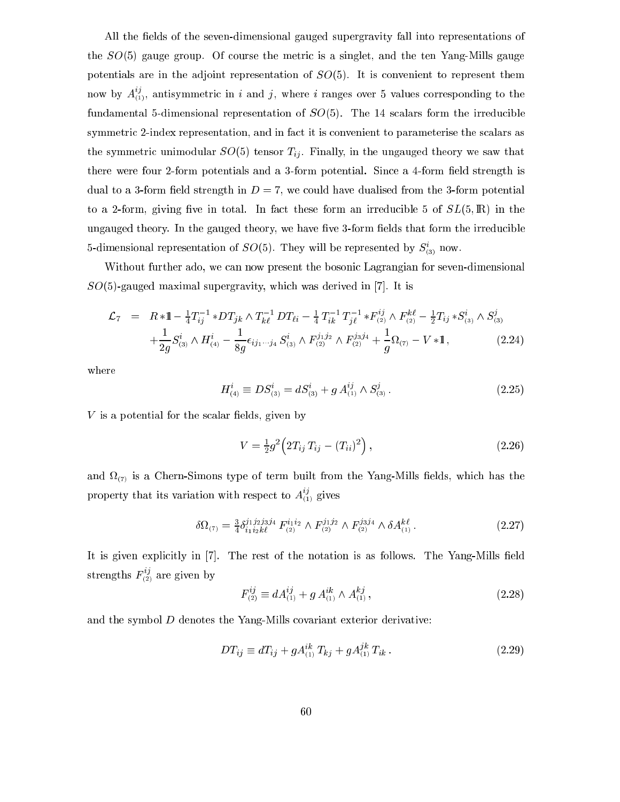All the fields of the seven-dimensional gauged supergravity fall into representations of the  $SO(5)$  gauge group. Of course the metric is a singlet, and the ten Yang-Mills gauge potentials are in the adjoint representation of  $SO(5)$ . It is convenient to represent them now by  $A_{(1)}^{\beta}$ , antisymmetric in  $i$  and  $j$ , where  $i$  ranges over 5 values corresponding to the fundamental 5-dimensional representation of  $SO(5)$ . The 14 scalars form the irreducible symmetric 2-index representation, and in fact it is convenient to parameterise the scalars as the symmetric unimodular  $SO(5)$  tensor  $T_{ij}$ . Finally, in the ungauged theory we saw that there were four 2-form potentials and a 3-form potential. Since a 4-form field strength is dual to a 3-form field strength in  $D = 7$ , we could have dualised from the 3-form potential to a 2-form, giving five in total. In fact these form an irreducible 5 of  $SL(5,\mathbb{R})$  in the ungauged theory. In the gauged theory, we have five 3-form fields that form the irreducible  $5$ -dimensional representation of  $SO(3)$ . They will be represented by  $S_{(3)}$  now.

Without further ado, we can now present the bosonic Lagrangian for seven-dimensional  $SO(5)$ -gauged maximal supergravity, which was derived in [7]. It is

$$
\mathcal{L}_7 = R * 1 - \frac{1}{4} T_{ij}^{-1} * DT_{jk} \wedge T_{k\ell}^{-1} DT_{\ell i} - \frac{1}{4} T_{ik}^{-1} T_{j\ell}^{-1} * F_{(2)}^{ij} \wedge F_{(2)}^{k\ell} - \frac{1}{2} T_{ij} * S_{(3)}^i \wedge S_{(3)}^j
$$
  
 
$$
+ \frac{1}{2g} S_{(3)}^i \wedge H_{(4)}^i - \frac{1}{8g} \epsilon_{ij_1 \cdots j_4} S_{(3)}^i \wedge F_{(2)}^{j_1 j_2} \wedge F_{(2)}^{j_3 j_4} + \frac{1}{g} \Omega_{(7)} - V * 1,
$$
 (2.24)

where

$$
H_{(4)}^{i} \equiv DS_{(3)}^{i} = dS_{(3)}^{i} + g A_{(1)}^{ij} \wedge S_{(3)}^{j}.
$$
 (2.25)

 $V$  is a potential for the scalar fields, given by

$$
V = \frac{1}{2}g^2 \left( 2T_{ij} T_{ij} - (T_{ii})^2 \right), \qquad (2.26)
$$

and is a Chern-Simons type of term built from the Yang-Mills from the Yang-Mills from the Yang-Mills from the Y property that its variation with respect to  $A_{(1)}^{\gamma}$  gives

$$
\delta\Omega_{(7)} = \frac{3}{4}\delta_{i_1 i_2 k\ell}^{j_1 j_2 j_3 j_4} F_{(2)}^{i_1 i_2} \wedge F_{(2)}^{j_1 j_2} \wedge F_{(2)}^{j_3 j_4} \wedge \delta A_{(1)}^{k\ell}.
$$
\n(2.27)

It is given explicitly in [7]. The rest of the notation is as follows. The Yang-Mills field strengths  $F_{(2)}^{\gamma}$  are given by

$$
F_{(2)}^{ij} \equiv dA_{(1)}^{ij} + g A_{(1)}^{ik} \wedge A_{(1)}^{kj}, \qquad (2.28)
$$

and the symbol D denotes the Yang-Mills ovariant exterior derivative:

$$
DT_{ij} \equiv dT_{ij} + gA_{(1)}^{ik}T_{kj} + gA_{(1)}^{jk}T_{ik}.
$$
 (2.29)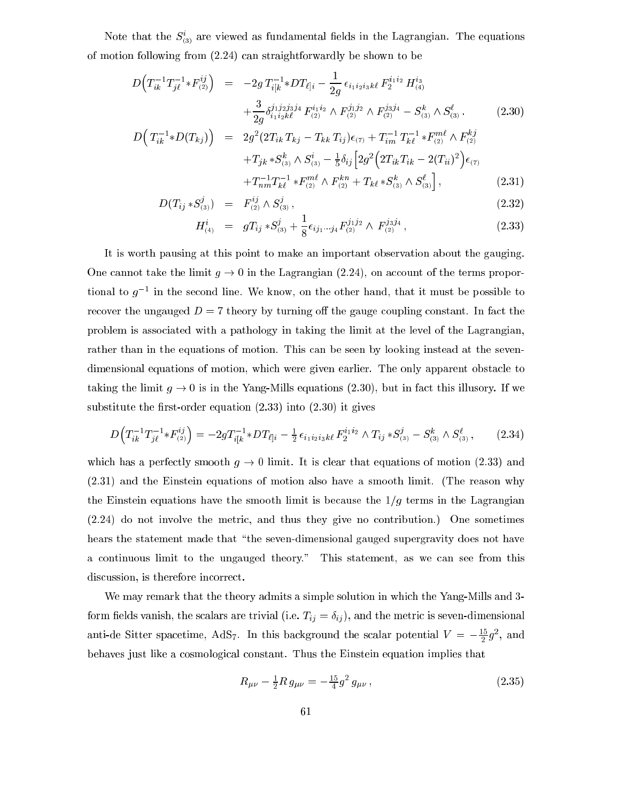Note that the  $S_{(3)}$  are viewed as fundamental neids in the Lagrangian. The equations of motion following from (2.24) an straightforwardly be shown to be

$$
D\left(T_{ik}^{-1}T_{j\ell}^{-1} * F_{(2)}^{ij}\right) = -2g T_{i[k}^{-1} * DT_{\ell]i} - \frac{1}{2g} \epsilon_{i_1 i_2 i_3 k\ell} F_2^{i_1 i_2} H_{(4)}^{i_3} + \frac{3}{2g} \delta_{i_1 i_2 k\ell}^{j_1 j_2 j_3 j_4} F_{(2)}^{i_1 i_2} \wedge F_{(2)}^{j_1 j_2} \wedge F_{(2)}^{j_3 j_4} - S_{(3)}^k \wedge S_{(3)}^{\ell}.
$$
\n
$$
D\left(T_{ik}^{-1} * D(T_{kj})\right) = 2g^2 (2T_{ik} T_{kj} - T_{kk} T_{ij}) \epsilon_{(7)} + T_{im}^{-1} T_{k\ell}^{-1} * F_{(2)}^{m\ell} \wedge F_{(2)}^{kj}
$$
\n(2.30)

$$
E(I_{kj}) = 2g \left(2I_{ik} I_{kj} - I_{kk} I_{ij}\right) e_{(7)} + I_{im} I_{k\ell} * F_{(2)} \wedge F_{(2)}
$$
  
+
$$
T_{jk} * S_{(3)}^k \wedge S_{(3)}^i - \frac{1}{5} \delta_{ij} \left[2g^2 \left(2T_{ik} T_{ik} - 2(T_{ii})^2\right) \epsilon_{(7)} + T_{nm}^{-1} T_{k\ell}^{-1} * F_{(2)}^{m\ell} \wedge F_{(2)}^{kn} + T_{k\ell} * S_{(3)}^k \wedge S_{(3)}^{\ell}\right],
$$
(2.31)

$$
D(T_{ij} * S_{(3)}^j) = F_{(2)}^{ij} \wedge S_{(3)}^j, \qquad (2.32)
$$

$$
H_{(4)}^i = gT_{ij} * S_{(3)}^j + \frac{1}{8} \epsilon_{ij_1 \cdots j_4} F_{(2)}^{j_1 j_2} \wedge F_{(2)}^{j_3 j_4}, \qquad (2.33)
$$

It is worth pausing at this point to make an important observation about the gauging. One cannot take the limit  $g \to 0$  in the Lagrangian (2.24), on account of the terms proportional to  $g$   $\rightarrow$  in the second line. We know, on the other hand, that it must be possible to recover the ungauged  $D = 7$  theory by turning off the gauge coupling constant. In fact the problem is asso
iated with a pathology in taking the limit at the level of the Lagrangian, rather than in the equations of motion. This can be seen by looking instead at the sevendimensional equations of motion, which were given earlier. The only apparent obstacle to taking the limit  $g \to 0$  is in the Yang-Mills equations (2.30), but in fact this illusory. If we substitute the first-order equation  $(2.33)$  into  $(2.30)$  it gives

$$
D\left(T_{ik}^{-1}T_{j\ell}^{-1} * F_{(2)}^{ij}\right) = -2gT_{i[k}^{-1} * DT_{\ell]i} - \frac{1}{2}\epsilon_{i_1i_2i_3k\ell} F_2^{i_1i_2} \wedge T_{ij} * S_{(3)}^j - S_{(3)}^k \wedge S_{(3)}^\ell, \qquad (2.34)
$$

which has a perfectly smooth  $g \to 0$  limit. It is clear that equations of motion (2.33) and (2.31) and the Einstein equations of motion also have a smooth limit. (The reason why the Einstein equations have the smooth limit is because the  $1/g$  terms in the Lagrangian (2.24) do not involve the metri
, and thus they give no ontribution.) One sometimes hears the statement made that "the seven-dimensional gauged supergravity does not have a continuous limit to the ungauged theory." This statement, as we can see from this discussion, is therefore incorrect.

We may remark that the theory admits a simple solution in which the Yang-Mills and 3form fields vanish, the scalars are trivial (i.e.  $T_{ij} = \delta_{ij}$ ), and the metric is seven-dimensional anti-de Sitter spacetime, AdS<sub>7</sub>. In this background the scalar potential  $V = -\frac{1}{2}g^2$ , and behaves just like a osmologi
al onstant. Thus the Einstein equation implies that

$$
R_{\mu\nu} - \frac{1}{2} R g_{\mu\nu} = -\frac{15}{4} g^2 g_{\mu\nu} , \qquad (2.35)
$$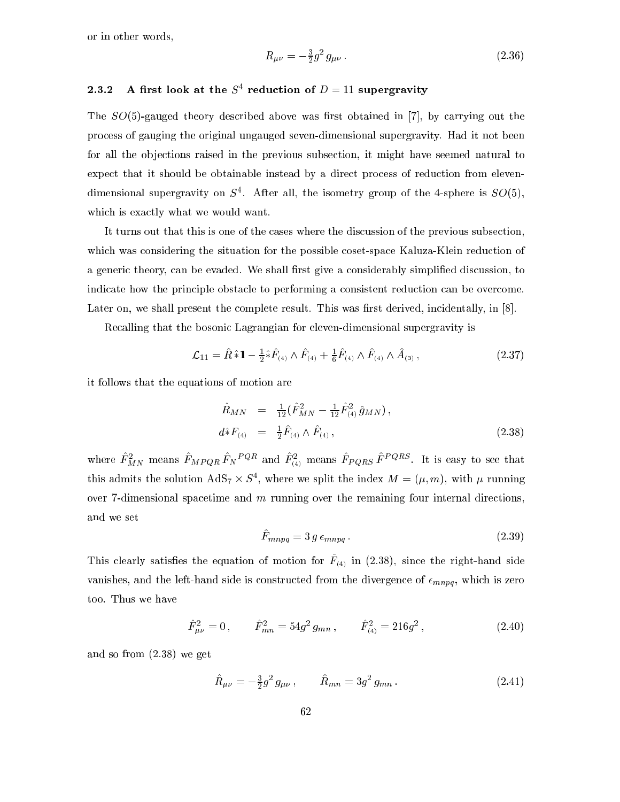or in other words,

$$
R_{\mu\nu} = -\frac{3}{2}g^2 g_{\mu\nu} \,. \tag{2.36}
$$

#### 2.3.2 A first look at the  $S^+$  reduction of  $D = 11$  supergravity

The  $SO(5)$ -gauged theory described above was first obtained in [7], by carrying out the pro
ess of gauging the original ungauged seven-dimensional supergravity. Had it not been for all the objections raised in the previous subsection, it might have seemed natural to expect that it should be obtainable instead by a direct process of reduction from elevendimensional supergravity on  $5^\circ$ . After all, the isometry group of the 4-sphere is  $SO(5)$ , which is exactly what we would want.

It turns out that this is one of the cases where the discussion of the previous subsection, which was considering the situation for the possible coset-space Kaluza-Klein reduction of a generic theory, can be evaded. We shall first give a considerably simplified discussion, to indicate how the principle obstacle to performing a consistent reduction can be overcome. Later on, we shall present the complete result. This was first derived, incidentally, in [8].

Re
alling that the bosoni Lagrangian for eleven-dimensional supergravity is

$$
\mathcal{L}_{11} = \hat{R} \hat{*} 1 - \frac{1}{2} \hat{*} \hat{F}_{(4)} \wedge \hat{F}_{(4)} + \frac{1}{6} \hat{F}_{(4)} \wedge \hat{F}_{(4)} \wedge \hat{A}_{(3)}, \qquad (2.37)
$$

it follows that the equations of motion are

$$
\hat{R}_{MN} = \frac{1}{12} (\hat{F}_{MN}^2 - \frac{1}{12} \hat{F}_{(4)}^2 \hat{g}_{MN}),
$$
\n
$$
d \hat{*} F_{(4)} = \frac{1}{2} \hat{F}_{(4)} \wedge \hat{F}_{(4)},
$$
\n(2.38)

where  $F^{\mu}_{MN}$  means  $F^{\mu}_{M}P^{\mu}_{QR}F^{\nu}$  and  $F^{\mu}_{(4)}$  means  $F^{\mu}_{QR}P^{\nu}$  . It is easy to see that this admits the solution  $A\omega_7 \times B$ ; where we split the index  $M = (\mu, m)$ , with  $\mu$  running over 7-dimensional spacetime and  $m$  running over the remaining four internal directions, and we set

$$
\hat{F}_{mnpq} = 3 g \epsilon_{mnpq} . \tag{2.39}
$$

This creatry satisfies the equation of motion for  $T_{(4)}$  in (2.38), since the right-hand side vanishes, and the left-hand side is constructed from the divergence of  $\epsilon_{mnpq}$ , which is zero too. Thus we have

$$
\hat{F}_{\mu\nu}^2 = 0, \qquad \hat{F}_{mn}^2 = 54g^2 g_{mn}, \qquad \hat{F}_{(4)}^2 = 216g^2, \qquad (2.40)
$$

and so from (2.38) we get

$$
\hat{R}_{\mu\nu} = -\frac{3}{2}g^2 g_{\mu\nu} , \qquad \hat{R}_{mn} = 3g^2 g_{mn} . \qquad (2.41)
$$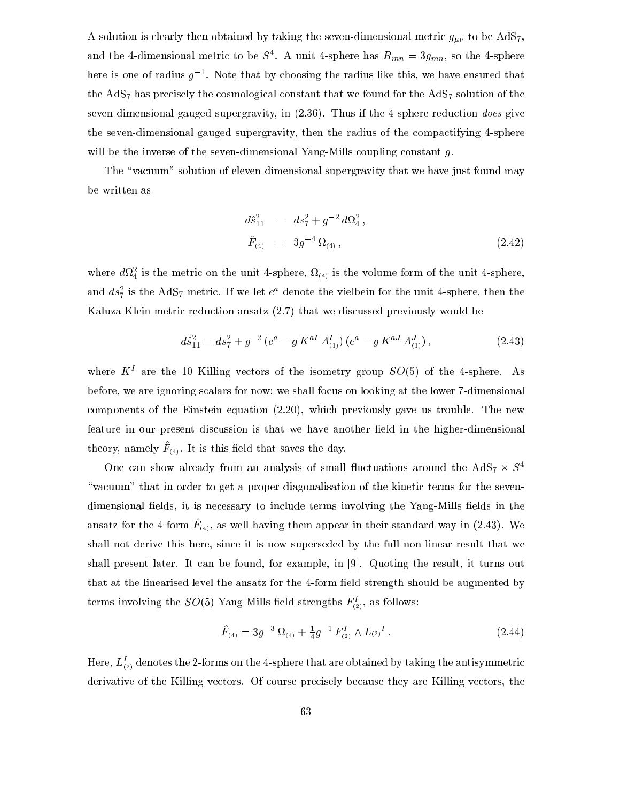A solution is clearly then obtained by taking the seven-dimensional metric  $g_{\mu\nu}$  to be AdS<sub>7</sub>, and the 4-dimensional metric to be  $S^+$ . A unit 4-sphere has  $n_{mn} \equiv \beta g_{mn},$  so the 4-sphere here is one of radius  $q^{-1}$ . Note that by choosing the radius like this, we have ensured that the  $AdS_7$  has precisely the cosmological constant that we found for the  $AdS_7$  solution of the seven-dimensional gauged supergravity, in  $(2.36)$ . Thus if the 4-sphere reduction *does* give the seven-dimensional gauged supergravity, then the radius of the ompa
tifying 4-sphere will be the inverse of the seven-dimensional Yang-Mills coupling constant  $q$ .

The "vacuum" solution of eleven-dimensional supergravity that we have just found may be written as

$$
d\hat{s}_{11}^2 = ds_7^2 + g^{-2} d\Omega_4^2,
$$
  
\n
$$
\hat{F}_{(4)} = 3g^{-4} \Omega_{(4)},
$$
\n(2.42)

where  $a_{\Omega}$  is the metric on the unit 4-sphere,  $\Omega_{(4)}$  is the volume form of the unit 4-sphere, and  $as_{7}$  is the AdS<sub>7</sub> metric. If we let e<sup>2</sup> denote the vielbein for the unit 4-sphere, then the Kaluza-Klein metric reduction ansatz (2.7) that we discussed previously would be

$$
d\hat{s}_{11}^2 = ds_7^2 + g^{-2} \left( e^a - g \, K^{aI} \, A_{(1)}^I \right) \left( e^a - g \, K^{aJ} \, A_{(1)}^J \right),\tag{2.43}
$$

where  $K$  are the 10 Killing vectors of the isometry group  $SO(5)$  of the 4-sphere. As before, we are ignoring s
alars for now; we shall fo
us on looking at the lower 7-dimensional components of the Einstein equation  $(2.20)$ , which previously gave us trouble. The new feature in our present discussion is that we have another field in the higher-dimensional theory, namely  $\Gamma_{(4)}$ . It is this field that saves the day.

One can show already from an analysis of small fluctuations around the AdS $_7$   $\times$  S $^+$ "vacuum" that in order to get a proper diagonalisation of the kinetic terms for the sevendimensional fields, it is necessary to include terms involving the Yang-Mills fields in the ansatz for the 4-form  $\Gamma_{(4)}$ , as well having them appear in their standard way in (2.40). We shall not derive this here, sin
e it is now superseded by the full non-linear result that we shall present later. It can be found, for example, in  $[9]$ . Quoting the result, it turns out that at the linearised level the ansatz for the 4-form field strength should be augmented by terms involving the  $SU(3)$  rang-mills held strengths  $F_{(2)}$ , as follows:

$$
\hat{F}_{(4)} = 3g^{-3} \Omega_{(4)} + \frac{1}{4}g^{-1} F_{(2)}^I \wedge L_{(2)}^I.
$$
\n(2.44)

Here,  $L_{(2)}$  denotes the 2-forms on the 4-sphere that are obtained by taking the antisymmetric derivative of the Killing vectors. Of course precisely because they are Killing vectors, the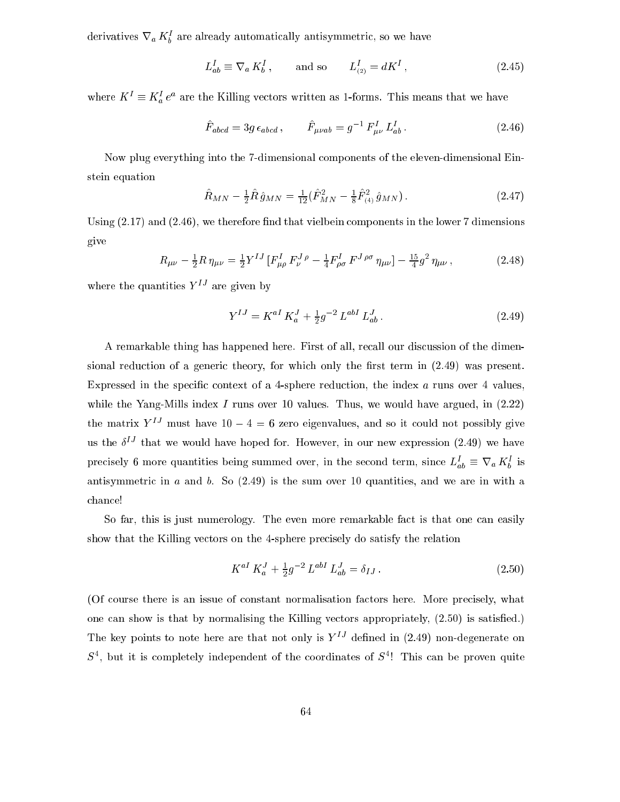derivatives  $v_a \, \kappa_b$  are already automatically antisymmetric, so we have

$$
L_{ab}^I \equiv \nabla_a K_b^I \,, \qquad \text{and so} \qquad L_{(2)}^I = dK^I \,, \tag{2.45}
$$

where  $K = K_a e$  are the Killing vectors written as 1-forms. This means that we have

$$
\hat{F}_{abcd} = 3g \,\epsilon_{abcd} \,, \qquad \hat{F}_{\mu\nu ab} = g^{-1} \, F^I_{\mu\nu} \, L^I_{ab} \,. \tag{2.46}
$$

Now plug everything into the 7-dimensional omponents of the eleven-dimensional Einstein equation

$$
\hat{R}_{MN} - \frac{1}{2}\hat{R}\hat{g}_{MN} = \frac{1}{12}(\hat{F}_{MN}^2 - \frac{1}{8}\hat{F}_{(4)}^2\hat{g}_{MN}).
$$
\n(2.47)

Using  $(2.17)$  and  $(2.46)$ , we therefore find that vielbein components in the lower 7 dimensions give

$$
R_{\mu\nu} - \frac{1}{2}R\,\eta_{\mu\nu} = \frac{1}{2}Y^{IJ}\left[F^{I}_{\mu\rho}\,F^{J}_{\nu}{}^{\rho} - \frac{1}{4}F^{I}_{\rho\sigma}\,F^{J\,\rho\sigma}\,\eta_{\mu\nu}\right] - \frac{15}{4}g^2\,\eta_{\mu\nu}\,,\tag{2.48}
$$

where the quantities  $Y^{IJ}$  are given by

$$
Y^{IJ} = K^{aI} K_a^J + \frac{1}{2} g^{-2} L^{abI} L_{ab}^J.
$$
\n(2.49)

A remarkable thing has happened here. First of all, recall our discussion of the dimensional reduction of a generic theory, for which only the first term in  $(2.49)$  was present. Expressed in the specific context of a 4-sphere reduction, the index  $a$  runs over 4 values, while the Yang-Mills index I runs over 10 values. Thus, we would have argued, in  $(2.22)$ the matrix  $Y^{IJ}$  must have  $10 - 4 = 6$  zero eigenvalues, and so it could not possibly give us the  $\delta^{++}$  that we would have hoped for. However, in our new expression (2.49) we have precisely 6 more quantities being summed over, in the second term, since  $L_{ab} = V_a K_b$  is antisymmetric in  $a$  and  $b$ . So  $(2.49)$  is the sum over 10 quantities, and we are in with a chance!

So far, this is just numerology. The even more remarkable fact is that one can easily show that the Killing vectors on the 4-sphere precisely do satisfy the relation

$$
K^{aI} K_a^J + \frac{1}{2} g^{-2} L^{abI} L_{ab}^J = \delta_{IJ} . \qquad (2.50)
$$

(Of ourse there is an issue of onstant normalisation fa
tors here. More pre
isely, what one can show is that by normalising the Killing vectors appropriately,  $(2.50)$  is satisfied.) The key points to note here are that not only is  $Y^{IJ}$  defined in (2.49) non-degenerate on  $5^{\degree}$ , but it is completely independent of the coordinates of  $5^{\degree}$ : This can be proven quite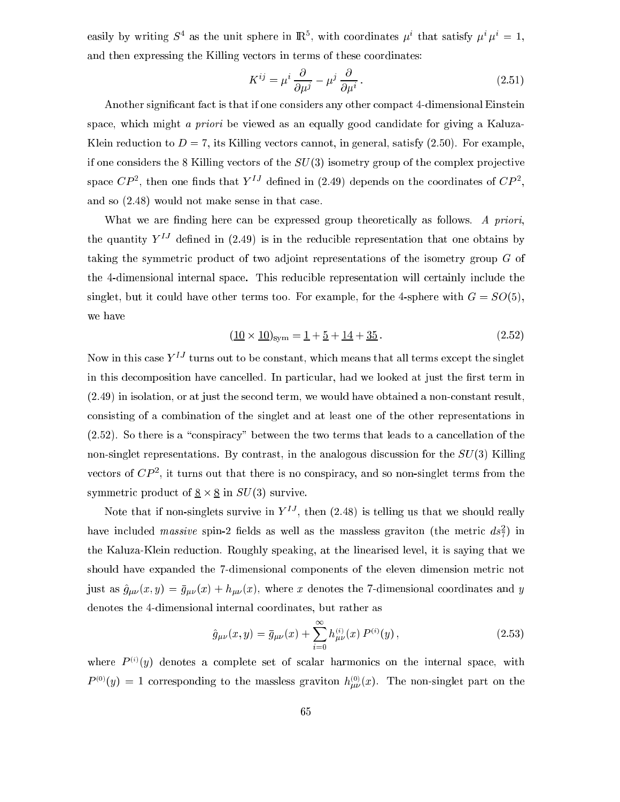easily by writing  $S^+$  as the unit sphere in  $\mathbb{R}^+$ , with coordinates  $\mu^+$  that satisfy  $\mu^+\mu^-\equiv 1$ , and then expressing the Killing vectors in terms of these coordinates:

$$
K^{ij} = \mu^i \frac{\partial}{\partial \mu^j} - \mu^j \frac{\partial}{\partial \mu^i}.
$$
 (2.51)

Another significant fact is that if one considers any other compact 4-dimensional Einstein space, which might a priori be viewed as an equally good candidate for giving a Kaluza-Klein reduction to  $D = 7$ , its Killing vectors cannot, in general, satisfy (2.50). For example, if one considers the 8 Killing vectors of the  $SU(3)$  isometry group of the complex projective space  $\cup$  P  $\overline{\phantom{a}}$ , then one finds that  $Y$   $\overline{\phantom{a}}$  defined in (2.49) depends on the coordinates of  $\overline{\phantom{a}}$  , and so (2.48) would not make sense in that ase.

What we are finding here can be expressed group theoretically as follows. A priori, the quantity  $Y^{IJ}$  defined in (2.49) is in the reducible representation that one obtains by taking the symmetric product of two adjoint representations of the isometry group  $G$  of the 4-dimensional internal spa
e. This redu
ible representation will ertainly in
lude the singlet, but it could have other terms too. For example, for the 4-sphere with  $G = SO(5)$ , we have

$$
\left(\underline{10} \times \underline{10}\right)_{\text{sym}} = \underline{1} + \underline{5} + \underline{14} + \underline{35}.
$$
\n(2.52)

Now in this case  $Y^{IJ}$  turns out to be constant, which means that all terms except the singlet in this decomposition have cancelled. In particular, had we looked at just the first term in (2.49) in isolation, or at just the se
ond term, we would have obtained a nononstant result, onsisting of a ombination of the singlet and at least one of the other representations in  $(2.52)$ . So there is a "conspiracy" between the two terms that leads to a cancellation of the non-singlet representations. By contrast, in the analogous discussion for the  $SU(3)$  Killing vectors of  $CF$ , it turns out that there is no conspiracy, and so non-singlet terms from the s, 2002 and 10 in Survive. The product of 8 in Survive. The survive of 8 in Survive. The survive of 8 in Survive.

Note that if non-singlets survive in  $Y^{\pm}$ , then (2.48) is telling us that we should really have included *massive* spin-2 helds as well as the massless graviton (the metric  $as_{7/}$ ) in the Kaluza-Klein redu
tion. Roughly speaking, at the linearised level, it is saying that we should have expanded the 7-dimensional components of the eleven dimension metric not just as  $\hat{g}_{\mu\nu}(x, y) = \bar{g}_{\mu\nu}(x) + h_{\mu\nu}(x)$ , where x denotes the 7-dimensional coordinates and y denotes the 4-dimensional internal oordinates, but rather as

$$
\hat{g}_{\mu\nu}(x,y) = \bar{g}_{\mu\nu}(x) + \sum_{i=0}^{\infty} h_{\mu\nu}^{(i)}(x) P^{(i)}(y), \qquad (2.53)
$$

where  $P^{(i)}(y)$  denotes a complete set of scalar harmonics on the internal space, with  $P^{(z)}(y) = 1$  corresponding to the massless graviton  $h_{\mu\nu}^{(z)}(x)$ . The non-singlet part on the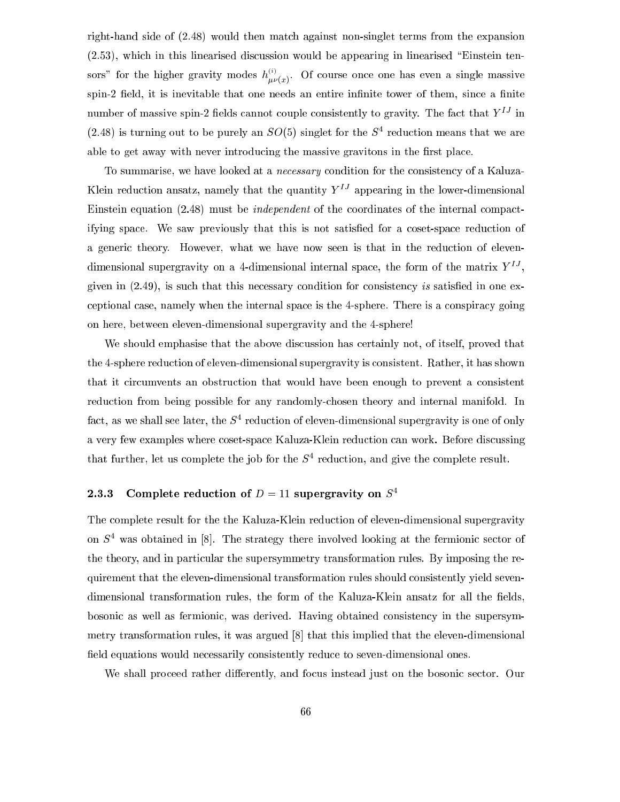right-hand side of (2.48) would then mat
h against non-singlet terms from the expansion (2.53), whi
h in this linearised dis
ussion would be appearing in linearised \Einstein tensors" for the higher gravity modes  $h_{\mu\nu}^{(i)}$  $\mu\nu(x)$  . Of the single massive massive massive massive massive massive massive massive massive massive massive massive massive massive massive massive massive massive massive massive massive massive massive massive mass spin-2 field, it is inevitable that one needs an entire infinite tower of them, since a finite number of massive spin-2 fields cannot couple consistently to gravity. The fact that  $Y^{IJ}$  in (2.48) is turning out to be purely an  $SO(5)$  singlet for the  $S^+$  reduction means that we are able to get away with never introducing the massive gravitons in the first place.

To summarise, we have looked at a *necessary* condition for the consistency of a Kaluza-Klein reduction ansatz, namely that the quantity  $Y^{IJ}$  appearing in the lower-dimensional Einstein equation (2.48) must be *independent* of the coordinates of the internal compactifying space. We saw previously that this is not satisfied for a coset-space reduction of a generic theory. However, what we have now seen is that in the reduction of elevendimensional supergravity on a 4-dimensional internal space, the form of the matrix  $\bar{I}$  , given in  $(2.49)$ , is such that this necessary condition for consistency is satisfied in one exeptional ase, namely when the internal spa
e is the 4-sphere. There is a onspira
y going on here, between eleven-dimensional supergravity and the 4-sphere!

We should emphasise that the above discussion has certainly not, of itself, proved that the 4-sphere redu
tion of eleven-dimensional supergravity is onsistent. Rather, it has shown that it circumvents an obstruction that would have been enough to prevent a consistent reduction from being possible for any randomly-chosen theory and internal manifold. In ract, as we shall see rater, the  $S^+$  reduction of eleven-dimensional supergravity is one of only a very few examples where oset-spa
e Kaluza-Klein redu
tion an work. Before dis
ussing that further, let us complete the job for the S<sup>-</sup> reduction, and give the complete result.

# 2.3.3 Complete reduction of  $D = 11$  supergravity on  $S<sup>4</sup>$

The omplete result for the the Kaluza-Klein redu
tion of eleven-dimensional supergravity on  $S^+$  was obtained in  $\lvert\delta\rvert$ . The strategy there involved looking at the fermionic sector of the theory, and in particular the supersymmetry transformation rules. By imposing the requirement that the eleven-dimensional transformation rules should onsistently yield sevendimensional transformation rules, the form of the Kaluza-Klein ansatz for all the fields, bosonic as well as fermionic, was derived. Having obtained consistency in the supersymmetry transformation rules, it was argued  $[8]$  that this implied that the eleven-dimensional field equations would necessarily consistently reduce to seven-dimensional ones.

We shall proceed rather differently, and focus instead just on the bosonic sector. Our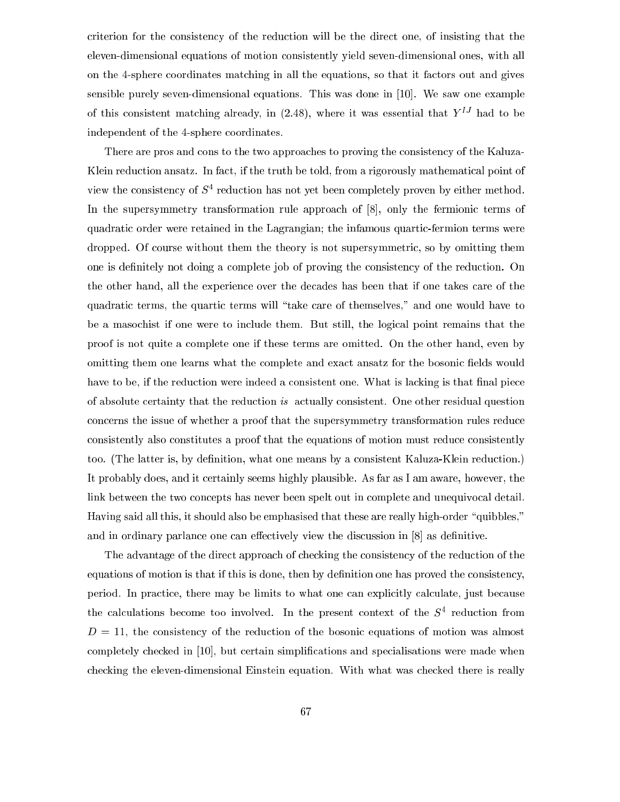riterion for the onsisten
y of the redu
tion will be the dire
t one, of insisting that the eleven-dimensional equations of motion onsistently yield seven-dimensional ones, with all on the 4-sphere oordinates mat
hing in all the equations, so that it fa
tors out and gives sensible purely seven-dimensional equations. This was done in  $[10]$ . We saw one example of this consistent matching already, in  $(2.48)$ , where it was essential that  $Y^{IJ}$  had to be independent of the 4-sphere coordinates.

There are pros and cons to the two approaches to proving the consistency of the Kaluza-Klein reduction ansatz. In fact, if the truth be told, from a rigorously mathematical point of view the consistency of S<sup>4</sup> requation has not yet been completely proven by either method. In the supersymmetry transformation rule approach of  $[8]$ , only the fermionic terms of quadrati order were retained in the Lagrangian; the infamous quarti
-fermion terms were dropped. Of ourse without them the theory is not supersymmetri
, so by omitting them one is definitely not doing a complete job of proving the consistency of the reduction. On the other hand, all the experien
e over the de
ades has been that if one takes are of the quadratic terms, the quartic terms will "take care of themselves," and one would have to be a maso
hist if one were to in
lude them. But still, the logi
al point remains that the proof is not quite a omplete one if these terms are omitted. On the other hand, even by omitting them one learns what the complete and exact ansatz for the bosonic fields would have to be, if the reduction were indeed a consistent one. What is lacking is that final piece of absolute certainty that the reduction is actually consistent. One other residual question concerns the issue of whether a proof that the supersymmetry transformation rules reduce consistently also constitutes a proof that the equations of motion must reduce consistently too. (The latter is, by definition, what one means by a consistent Kaluza-Klein reduction.) It probably does, and it ertainly seems highly plausible. As far as I am aware, however, the link between the two concepts has never been spelt out in complete and unequivocal detail. Having said all this, it should also be emphasised that these are really high-order "quibbles," and in ordinary parlance one can effectively view the discussion in  $[8]$  as definitive.

The advantage of the direct approach of checking the consistency of the reduction of the equations of motion is that if this is done, then by definition one has proved the consistency, period. In practice, there may be limits to what one can explicitly calculate, just because the calculations become too involved. In the present context of the  $S^+$  reduction from  $D = 11$ , the consistency of the reduction of the bosonic equations of motion was almost completely checked in [10], but certain simplifications and specialisations were made when checking the eleven-dimensional Einstein equation. With what was checked there is really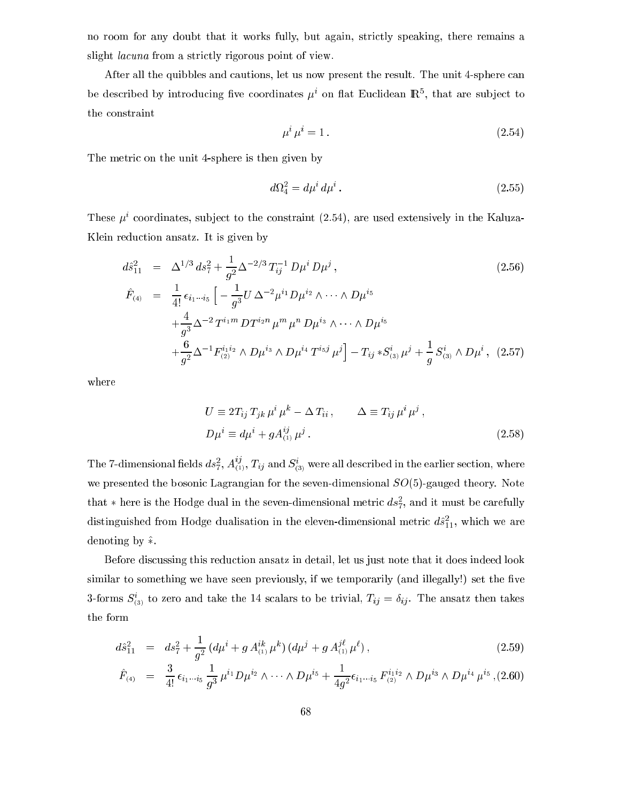no room for any doubt that it works fully, but again, stri
tly speaking, there remains a slight *lacuna* from a strictly rigorous point of view.

After all the quibbles and cautions, let us now present the result. The unit 4-sphere can be described by introducing live coordinates  $\mu$  on hat Euchdean IR<sup>5</sup>, that are subject to the onstraint

$$
\mu^i \mu^i = 1. \tag{2.54}
$$

The metric on the unit 4-sphere is then given by

$$
d\Omega_4^2 = d\mu^i \, d\mu^i \,. \tag{2.55}
$$

These  $\mu$  coordinates, subject to the constraint (2.54), are used extensively in the Kaluza-Klein redu
tion ansatz. It is given by

$$
d\hat{s}_{11}^{2} = \Delta^{1/3} ds_{7}^{2} + \frac{1}{g^{2}} \Delta^{-2/3} T_{ij}^{-1} D\mu^{i} D\mu^{j},
$$
\n
$$
\hat{F}_{(4)} = \frac{1}{4!} \epsilon_{i_{1}...i_{5}} \left[ -\frac{1}{g^{3}} U \Delta^{-2} \mu^{i_{1}} D\mu^{i_{2}} \wedge \cdots \wedge D\mu^{i_{5}} \right.
$$
\n
$$
+ \frac{4}{g^{3}} \Delta^{-2} T^{i_{1}m} D T^{i_{2}n} \mu^{m} \mu^{n} D\mu^{i_{3}} \wedge \cdots \wedge D\mu^{i_{5}} \left. + \frac{6}{g^{2}} \Delta^{-1} F^{i_{1}i_{2}}_{(2)} \wedge D\mu^{i_{3}} \wedge D\mu^{i_{4}} T^{i_{5}j} \mu^{j} \right] - T_{ij} * S_{(3)}^{i} \mu^{j} + \frac{1}{g} S_{(3)}^{i} \wedge D\mu^{i},
$$
\n(2.57)

where

$$
U \equiv 2T_{ij} T_{jk} \mu^i \mu^k - \Delta T_{ii} , \qquad \Delta \equiv T_{ij} \mu^i \mu^j ,
$$
  
\n
$$
D\mu^i \equiv d\mu^i + g A_{(1)}^{ij} \mu^j .
$$
\n(2.58)

The 7-dimensional fields  $as^2_7$ ,  $A^2_{(1)}$ ,  $T_{ij}$  and  $S^3_{(3)}$  were all described in the earlier section, where we presented the bosonic Lagrangian for the seven-dimensional  $SO(5)$ -gauged theory. Note that  $\ast$  nere is the Hodge dual in the seven-dimensional metric  $as_{7},$  and it must be carefully distinguished from Hodge dualisation in the eleven-dimensional metric  $as^{\dagger}_{11}$ , which we are denoting by  $\hat{*}$ .

Before discussing this reduction ansatz in detail, let us just note that it does indeed look similar to something we have seen previously, if we temporarily (and illegally!) set the five 3-forms  $S_{(3)}$  to zero and take the 14 scalars to be trivial,  $T_{ij} = \sigma_{ij}$ . The ansatz then takes the form

$$
d\hat{s}_{11}^2 = ds_7^2 + \frac{1}{g^2} \left( d\mu^i + g A_{(1)}^{ik} \mu^k \right) \left( d\mu^j + g A_{(1)}^{j\ell} \mu^{\ell} \right),\tag{2.59}
$$

$$
\hat{F}_{(4)} = \frac{3}{4!} \epsilon_{i_1 \cdots i_5} \frac{1}{g^3} \mu^{i_1} D \mu^{i_2} \wedge \cdots \wedge D \mu^{i_5} + \frac{1}{4g^2} \epsilon_{i_1 \cdots i_5} F_{(2)}^{i_1 i_2} \wedge D \mu^{i_3} \wedge D \mu^{i_4} \mu^{i_5}, (2.60)
$$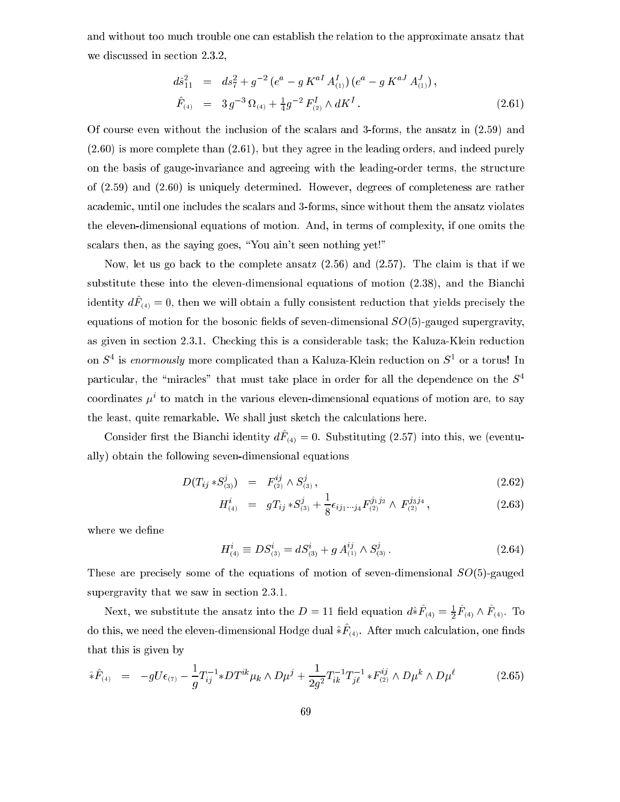and without too much trouble one can establish the relation to the approximate ansatz that we discussed in section 2.3.2,

$$
d\hat{s}_{11}^{2} = ds_{7}^{2} + g^{-2} (e^{a} - g K^{aI} A_{(1)}^{I}) (e^{a} - g K^{aJ} A_{(1)}^{J}),
$$
  
\n
$$
\hat{F}_{(4)} = 3 g^{-3} \Omega_{(4)} + \frac{1}{4} g^{-2} F_{(2)}^{I} \wedge dK^{I}. \qquad (2.61)
$$

Of ourse even without the in
lusion of the s
alars and 3-forms, the ansatz in (2.59) and (2.60) is more omplete than (2.61), but they agree in the leading orders, and indeed purely on the basis of gauge-invarian
e and agreeing with the leading-order terms, the stru
ture of (2.59) and (2.60) is uniquely determined. However, degrees of ompleteness are rather academic, until one includes the scalars and 3-forms, since without them the ansatz violates the eleven-dimensional equations of motion. And, in terms of omplexity, if one omits the scalars then, as the saying goes, "You ain't seen nothing yet!"

Now, let us go back to the complete ansatz  $(2.56)$  and  $(2.57)$ . The claim is that if we substitute these into the eleven-dimensional equations of motion  $(2.38)$ , and the Bianchi  $\arctan y$   $ar_{(4)} = 0$ , then we will obtain a fully consistent reduction that yields precisely the equations of motion for the bosonic fields of seven-dimensional  $SO(5)$ -gauged supergravity, as given in section 2.3.1. Checking this is a considerable task; the Kaluza-Klein reduction on  $S$  is *enormously* more complicated than a Kaluza-Klein reduction on  $S$  or a torus! In particular, the "miracles" that must take place in order for all the dependence on the  $S<sup>4</sup>$ coordinates  $\mu^+$  to match in the various eleven-dimensional equations of motion are, to say the least, quite remarkable. We shall just sketch the calculations here.

Consider mst the Diament identity  $a\Gamma_{(4)} = 0$ . Substituting (2.51) med this, we (eventually) obtain the following seven-dimensional equations

$$
D(T_{ij} * S^j_{(3)}) = F^{ij}_{(2)} \wedge S^j_{(3)}, \qquad (2.62)
$$

$$
H_{(4)}^{i} = gT_{ij} * S_{(3)}^{j} + \frac{1}{8} \epsilon_{ij_1 \cdots j_4} F_{(2)}^{j_1 j_2} \wedge F_{(2)}^{j_3 j_4}, \qquad (2.63)
$$

where we define

$$
H_{(4)}^{i} \equiv DS_{(3)}^{i} = dS_{(3)}^{i} + g A_{(1)}^{ij} \wedge S_{(3)}^{j}.
$$
 (2.64)

These are precisely some of the equations of motion of seven-dimensional  $SO(5)$ -gauged supergravity that we saw in section 2.3.1.

Next, we substitute the ansatz into the  $D = 11$  held equation  $a * F_{(4)} = \frac{1}{2} F_{(4)} \wedge F_{(4)}$ . To do this, we need the eleven-dimensional Hodge dual  $\ast r_{(4)}$ . After much calculation, one muss that this is given by

$$
\hat{*}\hat{F}_{(4)} = -gU\epsilon_{(7)} - \frac{1}{g}T_{ij}^{-1}*DT^{ik}\mu_k \wedge D\mu^j + \frac{1}{2g^2}T_{ik}^{-1}T_{jl}^{-1}*F_{(2)}^{ij} \wedge D\mu^k \wedge D\mu^\ell \qquad (2.65)
$$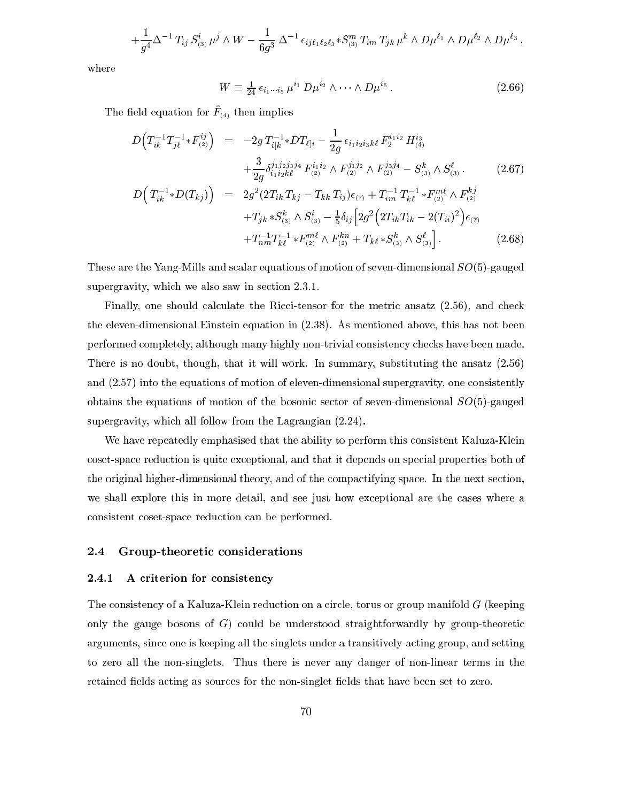$$
+ \frac{1}{g^4} \Delta^{-1} T_{ij} S^i_{(3)} \mu^j \wedge W - \frac{1}{6g^3} \Delta^{-1} \epsilon_{ij\ell_1\ell_2\ell_3} * S^m_{(3)} T_{im} T_{jk} \mu^k \wedge D\mu^{\ell_1} \wedge D\mu^{\ell_2} \wedge D\mu^{\ell_3} ,
$$

where

$$
W \equiv \frac{1}{24} \epsilon_{i_1 \cdots i_5} \mu^{i_1} D \mu^{i_2} \wedge \cdots \wedge D \mu^{i_5} . \tag{2.66}
$$

The neighbours for  $F_{(4)}$  their implies

$$
D\left(T_{ik}^{-1}T_{j\ell}^{-1} * F_{(2)}^{ij}\right) = -2g T_{i[k}^{-1} * DT_{\ell]i} - \frac{1}{2g} \epsilon_{i_1 i_2 i_3 k\ell} F_2^{i_1 i_2} H_{(4)}^{i_3}
$$
  
\n
$$
+ \frac{3}{2g} \delta_{i_1 i_2 k\ell}^{j_1 j_2 j_3 j_4} F_{(2)}^{i_1 i_2} \wedge F_{(2)}^{j_1 j_2} \wedge F_{(2)}^{j_3 j_4} - S_{(3)}^k \wedge S_{(3)}^{\ell}.
$$
  
\n
$$
D\left(T_{ik}^{-1} * D(T_{kj})\right) = 2g^2 (2T_{ik} T_{kj} - T_{kk} T_{ij}) \epsilon_{(7)} + T_{im}^{-1} T_{k\ell}^{-1} * F_{(2)}^{m\ell} \wedge F_{(2)}^{kj}
$$
  
\n
$$
+ T_{jk} * S_{(3)}^k \wedge S_{(3)}^i - \frac{1}{5} \delta_{ij} \left[2g^2 \left(2T_{ik} T_{ik} - 2(T_{ii})^2\right) \epsilon_{(7)} + T_{im}^{-1} T_{k\ell}^{-1} * F_{(2)}^{m\ell} \wedge F_{(2)}^{kn} + T_{k\ell} * S_{(3)}^k \wedge S_{(3)}^{\ell}\right].
$$
  
\n(2.68)

These are the Yang-Mills and scalar equations of motion of seven-dimensional  $SO(5)$ -gauged supergravity, which we also saw in section 2.3.1.

Finally, one should calculate the Ricci-tensor for the metric ansatz (2.56), and check the eleven-dimensional Einstein equation in (2.38). As mentioned above, this has not been performed completely, although many highly non-trivial consistency checks have been made. There is no doubt, though, that it will work. In summary, substituting the ansatz (2.56) and  $(2.57)$  into the equations of motion of eleven-dimensional supergravity, one consistently obtains the equations of motion of the bosonic sector of seven-dimensional  $SO(5)$ -gauged supergravity, which all follow from the Lagrangian  $(2.24)$ .

We have repeatedly emphasised that the ability to perform this consistent Kaluza-Klein coset-space reduction is quite exceptional, and that it depends on special properties both of the original higher-dimensional theory, and of the compactifying space. In the next section, we shall explore this in more detail, and see just how exceptional are the cases where a onsistent oset-spa
e redu
tion an be performed.

# 2.4 Group-theoretic considerations

## 2.4.1 A criterion for consistency

The consistency of a Kaluza-Klein reduction on a circle, torus or group manifold G (keeping only the gauge bosons of  $G$ ) could be understood straightforwardly by group-theoretic arguments, sin
e one is keeping all the singlets under a transitively-a
ting group, and setting to zero all the non-singlets. Thus there is never any danger of non-linear terms in the retained fields acting as sources for the non-singlet fields that have been set to zero.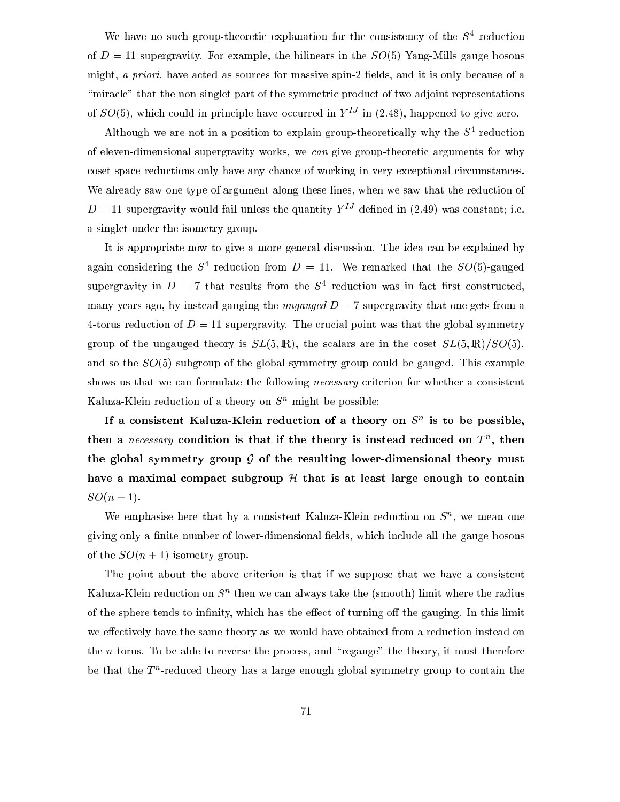we have no such group-theoretic explanation for the consistency of the  $5^\circ$  reduction of  $D = 11$  supergravity. For example, the bilinears in the  $SO(5)$  Yang-Mills gauge bosons might, *a priori*, have acted as sources for massive spin-2 fields, and it is only because of a "miracle" that the non-singlet part of the symmetric product of two adjoint representations of  $SO(5)$ , which could in principle have occurred in  $Y<sup>IJ</sup>$  in (2.48), happened to give zero.

Although we are not in a position to explain group-theoretically why the  $S^+$  reduction of eleven-dimensional supergravity works, we an give group-theoreti arguments for why coset-space reductions only have any chance of working in very exceptional circumstances. We already saw one type of argument along these lines, when we saw that the reduction of  $D=11$  supergravity would fail unless the quantity  $Y^{IJ}$  defined in (2.49) was constant; i.e. a singlet under the isometry group.

It is appropriate now to give a more general dis
ussion. The idea an be explained by again considering the  $S^+$  reduction from  $D = 11$ . We remarked that the  $SO(5)$ -gauged supergravity in  $D = t$  that results from the  $S^+$  requestion was in fact first constructed, many years ago, by instead gauging the *ungauged*  $D = 7$  supergravity that one gets from a 4-torus reduction of  $D = 11$  supergravity. The crucial point was that the global symmetry group of the ungauged theory is  $SL(5,\mathbb{R})$ , the scalars are in the coset  $SL(5,\mathbb{R})/SO(5)$ , and so the  $SO(5)$  subgroup of the global symmetry group could be gauged. This example shows us that we can formulate the following *necessary* criterion for whether a consistent Kaluza-Klein reduction of a theory on  $S<sup>n</sup>$  might be possible:

If a consistent Kaluza-Klein reduction of a theory on  $S^*$  is to be possible, then a *necessary* condition is that if the theory is instead reduced on  $T$ , then the global symmetry group  $G$  of the resulting lower-dimensional theory must have a maximal compact subgroup  $H$  that is at least large enough to contain  $SO(n + 1)$ .

We emphasise here that by a consistent Kaluza-Klein reduction on  $S^{\sim}$ , we mean one giving only a finite number of lower-dimensional fields, which include all the gauge bosons of the  $SO(n+1)$  isometry group.

The point about the above criterion is that if we suppose that we have a consistent Kaluza-Klein reduction on  $S$  -then we can always take the (smooth) limit where the radius of the sphere tends to infinity, which has the effect of turning off the gauging. In this limit we effectively have the same theory as we would have obtained from a reduction instead on the  $n$ -torus. To be able to reverse the process, and "regauge" the theory, it must therefore be that the  $\scriptstyle\rm I$  -reduced theory has a large enough global symmetry group to contain the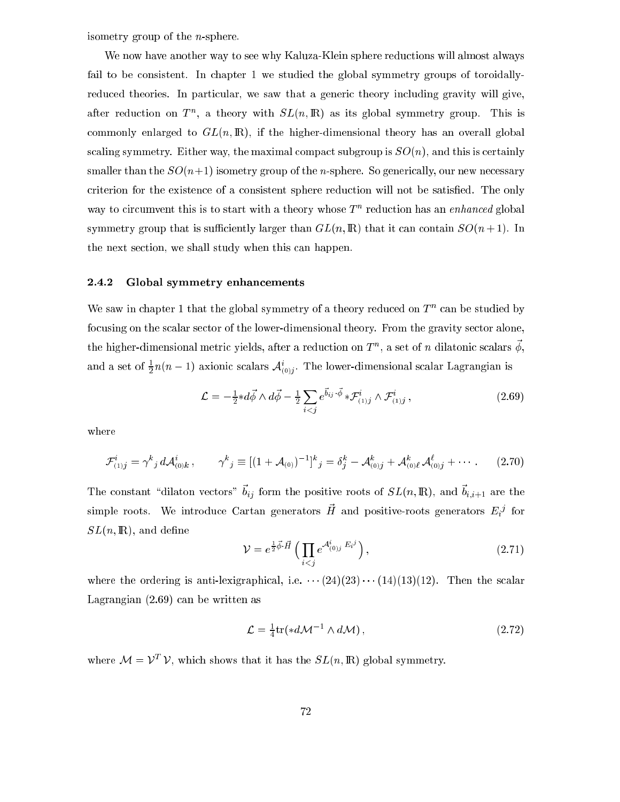isometry group of the n-sphere.

We now have another way to see why Kaluza-Klein sphere reductions will almost always fail to be consistent. In chapter 1 we studied the global symmetry groups of toroidallyreduced theories. In particular, we saw that a generic theory including gravity will give, after reduction on  $I$  , a theory with  $SL(n, I\!\!I\!\!N)$  as its global symmetry group. This is commonly enlarged to  $GL(n,\mathbb{R})$ , if the higher-dimensional theory has an overall global scaling symmetry. Either way, the maximal compact subgroup is  $SO(n)$ , and this is certainly smaller than the  $SO(n+1)$  isometry group of the *n*-sphere. So generically, our new necessary criterion for the existence of a consistent sphere reduction will not be satisfied. The only way to circumvent this is to start with a theory whose  $T$  -reduction has an *enhancea* giobal symmetry group that is sufficiently larger than  $GL(n, \mathbb{R})$  that it can contain  $SO(n+1)$ . In the next se
tion, we shall study when this an happen.

# 2.4.2 Global symmetry enhan
ements

We saw in chapter 1 that the global symmetry of a theory reduced on T and be studied by focusing on the scalar sector of the lower-dimensional theory. From the gravity sector alone, the higher-dimensional metric vields, after a reduction on  $I^-$  , a set of  $n$  dilatomic scalars  $\varphi$ , and a set of  $\frac{1}{2}n(n-1)$  axionic scalars  $\mathcal{A}_{(0)}^{\epsilon}$ . The lower-dimensional scalar Lagrangian is

$$
\mathcal{L} = -\frac{1}{2} * d\vec{\phi} \wedge d\vec{\phi} - \frac{1}{2} \sum_{i < j} e^{\vec{b}_{ij} \cdot \vec{\phi}} * \mathcal{F}_{(1)j}^i \wedge \mathcal{F}_{(1)j}^i \,, \tag{2.69}
$$

where

$$
\mathcal{F}_{(1)j}^i = \gamma^k{}_j \, d\mathcal{A}_{(0)k}^i \,, \qquad \gamma^k{}_j \equiv [(1+\mathcal{A}_{(0)})^{-1}]^k{}_j = \delta_j^k - \mathcal{A}_{(0)j}^k + \mathcal{A}_{(0)\ell}^k \, \mathcal{A}_{(0)j}^\ell + \cdots \,.
$$
 (2.70)

The constant dilaton vectors  $v_{ij}$  form the positive roots of  $SL(n, \mathbb{R})$ , and  $v_{i,i+1}$  are the simple roots. We introduce Cartan generators  $\pi$  and positive-roots generators  $E_i{}^j$  for  $SL(n,\mathbb{R})$ , and define

$$
\mathcal{V} = e^{\frac{1}{2}\vec{\phi}\cdot\vec{H}} \left( \prod_{i < j} e^{\mathcal{A}_{(0)j}^i E_i^j} \right),\tag{2.71}
$$

where the ordering is anti-lexigraphical, i.e.  $\cdots$  (24)(23) $\cdots$  (14)(13)(12). Then the scalar Lagrangian (2.69) an be written as

$$
\mathcal{L} = \frac{1}{4} \text{tr}(*d\mathcal{M}^{-1} \wedge d\mathcal{M}), \qquad (2.72)
$$

where  $\mathcal{N} = \mathcal{V}^*$  v, which shows that it has the  $SL(n, \mathbb{R})$  global symmetry.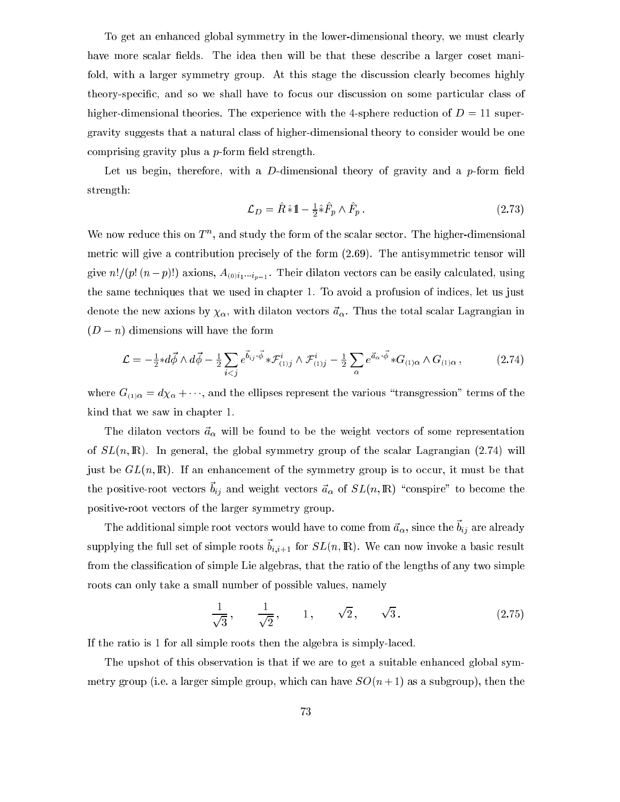To get an enhan
ed global symmetry in the lower-dimensional theory, we must learly have more scalar fields. The idea then will be that these describe a larger coset manifold, with a larger symmetry group. At this stage the discussion clearly becomes highly theory-specific, and so we shall have to focus our discussion on some particular class of higher-dimensional theories. The experience with the 4-sphere reduction of  $D = 11$  supergravity suggests that a natural lass of higher-dimensional theory to onsider would be one comprising gravity plus a  $p$ -form field strength.

Let us begin, therefore, with a D-dimensional theory of gravity and a  $p$ -form field strength:

$$
\mathcal{L}_D = \hat{R} \hat{*} 1 - \frac{1}{2} \hat{*} \hat{F}_p \wedge \hat{F}_p \,. \tag{2.73}
$$

We now reduce this on T , and study the form of the scalar sector. The higher-dimensional metric will give a contribution precisely of the form  $(2.69)$ . The antisymmetric tensor will give n!=(p! (n p)!) axions, A(0)i1ip1 . Their dilaton ve
tors an be easily al
ulated, using the same techniques that we used in chapter 1. To avoid a profusion of indices, let us just denote the new axions by  $\chi_{\alpha}$ , with dilaton vectors  $\vec{a}_{\alpha}$ . Thus the total scalar Lagrangian in  $(D - n)$  dimensions will have the form

$$
\mathcal{L} = -\frac{1}{2} * d\vec{\phi} \wedge d\vec{\phi} - \frac{1}{2} \sum_{i < j} e^{\vec{b}_{ij} \cdot \vec{\phi}} * \mathcal{F}_{(1)j}^i \wedge \mathcal{F}_{(1)j}^i - \frac{1}{2} \sum_{\alpha} e^{\vec{a}_{\alpha} \cdot \vec{\phi}} * G_{(1)\alpha} \wedge G_{(1)\alpha},\tag{2.74}
$$

where  $G_{(1)\alpha} = d\chi_{\alpha} + \cdots$ , and the ellipses represent the various "transgression" terms of the kind that we saw in hapter 1.

The dilaton vectors  $\vec{a}_{\alpha}$  will be found to be the weight vectors of some representation of  $SL(n, \mathbb{R})$ . In general, the global symmetry group of the scalar Lagrangian  $(2.74)$  will just be  $GL(n,\mathbb{R})$ . If an enhancement of the symmetry group is to occur, it must be that the positive-root vectors  $v_{ij}$  and weight vectors  $a_{\alpha}$  or  $\partial D(n, \mu)$  conspire to become the positive-root ve
tors of the larger symmetry group.

The additional simple root vectors would have to come from  $a_{\alpha}$ , since the  $v_{ij}$  are already supplying the full set of simple roots  $v_{i,i+1}$  for  $\partial D(n, \mu)$ . We can now invoke a basic result from the classification of simple Lie algebras, that the ratio of the lengths of any two simple roots an only take a small number of possible values, namely

$$
\frac{1}{\sqrt{3}}, \quad \frac{1}{\sqrt{2}}, \quad 1, \quad \sqrt{2}, \quad \sqrt{3}.
$$
 (2.75)

If the ratio is 1 for all simple roots then the algebra is simply-la
ed.

The upshot of this observation is that if we are to get a suitable enhanced global symmetry group (i.e. a larger simple group, which can have  $SO(n+1)$  as a subgroup), then the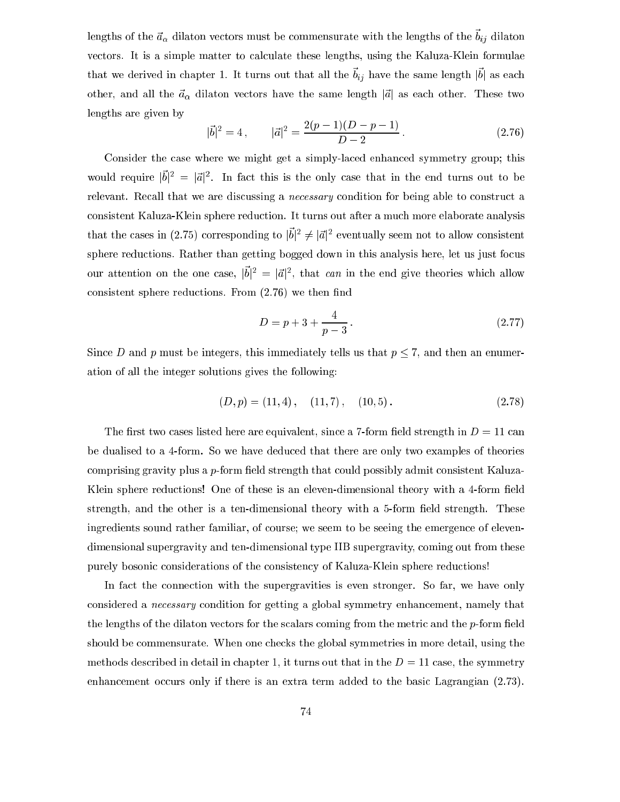iengths of the  $a_{\alpha}$  dilaton vectors must be commensurate with the lengths of the  $v_{ij}$  dilaton vectors. It is a simple matter to calculate these lengths, using the Kaluza-Klein formulae  $\frac{1}{100}$  we derived in chapter 1. It turns out that all the  $\theta_{ij}$  have the same length  $|v|$  as each other, and all the  $\vec{a}_{\alpha}$  dilaton vectors have the same length  $|\vec{a}|$  as each other. These two lengths are given by

$$
|\vec{b}|^2 = 4, \qquad |\vec{a}|^2 = \frac{2(p-1)(D-p-1)}{D-2}.
$$
 (2.76)

Consider the case where we might get a simply-laced enhanced symmetry group; this would require  $|v|^{-} = |a|^{-}$ . In fact this is the only case that in the end turns out to be relevant. Recall that we are discussing a *necessary* condition for being able to construct a onsistent Kaluza-Klein sphere redu
tion. It turns out after a mu
h more elaborate analysis that the cases in (2.75) corresponding to  $|v|^{-} \neq |a|^{-}$  eventually seem not to allow consistent sphere reductions. Rather than getting bogged down in this analysis here, let us just focus our attention on the one case,  $|v| = |a|$ , that can in the end give theories which allow consistent sphere reductions. From  $(2.76)$  we then find

$$
D = p + 3 + \frac{4}{p - 3} \,. \tag{2.77}
$$

Since D and p must be integers, this immediately tells us that  $p \le 7$ , and then an enumeration of all the integer solutions gives the following:

$$
(D, p) = (11, 4), (11, 7), (10, 5).
$$
 (2.78)

The first two cases listed here are equivalent, since a 7-form field strength in  $D = 11$  can be dualised to a 4-form. So we have dedu
ed that there are only two examples of theories comprising gravity plus a  $p$ -form field strength that could possibly admit consistent Kaluza-Klein sphere reductions! One of these is an eleven-dimensional theory with a 4-form field strength, and the other is a ten-dimensional theory with a 5-form field strength. These ingredients sound rather familiar, of course; we seem to be seeing the emergence of elevendimensional supergravity and ten-dimensional type IIB supergravity, oming out from these purely bosonic considerations of the consistency of Kaluza-Klein sphere reductions!

In fact the connection with the supergravities is even stronger. So far, we have only considered a *necessary* condition for getting a global symmetry enhancement, namely that the lengths of the dilaton vectors for the scalars coming from the metric and the  $p$ -form field should be commensurate. When one checks the global symmetries in more detail, using the methods described in detail in chapter 1, it turns out that in the  $D = 11$  case, the symmetry enhancement occurs only if there is an extra term added to the basic Lagrangian (2.73).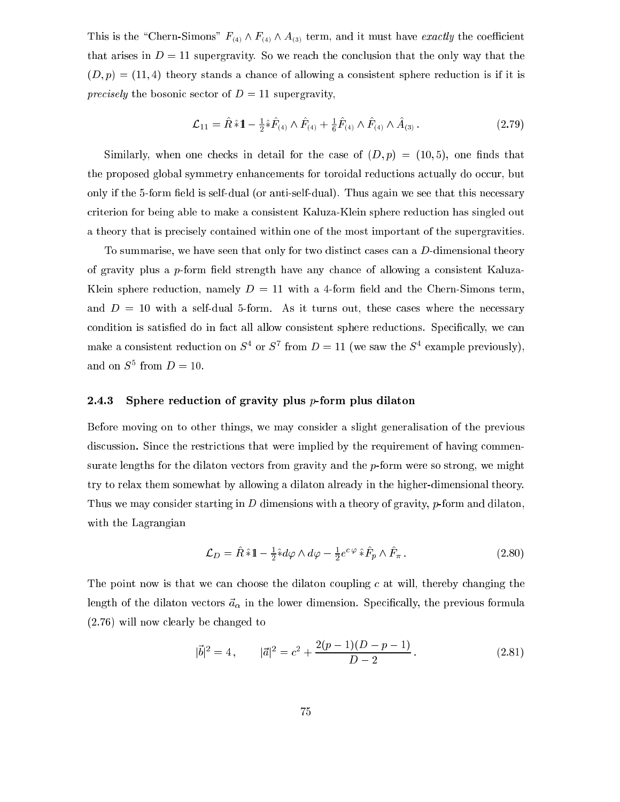This is the "Chern-Simons"  $F_{(4)} \wedge F_{(4)} \wedge A_{(3)}$  term, and it must have exactly the coefficient that arises in  $D = 11$  supergravity. So we reach the conclusion that the only way that the  $(D, p) = (11, 4)$  theory stands a chance of allowing a consistent sphere reduction is if it is precisely the bosonic sector of  $D = 11$  supergravity,

$$
\mathcal{L}_{11} = \hat{R} \hat{*} 1 - \frac{1}{2} \hat{*} \hat{F}_{(4)} \wedge \hat{F}_{(4)} + \frac{1}{6} \hat{F}_{(4)} \wedge \hat{F}_{(4)} \wedge \hat{A}_{(3)}.
$$
 (2.79)

Similarly, when one checks in detail for the case of  $(D, p) = (10, 5)$ , one finds that the proposed global symmetry enhancements for toroidal reductions actually do occur, but only if the 5-form field is self-dual (or anti-self-dual). Thus again we see that this necessary riterion for being able to make a onsistent Kaluza-Klein sphere redu
tion has singled out a theory that is precisely contained within one of the most important of the supergravities.

To summarise, we have seen that only for two distinct cases can a  $D$ -dimensional theory of gravity plus a  $p$ -form field strength have any chance of allowing a consistent Kaluza-Klein sphere reduction, namely  $D = 11$  with a 4-form field and the Chern-Simons term, and  $D = 10$  with a self-dual 5-form. As it turns out, these cases where the necessary condition is satisfied do in fact all allow consistent sphere reductions. Specifically, we can make a consistent reduction on  $S^+$  or  $S^+$  from  $D = 11$  (we saw the  $S^+$  example previously), and on  $S^-$  from  $D = 10$ .

### 2.4.3 Sphere reduction of gravity plus p-form plus dilaton

Before moving on to other things, we may onsider a slight generalisation of the previous discussion. Since the restrictions that were implied by the requirement of having commensurate lengths for the dilaton vectors from gravity and the  $p$ -form were so strong, we might try to relax them somewhat by allowing a dilaton already in the higher-dimensional theory. Thus we may consider starting in D dimensions with a theory of gravity, p-form and dilaton, with the Lagrangian

$$
\mathcal{L}_D = \hat{R} \hat{*} 1 - \frac{1}{2} \hat{*} d\varphi \wedge d\varphi - \frac{1}{2} e^{c\varphi} \hat{*} \hat{F}_p \wedge \hat{F}_\pi. \tag{2.80}
$$

The point now is that we can choose the dilaton coupling  $c$  at will, thereby changing the length of the dilaton vectors  $\vec{a}_{\alpha}$  in the lower dimension. Specifically, the previous formula (2.76) will now learly be hanged to

$$
|\vec{b}|^2 = 4, \qquad |\vec{a}|^2 = c^2 + \frac{2(p-1)(D-p-1)}{D-2}.
$$
 (2.81)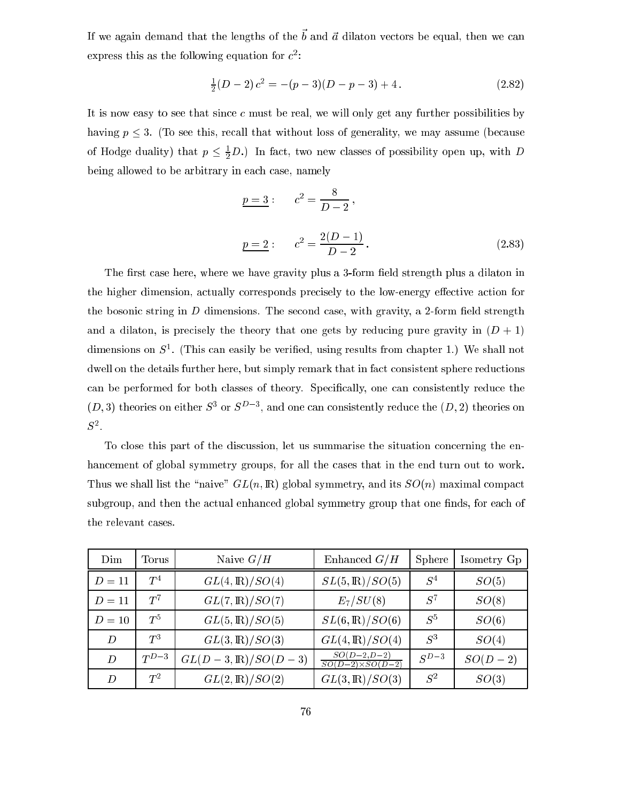If we again demand that the lengths of the  $\sigma$  and  $a$  dhaton vectors be equal, then we can express this as the following equation for  $c^{\perp}$ :

$$
\frac{1}{2}(D-2)c^2 = -(p-3)(D-p-3) + 4.
$$
 (2.82)

It is now easy to see that since  $c$  must be real, we will only get any further possibilities by having  $p \leq 3$ . (To see this, recall that without loss of generality, we may assume (because of Hodge duality) that  $p \leq \frac{1}{2}D$ .) In fact, two new classes of possibility open up, with D being allowed to be arbitrary in each case, namely

$$
\underline{p=3}: \qquad c^2 = \frac{8}{D-2},
$$
  

$$
\underline{p=2}: \qquad c^2 = \frac{2(D-1)}{D-2}.
$$
 (2.83)

The first case here, where we have gravity plus a 3-form field strength plus a dilaton in the higher dimension, actually corresponds precisely to the low-energy effective action for the bosonic string in  $D$  dimensions. The second case, with gravity, a 2-form field strength and a dilaton, is precisely the theory that one gets by reducing pure gravity in  $(D + 1)$ dimensions on  $5^\circ$ . (This can easily be verified, using results from chapter 1.) We shall not dwell on the details further here, but simply remark that in fact consistent sphere reductions can be performed for both classes of theory. Specifically, one can consistently reduce the  $(D, 3)$  theories on either  $S$  or  $S$  and one can consistently reduce the  $(D, 2)$  theories on S<sup>2</sup> .

To close this part of the discussion, let us summarise the situation concerning the enhancement of global symmetry groups, for all the cases that in the end turn out to work. Thus we shall list the "naive"  $GL(n, \mathbb{R})$  global symmetry, and its  $SO(n)$  maximal compact subgroup, and then the actual enhanced global symmetry group that one finds, for each of the relevant ases.

| Dim    | Torus     | Naive $G/H$                  | Enhanced $G/H$                           | Sphere    | Isometry Gp |
|--------|-----------|------------------------------|------------------------------------------|-----------|-------------|
| $D=11$ | $T^4$     | $GL(4,\mathbb{R})/SO(4)$     | $SL(5,\mathbb{R})/SO(5)$                 | $S^4$     | SO(5)       |
| $D=11$ | $T^7$     | $GL(7,\mathbb{R})/SO(7)$     | $E_7/SU(8)$                              | $S^7$     | SO(8)       |
| $D=10$ | $T^5$     | $GL(5,\mathbb{R})/SO(5)$     | $SL(6,\mathbb{R})/SO(6)$                 | $S^5$     | SO(6)       |
| D      | $T^3$     | $GL(3,\mathbb{R})/SO(3)$     | $GL(4,\mathbb{R})/SO(4)$                 | $S^3$     | SO(4)       |
| D      | $T^{D-3}$ | $GL(D-3,\mathbb{R})/SO(D-3)$ | $SO(D-2,D-2)$<br>$SO(D-2)\times SO(D-2)$ | $S^{D-3}$ | $SO(D-2)$   |
| D      | $T^2$     | $GL(2,\mathbb{R})/SO(2)$     | $GL(3,\mathbb{R})/SO(3)$                 | $S^2$     | SO(3)       |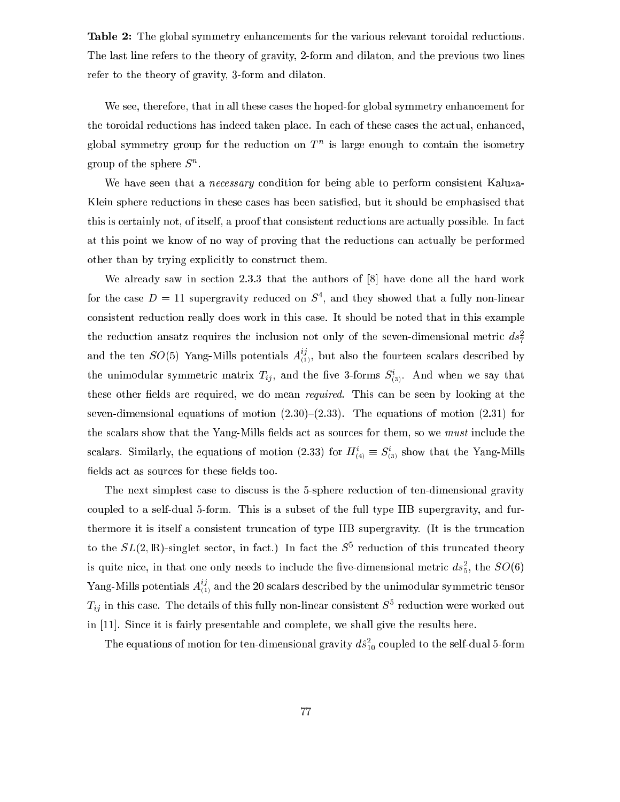Table 2: The global symmetry enhancements for the various relevant toroidal reductions. The last line refers to the theory of gravity, 2-form and dilaton, and the previous two lines refer to the theory of gravity, 3-form and dilaton.

We see, therefore, that in all these cases the hoped-for global symmetry enhancement for the toroidal reductions has indeed taken place. In each of these cases the actual, enhanced, giobal symmetry group for the reduction on  $T^+$  is large enough to contain the isometry group of the sphere  $\beta$  .

We have seen that a *necessary* condition for being able to perform consistent Kaluza-Klein sphere redu
tions in these ases has been satised, but it should be emphasised that this is certainly not, of itself, a proof that consistent reductions are actually possible. In fact at this point we know of no way of proving that the reductions can actually be performed other than by trying explicitly to construct them.

We already saw in section 2.3.3 that the authors of  $[8]$  have done all the hard work for the case  $D = 11$  supergravity reduced on  $S$ , and they showed that a fully non-linear onsistent redu
tion really does work in this ase. It should be noted that in this example the reduction ansatz requires the inclusion not only of the seven-dimensional metric  $ds^2$ and the ten  $SO(5)$  Yang-Mills potentials  $A_{(1)}^{\gamma}$ , but also the fourteen scalars described by the unimodular symmetric matrix  $T_{ij}$ , and the five 3-forms  $S_{(3)}$ . And when we say that these other fields are required, we do mean *required*. This can be seen by looking at the seven-dimensional equations of motion  $(2.30)-(2.33)$ . The equations of motion  $(2.31)$  for the scalars show that the Yang-Mills fields act as sources for them, so we *must* include the scalars. Similarly, the equations of motion (2.33) for  $H_{(4)} = S_{(3)}$  show that the Yang-Mills fields act as sources for these fields too.

The next simplest case to discuss is the 5-sphere reduction of ten-dimensional gravity oupled to a self-dual 5-form. This is a subset of the full type IIB supergravity, and furthermore it is itself a consistent truncation of type IIB supergravity. (It is the truncation to the  $SL(2, \mathbb{R})$ -singlet sector, in fact.) In fact the  $S^+$  reduction of this truncated theory is quite filter, in that one only needs to include the live-dimensional metric  $as_5$ , the  $SO(6)$ Yang-Mills potentials  $A_{(1)}^{\times}$  and the 20 scalars described by the unimodular symmetric tensor  $T_{ij}$  in this case. The details of this fully non-linear consistent  $S^1$  reduction were worked out in  $[11]$ . Since it is fairly presentable and complete, we shall give the results here.

The equations of motion for ten-dimensional gravity  $as^2_{10}$  coupled to the self-dual 5-form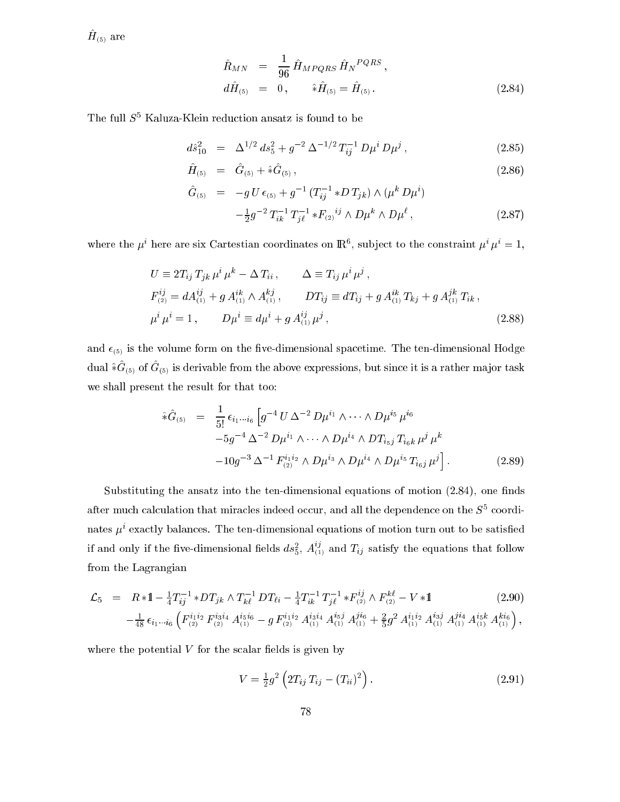$H(5)$  are

$$
\hat{R}_{MN} = \frac{1}{96} \hat{H}_{MPQRS} \hat{H}_N{}^{PQRS} , \nd\hat{H}_{(5)} = 0, \qquad \hat{*}\hat{H}_{(5)} = \hat{H}_{(5)} .
$$
\n(2.84)

The full  $S<sup>5</sup>$  Kaluza-Klein reduction ansatz is found to be

$$
d\hat{s}_{10}^2 = \Delta^{1/2} ds_5^2 + g^{-2} \Delta^{-1/2} T_{ij}^{-1} D\mu^i D\mu^j, \qquad (2.85)
$$

$$
\hat{H}_{(5)} = \hat{G}_{(5)} + \hat{*}\hat{G}_{(5)}, \qquad (2.86)
$$

$$
\hat{G}_{(5)} = -g U \epsilon_{(5)} + g^{-1} (T_{ij}^{-1} * D T_{jk}) \wedge (\mu^k D \mu^i) \n- \frac{1}{2} g^{-2} T_{ik}^{-1} T_{j\ell}^{-1} * F_{(2)}{}^{ij} \wedge D \mu^k \wedge D \mu^{\ell},
$$
\n(2.87)

where the  $\mu$  -here are six Cartestian coordinates on  $\mathbb{R}^n$ , subject to the constraint  $\mu^+ \mu^-\equiv 1.$ 

$$
U \equiv 2T_{ij} T_{jk} \mu^i \mu^k - \Delta T_{ii}, \qquad \Delta \equiv T_{ij} \mu^i \mu^j ,
$$
  
\n
$$
F_{(2)}^{ij} = dA_{(1)}^{ij} + g A_{(1)}^{ik} \wedge A_{(1)}^{kj}, \qquad DT_{ij} \equiv dT_{ij} + g A_{(1)}^{ik} T_{kj} + g A_{(1)}^{jk} T_{ik},
$$
  
\n
$$
\mu^i \mu^i = 1, \qquad D\mu^i \equiv d\mu^i + g A_{(1)}^{ij} \mu^j ,
$$
\n(2.88)

and  $\epsilon_{(5)}$  is the volume form on the five-dimensional spacetime. The ten-dimensional Hodge  $\alpha$  and  $\sigma$ (5) of  $G$ (5) is defivable from the above expressions, but since it is a rather major task we shall present the result for that too:

$$
\hat{\ast}\hat{G}_{(5)} = \frac{1}{5!} \epsilon_{i_1\cdots i_6} \left[ g^{-4} U \Delta^{-2} D \mu^{i_1} \wedge \cdots \wedge D \mu^{i_5} \mu^{i_6} \right. \left. -5g^{-4} \Delta^{-2} D \mu^{i_1} \wedge \cdots \wedge D \mu^{i_4} \wedge DT_{i_5j} T_{i_6k} \mu^j \mu^k \right. \left. -10g^{-3} \Delta^{-1} F_{(2)}^{i_1 i_2} \wedge D \mu^{i_3} \wedge D \mu^{i_4} \wedge D \mu^{i_5} T_{i_6j} \mu^j \right].
$$
\n(2.89)

Substituting the ansatz into the ten-dimensional equations of motion  $(2.84)$ , one finds after much calculation that miracles indeed occur, and all the dependence on the  $S^{\pm}$  coordinates  $\mu$  exactly balances. The ten-dimensional equations of motion turn out to be satisfied if and only if the five-dimensional fields  $ds^2_{5}$ ,  $A_{(1)}^{z_1}$  and  $T_{ij}$  satisfy the equations that follow from the Lagrangian

$$
\mathcal{L}_{5} = R * 1 - \frac{1}{4} T_{ij}^{-1} * DT_{jk} \wedge T_{k\ell}^{-1} DT_{\ell i} - \frac{1}{4} T_{ik}^{-1} T_{j\ell}^{-1} * F_{(2)}^{ij} \wedge F_{(2)}^{k\ell} - V * 1
$$
\n
$$
- \frac{1}{48} \epsilon_{i_1 \cdots i_6} \left( F_{(2)}^{i_1 i_2} F_{(2)}^{i_3 i_4} A_{(1)}^{i_5 i_6} - g F_{(2)}^{i_1 i_2} A_{(1)}^{i_3 i_4} A_{(1)}^{i_5 j} A_{(1)}^{j_6} + \frac{2}{5} g^2 A_{(1)}^{i_1 i_2} A_{(1)}^{i_3 j} A_{(1)}^{j i_4} A_{(1)}^{i_5 k} A_{(1)}^{k i_6} \right),
$$
\n
$$
(2.90)
$$

where the potential  $V$  for the scalar fields is given by

$$
V = \frac{1}{2}g^2 \left( 2T_{ij} T_{ij} - (T_{ii})^2 \right).
$$
 (2.91)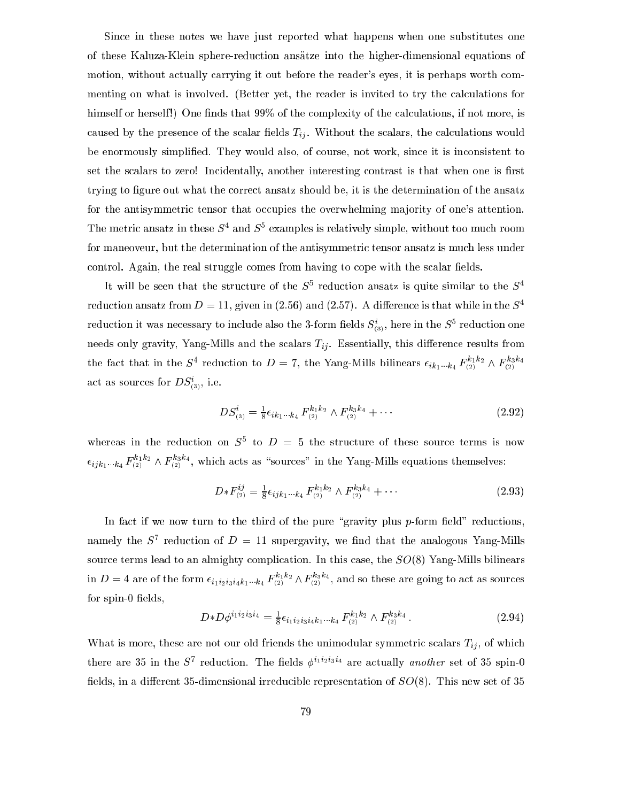Sin
e in these notes we have just reported what happens when one substitutes one of these Kaluza-Klein sphere-redu
tion ansatze into the higher-dimensional equations of motion, without actually carrying it out before the reader's eyes, it is perhaps worth commenting on what is involved. (Better yet, the reader is invited to try the calculations for himself or herself!) One finds that 99% of the complexity of the calculations, if not more, is caused by the presence of the scalar fields  $T_{ij}$ . Without the scalars, the calculations would be enormously simplified. They would also, of course, not work, since it is inconsistent to set the scalars to zero! Incidentally, another interesting contrast is that when one is first trying to figure out what the correct ansatz should be, it is the determination of the ansatz for the antisymmetric tensor that occupies the overwhelming majority of one's attention. The metric ansatz in these  $S^+$  and  $S^+$  examples is relatively simple, without too much room for maneoveur, but the determination of the antisymmetric tensor ansatz is much less under control. Again, the real struggle comes from having to cope with the scalar fields.

 $\mu$  will be seen that the structure of the  $S^+$  reduction ansatz is quite similar to the  $S^+$ reduction ansatz from  $D = 11$ , given in (2.56) and (2.57). A difference is that while in the  $S<sup>4</sup>$ reduction it was necessary to include also the 3-form helds  $S_{(3)}^*$ , here in the  $S^*$  reduction one needs only gravity, Yang-Mills and the scalars  $T_{ij}$ . Essentially, this difference results from the fact that in the S<sup>2</sup> reduction to  $D = 7$ , the Yang-Mills bilinears  $\epsilon_{ik_1\cdots k_4}$   $F_{(2)}^2$   $\epsilon_{ik_1\cdots k_4}$   $F_{(2)}^2$   $\epsilon_{ik_1\cdots k_4}$ act as sources for  $D5_{(3)}^{\circ}$ , i.e.

$$
DS_{(3)}^i = \frac{1}{8} \epsilon_{ik_1 \cdots k_4} F_{(2)}^{k_1 k_2} \wedge F_{(2)}^{k_3 k_4} + \cdots
$$
 (2.92)

whereas in the reduction on  $S<sup>+</sup>$  to  $D = 3$  the structure of these source terms is now  $\epsilon_{ijk_1...k_4}$   $F_{(2)}^{(2)}$   $\wedge$   $F_{(2)}^{(2)}$ , which acts as "sources" in the Yang-Mills equations themselves:

$$
D * F_{(2)}^{ij} = \frac{1}{8} \epsilon_{ijk_1...k_4} F_{(2)}^{k_1k_2} \wedge F_{(2)}^{k_3k_4} + \cdots
$$
 (2.93)

In fact if we now turn to the third of the pure "gravity plus  $p$ -form field" reductions, namely the  $S^+$  reduction of  $D^+ = 11$  supergavity, we find that the analogous Yang-Mills source terms lead to an almighty complication. In this case, the  $SO(8)$  Yang-Mills bilinears in <sup>D</sup> <sup>=</sup> <sup>4</sup> are of the form i1i2i3i4k1k4 <sup>F</sup> k1k2 (2) ^ <sup>F</sup> k3k4 (2) , and so these are going to a
t as sour
es for  $spin-0$  fields,

$$
D*D\phi^{i_1i_2i_3i_4} = \frac{1}{8}\epsilon_{i_1i_2i_3i_4k_1\cdots k_4} F_{(2)}^{k_1k_2} \wedge F_{(2)}^{k_3k_4}.
$$
 (2.94)

What is more, these are not our old friends the unimodular symmetric scalars  $T_{ij}$ , of which there are so in the  $S$  reduction. The neids  $\phi^{1,2,3,1,4}$  are actually *another* set of so spin-0 fields, in a different 35-dimensional irreducible representation of  $SO(8)$ . This new set of 35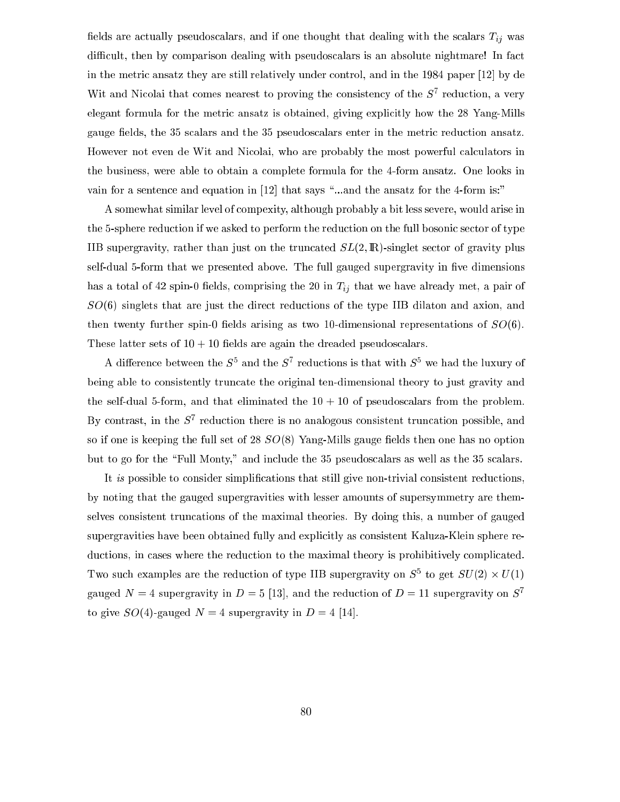fields are actually pseudoscalars, and if one thought that dealing with the scalars  $T_{ij}$  was difficult, then by comparison dealing with pseudoscalars is an absolute nightmare! In fact in the metric ansatz they are still relatively under control, and in the 1984 paper  $[12]$  by de Wit and Nicolal that comes nearest to proving the consistency of the S<sup>3</sup> reduction, a very elegant formula for the metric ansatz is obtained, giving explicitly how the 28 Yang-Mills gauge fields, the 35 scalars and the 35 pseudoscalars enter in the metric reduction ansatz. However not even de Wit and Nicolai, who are probably the most powerful calculators in the business, were able to obtain a omplete formula for the 4-form ansatz. One looks in vain for a sentence and equation in  $[12]$  that says "...and the ansatz for the 4-form is:"

A somewhat similar level of ompexity, although probably a bit less severe, would arise in the 5-sphere reduction if we asked to perform the reduction on the full bosonic sector of type IIB supergravity, rather than just on the truncated  $SL(2,\mathbb{R})$ -singlet sector of gravity plus self-dual 5-form that we presented above. The full gauged supergravity in five dimensions has a total of 42 spin-0 fields, comprising the 20 in  $T_{ij}$  that we have already met, a pair of  $SO(6)$  singlets that are just the direct reductions of the type IIB dilaton and axion, and then twenty further spin-0 fields arising as two 10-dimensional representations of  $SO(6)$ . These latter sets of  $10 + 10$  fields are again the dreaded pseudoscalars.

A difference between the  $S^+$  and the  $S^+$  reductions is that with  $S^+$  we had the luxury of being able to consistently truncate the original ten-dimensional theory to just gravity and the self-dual 5-form, and that eliminated the  $10 + 10$  of pseudoscalars from the problem. by contrast, in the S<sub>1</sub> reduction there is no analogous consistent truncation possible, and so if one is keeping the full set of 28  $SO(8)$  Yang-Mills gauge fields then one has no option but to go for the "Full Monty," and include the 35 pseudoscalars as well as the 35 scalars.

It is possible to consider simplifications that still give non-trivial consistent reductions, by noting that the gauged supergravities with lesser amounts of supersymmetry are themselves onsistent trun
ations of the maximal theories. By doing this, a number of gauged supergravities have been obtained fully and explicitly as consistent Kaluza-Klein sphere reductions, in cases where the reduction to the maximal theory is prohibitively complicated. I wo such examples are the reduction of type IIB supergravity on  $S_{-}$  to get  $SU(2) \times U(1)$ gauged  $N = 4$  supergravity in  $D = 5$  [13], and the reduction of  $D = 11$  supergravity on  $S<sup>7</sup>$ to give  $SO(4)$ -gauged  $N = 4$  supergravity in  $D = 4$  [14].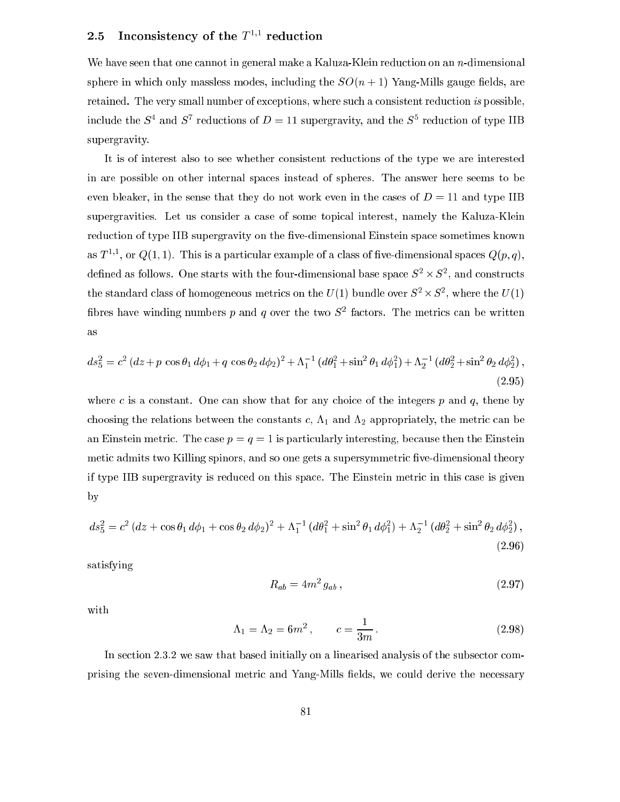# 2.5 Inconsistency of the  $T^{\gamma*}$  reduction

We have seen that one cannot in general make a Kaluza-Klein reduction on an  $n$ -dimensional sphere in which only massless modes, including the  $SO(n + 1)$  Yang-Mills gauge fields, are retained. The very small number of exceptions, where such a consistent reduction is possible, include the  $S^+$  and  $S^+$  reductions of  $D = 11$  supergravity, and the  $S^+$  reduction of type IIB supergravity.

It is of interest also to see whether onsistent redu
tions of the type we are interested in are possible on other internal spa
es instead of spheres. The answer here seems to be even bleaker, in the sense that they do not work even in the cases of  $D = 11$  and type IIB supergravities. Let us consider a case of some topical interest, namely the Kaluza-Klein reduction of type IIB supergravity on the five-dimensional Einstein space sometimes known as 1  $\rightarrow$  , or Q(1, 1). This is a particular example of a class of five-dimensional spaces Q(p, q), denned as follows. One starts with the four-dimensional base space  $5^- \times 5^-$ , and constructs the standard class of homogeneous metrics on the  $U(1)$  bundle over  $S^+ \times S^-$ , where the  $U(1)$ hores have winding numbers  $p$  and  $q$  over the two  $S^{\perp}$  factors. The metrics can be written

$$
ds_5^2 = c^2 (dz + p \cos \theta_1 d\phi_1 + q \cos \theta_2 d\phi_2)^2 + \Lambda_1^{-1} (d\theta_1^2 + \sin^2 \theta_1 d\phi_1^2) + \Lambda_2^{-1} (d\theta_2^2 + \sin^2 \theta_2 d\phi_2^2),
$$
\n(2.95)

where c is a constant. One can show that for any choice of the integers  $p$  and  $q$ , thene by choosing the relations between the constants c,  $\Lambda_1$  and  $\Lambda_2$  appropriately, the metric can be an Einstein metric. The case  $p = q = 1$  is particularly interesting, because then the Einstein metic admits two Killing spinors, and so one gets a supersymmetric five-dimensional theory if type IIB supergravity is redu
ed on this spa
e. The Einstein metri in this ase is given by

$$
ds_5^2 = c^2 (dz + \cos\theta_1 d\phi_1 + \cos\theta_2 d\phi_2)^2 + \Lambda_1^{-1} (d\theta_1^2 + \sin^2\theta_1 d\phi_1^2) + \Lambda_2^{-1} (d\theta_2^2 + \sin^2\theta_2 d\phi_2^2),
$$
\n(2.96)

satisfying

$$
R_{ab} = 4m^2 g_{ab} , \t\t(2.97)
$$

with

$$
\Lambda_1 = \Lambda_2 = 6m^2, \qquad c = \frac{1}{3m}.
$$
\n(2.98)

In section 2.3.2 we saw that based initially on a linearised analysis of the subsector comprising the seven-dimensional metric and Yang-Mills fields, we could derive the necessary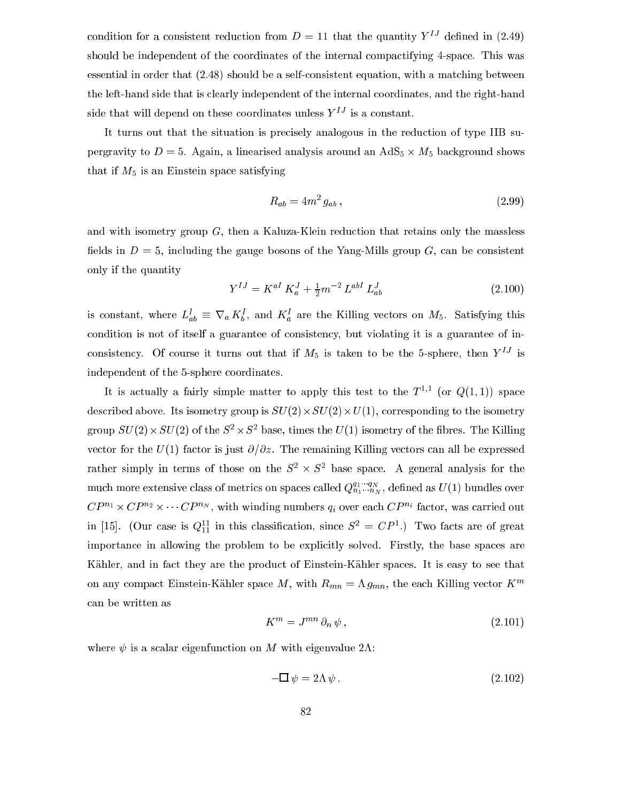condition for a consistent reduction from  $D = 11$  that the quantity  $Y^{IJ}$  defined in (2.49) should be independent of the coordinates of the internal compactifying 4-space. This was essential in order that  $(2.48)$  should be a self-consistent equation, with a matching between the left-hand side that is learly independent of the internal oordinates, and the right-hand side that will depend on these coordinates unless  $Y^{IJ}$  is a constant.

It turns out that the situation is precisely analogous in the reduction of type IIB supergravity to <sup>D</sup> <sup>=</sup> 5. Again, <sup>a</sup> linearised analysis around an AdS5 - M5 ba
kground shows that if  $M_5$  is an Einstein space satisfying

$$
R_{ab} = 4m^2 g_{ab} \,, \tag{2.99}
$$

and with isometry group  $G$ , then a Kaluza-Klein reduction that retains only the massless fields in  $D = 5$ , including the gauge bosons of the Yang-Mills group G, can be consistent only if the quantity

$$
Y^{IJ} = K^{aI} K_a^J + \frac{1}{2} m^{-2} L^{abI} L_{ab}^J
$$
 (2.100)

is constant, where  $L_{ab} = V_a K_b$ , and  $K_a$  are the Killing vectors on  $M_5$ . Satisfying this condition is not of itself a guarantee of consistency, but violating it is a guarantee of inconsistency. Of course it turns out that if  $M_5$  is taken to be the 5-sphere, then  $Y^{IJ}$  is independent of the 5-sphere coordinates.

It is actually a fairly simple matter to apply this test to the  $T^{\gamma*}$  (or  $Q(1,1)$ ) space described above. Its isometry group is SU(2)- To U(2)- To the isometry to the isometry group  $SU(2) \times SU(2)$  of the  $S^+ \times S^-$  base, times the  $U(1)$  isometry of the fibres. The Killing vector for the  $U(1)$  factor is just  $\partial/\partial z$ . The remaining Killing vectors can all be expressed rather simply in terms of those on the  $S^- \times S^-$  pase space. A general analysis for the much more extensive class of metrics on spaces called  $Q_{n_1...n_N}^{q_1...q_N}$ , defined as  $U(1)$  bundles over  $CP^{n_1} \times CP^{n_2} \times \cdots CP^{n_N}$ , with winding numbers  $q_i$  over each  $CP^{n_i}$  factor, was carried out in [15]. (Our case is  $Q_{11}^2$  in this classification, since  $S^2 = \overline{C}P^2$ .) Two facts are of great importance in allowing the problem to be explicitly solved. Firstly, the base spaces are Kähler, and in fact they are the product of Einstein-Kähler spaces. It is easy to see that on any compact Einstein-Kähler space M, with  $R_{mn} = \Lambda g_{mn}$ , the each Killing vector  $K^m$ an be written as

$$
K^m = J^{mn} \partial_n \psi , \qquad (2.101)
$$

where  $\psi$  is a scalar eigenfunction on M with eigenvalue 2A:

$$
-\Box \psi = 2\Lambda \psi. \tag{2.102}
$$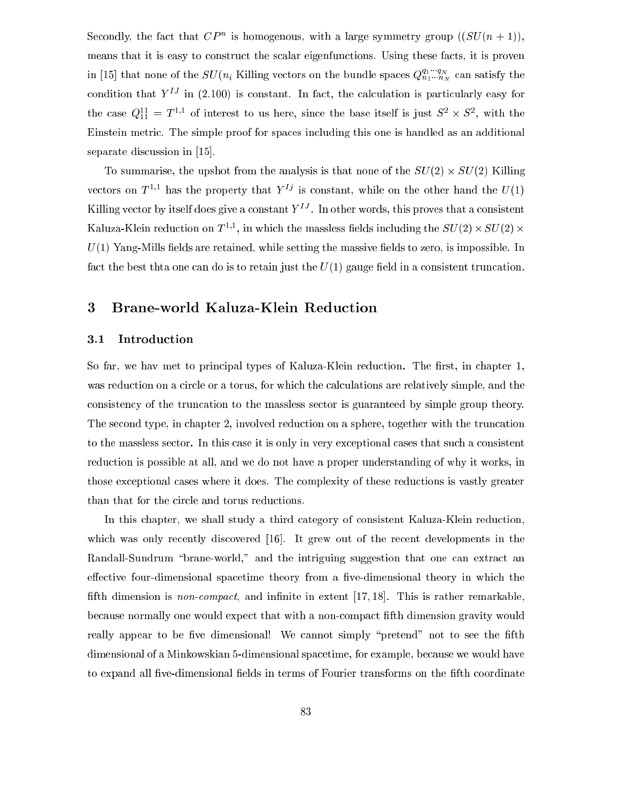Secondly, the fact that  $\zeta P$  is homogenous, with a large symmetry group ((SU(n + 1)), means that it is easy to construct the scalar eigenfunctions. Using these facts, it is proven in [15] that none of the  $SU(n_i)$  Killing vectors on the bundle spaces  $Q_{n_1...n_N}^{q_1...q_N}$  can satisfy the condition that  $Y^{IJ}$  in (2.100) is constant. In fact, the calculation is particularly easy for the case  $Q_{11} = I$  , of interest to us here, since the base itself is just  $S \times S$ , with the Einstein metri
. The simple proof for spa
es in
luding this one is handled as an additional separate discussion in  $[15]$ .

To summarise, the upshot from the analysis is that none of the SU(2) - SU(2) Killing vectors on  $T \sim$  has the property that  $T \sim$  is constant, while on the other hand the  $U(1)$ Killing vector by itself does give a constant  $Y = 1$  in other words, this proves that a consistent Kaluza-Klein reduction on T<sup>-1</sup>, in which the massless helds including the SU(2)  $\times$  SU(2)  $\times$  $U(1)$  Yang-Mills fields are retained, while setting the massive fields to zero, is impossible. In fact the best that one can do is to retain just the  $U(1)$  gauge field in a consistent truncation.

# <sup>3</sup> Brane-world Kaluza-Klein Redu
tion

# 3.1 Introdu
tion

So far, we hav met to principal types of Kaluza-Klein reduction. The first, in chapter 1, was reduction on a circle or a torus, for which the calculations are relatively simple, and the onsisten
y of the trun
ation to the massless se
tor is guaranteed by simple group theory. The se
ond type, in hapter 2, involved redu
tion on a sphere, together with the trun
ation to the massless sector. In this case it is only in very exceptional cases that such a consistent redu
tion is possible at all, and we do not have a proper understanding of why it works, in those ex
eptional ases where it does. The omplexity of these redu
tions is vastly greater than that for the circle and torus reductions.

In this chapter, we shall study a third category of consistent Kaluza-Klein reduction, which was only recently discovered  $[16]$ . It grew out of the recent developments in the Randall-Sundrum "brane-world," and the intriguing suggestion that one can extract an effective four-dimensional spacetime theory from a five-dimensional theory in which the fifth dimension is *non-compact*, and infinite in extent  $[17, 18]$ . This is rather remarkable, be
ause normally one would expe
t that with a nonompa
t fth dimension gravity would really appear to be five dimensional! We cannot simply "pretend" not to see the fifth dimensional of a Minkowskian 5-dimensional spacetime, for example, because we would have to expand all five-dimensional fields in terms of Fourier transforms on the fifth coordinate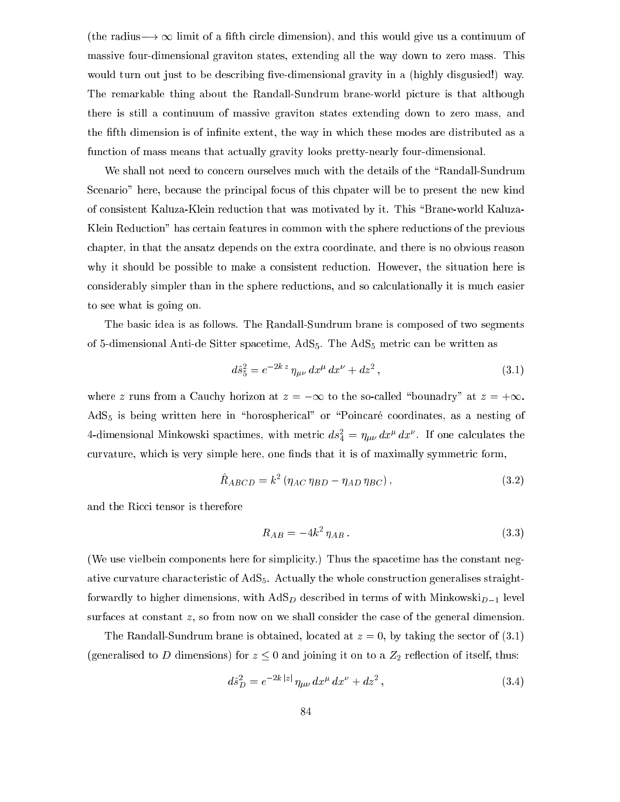(the radius  $\rightarrow \infty$  limit of a fifth circle dimension), and this would give us a continuum of massive four-dimensional graviton states, extending all the way down to zero mass. This would turn out just to be describing five-dimensional gravity in a (highly disgusied!) way. The remarkable thing about the Randall-Sundrum brane-world picture is that although there is still a ontinuum of massive graviton states extending down to zero mass, and the fifth dimension is of infinite extent, the way in which these modes are distributed as a fun
tion of mass means that a
tually gravity looks pretty-nearly four-dimensional.

We shall not need to concern ourselves much with the details of the "Randall-Sundrum Scenario" here, because the principal focus of this chpater will be to present the new kind of consistent Kaluza-Klein reduction that was motivated by it. This "Brane-world Kaluza-Klein Redu
tion" has ertain features in ommon with the sphere redu
tions of the previous hapter, in that the ansatz depends on the extra oordinate, and there is no obvious reason why it should be possible to make a consistent reduction. However, the situation here is considerably simpler than in the sphere reductions, and so calculationally it is much easier to see what is going on.

The basi idea is as follows. The Randall-Sundrum brane is omposed of two segments of 5-dimensional Anti-de Sitter spacetime, AdS<sub>5</sub>. The AdS<sub>5</sub> metric can be written as

$$
d\hat{s}_5^2 = e^{-2k\,z}\,\eta_{\mu\nu}\,dx^\mu\,dx^\nu + dz^2\,,\tag{3.1}
$$

where z runs from a Cauchy horizon at  $z = -\infty$  to the so-called "bounadry" at  $z = +\infty$ .  $AdS<sub>5</sub>$  is being written here in "horospherical" or "Poincaré coordinates, as a nesting of 4-dimensional Minkowski spactimes, with metric  $as_{\bar{4}} = \eta_{\mu\nu} \, ax^{\mu} \, ax^{\nu}$  . It one calculates the curvature, which is very simple here, one finds that it is of maximally symmetric form,

$$
\hat{R}_{ABCD} = k^2 \left( \eta_{AC} \eta_{BD} - \eta_{AD} \eta_{BC} \right),\tag{3.2}
$$

and the Ricci tensor is therefore

$$
R_{AB} = -4k^2 \eta_{AB} \,. \tag{3.3}
$$

(We use vielbein components here for simplicity.) Thus the spacetime has the constant negative curvature characteristic of AdS<sub>5</sub>. Actually the whole construction generalises straightforwardly to higher dimensions, with  $AdS_D$  described in terms of with  $Minkowski_{D-1}$  level surfaces at constant z, so from now on we shall consider the case of the general dimension.

The Randall-Sundrum brane is obtained, located at  $z = 0$ , by taking the sector of (3.1) (generalised to D dimensions) for  $z \leq 0$  and joining it on to a  $Z_2$  reflection of itself, thus:

$$
d\hat{s}_D^2 = e^{-2k|z|} \eta_{\mu\nu} dx^{\mu} dx^{\nu} + dz^2, \qquad (3.4)
$$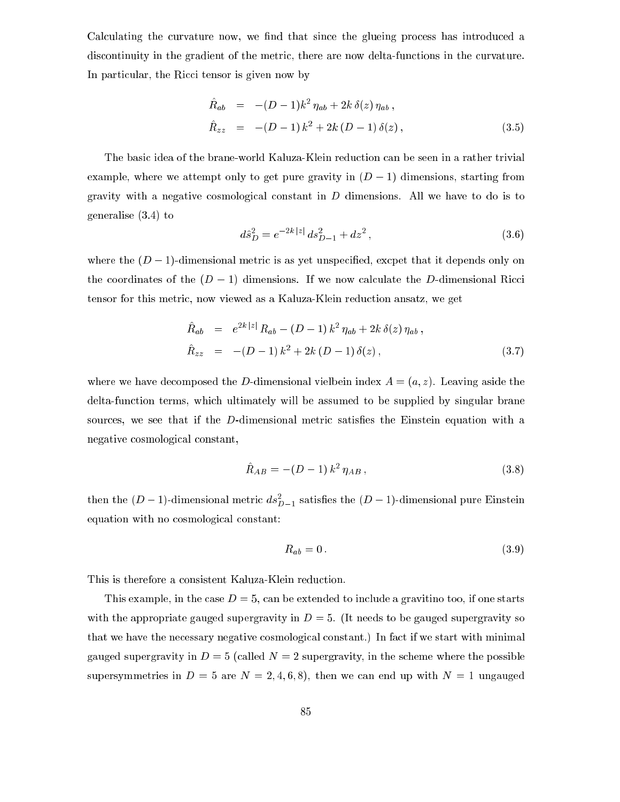Calculating the curvature now, we find that since the glueing process has introduced a discontinuity in the gradient of the metric, there are now delta-functions in the curvature. In particular, the Ricci tensor is given now by

$$
\hat{R}_{ab} = -(D-1)k^2 \eta_{ab} + 2k \delta(z) \eta_{ab}, \n\hat{R}_{zz} = -(D-1)k^2 + 2k (D-1) \delta(z),
$$
\n(3.5)

The basi idea of the brane-world Kaluza-Klein redu
tion an be seen in a rather trivial example, where we attempt only to get pure gravity in  $(D - 1)$  dimensions, starting from gravity with a negative cosmological constant in  $D$  dimensions. All we have to do is to generalise (3.4) to

$$
d\hat{s}_D^2 = e^{-2k|z|} ds_{D-1}^2 + dz^2, \qquad (3.6)
$$

where the  $(D-1)$ -dimensional metric is as yet unspecified, excpet that it depends only on the coordinates of the  $(D-1)$  dimensions. If we now calculate the D-dimensional Ricci tensor for this metri
, now viewed as a Kaluza-Klein redu
tion ansatz, we get

$$
\hat{R}_{ab} = e^{2k|z|} R_{ab} - (D-1) k^2 \eta_{ab} + 2k \delta(z) \eta_{ab} ,
$$
\n
$$
\hat{R}_{zz} = -(D-1) k^2 + 2k (D-1) \delta(z) ,
$$
\n(3.7)

where we have decomposed the D-dimensional vielbein index  $A = (a, z)$ . Leaving aside the delta-function terms, which ultimately will be assumed to be supplied by singular brane sources, we see that if the D-dimensional metric satisfies the Einstein equation with a negative osmologi
al onstant,

$$
\hat{R}_{AB} = -(D-1)\,k^2\,\eta_{AB}\,,\tag{3.8}
$$

then the  $(D-1)$ -dimensional metric  $as_{D-1}^-$  satisfies the  $(D-1)$ -dimensional pure Einstein equation with no cosmological constant:

$$
R_{ab} = 0. \t\t(3.9)
$$

This is therefore a consistent Kaluza-Klein reduction.

This example, in the case  $D=5$ , can be extended to include a gravitino too, if one starts with the appropriate gauged supergravity in  $D = 5$ . (It needs to be gauged supergravity so that we have the ne
essary negative osmologi
al onstant.) In fa
t if we start with minimal gauged supergravity in  $D = 5$  (called  $N = 2$  supergravity, in the scheme where the possible supersymmetries in  $D = 5$  are  $N = 2, 4, 6, 8$ , then we can end up with  $N = 1$  ungauged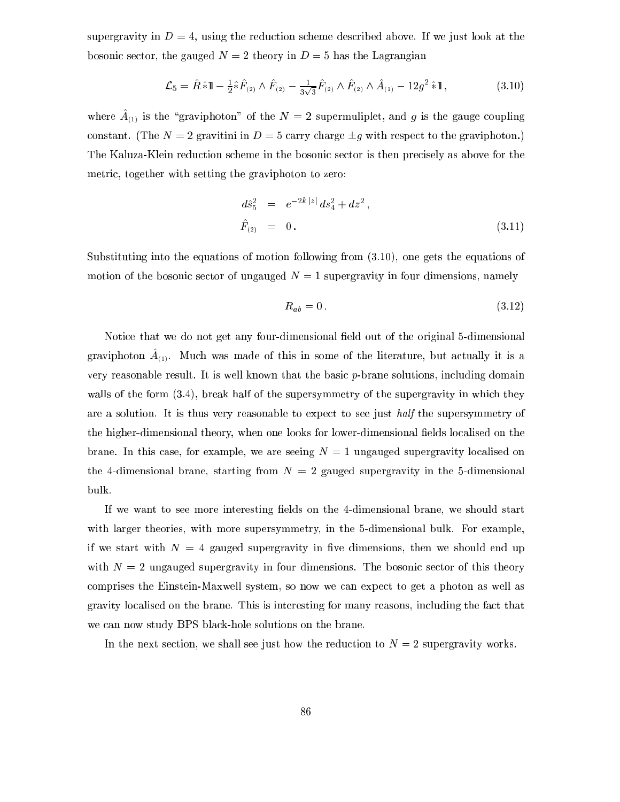supergravity in  $D=4$ , using the reduction scheme described above. If we just look at the bosonic sector, the gauged  $N = 2$  theory in  $D = 5$  has the Lagrangian

$$
\mathcal{L}_5 = \hat{R} \hat{*} 1 \! 1 - \frac{1}{2} \hat{*} \hat{F}_{(2)} \wedge \hat{F}_{(2)} - \frac{1}{3\sqrt{3}} \hat{F}_{(2)} \wedge \hat{F}_{(2)} \wedge \hat{A}_{(1)} - 12g^2 \hat{*} 1,
$$
\n(3.10)

where  $A_{(1)}$  is the graviphoton of the  $N = 2$  supermuliplet, and g is the gauge coupling constant. (The  $N = 2$  gravitini in  $D = 5$  carry charge  $\pm g$  with respect to the graviphoton.) The Kaluza-Klein reduction scheme in the bosonic sector is then precisely as above for the metri
, together with setting the graviphoton to zero:

$$
d\hat{s}_5^2 = e^{-2k|z|} ds_4^2 + dz^2,
$$
  
\n
$$
\hat{F}_{(2)} = 0.
$$
\n(3.11)

Substituting into the equations of motion following from (3.10), one gets the equations of motion of the bosonic sector of ungauged  $N = 1$  supergravity in four dimensions, namely

$$
R_{ab} = 0. \tag{3.12}
$$

Notice that we do not get any four-dimensional field out of the original 5-dimensional graviphoton  $A_{(1)}$ . Muth was made of this in some of the literature, but attually it is a very reasonable result. It is well known that the basic  $p$ -brane solutions, including domain walls of the form  $(3.4)$ , break half of the supersymmetry of the supergravity in which they are a solution. It is thus very reasonable to expect to see just half the supersymmetry of the higher-dimensional theory, when one looks for lower-dimensional fields localised on the brane. In this case, for example, we are seeing  $N = 1$  ungauged supergravity localised on the 4-dimensional brane, starting from  $N = 2$  gauged supergravity in the 5-dimensional bulk.

If we want to see more interesting fields on the 4-dimensional brane, we should start with larger theories, with more supersymmetry, in the 5-dimensional bulk. For example, if we start with  $N = 4$  gauged supergravity in five dimensions, then we should end up with  $N=2$  ungauged supergravity in four dimensions. The bosonic sector of this theory comprises the Einstein-Maxwell system, so now we can expect to get a photon as well as gravity lo
alised on the brane. This is interesting for many reasons, in
luding the fa
t that we can now study BPS black-hole solutions on the brane.

In the next section, we shall see just how the reduction to  $N = 2$  supergravity works.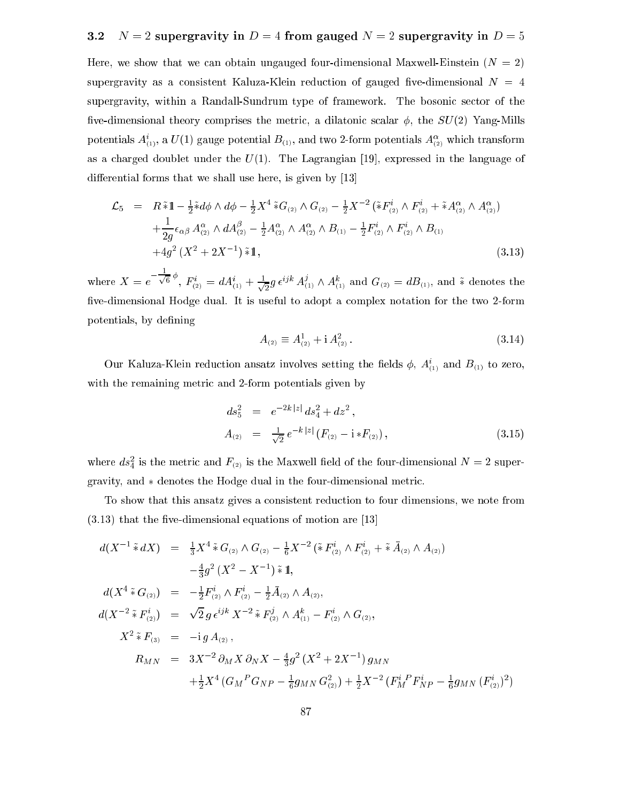#### $N = 2$  supergravity in  $D = 4$  from gauged  $N = 2$  supergravity in  $D = 5$  $3.2$

Here, we show that we can obtain ungauged four-dimensional Maxwell-Einstein  $(N = 2)$ supergravity as a consistent Kaluza-Klein reduction of gauged five-dimensional  $N = 4$ supergravity, within a Randall-Sundrum type of framework. The bosonic sector of the five-dimensional theory comprises the metric, a dilatonic scalar  $\phi$ , the  $SU(2)$  Yang-Mills potentials  $A_{(1)}^c$ , a  $U(1)$  gauge potential  $D_{(1)}^c$ , and two z-form potentials  $A_{(2)}^c$  which transform as a charged doublet under the  $U(1)$ . The Lagrangian [19], expressed in the language of differential forms that we shall use here, is given by  $[13]$ 

$$
\mathcal{L}_{5} = R \tilde{*} 1 - \frac{1}{2} \tilde{*} d\phi \wedge d\phi - \frac{1}{2} X^{4} \tilde{*} G_{(2)} \wedge G_{(2)} - \frac{1}{2} X^{-2} \left( \tilde{*} F_{(2)}^{i} \wedge F_{(2)}^{i} + \tilde{*} A_{(2)}^{\alpha} \wedge A_{(2)}^{\alpha} \right) \n+ \frac{1}{2g} \epsilon_{\alpha\beta} A_{(2)}^{\alpha} \wedge dA_{(2)}^{\beta} - \frac{1}{2} A_{(2)}^{\alpha} \wedge A_{(2)}^{\alpha} \wedge B_{(1)} - \frac{1}{2} F_{(2)}^{i} \wedge F_{(2)}^{i} \wedge B_{(1)} \n+ 4g^{2} (X^{2} + 2X^{-1}) \tilde{*} 1,
$$
\n(3.13)

 $-\rightarrow$  $^{6}$   $^{7}, F^{i}_{\scriptscriptstyle (2)} = dA^{i}_{\scriptscriptstyle (1)} + \frac{1}{\sqrt{2}}$  $\frac{1}{2} g \, \epsilon^{\epsilon_{j} \kappa} \, A_{(1)}^{\epsilon} \wedge A_{(1)}^{\epsilon}$  and  $G_{(2)} = d B_{(1)},$  and  $*$  denotes the five-dimensional Hodge dual. It is useful to adopt a complex notation for the two 2-form potentials, by defining

$$
A_{(2)} \equiv A_{(2)}^1 + i A_{(2)}^2. \tag{3.14}
$$

Our Kaluza-Klein reduction ansatz involves setting the helds  $\varphi$ ,  $A_{(1)}$  and  $B_{(1)}$  to zero, with the remaining metric and 2-form potentials given by

$$
ds_5^2 = e^{-2k|z|} ds_4^2 + dz^2,
$$
  
\n
$$
A_{(2)} = \frac{1}{\sqrt{2}} e^{-k|z|} (F_{(2)} - i * F_{(2)}),
$$
\n(3.15)

where  $as_4$  is the metric and  $r_{(2)}$  is the Maxwell field of the four-dimensional  $N = 2$  supergravity, and  $*$  denotes the Hodge dual in the four-dimensional metric.

To show that this ansatz gives a onsistent redu
tion to four dimensions, we note from  $(3.13)$  that the five-dimensional equations of motion are [13]

$$
d(X^{-1} * dX) = \frac{1}{3}X^{4} * G_{(2)} \wedge G_{(2)} - \frac{1}{6}X^{-2} ( * F_{(2)}^{i} \wedge F_{(2)}^{i} + * \bar{A}_{(2)} \wedge A_{(2)})
$$
  
\n
$$
- \frac{4}{3}g^{2} (X^{2} - X^{-1}) * 1, \qquad d(X^{4} * G_{(2)}) = -\frac{1}{2}F_{(2)}^{i} \wedge F_{(2)}^{i} - \frac{1}{2}\bar{A}_{(2)} \wedge A_{(2)},
$$
  
\n
$$
d(X^{-2} * F_{(2)}^{i}) = \sqrt{2} g \epsilon^{ijk} X^{-2} * F_{(2)}^{j} \wedge A_{(1)}^{k} - F_{(2)}^{i} \wedge G_{(2)},
$$
  
\n
$$
X^{2} * F_{(3)} = -ig A_{(2)},
$$
  
\n
$$
R_{MN} = 3X^{-2} \partial_{M} X \partial_{N} X - \frac{4}{3}g^{2} (X^{2} + 2X^{-1}) g_{MN}
$$
  
\n
$$
+ \frac{1}{2}X^{4} (G_{M}^{P} G_{NP} - \frac{1}{6} g_{MN} G_{(2)}^{2}) + \frac{1}{2}X^{-2} (F_{M}^{i} P_{NP}^{i} - \frac{1}{6} g_{MN} (F_{(2)}^{i})^{2})
$$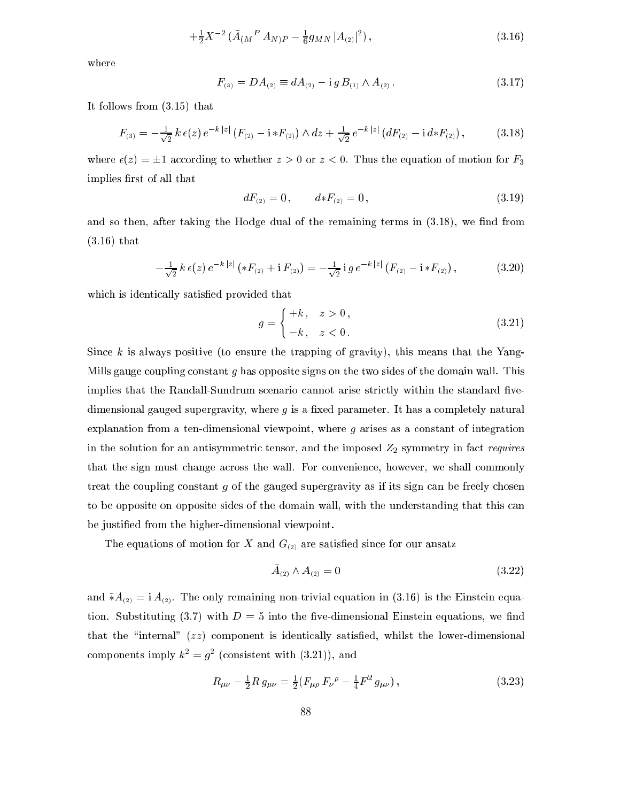$$
+\frac{1}{2}X^{-2}\left(\bar{A}_{(M}{}^{P}A_{N)P}-\frac{1}{6}g_{MN}|A_{(2)}|^{2}\right),\tag{3.16}
$$

where

$$
F_{(3)} = DA_{(2)} \equiv dA_{(2)} - i g B_{(1)} \wedge A_{(2)}.
$$
\n(3.17)

It follows from (3.15) that

$$
F_{(3)} = -\frac{1}{\sqrt{2}} k \,\epsilon(z) \, e^{-k|z|} \left( F_{(2)} - i \, *F_{(2)} \right) \wedge dz + \frac{1}{\sqrt{2}} \, e^{-k|z|} \left( dF_{(2)} - i \, d \, *F_{(2)} \right), \tag{3.18}
$$

where  $\epsilon(z) = \pm 1$  according to whether  $z > 0$  or  $z < 0$ . Thus the equation of motion for  $F_3$ implies first of all that

$$
dF_{(2)} = 0, \qquad d * F_{(2)} = 0, \tag{3.19}
$$

and so then, after taking the Hodge dual of the remaining terms in  $(3.18)$ , we find from (3.16) that

$$
-\frac{1}{\sqrt{2}}k\,\epsilon(z)\,e^{-k\,|z|}\left(*F_{(2)}+{\rm i}\,F_{(2)}\right)=-\frac{1}{\sqrt{2}}\,{\rm i}\,g\,e^{-k\,|z|}\left(F_{(2)}-{\rm i}\,*F_{(2)}\right),\tag{3.20}
$$

which is identically satisfied provided that

$$
g = \begin{cases} +k, & z > 0 \\ -k, & z < 0 \end{cases} \tag{3.21}
$$

Since k is always positive (to ensure the trapping of gravity), this means that the Yang-Mills gauge coupling constant g has opposite signs on the two sides of the domain wall. This implies that the Randall-Sundrum scenario cannot arise strictly within the standard fivedimensional gauged supergravity, where  $g$  is a fixed parameter. It has a completely natural explanation from a ten-dimensional viewpoint, where  $g$  arises as a constant of integration in the solution for an antisymmetric tensor, and the imposed  $Z_2$  symmetry in fact requires that the sign must hange a
ross the wall. For onvenien
e, however, we shall ommonly treat the coupling constant  $q$  of the gauged supergravity as if its sign can be freely chosen to be opposite on opposite sides of the domain wall, with the understanding that this an be justied from the higher-dimensional viewpoint.

The equations of motion for X and  $G_{(2)}$  are satisfied since for our ansatz

$$
\bar{A}_{(2)} \wedge A_{(2)} = 0 \tag{3.22}
$$

and  $\tilde{*}A_{(2)} = i A_{(2)}$ . The only remaining non-trivial equation in (3.16) is the Einstein equation. Substituting  $(3.7)$  with  $D = 5$  into the five-dimensional Einstein equations, we find that the "internal"  $(zz)$  component is identically satisfied, whilst the lower-dimensional components imply  $\kappa^2 = q^2$  (consistent with (3.21)), and

$$
R_{\mu\nu} - \frac{1}{2} R g_{\mu\nu} = \frac{1}{2} (F_{\mu\rho} F_{\nu}{}^{\rho} - \frac{1}{4} F^2 g_{\mu\nu}), \qquad (3.23)
$$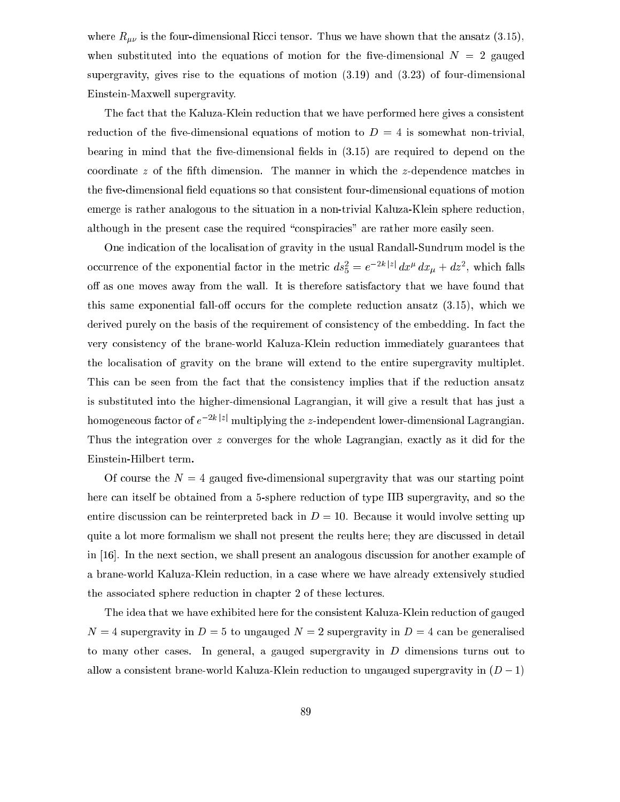where  $R_{\mu\nu}$  is the four-dimensional Ricci tensor. Thus we have shown that the ansatz (3.15), when substituted into the equations of motion for the five-dimensional  $N = 2$  gauged supergravity, gives rise to the equations of motion (3.19) and (3.23) of four-dimensional Einstein-Maxwell supergravity.

The fa
t that the Kaluza-Klein redu
tion that we have performed here gives a onsistent reduction of the five-dimensional equations of motion to  $D = 4$  is somewhat non-trivial, bearing in mind that the five-dimensional fields in  $(3.15)$  are required to depend on the coordinate z of the fifth dimension. The manner in which the z-dependence matches in the five-dimensional field equations so that consistent four-dimensional equations of motion emerge is rather analogous to the situation in a non-trivial Kaluza-Klein sphere reduction, although in the present case the required "conspiracies" are rather more easily seen.

One indication of the localisation of gravity in the usual Randall-Sundrum model is the occurrence of the exponential factor in the metric  $as_{\bar{5}} = e^{-x_1x_1}ax_1^2 + ax_1^2$ , which falls off as one moves away from the wall. It is therefore satisfactory that we have found that this same exponential fall-off occurs for the complete reduction ansatz  $(3.15)$ , which we derived purely on the basis of the requirement of consistency of the embedding. In fact the very onsisten
y of the brane-world Kaluza-Klein redu
tion immediately guarantees that the lo
alisation of gravity on the brane will extend to the entire supergravity multiplet. This can be seen from the fact that the consistency implies that if the reduction ansatz is substituted into the higher-dimensional Lagrangian, it will give a result that has just a homogeneous factor of  $e^{-2k |z|}$  multiplying the z-independent lower-dimensional Lagrangian. Thus the integration over z converges for the whole Lagrangian, exactly as it did for the Einstein-Hilbert term.

Of course the  $N=4$  gauged five-dimensional supergravity that was our starting point here an itself be obtained from a 5-sphere redu
tion of type IIB supergravity, and so the entire discussion can be reinterpreted back in  $D = 10$ . Because it would involve setting up quite a lot more formalism we shall not present the reults here; they are discussed in detail in  $[16]$ . In the next section, we shall present an analogous discussion for another example of a brane-world Kaluza-Klein redu
tion, in a ase where we have already extensively studied the asso
iated sphere redu
tion in hapter 2 of these le
tures.

The idea that we have exhibited here for the onsistent Kaluza-Klein redu
tion of gauged  $N = 4$  supergravity in  $D = 5$  to ungauged  $N = 2$  supergravity in  $D = 4$  can be generalised to many other cases. In general, a gauged supergravity in  $D$  dimensions turns out to allow a consistent brane-world Kaluza-Klein reduction to ungauged supergravity in  $(D-1)$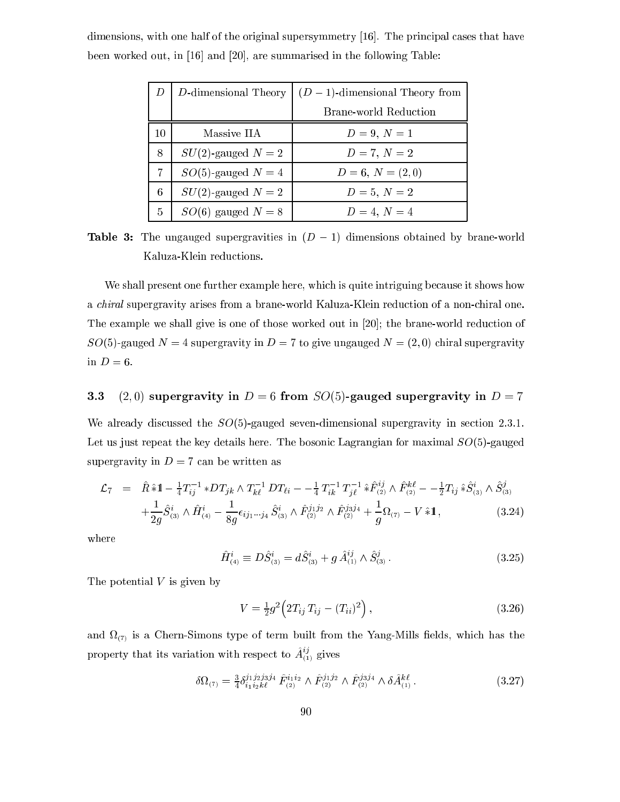|    | D-dimensional Theory  | $(D-1)$ -dimensional Theory from |
|----|-----------------------|----------------------------------|
|    |                       | <b>Brane-world Reduction</b>     |
| 10 | Massive IIA           | $D = 9, N = 1$                   |
| 8  | $SU(2)$ -gauged $N=2$ | $D = 7, N = 2$                   |
|    | $SO(5)$ -gauged $N=4$ | $D=6, N=(2,0)$                   |
| 6  | $SU(2)$ -gauged $N=2$ | $D = 5, N = 2$                   |
| 5  | $SO(6)$ gauged $N=8$  | $D = 4, N = 4$                   |

dimensions, with one half of the original supersymmetry  $[16]$ . The principal cases that have been worked out, in  $[16]$  and  $[20]$ , are summarised in the following Table:

**Table 3:** The ungauged supergravities in  $(D - 1)$  dimensions obtained by brane-world Kaluza-Klein redu
tions.

We shall present one further example here, which is quite intriguing because it shows how a *chiral* supergravity arises from a brane-world Kaluza-Klein reduction of a non-chiral one. The example we shall give is one of those worked out in  $[20]$ ; the brane-world reduction of  $SO(5)$ -gauged  $N = 4$  supergravity in  $D = 7$  to give ungauged  $N = (2,0)$  chiral supergravity in  $D=6$ .

# 3.3 (2,0) supergravity in  $D = 6$  from  $SO(5)$ -gauged supergravity in  $D = 7$

We already discussed the  $SO(5)$ -gauged seven-dimensional supergravity in section 2.3.1. Let us just repeat the key details here. The bosonic Lagrangian for maximal  $SO(5)$ -gauged supergravity in  $D = 7$  can be written as

$$
\mathcal{L}_7 = \hat{R} \hat{*} \mathbb{1} - \frac{1}{4} T_{ij}^{-1} * DT_{jk} \wedge T_{k\ell}^{-1} DT_{\ell i} - \frac{1}{4} T_{ik}^{-1} T_{jl}^{-1} \hat{*} \hat{F}_{(2)}^{ij} \wedge \hat{F}_{(2)}^{k\ell} - \frac{1}{2} T_{ij} \hat{*} \hat{S}_{(3)}^i \wedge \hat{S}_{(3)}^j \n+ \frac{1}{2g} \hat{S}_{(3)}^i \wedge \hat{H}_{(4)}^i - \frac{1}{8g} \epsilon_{ij_1 \cdots j_4} \hat{S}_{(3)}^i \wedge \hat{F}_{(2)}^{j_1 j_2} \wedge \hat{F}_{(2)}^{j_3 j_4} + \frac{1}{g} \Omega_{(7)} - V \hat{*} \mathbb{1},
$$
\n(3.24)

where

$$
\hat{H}_{(4)}^i \equiv D\hat{S}_{(3)}^i = d\hat{S}_{(3)}^i + g \,\hat{A}_{(1)}^{ij} \wedge \hat{S}_{(3)}^j. \tag{3.25}
$$

The potential  $V$  is given by

$$
V = \frac{1}{2}g^2 \left( 2T_{ij} T_{ij} - (T_{ii})^2 \right), \tag{3.26}
$$

and the Chern-Simons type of term built from the Yang-Mills from the Yang-Mills from the Yang-Mills from the Y property that its variation with respect to  $A_{(1)}^{\gamma}$  gives

$$
\delta\Omega_{(7)} = \frac{3}{4} \delta_{i_1 i_2 k\ell}^{j_1 j_2 j_3 j_4} \hat{F}_{(2)}^{i_1 i_2} \wedge \hat{F}_{(2)}^{j_1 j_2} \wedge \hat{F}_{(2)}^{j_3 j_4} \wedge \delta \hat{A}_{(1)}^{k\ell}.
$$
\n(3.27)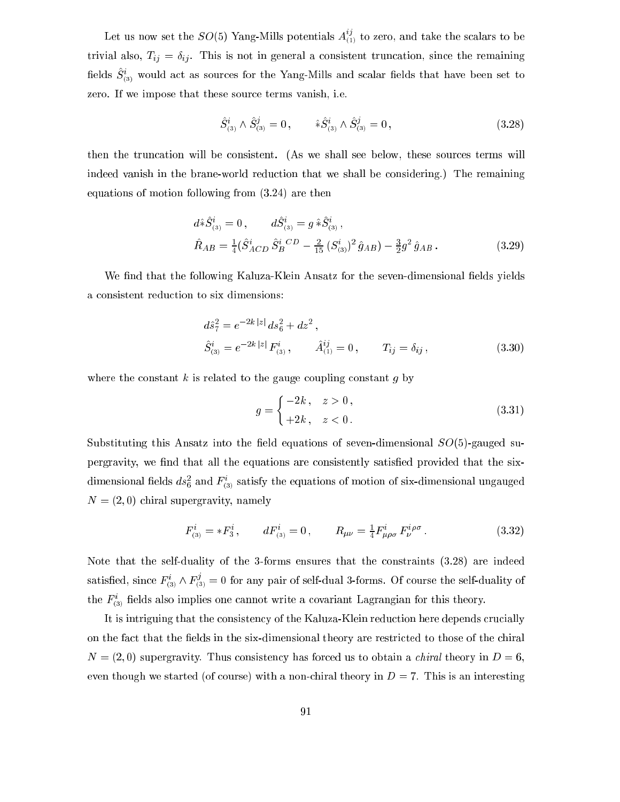Let us now set the  $SO(5)$  Yang-Mills potentials  $A_{(1)}^{\beta}$  to zero, and take the scalars to be trivial also,  $T_{ij} = \delta_{ij}$ . This is not in general a consistent truncation, since the remaining  $S_{(3)}$  would act as sources for the Yang-Mills and scalar helds that have been set to zero. If we impose that these sour
e terms vanish, i.e.

$$
\hat{S}_{(3)}^i \wedge \hat{S}_{(3)}^j = 0, \qquad \hat{*} \hat{S}_{(3)}^i \wedge \hat{S}_{(3)}^j = 0,
$$
\n(3.28)

then the trun
ation will be onsistent. (As we shall see below, these sour
es terms will indeed vanish in the brane-world reduction that we shall be considering.) The remaining equations of motion following from (3.24) are then

$$
d\hat{\mathbf{x}}\hat{S}_{(3)}^i = 0, \qquad d\hat{S}_{(3)}^i = g \hat{\mathbf{x}}\hat{S}_{(3)}^i, \n\hat{R}_{AB} = \frac{1}{4}(\hat{S}_{ACD}^i \hat{S}_{B}^{i}{}^{CD} - \frac{2}{15} (S_{(3)}^i)^2 \hat{g}_{AB}) - \frac{3}{2}g^2 \hat{g}_{AB}.
$$
\n(3.29)

We find that the following Kaluza-Klein Ansatz for the seven-dimensional fields yields a onsistent redu
tion to six dimensions:

$$
d\hat{s}_{7}^{2} = e^{-2k|z|} ds_{6}^{2} + dz^{2},
$$
  
\n
$$
\hat{S}_{(3)}^{i} = e^{-2k|z|} F_{(3)}^{i}, \qquad \hat{A}_{(1)}^{ij} = 0, \qquad T_{ij} = \delta_{ij},
$$
\n(3.30)

where the constant  $k$  is related to the gauge coupling constant  $q$  by

$$
g = \begin{cases} -2k, & z > 0, \\ +2k, & z < 0. \end{cases}
$$
 (3.31)

Substituting this Ansatz into the field equations of seven-dimensional  $SO(5)$ -gauged supergravity, we find that all the equations are consistently satisfied provided that the sixdimensional neids  $as_{\bar{6}}^z$  and  $F_{(3)}^z$  satisfy the equations of motion of six-dimensional ungauged  $N = (2, 0)$  chiral supergravity, namely

$$
F_{(3)}^i = *F_3^i, \qquad dF_{(3)}^i = 0, \qquad R_{\mu\nu} = \frac{1}{4} F_{\mu\rho\sigma}^i F_{\nu}^{i\rho\sigma}.
$$
 (3.32)

Note that the self-duality of the 3-forms ensures that the onstraints (3.28) are indeed satisfied, since  $F_{(3)}^* \wedge F_{(3)}^* = 0$  for any pair of self-dual 3-forms. Of course the self-duality of the  $F_{(3)}$  helds also implies one cannot write a covariant Lagrangian for this theory.

It is intriguing that the consistency of the Kaluza-Klein reduction here depends crucially on the fact that the fields in the six-dimensional theory are restricted to those of the chiral  $N = (2,0)$  supergravity. Thus consistency has forced us to obtain a *chiral* theory in  $D = 6$ , even though we started (of course) with a non-chiral theory in  $D = 7$ . This is an interesting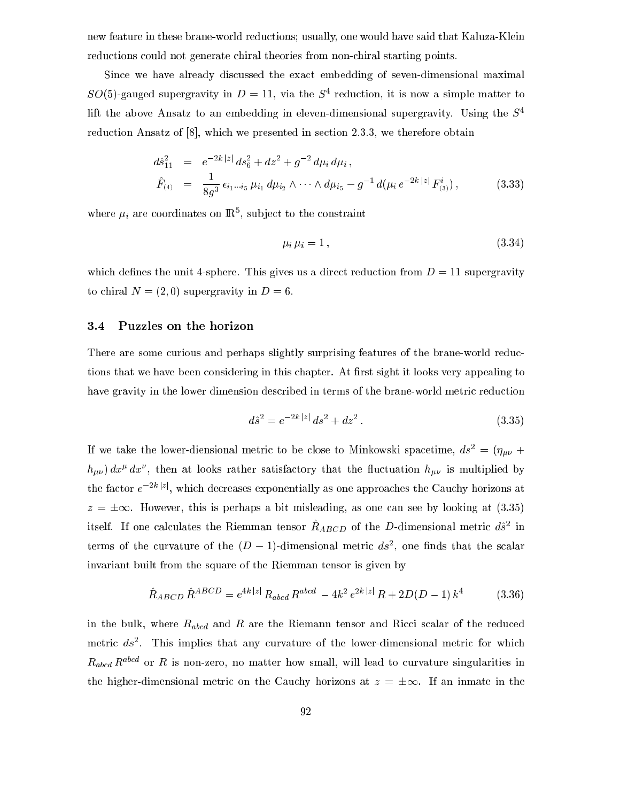new feature in these brane-world redu
tions; usually, one would have said that Kaluza-Klein reductions could not generate chiral theories from non-chiral starting points.

Since we have already discussed the exact embedding of seven-dimensional maximal  $SU(3)$ -gauged supergravity in  $D = 11$ , via the  $S^+$  reduction, it is now a simple matter to lift the above Ansatz to an embedding in eleven-dimensional supergravity. Using the  $S<sup>4</sup>$ reduction Ansatz of  $[8]$ , which we presented in section 2.3.3, we therefore obtain

$$
d\hat{s}_{11}^2 = e^{-2k|z|} ds_6^2 + dz^2 + g^{-2} d\mu_i d\mu_i,
$$
  
\n
$$
\hat{F}_{(4)} = \frac{1}{8g^3} \epsilon_{i_1 \cdots i_5} \mu_{i_1} d\mu_{i_2} \wedge \cdots \wedge d\mu_{i_5} - g^{-1} d(\mu_i e^{-2k|z|} F_{(3)}^i),
$$
\n(3.33)

where  $\mu_i$  are coordinates on  $\mathbb{R}^n$ , subject to the constraint

$$
\mu_i \mu_i = 1, \tag{3.34}
$$

which defines the unit 4-sphere. This gives us a direct reduction from  $D = 11$  supergravity to chiral  $N = (2, 0)$  supergravity in  $D = 6$ .

# 3.4 Puzzles on the horizon

There are some curious and perhaps slightly surprising features of the brane-world reductions that we have been considering in this chapter. At first sight it looks very appealing to have gravity in the lower dimension described in terms of the brane-world metric reduction

$$
d\hat{s}^2 = e^{-2k|z|} ds^2 + dz^2.
$$
\n(3.35)

If we take the lower-diensional metric to be close to Minkowski spacetime,  $ds^2 = (\eta_{\mu\nu} +$  $n_{\mu\nu}$ )  $ax^r$   $ax^r$ , then at looks rather satisfactory that the inictuation  $n_{\mu\nu}$  is multiplied by the factor  $e^{-i\omega}$ , which decreases exponentially as one approaches the Cauchy horizons at  $z = \pm \infty$ . However, this is perhaps a bit misleading, as one can see by looking at (3.35) itself. If one calculates the Klemman tensor  $\Lambda ABCD$  of the D-dimensional metric  $as$  -in terms of the curvature of the  $(D-1)$ -dimensional metric  $as$ , one finds that the scalar invariant built from the square of the Riemman tensor is given by

$$
\hat{R}_{ABCD} \,\hat{R}^{ABCD} = e^{4k|z|} R_{abcd} \, R^{abcd} - 4k^2 \, e^{2k|z|} R + 2D(D-1) \, k^4 \tag{3.36}
$$

in the bulk, where  $R_{abcd}$  and R are the Riemann tensor and Ricci scalar of the reduced  $m$ etric  $as^2$ . This implies that any curvature of the lower-dimensional metric for which  $R_{abcd} R^{abcd}$  or R is non-zero, no matter how small, will lead to curvature singularities in the higher-dimensional metric on the Cauchy horizons at  $z = \pm \infty$ . If an inmate in the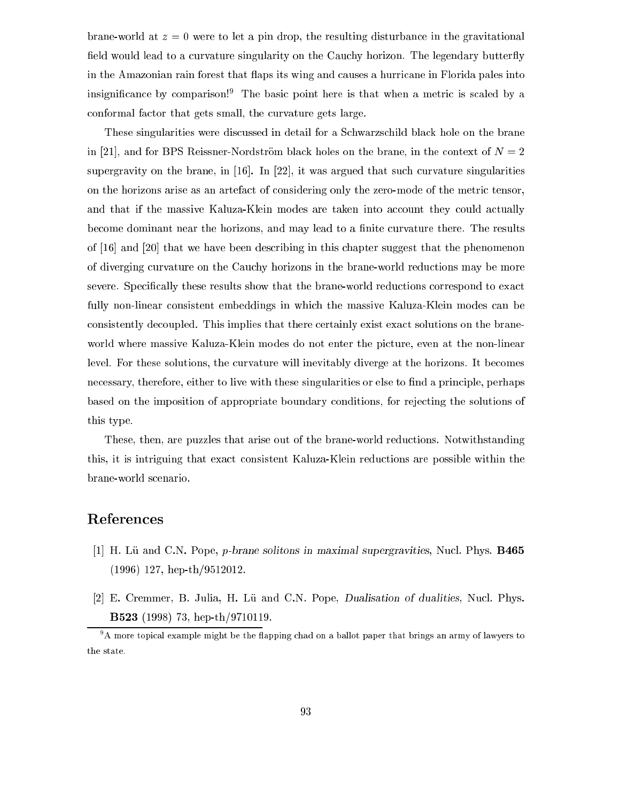brane-world at  $z = 0$  were to let a pin drop, the resulting disturbance in the gravitational field would lead to a curvature singularity on the Cauchy horizon. The legendary butterfly in the Amazonian rain forest that flaps its wing and causes a hurricane in Florida pales into insignificance by comparison!<sup>9</sup> The basic point here is that when a metric is scaled by a onformal fa
tor that gets small, the urvature gets large.

These singularities were discussed in detail for a Schwarzschild black hole on the brane in [21], and for BPS Reissner-Nordström black holes on the brane, in the context of  $N = 2$ supergravity on the brane, in  $[16]$ . In  $[22]$ , it was argued that such curvature singularities on the horizons arise as an artefact of considering only the zero-mode of the metric tensor, and that if the massive Kaluza-Klein modes are taken into account they could actually become dominant near the horizons, and may lead to a finite curvature there. The results of  $[16]$  and  $[20]$  that we have been describing in this chapter suggest that the phenomenon of diverging curvature on the Cauchy horizons in the brane-world reductions may be more severe. Specifically these results show that the brane-world reductions correspond to exact fully non-linear consistent embeddings in which the massive Kaluza-Klein modes can be onsistently de
oupled. This implies that there ertainly exist exa
t solutions on the braneworld where massive Kaluza-Klein modes do not enter the picture, even at the non-linear level. For these solutions, the curvature will inevitably diverge at the horizons. It becomes necessary, therefore, either to live with these singularities or else to find a principle, perhaps based on the imposition of appropriate boundary onditions, for reje
ting the solutions of this type.

These, then, are puzzles that arise out of the brane-world reductions. Notwithstanding this, it is intriguing that exa
t onsistent Kaluza-Klein redu
tions are possible within the brane-world s
enario.

# Referen
es

- [1] H. Lü and C.N. Pope, *p*-brane solitons in maximal supergravities, Nucl. Phys. **B465** (1996) 127, hep-th/9512012.
- [2] E. Cremmer, B. Julia, H. Lü and C.N. Pope, *Dualisation of dualities*, Nucl. Phys. B523 (1998) 73, hep-th/9710119.

<sup>.</sup> A more topical example might be the napping chad on a ballot paper that brings an army of lawyers to the state.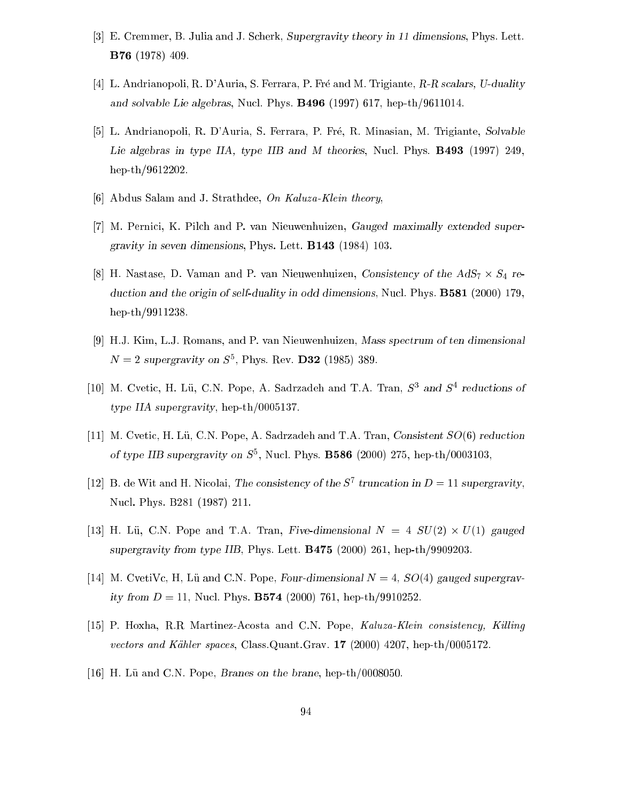- [3] E. Cremmer, B. Julia and J. Scherk, Supergravity theory in 11 dimensions, Phys. Lett. B76 (1978) 409.
- [4] L. Andrianopoli, R. D'Auria, S. Ferrara, P. Fré and M. Trigiante, R-R scalars, U-duality and solvable Lie algebras, Nu
l. Phys. B496 (1997) 617, hep-th/9611014.
- [5] L. Andrianopoli, R. D'Auria, S. Ferrara, P. Fré, R. Minasian, M. Trigiante, Solvable Lie algebras in type IIA, type IIB and M theories, Nucl. Phys. **B493** (1997) 249, hep-th/9612202.
- [6] Abdus Salam and J. Strathdee, On Kaluza-Klein theory,
- [7] M. Pernici, K. Pilch and P. van Nieuwenhuizen, Gauged maximally extended supergravity in seven dimensions, Phys. Lett. B143 (1984) 103.
- $\|8\|$  Here is the Additional and P. van Hills in the Additional Section  $\gamma$  is the AdS7  $\gamma$  and  $\gamma$ duction and the origin of self-duality in odd dimensions, Nucl. Phys. **B581** (2000) 179, hep-th/9911238.
- [9] H.J. Kim, L.J. Romans, and P. van Nieuwenhuizen, Mass spectrum of ten dimensional  $N = 2$  supergravity on  $S^{\dagger}$ , Phys. Rev. D32 (1985) 389.
- $\vert 10\vert$  M. Ovetic, H. Lu, C.N. Pope, A. Sadrzaden and T.A. Iran, S<sup>3</sup> and S<sup>3</sup> reductions of type IIA supergravity, hep-th/0005137.
- [11] M. Cvetic, H. Lü, C.N. Pope, A. Sadrzadeh and T.A. Tran, Consistent  $SO(6)$  reduction of type IIB supergravity on  $5^\circ$ , Nucl. Phys. **B586** (2000) 275, hep-th/0003103,
- $|12|$  B. de Wit and H. Nicolai, The consistency of the S-truncation in  $D = 11$  supergravity, Nu
l. Phys. B281 (1987) 211.
- [13℄ H. Lu, C.N. Pope and T.A. Tran, Five-dimensional N = 4 SU(2) U(1) gauged supergravity from type IIB, Phys. Lett. B475 (2000) 261, hep-th/9909203.
- [14] M. CvetiVc, H, Lü and C.N. Pope, Four-dimensional  $N = 4$ ,  $SO(4)$  gauged supergravity from  $D = 11$ , Nucl. Phys. **B574** (2000) 761, hep-th/9910252.
- [15] P. Hoxha, R.R. Martinez-Acosta and C.N. Pope, Kaluza-Klein consistency, Killing vectors and Kähler spaces, Class.Quant.Grav. 17 (2000) 4207, hep-th/0005172.
- [16] H. Lü and C.N. Pope, *Branes on the brane*, hep-th/0008050.